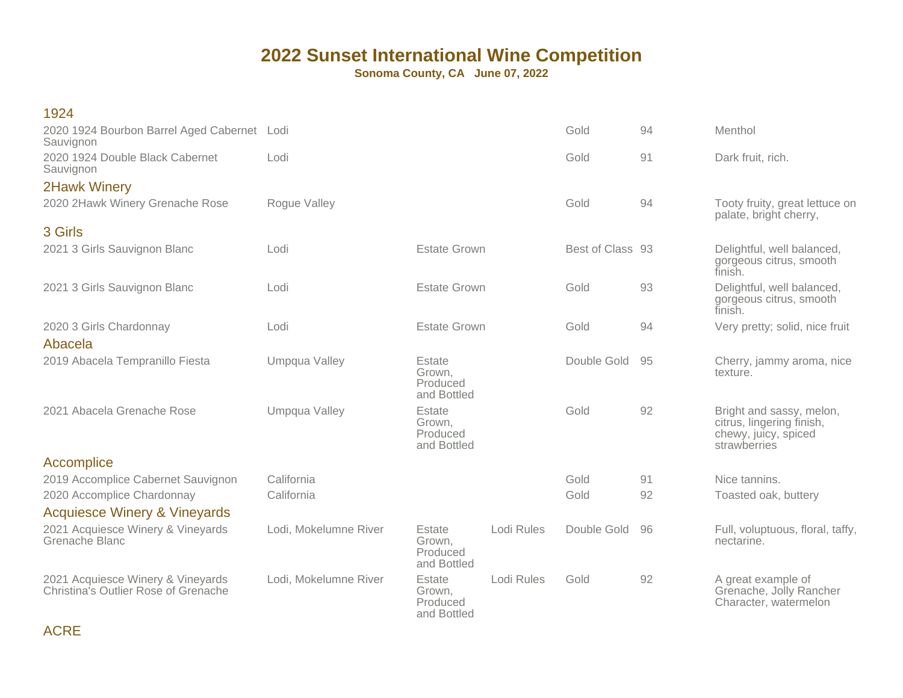**Sonoma County, CA June 07, 2022**

| 1924                                                                      |                       |                                             |            |                  |    |                                                                                               |
|---------------------------------------------------------------------------|-----------------------|---------------------------------------------|------------|------------------|----|-----------------------------------------------------------------------------------------------|
| 2020 1924 Bourbon Barrel Aged Cabernet Lodi<br>Sauvignon                  |                       |                                             |            | Gold             | 94 | Menthol                                                                                       |
| 2020 1924 Double Black Cabernet<br>Sauvignon                              | Lodi                  |                                             |            | Gold             | 91 | Dark fruit, rich.                                                                             |
| <b>2Hawk Winery</b>                                                       |                       |                                             |            |                  |    |                                                                                               |
| 2020 2Hawk Winery Grenache Rose                                           | Rogue Valley          |                                             |            | Gold             | 94 | Tooty fruity, great lettuce on<br>palate, bright cherry,                                      |
| 3 Girls                                                                   |                       |                                             |            |                  |    |                                                                                               |
| 2021 3 Girls Sauvignon Blanc                                              | Lodi                  | <b>Estate Grown</b>                         |            | Best of Class 93 |    | Delightful, well balanced,<br>gorgeous citrus, smooth<br>finish.                              |
| 2021 3 Girls Sauvignon Blanc                                              | Lodi                  | <b>Estate Grown</b>                         |            | Gold             | 93 | Delightful, well balanced,<br>gorgeous citrus, smooth<br>finish.                              |
| 2020 3 Girls Chardonnay                                                   | Lodi                  | <b>Estate Grown</b>                         |            | Gold             | 94 | Very pretty; solid, nice fruit                                                                |
| Abacela                                                                   |                       |                                             |            |                  |    |                                                                                               |
| 2019 Abacela Tempranillo Fiesta                                           | Umpqua Valley         | Estate<br>Grown,<br>Produced<br>and Bottled |            | Double Gold      | 95 | Cherry, jammy aroma, nice<br>texture.                                                         |
| 2021 Abacela Grenache Rose                                                | Umpqua Valley         | Estate<br>Grown,<br>Produced<br>and Bottled |            | Gold             | 92 | Bright and sassy, melon,<br>citrus, lingering finish,<br>chewy, juicy, spiced<br>strawberries |
| Accomplice                                                                |                       |                                             |            |                  |    |                                                                                               |
| 2019 Accomplice Cabernet Sauvignon                                        | California            |                                             |            | Gold             | 91 | Nice tannins.                                                                                 |
| 2020 Accomplice Chardonnay                                                | California            |                                             |            | Gold             | 92 | Toasted oak, buttery                                                                          |
| <b>Acquiesce Winery &amp; Vineyards</b>                                   |                       |                                             |            |                  |    |                                                                                               |
| 2021 Acquiesce Winery & Vineyards<br>Grenache Blanc                       | Lodi, Mokelumne River | Estate<br>Grown,<br>Produced<br>and Bottled | Lodi Rules | Double Gold      | 96 | Full, voluptuous, floral, taffy,<br>nectarine.                                                |
| 2021 Acquiesce Winery & Vineyards<br>Christina's Outlier Rose of Grenache | Lodi, Mokelumne River | Estate<br>Grown,<br>Produced<br>and Bottled | Lodi Rules | Gold             | 92 | A great example of<br>Grenache, Jolly Rancher<br>Character, watermelon                        |

ACRE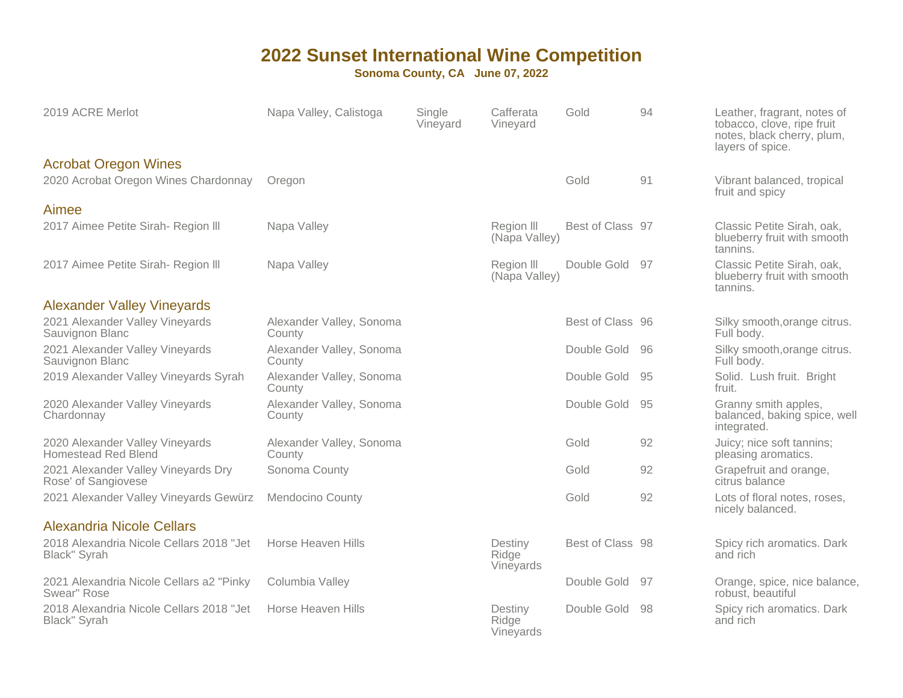| 2019 ACRE Merlot                                                    | Napa Valley, Calistoga             | Single<br>Vineyard | Cafferata<br>Vineyard         | Gold             | 94  | Leather, fragrant, notes of<br>tobacco, clove, ripe fruit<br>notes, black cherry, plum,<br>layers of spice. |
|---------------------------------------------------------------------|------------------------------------|--------------------|-------------------------------|------------------|-----|-------------------------------------------------------------------------------------------------------------|
| <b>Acrobat Oregon Wines</b><br>2020 Acrobat Oregon Wines Chardonnay | Oregon                             |                    |                               | Gold             | 91  | Vibrant balanced, tropical<br>fruit and spicy                                                               |
| Aimee                                                               |                                    |                    |                               |                  |     |                                                                                                             |
| 2017 Aimee Petite Sirah- Region III                                 | Napa Valley                        |                    | Region III<br>(Napa Valley)   | Best of Class 97 |     | Classic Petite Sirah, oak,<br>blueberry fruit with smooth<br>tannins.                                       |
| 2017 Aimee Petite Sirah- Region III                                 | Napa Valley                        |                    | Region III<br>(Napa Valley)   | Double Gold      | 97  | Classic Petite Sirah, oak,<br>blueberry fruit with smooth<br>tannins.                                       |
| <b>Alexander Valley Vineyards</b>                                   |                                    |                    |                               |                  |     |                                                                                                             |
| 2021 Alexander Valley Vineyards<br>Sauvignon Blanc                  | Alexander Valley, Sonoma<br>County |                    |                               | Best of Class 96 |     | Silky smooth, orange citrus.<br>Full body.                                                                  |
| 2021 Alexander Valley Vineyards<br>Sauvignon Blanc                  | Alexander Valley, Sonoma<br>County |                    |                               | Double Gold      | -96 | Silky smooth, orange citrus.<br>Full body.                                                                  |
| 2019 Alexander Valley Vineyards Syrah                               | Alexander Valley, Sonoma<br>County |                    |                               | Double Gold      | 95  | Solid. Lush fruit. Bright<br>fruit.                                                                         |
| 2020 Alexander Valley Vineyards<br>Chardonnay                       | Alexander Valley, Sonoma<br>County |                    |                               | Double Gold      | 95  | Granny smith apples,<br>balanced, baking spice, well<br>integrated.                                         |
| 2020 Alexander Valley Vineyards<br>Homestead Red Blend              | Alexander Valley, Sonoma<br>County |                    |                               | Gold             | 92  | Juicy; nice soft tannins;<br>pleasing aromatics.                                                            |
| 2021 Alexander Valley Vineyards Dry<br>Rose' of Sangiovese          | Sonoma County                      |                    |                               | Gold             | 92  | Grapefruit and orange,<br>citrus balance                                                                    |
| 2021 Alexander Valley Vineyards Gewürz                              | <b>Mendocino County</b>            |                    |                               | Gold             | 92  | Lots of floral notes, roses,<br>nicely balanced.                                                            |
| <b>Alexandria Nicole Cellars</b>                                    |                                    |                    |                               |                  |     |                                                                                                             |
| 2018 Alexandria Nicole Cellars 2018 "Jet<br>Black" Syrah            | Horse Heaven Hills                 |                    | Destiny<br>Ridge<br>Vineyards | Best of Class 98 |     | Spicy rich aromatics. Dark<br>and rich                                                                      |
| 2021 Alexandria Nicole Cellars a2 "Pinky<br>Swear" Rose             | Columbia Valley                    |                    |                               | Double Gold      | .97 | Orange, spice, nice balance,<br>robust, beautiful                                                           |
| 2018 Alexandria Nicole Cellars 2018 "Jet<br>Black" Syrah            | Horse Heaven Hills                 |                    | Destiny<br>Ridge<br>Vineyards | Double Gold      | -98 | Spicy rich aromatics. Dark<br>and rich                                                                      |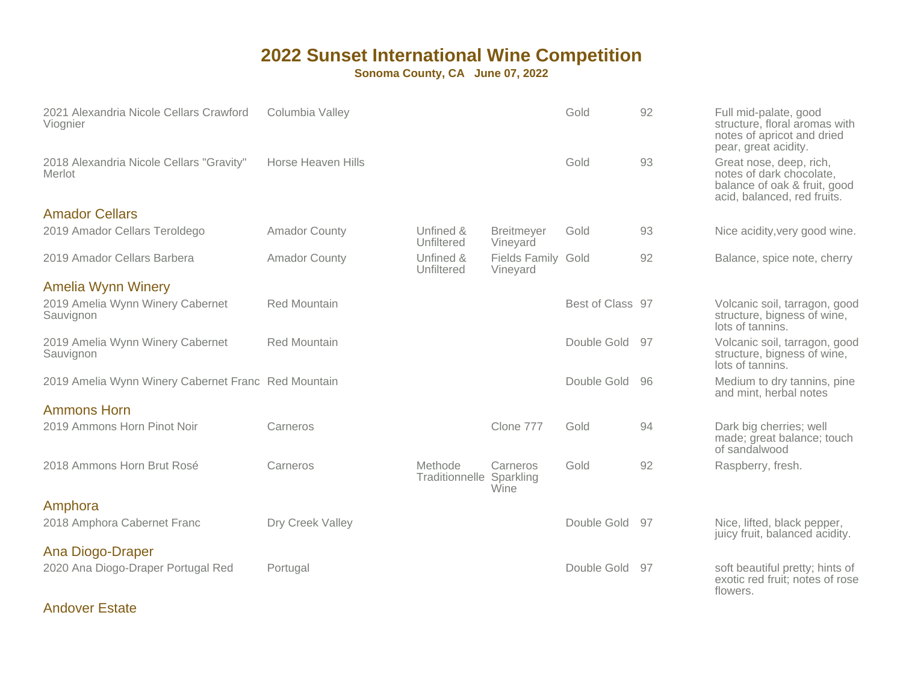**Sonoma County, CA June 07, 2022**

| 2021 Alexandria Nicole Cellars Crawford<br>Viognier | Columbia Valley      |                                            |                                | Gold             | 92 | Full mid-palate, good<br>structure, floral aromas with<br>notes of apricot and dried<br>pear, great acidity.       |
|-----------------------------------------------------|----------------------|--------------------------------------------|--------------------------------|------------------|----|--------------------------------------------------------------------------------------------------------------------|
| 2018 Alexandria Nicole Cellars "Gravity"<br>Merlot  | Horse Heaven Hills   |                                            |                                | Gold             | 93 | Great nose, deep, rich,<br>notes of dark chocolate,<br>balance of oak & fruit, good<br>acid, balanced, red fruits. |
| <b>Amador Cellars</b>                               |                      |                                            |                                |                  |    |                                                                                                                    |
| 2019 Amador Cellars Teroldego                       | <b>Amador County</b> | Unfined &<br>Unfiltered                    | <b>Breitmeyer</b><br>Vineyard  | Gold             | 93 | Nice acidity, very good wine.                                                                                      |
| 2019 Amador Cellars Barbera                         | <b>Amador County</b> | Unfined &<br>Unfiltered                    | Fields Family Gold<br>Vineyard |                  | 92 | Balance, spice note, cherry                                                                                        |
| <b>Amelia Wynn Winery</b>                           |                      |                                            |                                |                  |    |                                                                                                                    |
| 2019 Amelia Wynn Winery Cabernet<br>Sauvignon       | <b>Red Mountain</b>  |                                            |                                | Best of Class 97 |    | Volcanic soil, tarragon, good<br>structure, bigness of wine,<br>lots of tannins.                                   |
| 2019 Amelia Wynn Winery Cabernet<br>Sauvignon       | <b>Red Mountain</b>  |                                            |                                | Double Gold      | 97 | Volcanic soil, tarragon, good<br>structure, bigness of wine,<br>lots of tannins.                                   |
| 2019 Amelia Wynn Winery Cabernet Franc Red Mountain |                      |                                            |                                | Double Gold      | 96 | Medium to dry tannins, pine<br>and mint, herbal notes                                                              |
| <b>Ammons Horn</b>                                  |                      |                                            |                                |                  |    |                                                                                                                    |
| 2019 Ammons Horn Pinot Noir                         | Carneros             |                                            | Clone 777                      | Gold             | 94 | Dark big cherries; well<br>made; great balance; touch<br>of sandalwood                                             |
| 2018 Ammons Horn Brut Rosé                          | Carneros             | Methode<br><b>Traditionnelle Sparkling</b> | Carneros<br>Wine               | Gold             | 92 | Raspberry, fresh.                                                                                                  |
| Amphora                                             |                      |                                            |                                |                  |    |                                                                                                                    |
| 2018 Amphora Cabernet Franc                         | Dry Creek Valley     |                                            |                                | Double Gold      | 97 | Nice, lifted, black pepper,<br>juicy fruit, balanced acidity.                                                      |
| Ana Diogo-Draper                                    |                      |                                            |                                |                  |    |                                                                                                                    |
| 2020 Ana Diogo-Draper Portugal Red                  | Portugal             |                                            |                                | Double Gold      | 97 | soft beautiful pretty; hints of<br>exotic red fruit; notes of rose<br>flowers.                                     |

#### Andover Estate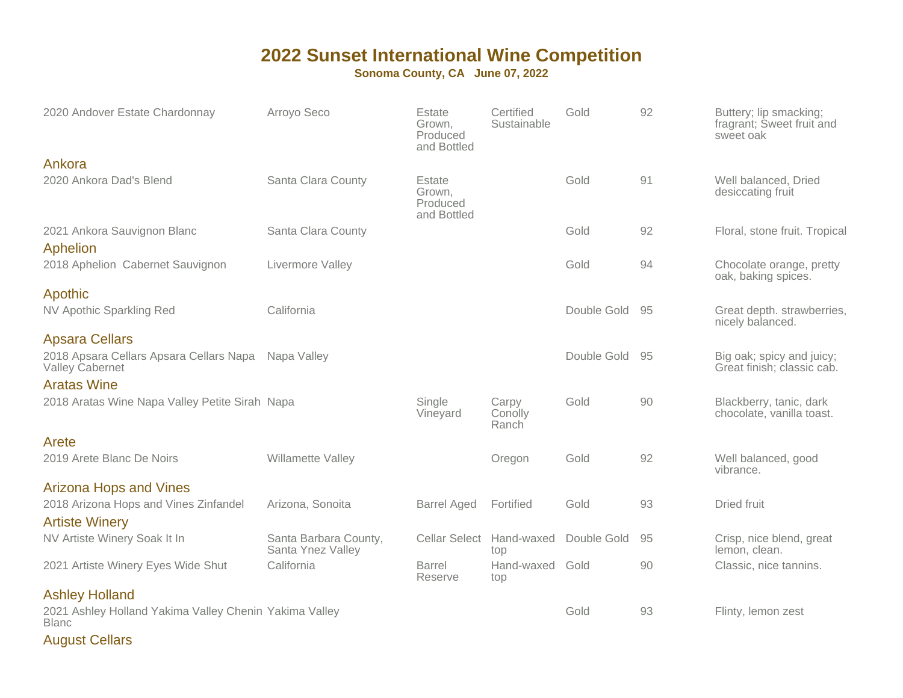**Sonoma County, CA June 07, 2022**

| 2020 Andover Estate Chardonnay                                         | Arroyo Seco                                | Estate<br>Grown,<br>Produced<br>and Bottled | Certified<br>Sustainable  | Gold           | 92 | Buttery; lip smacking;<br>fragrant; Sweet fruit and<br>sweet oak |
|------------------------------------------------------------------------|--------------------------------------------|---------------------------------------------|---------------------------|----------------|----|------------------------------------------------------------------|
| Ankora                                                                 |                                            |                                             |                           |                |    |                                                                  |
| 2020 Ankora Dad's Blend                                                | Santa Clara County                         | Estate<br>Grown,<br>Produced<br>and Bottled |                           | Gold           | 91 | Well balanced, Dried<br>desiccating fruit                        |
| 2021 Ankora Sauvignon Blanc                                            | Santa Clara County                         |                                             |                           | Gold           | 92 | Floral, stone fruit. Tropical                                    |
| Aphelion                                                               |                                            |                                             |                           |                |    |                                                                  |
| 2018 Aphelion Cabernet Sauvignon                                       | Livermore Valley                           |                                             |                           | Gold           | 94 | Chocolate orange, pretty<br>oak, baking spices.                  |
| Apothic                                                                |                                            |                                             |                           |                |    |                                                                  |
| NV Apothic Sparkling Red                                               | California                                 |                                             |                           | Double Gold 95 |    | Great depth. strawberries,<br>nicely balanced.                   |
| <b>Apsara Cellars</b>                                                  |                                            |                                             |                           |                |    |                                                                  |
| 2018 Apsara Cellars Apsara Cellars Napa<br>Valley Cabernet             | Napa Valley                                |                                             |                           | Double Gold 95 |    | Big oak; spicy and juicy;<br>Great finish; classic cab.          |
| <b>Aratas Wine</b>                                                     |                                            |                                             |                           |                |    |                                                                  |
| 2018 Aratas Wine Napa Valley Petite Sirah Napa                         |                                            | Single<br>Vineyard                          | Carpy<br>Conolly<br>Ranch | Gold           | 90 | Blackberry, tanic, dark<br>chocolate, vanilla toast.             |
| Arete                                                                  |                                            |                                             |                           |                |    |                                                                  |
| 2019 Arete Blanc De Noirs                                              | Willamette Valley                          |                                             | Oregon                    | Gold           | 92 | Well balanced, good<br>vibrance.                                 |
| <b>Arizona Hops and Vines</b>                                          |                                            |                                             |                           |                |    |                                                                  |
| 2018 Arizona Hops and Vines Zinfandel                                  | Arizona, Sonoita                           | <b>Barrel Aged</b>                          | Fortified                 | Gold           | 93 | Dried fruit                                                      |
| <b>Artiste Winery</b>                                                  |                                            |                                             |                           |                |    |                                                                  |
| NV Artiste Winery Soak It In                                           | Santa Barbara County,<br>Santa Ynez Valley | <b>Cellar Select</b>                        | Hand-waxed<br>top         | Double Gold    | 95 | Crisp, nice blend, great<br>lemon, clean.                        |
| 2021 Artiste Winery Eyes Wide Shut                                     | California                                 | <b>Barrel</b><br>Reserve                    | Hand-waxed<br>top         | Gold           | 90 | Classic, nice tannins.                                           |
| <b>Ashley Holland</b>                                                  |                                            |                                             |                           |                |    |                                                                  |
| 2021 Ashley Holland Yakima Valley Chenin Yakima Valley<br><b>Blanc</b> |                                            |                                             |                           | Gold           | 93 | Flinty, lemon zest                                               |

August Cellars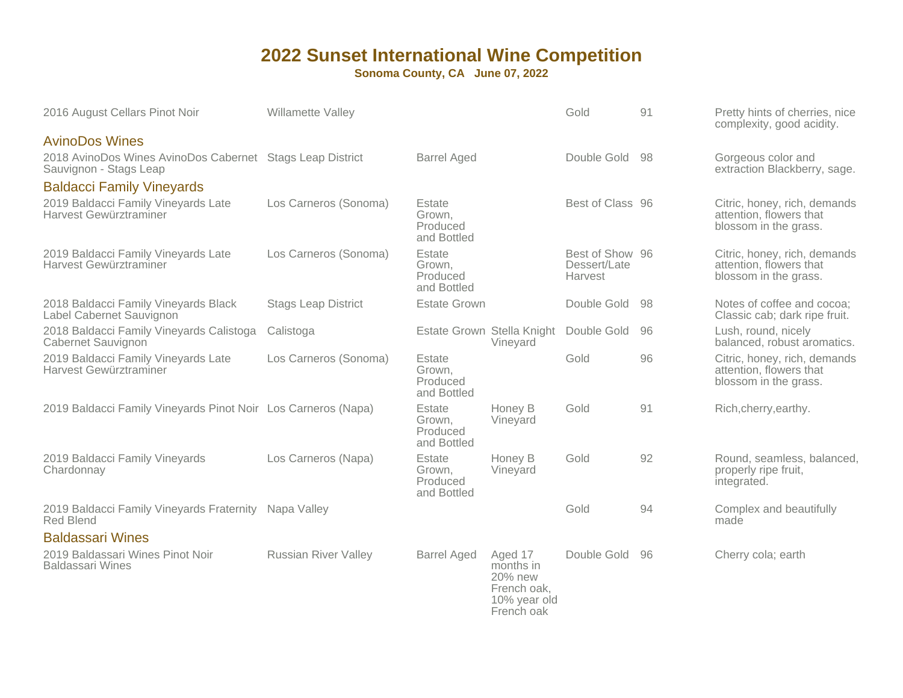| 2016 August Cellars Pinot Noir                                                      | Willamette Valley           |                                             |                                                                              | Gold                                       | 91 | Pretty hints of cherries, nice<br>complexity, good acidity.                      |
|-------------------------------------------------------------------------------------|-----------------------------|---------------------------------------------|------------------------------------------------------------------------------|--------------------------------------------|----|----------------------------------------------------------------------------------|
| <b>AvinoDos Wines</b>                                                               |                             |                                             |                                                                              |                                            |    |                                                                                  |
| 2018 AvinoDos Wines AvinoDos Cabernet Stags Leap District<br>Sauvignon - Stags Leap |                             | <b>Barrel Aged</b>                          |                                                                              | Double Gold                                | 98 | Gorgeous color and<br>extraction Blackberry, sage.                               |
| <b>Baldacci Family Vineyards</b>                                                    |                             |                                             |                                                                              |                                            |    |                                                                                  |
| 2019 Baldacci Family Vineyards Late<br>Harvest Gewürztraminer                       | Los Carneros (Sonoma)       | Estate<br>Grown,<br>Produced<br>and Bottled |                                                                              | Best of Class 96                           |    | Citric, honey, rich, demands<br>attention, flowers that<br>blossom in the grass. |
| 2019 Baldacci Family Vineyards Late<br>Harvest Gewürztraminer                       | Los Carneros (Sonoma)       | Estate<br>Grown,<br>Produced<br>and Bottled |                                                                              | Best of Show 96<br>Dessert/Late<br>Harvest |    | Citric, honey, rich, demands<br>attention, flowers that<br>blossom in the grass. |
| 2018 Baldacci Family Vineyards Black<br>Label Cabernet Sauvignon                    | <b>Stags Leap District</b>  | <b>Estate Grown</b>                         |                                                                              | Double Gold                                | 98 | Notes of coffee and cocoa;<br>Classic cab; dark ripe fruit.                      |
| 2018 Baldacci Family Vineyards Calistoga<br>Cabernet Sauvignon                      | Calistoga                   |                                             | Estate Grown Stella Knight<br>Vineyard                                       | Double Gold                                | 96 | Lush, round, nicely<br>balanced, robust aromatics.                               |
| 2019 Baldacci Family Vineyards Late<br>Harvest Gewürztraminer                       | Los Carneros (Sonoma)       | Estate<br>Grown,<br>Produced<br>and Bottled |                                                                              | Gold                                       | 96 | Citric, honey, rich, demands<br>attention, flowers that<br>blossom in the grass. |
| 2019 Baldacci Family Vineyards Pinot Noir Los Carneros (Napa)                       |                             | Estate<br>Grown,<br>Produced<br>and Bottled | Honey B<br>Vineyard                                                          | Gold                                       | 91 | Rich, cherry, earthy.                                                            |
| 2019 Baldacci Family Vineyards<br>Chardonnay                                        | Los Carneros (Napa)         | Estate<br>Grown.<br>Produced<br>and Bottled | Honey B<br>Vineyard                                                          | Gold                                       | 92 | Round, seamless, balanced,<br>properly ripe fruit,<br>integrated.                |
| 2019 Baldacci Family Vineyards Fraternity<br><b>Red Blend</b>                       | Napa Valley                 |                                             |                                                                              | Gold                                       | 94 | Complex and beautifully<br>made                                                  |
| <b>Baldassari Wines</b>                                                             |                             |                                             |                                                                              |                                            |    |                                                                                  |
| 2019 Baldassari Wines Pinot Noir<br><b>Baldassari Wines</b>                         | <b>Russian River Valley</b> | <b>Barrel Aged</b>                          | Aged 17<br>months in<br>20% new<br>French oak,<br>10% year old<br>French oak | Double Gold                                | 96 | Cherry cola; earth                                                               |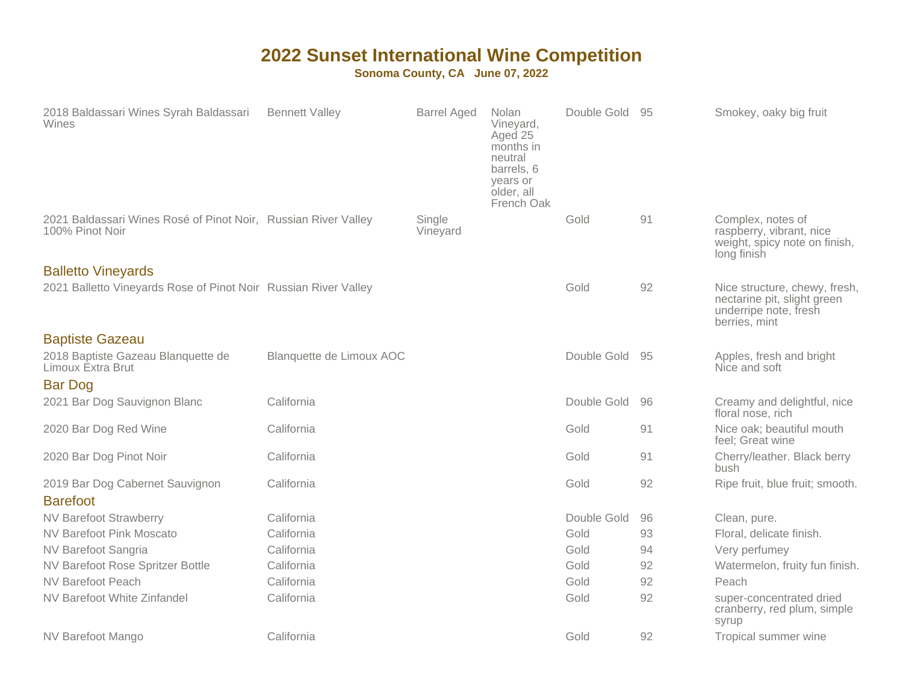| 2018 Baldassari Wines Syrah Baldassari<br>Wines                                   | <b>Bennett Valley</b>    | <b>Barrel Aged</b> | Nolan<br>Vineyard,<br>Aged 25<br>months in<br>neutral<br>barrels, 6<br>years or<br>older, all<br>French Oak | Double Gold | - 95 | Smokey, oaky big fruit                                                                                 |
|-----------------------------------------------------------------------------------|--------------------------|--------------------|-------------------------------------------------------------------------------------------------------------|-------------|------|--------------------------------------------------------------------------------------------------------|
| 2021 Baldassari Wines Rosé of Pinot Noir, Russian River Valley<br>100% Pinot Noir |                          | Single<br>Vineyard |                                                                                                             | Gold        | 91   | Complex, notes of<br>raspberry, vibrant, nice<br>weight, spicy note on finish,<br>long finish          |
| <b>Balletto Vineyards</b>                                                         |                          |                    |                                                                                                             |             |      |                                                                                                        |
| 2021 Balletto Vineyards Rose of Pinot Noir Russian River Valley                   |                          |                    |                                                                                                             | Gold        | 92   | Nice structure, chewy, fresh,<br>nectarine pit, slight green<br>underripe note, fresh<br>berries, mint |
| <b>Baptiste Gazeau</b>                                                            |                          |                    |                                                                                                             |             |      |                                                                                                        |
| 2018 Baptiste Gazeau Blanquette de<br>Limoux Extra Brut                           | Blanquette de Limoux AOC |                    |                                                                                                             | Double Gold | -95  | Apples, fresh and bright<br>Nice and soft                                                              |
| <b>Bar Dog</b>                                                                    |                          |                    |                                                                                                             |             |      |                                                                                                        |
| 2021 Bar Dog Sauvignon Blanc                                                      | California               |                    |                                                                                                             | Double Gold | 96   | Creamy and delightful, nice<br>floral nose, rich                                                       |
| 2020 Bar Dog Red Wine                                                             | California               |                    |                                                                                                             | Gold        | 91   | Nice oak; beautiful mouth<br>feel; Great wine                                                          |
| 2020 Bar Dog Pinot Noir                                                           | California               |                    |                                                                                                             | Gold        | 91   | Cherry/leather. Black berry<br>bush                                                                    |
| 2019 Bar Dog Cabernet Sauvignon                                                   | California               |                    |                                                                                                             | Gold        | 92   | Ripe fruit, blue fruit; smooth.                                                                        |
| <b>Barefoot</b>                                                                   |                          |                    |                                                                                                             |             |      |                                                                                                        |
| <b>NV Barefoot Strawberry</b>                                                     | California               |                    |                                                                                                             | Double Gold | 96   | Clean, pure.                                                                                           |
| <b>NV Barefoot Pink Moscato</b>                                                   | California               |                    |                                                                                                             | Gold        | 93   | Floral, delicate finish.                                                                               |
| NV Barefoot Sangria                                                               | California               |                    |                                                                                                             | Gold        | 94   | Very perfumey                                                                                          |
| NV Barefoot Rose Spritzer Bottle                                                  | California               |                    |                                                                                                             | Gold        | 92   | Watermelon, fruity fun finish.                                                                         |
| <b>NV Barefoot Peach</b>                                                          | California               |                    |                                                                                                             | Gold        | 92   | Peach                                                                                                  |
| NV Barefoot White Zinfandel                                                       | California               |                    |                                                                                                             | Gold        | 92   | super-concentrated dried<br>cranberry, red plum, simple<br>syrup                                       |
| NV Barefoot Mango                                                                 | California               |                    |                                                                                                             | Gold        | 92   | Tropical summer wine                                                                                   |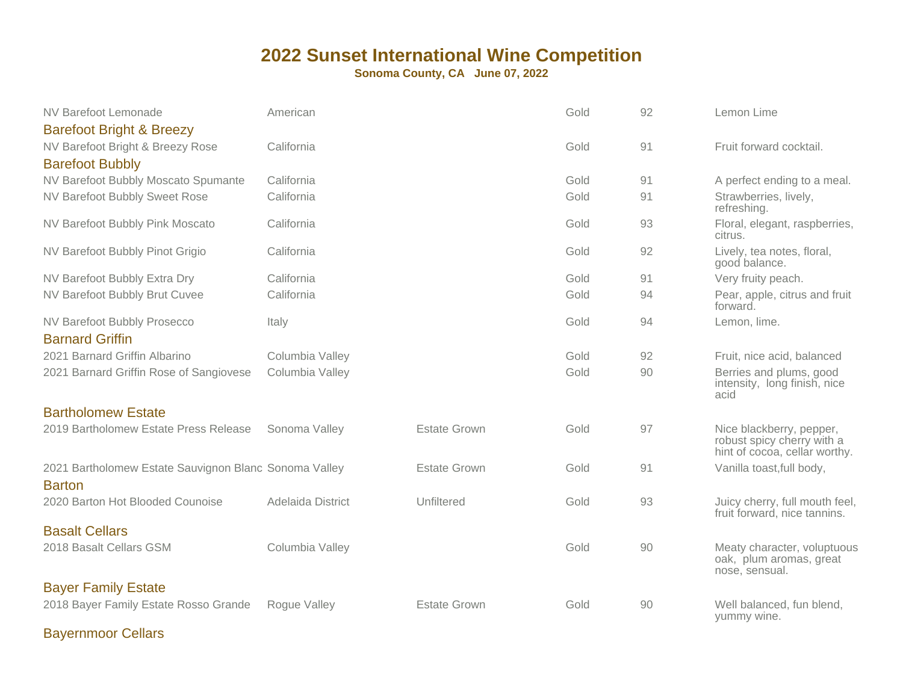**Sonoma County, CA June 07, 2022**

| NV Barefoot Lemonade                                                                              | American          |                     | Gold | 92 | Lemon Lime                                                                              |
|---------------------------------------------------------------------------------------------------|-------------------|---------------------|------|----|-----------------------------------------------------------------------------------------|
| <b>Barefoot Bright &amp; Breezy</b><br>NV Barefoot Bright & Breezy Rose<br><b>Barefoot Bubbly</b> | California        |                     | Gold | 91 | Fruit forward cocktail.                                                                 |
| NV Barefoot Bubbly Moscato Spumante                                                               | California        |                     | Gold | 91 | A perfect ending to a meal.                                                             |
| NV Barefoot Bubbly Sweet Rose                                                                     | California        |                     | Gold | 91 | Strawberries, lively,<br>refreshing.                                                    |
| NV Barefoot Bubbly Pink Moscato                                                                   | California        |                     | Gold | 93 | Floral, elegant, raspberries,<br>citrus.                                                |
| NV Barefoot Bubbly Pinot Grigio                                                                   | California        |                     | Gold | 92 | Lively, tea notes, floral,<br>good balance.                                             |
| NV Barefoot Bubbly Extra Dry                                                                      | California        |                     | Gold | 91 | Very fruity peach.                                                                      |
| NV Barefoot Bubbly Brut Cuvee                                                                     | California        |                     | Gold | 94 | Pear, apple, citrus and fruit<br>forward.                                               |
| NV Barefoot Bubbly Prosecco<br><b>Barnard Griffin</b>                                             | Italy             |                     | Gold | 94 | Lemon, lime.                                                                            |
| 2021 Barnard Griffin Albarino                                                                     | Columbia Valley   |                     | Gold | 92 | Fruit, nice acid, balanced                                                              |
| 2021 Barnard Griffin Rose of Sangiovese                                                           | Columbia Valley   |                     | Gold | 90 | Berries and plums, good<br>intensity, long finish, nice<br>acid                         |
| <b>Bartholomew Estate</b>                                                                         |                   |                     |      |    |                                                                                         |
| 2019 Bartholomew Estate Press Release                                                             | Sonoma Valley     | <b>Estate Grown</b> | Gold | 97 | Nice blackberry, pepper,<br>robust spicy cherry with a<br>hint of cocoa, cellar worthy. |
| 2021 Bartholomew Estate Sauvignon Blanc Sonoma Valley<br><b>Barton</b>                            |                   | <b>Estate Grown</b> | Gold | 91 | Vanilla toast, full body,                                                               |
| 2020 Barton Hot Blooded Counoise                                                                  | Adelaida District | Unfiltered          | Gold | 93 | Juicy cherry, full mouth feel,<br>fruit forward, nice tannins.                          |
| <b>Basalt Cellars</b>                                                                             |                   |                     |      |    |                                                                                         |
| 2018 Basalt Cellars GSM                                                                           | Columbia Valley   |                     | Gold | 90 | Meaty character, voluptuous<br>oak, plum aromas, great<br>nose, sensual.                |
| <b>Bayer Family Estate</b>                                                                        |                   |                     |      |    |                                                                                         |
| 2018 Bayer Family Estate Rosso Grande                                                             | Rogue Valley      | <b>Estate Grown</b> | Gold | 90 | Well balanced, fun blend,<br>yummy wine.                                                |

Bayernmoor Cellars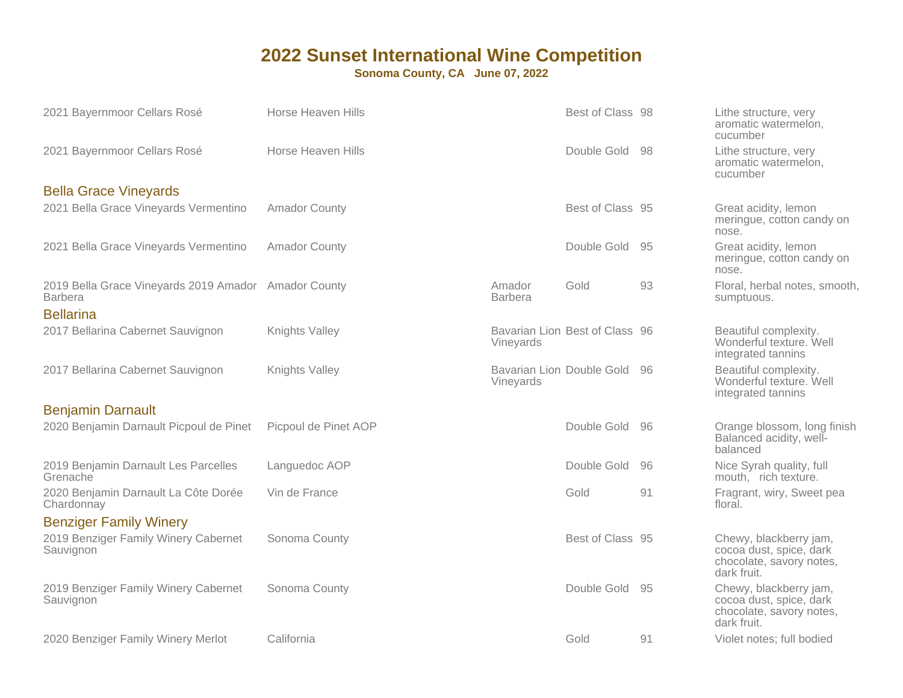| 2021 Bayernmoor Cellars Rosé                                           | Horse Heaven Hills   |                                        | Best of Class 98               |     | Lithe structure, very<br>aromatic watermelon,<br>cucumber                                    |
|------------------------------------------------------------------------|----------------------|----------------------------------------|--------------------------------|-----|----------------------------------------------------------------------------------------------|
| 2021 Bayernmoor Cellars Rosé                                           | Horse Heaven Hills   |                                        | Double Gold                    | 98  | Lithe structure, very<br>aromatic watermelon,<br>cucumber                                    |
| <b>Bella Grace Vineyards</b>                                           |                      |                                        |                                |     |                                                                                              |
| 2021 Bella Grace Vineyards Vermentino                                  | <b>Amador County</b> |                                        | Best of Class 95               |     | Great acidity, lemon<br>meringue, cotton candy on<br>nose.                                   |
| 2021 Bella Grace Vineyards Vermentino                                  | <b>Amador County</b> |                                        | Double Gold                    | 95  | Great acidity, lemon<br>meringue, cotton candy on<br>nose.                                   |
| 2019 Bella Grace Vineyards 2019 Amador Amador County<br><b>Barbera</b> |                      | Amador<br><b>Barbera</b>               | Gold                           | 93  | Floral, herbal notes, smooth,<br>sumptuous.                                                  |
| <b>Bellarina</b>                                                       |                      |                                        |                                |     |                                                                                              |
| 2017 Bellarina Cabernet Sauvignon                                      | Knights Valley       | Vineyards                              | Bavarian Lion Best of Class 96 |     | Beautiful complexity.<br>Wonderful texture. Well<br>integrated tannins                       |
| 2017 Bellarina Cabernet Sauvignon                                      | Knights Valley       | Bavarian Lion Double Gold<br>Vineyards |                                | 96  | Beautiful complexity.<br>Wonderful texture. Well<br>integrated tannins                       |
| <b>Benjamin Darnault</b>                                               |                      |                                        |                                |     |                                                                                              |
| 2020 Benjamin Darnault Picpoul de Pinet                                | Picpoul de Pinet AOP |                                        | Double Gold                    | 96  | Orange blossom, long finish<br>Balanced acidity, well-<br>balanced                           |
| 2019 Benjamin Darnault Les Parcelles<br>Grenache                       | Languedoc AOP        |                                        | Double Gold                    | 96  | Nice Syrah quality, full<br>mouth, rich texture.                                             |
| 2020 Benjamin Darnault La Côte Dorée<br>Chardonnay                     | Vin de France        |                                        | Gold                           | 91  | Fragrant, wiry, Sweet pea<br>floral.                                                         |
| <b>Benziger Family Winery</b>                                          |                      |                                        |                                |     |                                                                                              |
| 2019 Benziger Family Winery Cabernet<br>Sauvignon                      | Sonoma County        |                                        | Best of Class 95               |     | Chewy, blackberry jam,<br>cocoa dust, spice, dark<br>chocolate, savory notes,<br>dark fruit. |
| 2019 Benziger Family Winery Cabernet<br>Sauvignon                      | Sonoma County        |                                        | Double Gold                    | -95 | Chewy, blackberry jam,<br>cocoa dust, spice, dark<br>chocolate, savory notes,<br>dark fruit. |
| 2020 Benziger Family Winery Merlot                                     | California           |                                        | Gold                           | 91  | Violet notes; full bodied                                                                    |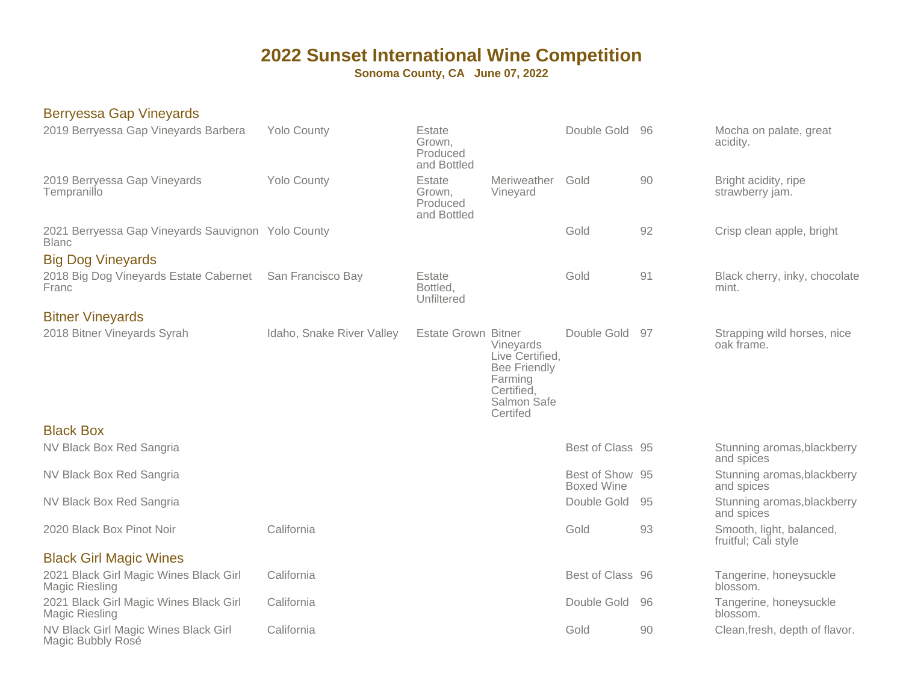**Sonoma County, CA June 07, 2022**

#### Berryessa Gap Vineyards

| 2019 Berryessa Gap Vineyards Barbera                               | <b>Yolo County</b>        | Estate<br>Grown,<br>Produced<br>and Bottled |                                                                                                         | Double Gold                          | - 96 | Mocha on palate, great<br>acidity.               |
|--------------------------------------------------------------------|---------------------------|---------------------------------------------|---------------------------------------------------------------------------------------------------------|--------------------------------------|------|--------------------------------------------------|
| 2019 Berryessa Gap Vineyards<br>Tempranillo                        | <b>Yolo County</b>        | Estate<br>Grown,<br>Produced<br>and Bottled | Meriweather<br>Vineyard                                                                                 | Gold                                 | 90   | Bright acidity, ripe<br>strawberry jam.          |
| 2021 Berryessa Gap Vineyards Sauvignon Yolo County<br><b>Blanc</b> |                           |                                             |                                                                                                         | Gold                                 | 92   | Crisp clean apple, bright                        |
| <b>Big Dog Vineyards</b>                                           |                           |                                             |                                                                                                         |                                      |      |                                                  |
| 2018 Big Dog Vineyards Estate Cabernet<br>Franc                    | San Francisco Bay         | Estate<br>Bottled,<br>Unfiltered            |                                                                                                         | Gold                                 | 91   | Black cherry, inky, chocolate<br>mint.           |
| <b>Bitner Vineyards</b>                                            |                           |                                             |                                                                                                         |                                      |      |                                                  |
| 2018 Bitner Vineyards Syrah                                        | Idaho, Snake River Valley | <b>Estate Grown Bitner</b>                  | Vineyards<br>Live Certified,<br><b>Bee Friendly</b><br>Farming<br>Certified,<br>Salmon Safe<br>Certifed | Double Gold 97                       |      | Strapping wild horses, nice<br>oak frame.        |
| <b>Black Box</b>                                                   |                           |                                             |                                                                                                         |                                      |      |                                                  |
| NV Black Box Red Sangria                                           |                           |                                             |                                                                                                         | Best of Class 95                     |      | Stunning aromas, blackberry<br>and spices        |
| NV Black Box Red Sangria                                           |                           |                                             |                                                                                                         | Best of Show 95<br><b>Boxed Wine</b> |      | Stunning aromas, blackberry<br>and spices        |
| NV Black Box Red Sangria                                           |                           |                                             |                                                                                                         | Double Gold                          | 95   | Stunning aromas, blackberry<br>and spices        |
| 2020 Black Box Pinot Noir                                          | California                |                                             |                                                                                                         | Gold                                 | 93   | Smooth, light, balanced,<br>fruitful; Cali style |
| <b>Black Girl Magic Wines</b>                                      |                           |                                             |                                                                                                         |                                      |      |                                                  |
| 2021 Black Girl Magic Wines Black Girl<br>Magic Riesling           | California                |                                             |                                                                                                         | Best of Class 96                     |      | Tangerine, honeysuckle<br>blossom.               |
| 2021 Black Girl Magic Wines Black Girl<br><b>Magic Riesling</b>    | California                |                                             |                                                                                                         | Double Gold                          | 96   | Tangerine, honeysuckle<br>blossom.               |
| NV Black Girl Magic Wines Black Girl<br>Magic Bubbly Rosé          | California                |                                             |                                                                                                         | Gold                                 | 90   | Clean, fresh, depth of flavor.                   |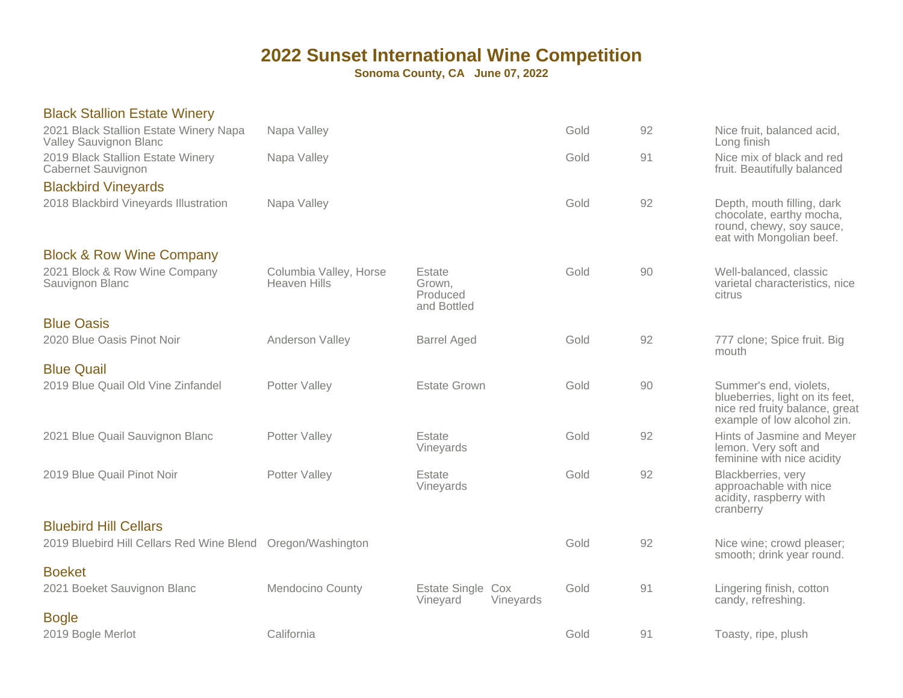| <b>Black Stallion Estate Winery</b>                              |                                               |                                             |      |    |                                                                                                                            |
|------------------------------------------------------------------|-----------------------------------------------|---------------------------------------------|------|----|----------------------------------------------------------------------------------------------------------------------------|
| 2021 Black Stallion Estate Winery Napa<br>Valley Sauvignon Blanc | Napa Valley                                   |                                             | Gold | 92 | Nice fruit, balanced acid,<br>Long finish                                                                                  |
| 2019 Black Stallion Estate Winery<br>Cabernet Sauvignon          | Napa Valley                                   |                                             | Gold | 91 | Nice mix of black and red<br>fruit. Beautifully balanced                                                                   |
| <b>Blackbird Vineyards</b>                                       |                                               |                                             |      |    |                                                                                                                            |
| 2018 Blackbird Vineyards Illustration                            | Napa Valley                                   |                                             | Gold | 92 | Depth, mouth filling, dark<br>chocolate, earthy mocha,<br>round, chewy, soy sauce,<br>eat with Mongolian beef.             |
| <b>Block &amp; Row Wine Company</b>                              |                                               |                                             |      |    |                                                                                                                            |
| 2021 Block & Row Wine Company<br>Sauvignon Blanc                 | Columbia Valley, Horse<br><b>Heaven Hills</b> | Estate<br>Grown,<br>Produced<br>and Bottled | Gold | 90 | Well-balanced, classic<br>varietal characteristics, nice<br>citrus                                                         |
| <b>Blue Oasis</b>                                                |                                               |                                             |      |    |                                                                                                                            |
| 2020 Blue Oasis Pinot Noir                                       | Anderson Valley                               | <b>Barrel Aged</b>                          | Gold | 92 | 777 clone; Spice fruit. Big<br>mouth                                                                                       |
| <b>Blue Quail</b>                                                |                                               |                                             |      |    |                                                                                                                            |
| 2019 Blue Quail Old Vine Zinfandel                               | Potter Valley                                 | <b>Estate Grown</b>                         | Gold | 90 | Summer's end, violets,<br>blueberries, light on its feet,<br>nice red fruity balance, great<br>example of low alcohol zin. |
| 2021 Blue Quail Sauvignon Blanc                                  | Potter Valley                                 | Estate<br>Vineyards                         | Gold | 92 | Hints of Jasmine and Meyer<br>lemon. Very soft and<br>feminine with nice acidity                                           |
| 2019 Blue Quail Pinot Noir                                       | Potter Valley                                 | Estate<br>Vineyards                         | Gold | 92 | Blackberries, very<br>approachable with nice<br>acidity, raspberry with<br>cranberry                                       |
| <b>Bluebird Hill Cellars</b>                                     |                                               |                                             |      |    |                                                                                                                            |
| 2019 Bluebird Hill Cellars Red Wine Blend                        | Oregon/Washington                             |                                             | Gold | 92 | Nice wine; crowd pleaser;<br>smooth; drink year round.                                                                     |
| <b>Boeket</b>                                                    |                                               |                                             |      |    |                                                                                                                            |
| 2021 Boeket Sauvignon Blanc                                      | Mendocino County                              | Estate Single Cox<br>Vineyards<br>Vineyard  | Gold | 91 | Lingering finish, cotton<br>candy, refreshing.                                                                             |
| <b>Bogle</b>                                                     |                                               |                                             |      |    |                                                                                                                            |
| 2019 Bogle Merlot                                                | California                                    |                                             | Gold | 91 | Toasty, ripe, plush                                                                                                        |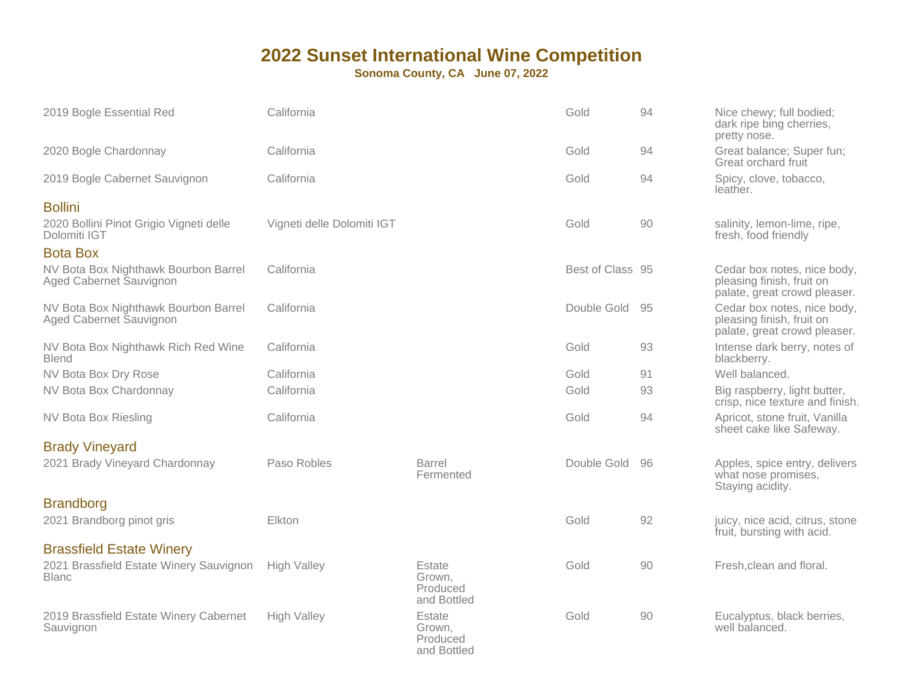| 2019 Bogle Essential Red                                        | California                 |                                             | Gold             | 94 | Nice chewy; full bodied;<br>dark ripe bing cherries,<br>pretty nose.                     |
|-----------------------------------------------------------------|----------------------------|---------------------------------------------|------------------|----|------------------------------------------------------------------------------------------|
| 2020 Bogle Chardonnay                                           | California                 |                                             | Gold             | 94 | Great balance; Super fun;<br>Great orchard fruit                                         |
| 2019 Bogle Cabernet Sauvignon                                   | California                 |                                             | Gold             | 94 | Spicy, clove, tobacco,<br>leather.                                                       |
| <b>Bollini</b>                                                  |                            |                                             |                  |    |                                                                                          |
| 2020 Bollini Pinot Grigio Vigneti delle<br>Dolomiti IGT         | Vigneti delle Dolomiti IGT |                                             | Gold             | 90 | salinity, lemon-lime, ripe,<br>fresh, food friendly                                      |
| <b>Bota Box</b>                                                 |                            |                                             |                  |    |                                                                                          |
| NV Bota Box Nighthawk Bourbon Barrel<br>Aged Cabernet Sauvignon | California                 |                                             | Best of Class 95 |    | Cedar box notes, nice body,<br>pleasing finish, fruit on<br>palate, great crowd pleaser. |
| NV Bota Box Nighthawk Bourbon Barrel<br>Aged Cabernet Sauvignon | California                 |                                             | Double Gold      | 95 | Cedar box notes, nice body,<br>pleasing finish, fruit on<br>palate, great crowd pleaser. |
| NV Bota Box Nighthawk Rich Red Wine<br><b>Blend</b>             | California                 |                                             | Gold             | 93 | Intense dark berry, notes of<br>blackberry.                                              |
| NV Bota Box Dry Rose                                            | California                 |                                             | Gold             | 91 | Well balanced.                                                                           |
| NV Bota Box Chardonnay                                          | California                 |                                             | Gold             | 93 | Big raspberry, light butter,<br>crisp, nice texture and finish.                          |
| <b>NV Bota Box Riesling</b>                                     | California                 |                                             | Gold             | 94 | Apricot, stone fruit, Vanilla<br>sheet cake like Safeway.                                |
| <b>Brady Vineyard</b>                                           |                            |                                             |                  |    |                                                                                          |
| 2021 Brady Vineyard Chardonnay                                  | Paso Robles                | <b>Barrel</b><br>Fermented                  | Double Gold      | 96 | Apples, spice entry, delivers<br>what nose promises,<br>Staying acidity.                 |
| <b>Brandborg</b>                                                |                            |                                             |                  |    |                                                                                          |
| 2021 Brandborg pinot gris                                       | Elkton                     |                                             | Gold             | 92 | juicy, nice acid, citrus, stone<br>fruit, bursting with acid.                            |
| <b>Brassfield Estate Winery</b>                                 |                            |                                             |                  |    |                                                                                          |
| 2021 Brassfield Estate Winery Sauvignon<br><b>Blanc</b>         | <b>High Valley</b>         | Estate<br>Grown,<br>Produced<br>and Bottled | Gold             | 90 | Fresh, clean and floral.                                                                 |
| 2019 Brassfield Estate Winery Cabernet<br>Sauvignon             | <b>High Valley</b>         | Estate<br>Grown,<br>Produced<br>and Bottled | Gold             | 90 | Eucalyptus, black berries,<br>well balanced.                                             |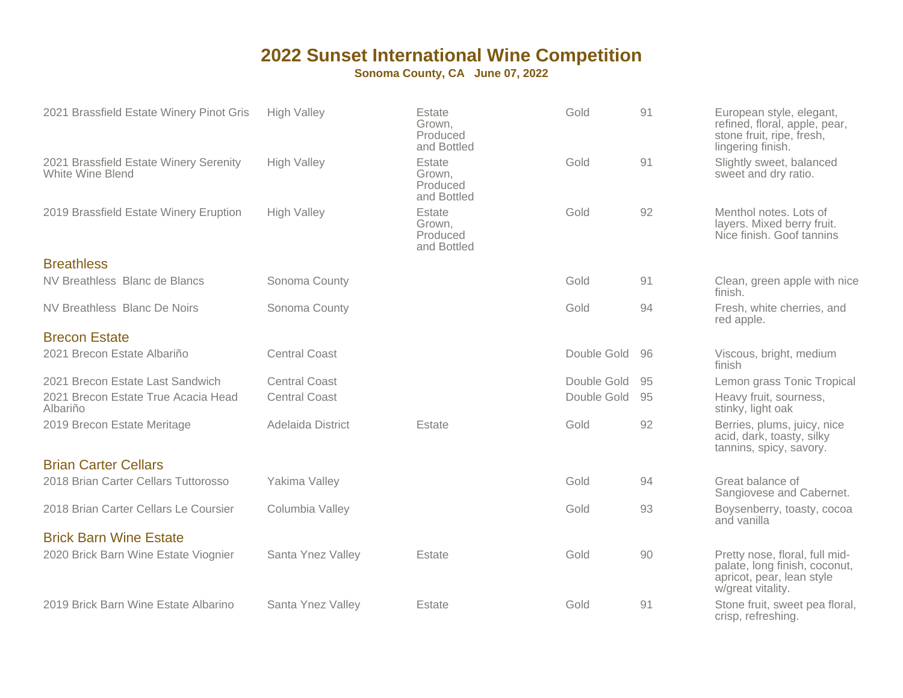| 2021 Brassfield Estate Winery Pinot Gris                   | <b>High Valley</b>   | Estate<br>Grown,<br>Produced<br>and Bottled | Gold        | 91 | European style, elegant,<br>refined, floral, apple, pear,<br>stone fruit, ripe, fresh,<br>lingering finish.       |
|------------------------------------------------------------|----------------------|---------------------------------------------|-------------|----|-------------------------------------------------------------------------------------------------------------------|
| 2021 Brassfield Estate Winery Serenity<br>White Wine Blend | <b>High Valley</b>   | Estate<br>Grown,<br>Produced<br>and Bottled | Gold        | 91 | Slightly sweet, balanced<br>sweet and dry ratio.                                                                  |
| 2019 Brassfield Estate Winery Eruption                     | <b>High Valley</b>   | Estate<br>Grown,<br>Produced<br>and Bottled | Gold        | 92 | Menthol notes. Lots of<br>layers. Mixed berry fruit.<br>Nice finish. Goof tannins                                 |
| <b>Breathless</b>                                          |                      |                                             |             |    |                                                                                                                   |
| NV Breathless Blanc de Blancs                              | Sonoma County        |                                             | Gold        | 91 | Clean, green apple with nice<br>finish.                                                                           |
| <b>NV Breathless Blanc De Noirs</b>                        | Sonoma County        |                                             | Gold        | 94 | Fresh, white cherries, and<br>red apple.                                                                          |
| <b>Brecon Estate</b>                                       |                      |                                             |             |    |                                                                                                                   |
| 2021 Brecon Estate Albariño                                | <b>Central Coast</b> |                                             | Double Gold | 96 | Viscous, bright, medium<br>finish                                                                                 |
| 2021 Brecon Estate Last Sandwich                           | <b>Central Coast</b> |                                             | Double Gold | 95 | Lemon grass Tonic Tropical                                                                                        |
| 2021 Brecon Estate True Acacia Head<br>Albariño            | <b>Central Coast</b> |                                             | Double Gold | 95 | Heavy fruit, sourness,<br>stinky, light oak                                                                       |
| 2019 Brecon Estate Meritage                                | Adelaida District    | Estate                                      | Gold        | 92 | Berries, plums, juicy, nice<br>acid, dark, toasty, silky<br>tannins, spicy, savory.                               |
| <b>Brian Carter Cellars</b>                                |                      |                                             |             |    |                                                                                                                   |
| 2018 Brian Carter Cellars Tuttorosso                       | Yakima Valley        |                                             | Gold        | 94 | Great balance of<br>Sangiovese and Cabernet.                                                                      |
| 2018 Brian Carter Cellars Le Coursier                      | Columbia Valley      |                                             | Gold        | 93 | Boysenberry, toasty, cocoa<br>and vanilla                                                                         |
| <b>Brick Barn Wine Estate</b>                              |                      |                                             |             |    |                                                                                                                   |
| 2020 Brick Barn Wine Estate Viognier                       | Santa Ynez Valley    | Estate                                      | Gold        | 90 | Pretty nose, floral, full mid-<br>palate, long finish, coconut,<br>apricot, pear, lean style<br>w/great vitality. |
| 2019 Brick Barn Wine Estate Albarino                       | Santa Ynez Valley    | Estate                                      | Gold        | 91 | Stone fruit, sweet pea floral,<br>crisp, refreshing.                                                              |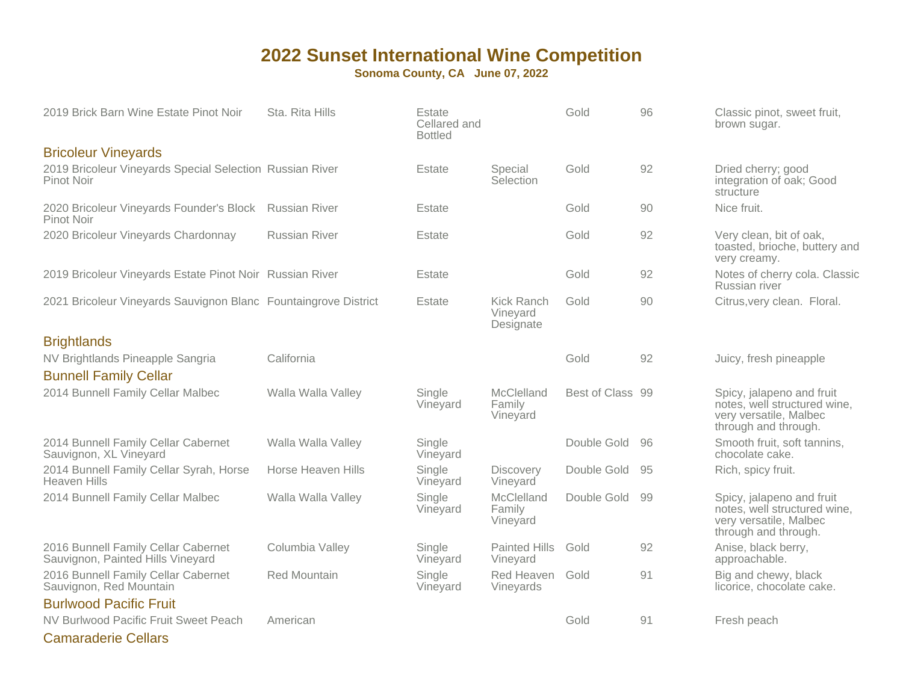**Sonoma County, CA June 07, 2022**

| 2019 Brick Barn Wine Estate Pinot Noir                                   | Sta. Rita Hills      | Estate<br>Cellared and<br><b>Bottled</b> |                                     | Gold             | 96 | Classic pinot, sweet fruit,<br>brown sugar.                                                                 |
|--------------------------------------------------------------------------|----------------------|------------------------------------------|-------------------------------------|------------------|----|-------------------------------------------------------------------------------------------------------------|
| <b>Bricoleur Vineyards</b>                                               |                      |                                          |                                     |                  |    |                                                                                                             |
| 2019 Bricoleur Vineyards Special Selection Russian River<br>Pinot Noir   |                      | Estate                                   | Special<br>Selection                | Gold             | 92 | Dried cherry; good<br>integration of oak; Good<br>structure                                                 |
| 2020 Bricoleur Vineyards Founder's Block<br><b>Pinot Noir</b>            | <b>Russian River</b> | Estate                                   |                                     | Gold             | 90 | Nice fruit.                                                                                                 |
| 2020 Bricoleur Vineyards Chardonnay                                      | <b>Russian River</b> | Estate                                   |                                     | Gold             | 92 | Very clean, bit of oak,<br>toasted, brioche, buttery and<br>very creamy.                                    |
| 2019 Bricoleur Vineyards Estate Pinot Noir Russian River                 |                      | Estate                                   |                                     | Gold             | 92 | Notes of cherry cola. Classic<br>Russian river                                                              |
| 2021 Bricoleur Vineyards Sauvignon Blanc Fountaingrove District          |                      | Estate                                   | Kick Ranch<br>Vineyard<br>Designate | Gold             | 90 | Citrus, very clean. Floral.                                                                                 |
| <b>Brightlands</b>                                                       |                      |                                          |                                     |                  |    |                                                                                                             |
| NV Brightlands Pineapple Sangria                                         | California           |                                          |                                     | Gold             | 92 | Juicy, fresh pineapple                                                                                      |
| <b>Bunnell Family Cellar</b>                                             |                      |                                          |                                     |                  |    |                                                                                                             |
| 2014 Bunnell Family Cellar Malbec                                        | Walla Walla Valley   | Single<br>Vineyard                       | McClelland<br>Family<br>Vineyard    | Best of Class 99 |    | Spicy, jalapeno and fruit<br>notes, well structured wine,<br>very versatile, Malbec<br>through and through. |
| 2014 Bunnell Family Cellar Cabernet<br>Sauvignon, XL Vineyard            | Walla Walla Valley   | Single<br>Vineyard                       |                                     | Double Gold      | 96 | Smooth fruit, soft tannins,<br>chocolate cake.                                                              |
| 2014 Bunnell Family Cellar Syrah, Horse<br><b>Heaven Hills</b>           | Horse Heaven Hills   | Single<br>Vineyard                       | <b>Discovery</b><br>Vineyard        | Double Gold      | 95 | Rich, spicy fruit.                                                                                          |
| 2014 Bunnell Family Cellar Malbec                                        | Walla Walla Valley   | Single<br>Vineyard                       | McClelland<br>Family<br>Vineyard    | Double Gold      | 99 | Spicy, jalapeno and fruit<br>notes, well structured wine,<br>very versatile, Malbec<br>through and through. |
| 2016 Bunnell Family Cellar Cabernet<br>Sauvignon, Painted Hills Vineyard | Columbia Valley      | Single<br>Vineyard                       | <b>Painted Hills</b><br>Vineyard    | Gold             | 92 | Anise, black berry,<br>approachable.                                                                        |
| 2016 Bunnell Family Cellar Cabernet<br>Sauvignon, Red Mountain           | Red Mountain         | Single<br>Vineyard                       | Red Heaven<br>Vineyards             | Gold             | 91 | Big and chewy, black<br>licorice, chocolate cake.                                                           |
| <b>Burlwood Pacific Fruit</b>                                            |                      |                                          |                                     |                  |    |                                                                                                             |
| NV Burlwood Pacific Fruit Sweet Peach                                    | American             |                                          |                                     | Gold             | 91 | Fresh peach                                                                                                 |
|                                                                          |                      |                                          |                                     |                  |    |                                                                                                             |

Camaraderie Cellars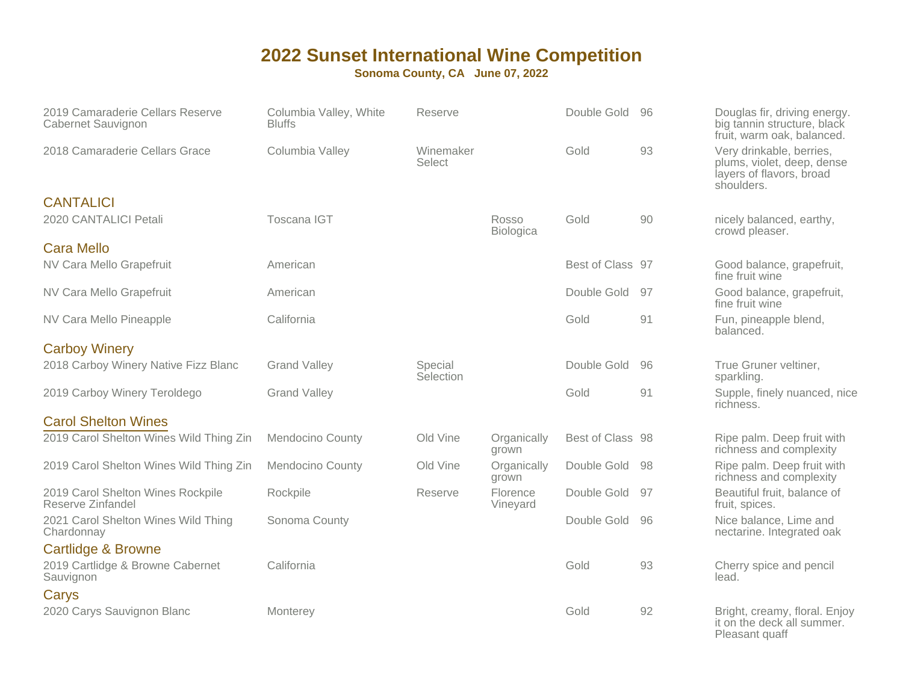| 2019 Camaraderie Cellars Reserve<br>Cabernet Sauvignon | Columbia Valley, White<br><b>Bluffs</b> | Reserve              |                           | Double Gold      | 96 | Douglas fir, driving energy.<br>big tannin structure, black<br>fruit, warm oak, balanced.        |
|--------------------------------------------------------|-----------------------------------------|----------------------|---------------------------|------------------|----|--------------------------------------------------------------------------------------------------|
| 2018 Camaraderie Cellars Grace                         | Columbia Valley                         | Winemaker<br>Select  |                           | Gold             | 93 | Very drinkable, berries,<br>plums, violet, deep, dense<br>layers of flavors, broad<br>shoulders. |
| <b>CANTALICI</b><br>2020 CANTALICI Petali              | <b>Toscana IGT</b>                      |                      | Rosso<br><b>Biologica</b> | Gold             | 90 | nicely balanced, earthy,<br>crowd pleaser.                                                       |
| <b>Cara Mello</b>                                      |                                         |                      |                           |                  |    |                                                                                                  |
| NV Cara Mello Grapefruit                               | American                                |                      |                           | Best of Class 97 |    | Good balance, grapefruit,<br>fine fruit wine                                                     |
| NV Cara Mello Grapefruit                               | American                                |                      |                           | Double Gold      | 97 | Good balance, grapefruit,<br>fine fruit wine                                                     |
| NV Cara Mello Pineapple                                | California                              |                      |                           | Gold             | 91 | Fun, pineapple blend,<br>balanced.                                                               |
| <b>Carboy Winery</b>                                   |                                         |                      |                           |                  |    |                                                                                                  |
| 2018 Carboy Winery Native Fizz Blanc                   | <b>Grand Valley</b>                     | Special<br>Selection |                           | Double Gold      | 96 | True Gruner veltiner,<br>sparkling.                                                              |
| 2019 Carboy Winery Teroldego                           | <b>Grand Valley</b>                     |                      |                           | Gold             | 91 | Supple, finely nuanced, nice<br>richness.                                                        |
| <b>Carol Shelton Wines</b>                             |                                         |                      |                           |                  |    |                                                                                                  |
| 2019 Carol Shelton Wines Wild Thing Zin                | <b>Mendocino County</b>                 | Old Vine             | Organically<br>grown      | Best of Class 98 |    | Ripe palm. Deep fruit with<br>richness and complexity                                            |
| 2019 Carol Shelton Wines Wild Thing Zin                | <b>Mendocino County</b>                 | Old Vine             | Organically<br>grown      | Double Gold      | 98 | Ripe palm. Deep fruit with<br>richness and complexity                                            |
| 2019 Carol Shelton Wines Rockpile<br>Reserve Zinfandel | Rockpile                                | Reserve              | Florence<br>Vineyard      | Double Gold      | 97 | Beautiful fruit, balance of<br>fruit, spices.                                                    |
| 2021 Carol Shelton Wines Wild Thing<br>Chardonnay      | Sonoma County                           |                      |                           | Double Gold      | 96 | Nice balance, Lime and<br>nectarine. Integrated oak                                              |
| Cartlidge & Browne                                     |                                         |                      |                           |                  |    |                                                                                                  |
| 2019 Cartlidge & Browne Cabernet<br>Sauvignon          | California                              |                      |                           | Gold             | 93 | Cherry spice and pencil<br>lead.                                                                 |
| Carys                                                  |                                         |                      |                           |                  |    |                                                                                                  |
| 2020 Carys Sauvignon Blanc                             | Monterey                                |                      |                           | Gold             | 92 | Bright, creamy, floral. Enjoy<br>it on the deck all summer.<br>Pleasant quaff                    |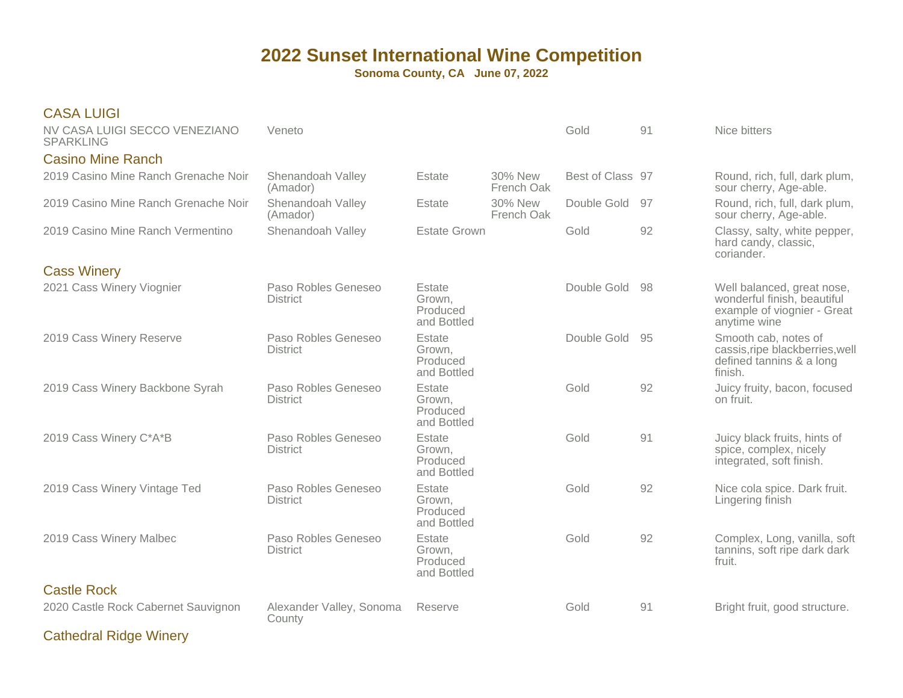| <b>CASA LUIGI</b>                                 |                                        |                                             |                       |                  |     |                                                                                                          |
|---------------------------------------------------|----------------------------------------|---------------------------------------------|-----------------------|------------------|-----|----------------------------------------------------------------------------------------------------------|
| NV CASA LUIGI SECCO VENEZIANO<br><b>SPARKLING</b> | Veneto                                 |                                             |                       | Gold             | 91  | Nice bitters                                                                                             |
| <b>Casino Mine Ranch</b>                          |                                        |                                             |                       |                  |     |                                                                                                          |
| 2019 Casino Mine Ranch Grenache Noir              | Shenandoah Valley<br>(Amador)          | Estate                                      | 30% New<br>French Oak | Best of Class 97 |     | Round, rich, full, dark plum,<br>sour cherry, Age-able.                                                  |
| 2019 Casino Mine Ranch Grenache Noir              | Shenandoah Valley<br>(Amador)          | Estate                                      | 30% New<br>French Oak | Double Gold      | -97 | Round, rich, full, dark plum,<br>sour cherry, Age-able.                                                  |
| 2019 Casino Mine Ranch Vermentino                 | Shenandoah Valley                      | <b>Estate Grown</b>                         |                       | Gold             | 92  | Classy, salty, white pepper,<br>hard candy, classic,<br>coriander.                                       |
| <b>Cass Winery</b>                                |                                        |                                             |                       |                  |     |                                                                                                          |
| 2021 Cass Winery Viognier                         | Paso Robles Geneseo<br><b>District</b> | Estate<br>Grown,<br>Produced<br>and Bottled |                       | Double Gold 98   |     | Well balanced, great nose,<br>wonderful finish, beautiful<br>example of viognier - Great<br>anytime wine |
| 2019 Cass Winery Reserve                          | Paso Robles Geneseo<br><b>District</b> | Estate<br>Grown,<br>Produced<br>and Bottled |                       | Double Gold      | 95  | Smooth cab, notes of<br>cassis, ripe blackberries, well<br>defined tannins & a long<br>finish.           |
| 2019 Cass Winery Backbone Syrah                   | Paso Robles Geneseo<br><b>District</b> | Estate<br>Grown,<br>Produced<br>and Bottled |                       | Gold             | 92  | Juicy fruity, bacon, focused<br>on fruit.                                                                |
| 2019 Cass Winery C*A*B                            | Paso Robles Geneseo<br><b>District</b> | Estate<br>Grown,<br>Produced<br>and Bottled |                       | Gold             | 91  | Juicy black fruits, hints of<br>spice, complex, nicely<br>integrated, soft finish.                       |
| 2019 Cass Winery Vintage Ted                      | Paso Robles Geneseo<br><b>District</b> | Estate<br>Grown,<br>Produced<br>and Bottled |                       | Gold             | 92  | Nice cola spice. Dark fruit.<br>Lingering finish                                                         |
| 2019 Cass Winery Malbec                           | Paso Robles Geneseo<br><b>District</b> | Estate<br>Grown,<br>Produced<br>and Bottled |                       | Gold             | 92  | Complex, Long, vanilla, soft<br>tannins, soft ripe dark dark<br>fruit.                                   |
| <b>Castle Rock</b>                                |                                        |                                             |                       |                  |     |                                                                                                          |
| 2020 Castle Rock Cabernet Sauvignon               | Alexander Valley, Sonoma<br>County     | Reserve                                     |                       | Gold             | 91  | Bright fruit, good structure.                                                                            |
| <b>Cathedral Ridge Winery</b>                     |                                        |                                             |                       |                  |     |                                                                                                          |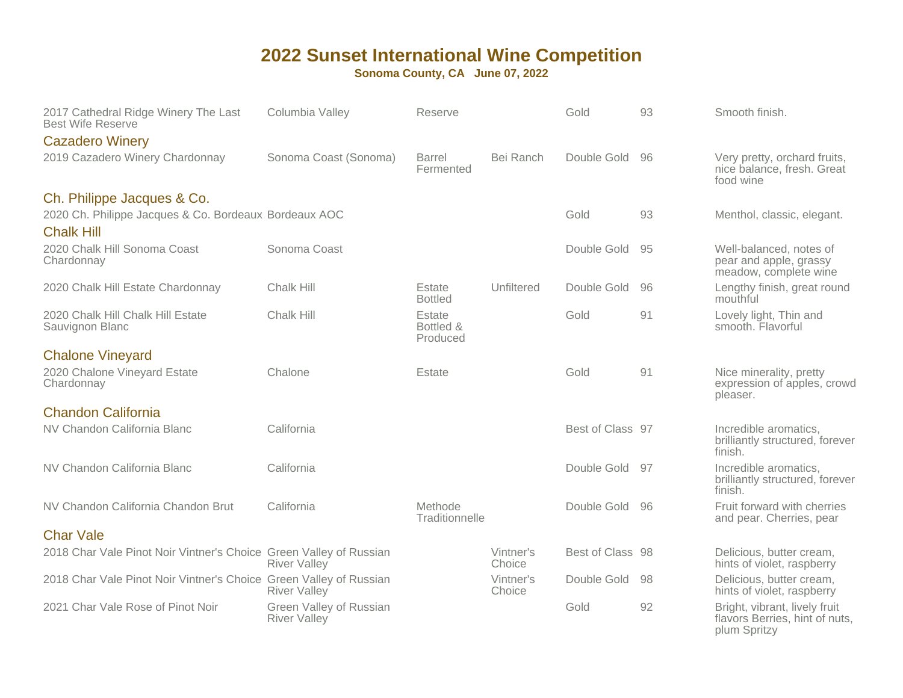| 2017 Cathedral Ridge Winery The Last<br><b>Best Wife Reserve</b>                    | Columbia Valley                                | Reserve                         |                     | Gold             | 93 | Smooth finish.                                                                  |
|-------------------------------------------------------------------------------------|------------------------------------------------|---------------------------------|---------------------|------------------|----|---------------------------------------------------------------------------------|
| <b>Cazadero Winery</b>                                                              |                                                |                                 |                     |                  |    |                                                                                 |
| 2019 Cazadero Winery Chardonnay                                                     | Sonoma Coast (Sonoma)                          | Barrel<br>Fermented             | Bei Ranch           | Double Gold      | 96 | Very pretty, orchard fruits,<br>nice balance, fresh. Great<br>food wine         |
| Ch. Philippe Jacques & Co.<br>2020 Ch. Philippe Jacques & Co. Bordeaux Bordeaux AOC |                                                |                                 |                     | Gold             | 93 | Menthol, classic, elegant.                                                      |
| <b>Chalk Hill</b><br>2020 Chalk Hill Sonoma Coast<br>Chardonnay                     | Sonoma Coast                                   |                                 |                     | Double Gold      | 95 | Well-balanced, notes of<br>pear and apple, grassy<br>meadow, complete wine      |
| 2020 Chalk Hill Estate Chardonnay                                                   | Chalk Hill                                     | Estate<br><b>Bottled</b>        | Unfiltered          | Double Gold      | 96 | Lengthy finish, great round<br>mouthful                                         |
| 2020 Chalk Hill Chalk Hill Estate<br>Sauvignon Blanc                                | Chalk Hill                                     | Estate<br>Bottled &<br>Produced |                     | Gold             | 91 | Lovely light, Thin and<br>smooth. Flavorful                                     |
| <b>Chalone Vineyard</b>                                                             |                                                |                                 |                     |                  |    |                                                                                 |
| 2020 Chalone Vineyard Estate<br>Chardonnay                                          | Chalone                                        | Estate                          |                     | Gold             | 91 | Nice minerality, pretty<br>expression of apples, crowd<br>pleaser.              |
| <b>Chandon California</b>                                                           |                                                |                                 |                     |                  |    |                                                                                 |
| NV Chandon California Blanc                                                         | California                                     |                                 |                     | Best of Class 97 |    | Incredible aromatics,<br>brilliantly structured, forever<br>finish.             |
| NV Chandon California Blanc                                                         | California                                     |                                 |                     | Double Gold 97   |    | Incredible aromatics,<br>brilliantly structured, forever<br>finish.             |
| NV Chandon California Chandon Brut                                                  | California                                     | Methode<br>Traditionnelle       |                     | Double Gold      | 96 | Fruit forward with cherries<br>and pear. Cherries, pear                         |
| <b>Char Vale</b>                                                                    |                                                |                                 |                     |                  |    |                                                                                 |
| 2018 Char Vale Pinot Noir Vintner's Choice Green Valley of Russian                  | <b>River Valley</b>                            |                                 | Vintner's<br>Choice | Best of Class 98 |    | Delicious, butter cream,<br>hints of violet, raspberry                          |
| 2018 Char Vale Pinot Noir Vintner's Choice Green Valley of Russian                  | <b>River Valley</b>                            |                                 | Vintner's<br>Choice | Double Gold      | 98 | Delicious, butter cream,<br>hints of violet, raspberry                          |
| 2021 Char Vale Rose of Pinot Noir                                                   | Green Valley of Russian<br><b>River Valley</b> |                                 |                     | Gold             | 92 | Bright, vibrant, lively fruit<br>flavors Berries, hint of nuts,<br>plum Spritzy |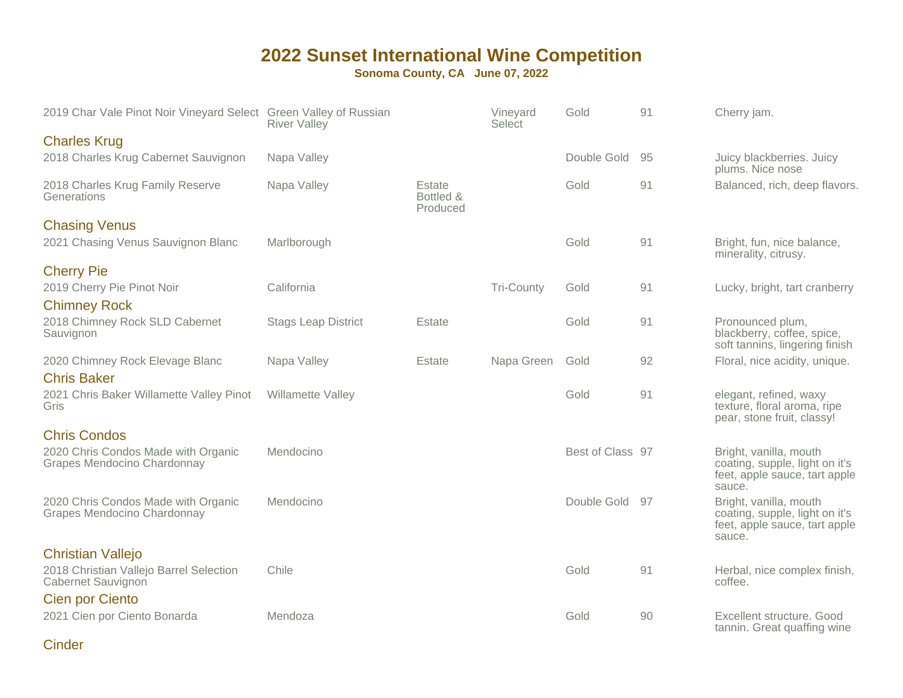**Sonoma County, CA June 07, 2022**

| 2019 Char Vale Pinot Noir Vineyard Select Green Valley of Russian  | <b>River Valley</b>        |                                 | Vineyard<br>Select | Gold             | 91 | Cherry jam.                                                                                         |
|--------------------------------------------------------------------|----------------------------|---------------------------------|--------------------|------------------|----|-----------------------------------------------------------------------------------------------------|
| <b>Charles Krug</b>                                                |                            |                                 |                    |                  |    |                                                                                                     |
| 2018 Charles Krug Cabernet Sauvignon                               | Napa Valley                |                                 |                    | Double Gold      | 95 | Juicy blackberries. Juicy<br>plums. Nice nose                                                       |
| 2018 Charles Krug Family Reserve<br>Generations                    | Napa Valley                | Estate<br>Bottled &<br>Produced |                    | Gold             | 91 | Balanced, rich, deep flavors.                                                                       |
| <b>Chasing Venus</b><br>2021 Chasing Venus Sauvignon Blanc         | Marlborough                |                                 |                    | Gold             | 91 | Bright, fun, nice balance,<br>minerality, citrusy.                                                  |
| <b>Cherry Pie</b>                                                  |                            |                                 |                    |                  |    |                                                                                                     |
| 2019 Cherry Pie Pinot Noir<br><b>Chimney Rock</b>                  | California                 |                                 | <b>Tri-County</b>  | Gold             | 91 | Lucky, bright, tart cranberry                                                                       |
| 2018 Chimney Rock SLD Cabernet<br>Sauvignon                        | <b>Stags Leap District</b> | Estate                          |                    | Gold             | 91 | Pronounced plum,<br>blackberry, coffee, spice,<br>soft tannins, lingering finish                    |
| 2020 Chimney Rock Elevage Blanc<br><b>Chris Baker</b>              | Napa Valley                | Estate                          | Napa Green         | Gold             | 92 | Floral, nice acidity, unique.                                                                       |
| 2021 Chris Baker Willamette Valley Pinot<br>Gris                   | Willamette Valley          |                                 |                    | Gold             | 91 | elegant, refined, waxy<br>texture, floral aroma, ripe<br>pear, stone fruit, classy!                 |
| <b>Chris Condos</b>                                                |                            |                                 |                    |                  |    |                                                                                                     |
| 2020 Chris Condos Made with Organic<br>Grapes Mendocino Chardonnay | Mendocino                  |                                 |                    | Best of Class 97 |    | Bright, vanilla, mouth<br>coating, supple, light on it's<br>feet, apple sauce, tart apple<br>sauce. |
| 2020 Chris Condos Made with Organic<br>Grapes Mendocino Chardonnay | Mendocino                  |                                 |                    | Double Gold      | 97 | Bright, vanilla, mouth<br>coating, supple, light on it's<br>feet, apple sauce, tart apple<br>sauce. |
| <b>Christian Vallejo</b>                                           |                            |                                 |                    |                  |    |                                                                                                     |
| 2018 Christian Vallejo Barrel Selection<br>Cabernet Sauvignon      | Chile                      |                                 |                    | Gold             | 91 | Herbal, nice complex finish,<br>coffee.                                                             |
| Cien por Ciento                                                    |                            |                                 |                    |                  |    |                                                                                                     |
| 2021 Cien por Ciento Bonarda                                       | Mendoza                    |                                 |                    | Gold             | 90 | Excellent structure. Good<br>tannin. Great quaffing wine                                            |

**Cinder**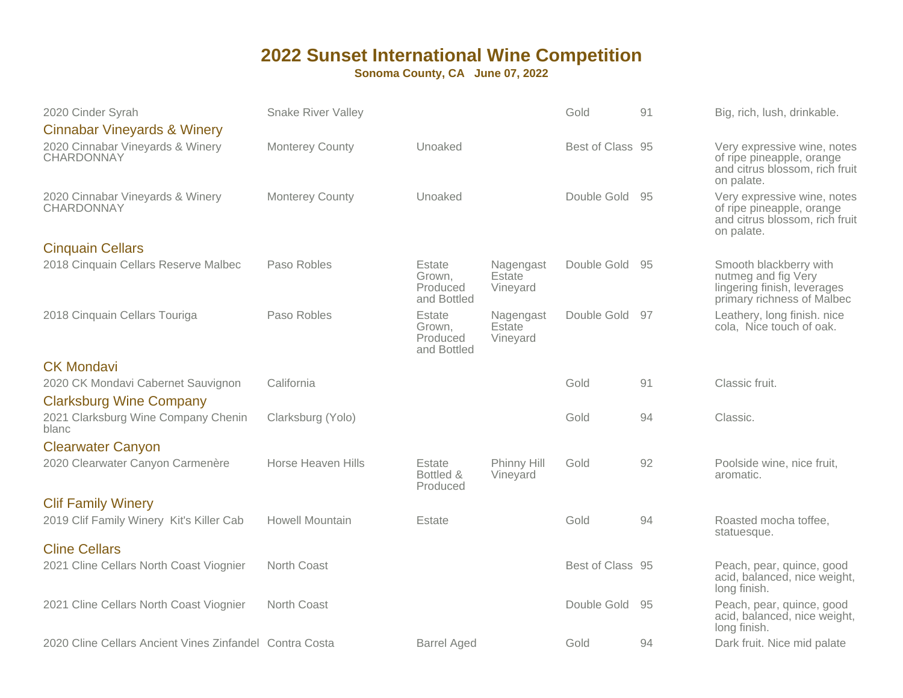| 2020 Cinder Syrah                                       | <b>Snake River Valley</b> |                                             |                                 | Gold             | 91  | Big, rich, lush, drinkable.                                                                                |
|---------------------------------------------------------|---------------------------|---------------------------------------------|---------------------------------|------------------|-----|------------------------------------------------------------------------------------------------------------|
| <b>Cinnabar Vineyards &amp; Winery</b>                  |                           |                                             |                                 |                  |     |                                                                                                            |
| 2020 Cinnabar Vineyards & Winery<br>CHARDONNAY          | <b>Monterey County</b>    | Unoaked                                     |                                 | Best of Class 95 |     | Very expressive wine, notes<br>of ripe pineapple, orange<br>and citrus blossom, rich fruit<br>on palate.   |
| 2020 Cinnabar Vineyards & Winery<br>CHARDONNAY          | <b>Monterey County</b>    | Unoaked                                     |                                 | Double Gold      | 95  | Very expressive wine, notes<br>of ripe pineapple, orange<br>and citrus blossom, rich fruit<br>on palate.   |
| <b>Cinquain Cellars</b>                                 |                           |                                             |                                 |                  |     |                                                                                                            |
| 2018 Cinquain Cellars Reserve Malbec                    | Paso Robles               | Estate<br>Grown.<br>Produced<br>and Bottled | Nagengast<br>Estate<br>Vineyard | Double Gold      | 95  | Smooth blackberry with<br>nutmeg and fig Very<br>lingering finish, leverages<br>primary richness of Malbec |
| 2018 Cinquain Cellars Touriga                           | Paso Robles               | Estate<br>Grown,<br>Produced<br>and Bottled | Nagengast<br>Estate<br>Vineyard | Double Gold      | -97 | Leathery, long finish. nice<br>cola, Nice touch of oak.                                                    |
| <b>CK Mondavi</b>                                       |                           |                                             |                                 |                  |     |                                                                                                            |
| 2020 CK Mondavi Cabernet Sauvignon                      | California                |                                             |                                 | Gold             | 91  | Classic fruit.                                                                                             |
| <b>Clarksburg Wine Company</b>                          |                           |                                             |                                 |                  |     |                                                                                                            |
| 2021 Clarksburg Wine Company Chenin<br>blanc            | Clarksburg (Yolo)         |                                             |                                 | Gold             | 94  | Classic.                                                                                                   |
| <b>Clearwater Canyon</b>                                |                           |                                             |                                 |                  |     |                                                                                                            |
| 2020 Clearwater Canyon Carmenère                        | Horse Heaven Hills        | Estate<br>Bottled &<br>Produced             | Phinny Hill<br>Vineyard         | Gold             | 92  | Poolside wine, nice fruit,<br>aromatic.                                                                    |
| <b>Clif Family Winery</b>                               |                           |                                             |                                 |                  |     |                                                                                                            |
| 2019 Clif Family Winery Kit's Killer Cab                | <b>Howell Mountain</b>    | Estate                                      |                                 | Gold             | 94  | Roasted mocha toffee,<br>statuesque.                                                                       |
| <b>Cline Cellars</b>                                    |                           |                                             |                                 |                  |     |                                                                                                            |
| 2021 Cline Cellars North Coast Viognier                 | North Coast               |                                             |                                 | Best of Class 95 |     | Peach, pear, quince, good<br>acid, balanced, nice weight,<br>long finish.                                  |
| 2021 Cline Cellars North Coast Viognier                 | North Coast               |                                             |                                 | Double Gold      | 95  | Peach, pear, quince, good<br>acid, balanced, nice weight,<br>long finish.                                  |
| 2020 Cline Cellars Ancient Vines Zinfandel Contra Costa |                           | <b>Barrel Aged</b>                          |                                 | Gold             | 94  | Dark fruit. Nice mid palate                                                                                |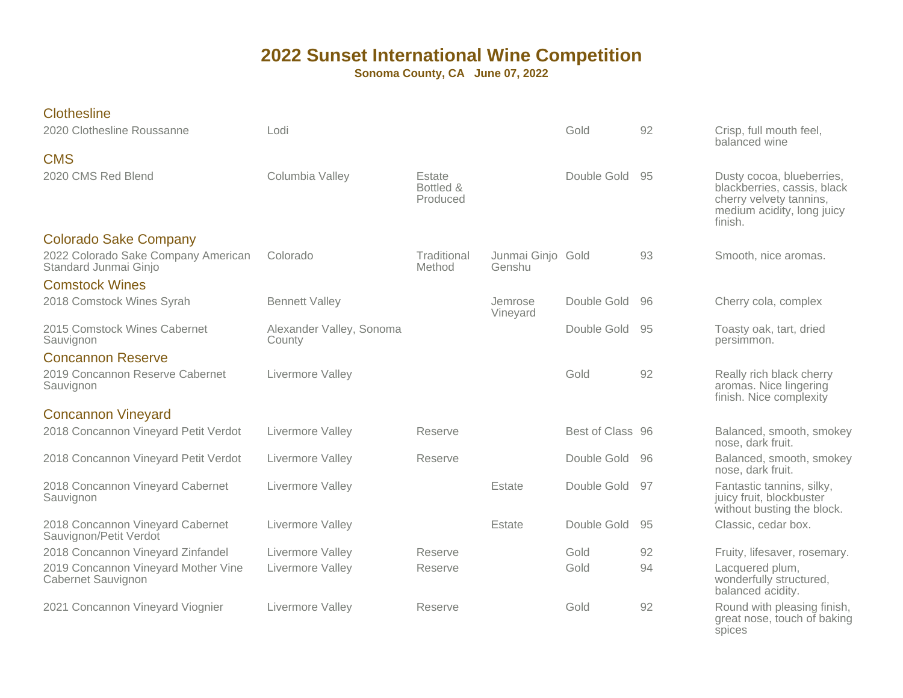| <b>Clothesline</b><br>2020 Clothesline Roussanne             | Lodi                               |                                 |                             | Gold             | 92 | Crisp, full mouth feel,<br>balanced wine                                                                                     |
|--------------------------------------------------------------|------------------------------------|---------------------------------|-----------------------------|------------------|----|------------------------------------------------------------------------------------------------------------------------------|
| <b>CMS</b>                                                   |                                    |                                 |                             |                  |    |                                                                                                                              |
| 2020 CMS Red Blend                                           | Columbia Valley                    | Estate<br>Bottled &<br>Produced |                             | Double Gold      | 95 | Dusty cocoa, blueberries,<br>blackberries, cassis, black<br>cherry velvety tannins,<br>medium acidity, long juicy<br>finish. |
| <b>Colorado Sake Company</b>                                 |                                    |                                 |                             |                  |    |                                                                                                                              |
| 2022 Colorado Sake Company American<br>Standard Junmai Ginjo | Colorado                           | Traditional<br>Method           | Junmai Ginjo Gold<br>Genshu |                  | 93 | Smooth, nice aromas.                                                                                                         |
| <b>Comstock Wines</b>                                        |                                    |                                 |                             |                  |    |                                                                                                                              |
| 2018 Comstock Wines Syrah                                    | <b>Bennett Valley</b>              |                                 | Jemrose<br>Vineyard         | Double Gold      | 96 | Cherry cola, complex                                                                                                         |
| 2015 Comstock Wines Cabernet<br>Sauvignon                    | Alexander Valley, Sonoma<br>County |                                 |                             | Double Gold      | 95 | Toasty oak, tart, dried<br>persimmon.                                                                                        |
| <b>Concannon Reserve</b>                                     |                                    |                                 |                             |                  |    |                                                                                                                              |
| 2019 Concannon Reserve Cabernet<br>Sauvignon                 | Livermore Valley                   |                                 |                             | Gold             | 92 | Really rich black cherry<br>aromas. Nice lingering<br>finish. Nice complexity                                                |
| <b>Concannon Vineyard</b>                                    |                                    |                                 |                             |                  |    |                                                                                                                              |
| 2018 Concannon Vineyard Petit Verdot                         | Livermore Valley                   | Reserve                         |                             | Best of Class 96 |    | Balanced, smooth, smokey<br>nose, dark fruit.                                                                                |
| 2018 Concannon Vineyard Petit Verdot                         | Livermore Valley                   | Reserve                         |                             | Double Gold      | 96 | Balanced, smooth, smokey<br>nose, dark fruit.                                                                                |
| 2018 Concannon Vineyard Cabernet<br>Sauvignon                | Livermore Valley                   |                                 | Estate                      | Double Gold      | 97 | Fantastic tannins, silky,<br>juicy fruit, blockbuster<br>without busting the block.                                          |
| 2018 Concannon Vineyard Cabernet<br>Sauvignon/Petit Verdot   | Livermore Valley                   |                                 | Estate                      | Double Gold      | 95 | Classic, cedar box.                                                                                                          |
| 2018 Concannon Vineyard Zinfandel                            | Livermore Valley                   | Reserve                         |                             | Gold             | 92 | Fruity, lifesaver, rosemary.                                                                                                 |
| 2019 Concannon Vineyard Mother Vine<br>Cabernet Sauvignon    | Livermore Valley                   | Reserve                         |                             | Gold             | 94 | Lacquered plum,<br>wonderfully structured,<br>balanced acidity.                                                              |
| 2021 Concannon Vineyard Viognier                             | Livermore Valley                   | Reserve                         |                             | Gold             | 92 | Round with pleasing finish,<br>great nose, touch of baking<br>spices                                                         |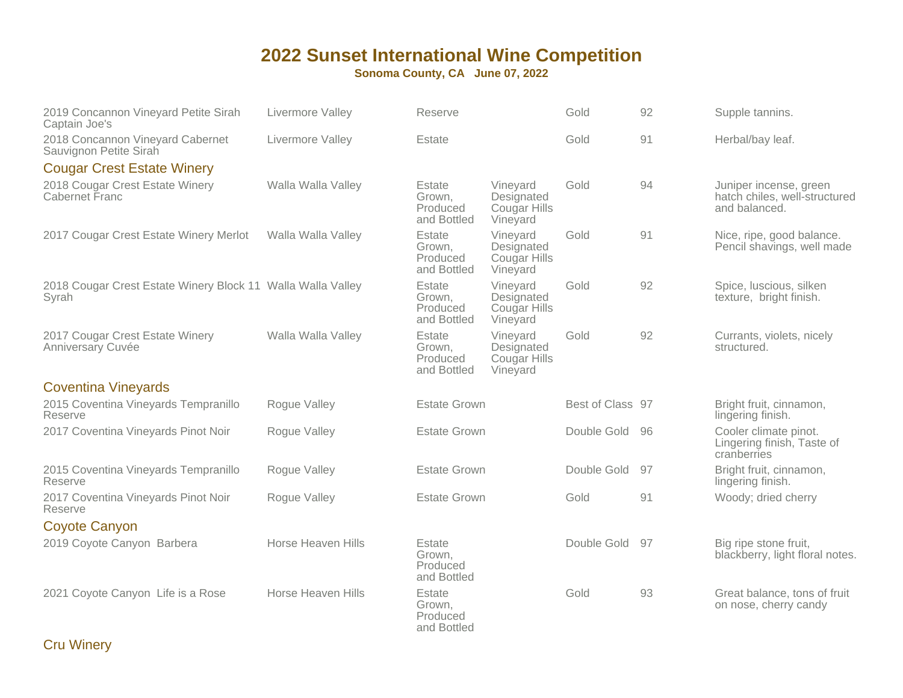**Sonoma County, CA June 07, 2022**

| 2019 Concannon Vineyard Petite Sirah<br>Captain Joe's                | Livermore Valley   | Reserve                                     |                                                    | Gold             | 92 | Supple tannins.                                                          |
|----------------------------------------------------------------------|--------------------|---------------------------------------------|----------------------------------------------------|------------------|----|--------------------------------------------------------------------------|
| 2018 Concannon Vineyard Cabernet<br>Sauvignon Petite Sirah           | Livermore Valley   | Estate                                      |                                                    | Gold             | 91 | Herbal/bay leaf.                                                         |
| <b>Cougar Crest Estate Winery</b>                                    |                    |                                             |                                                    |                  |    |                                                                          |
| 2018 Cougar Crest Estate Winery<br>Cabernet Franc                    | Walla Walla Valley | Estate<br>Grown,<br>Produced<br>and Bottled | Vineyard<br>Designated<br>Cougar Hills<br>Vineyard | Gold             | 94 | Juniper incense, green<br>hatch chiles, well-structured<br>and balanced. |
| 2017 Cougar Crest Estate Winery Merlot                               | Walla Walla Valley | Estate<br>Grown,<br>Produced<br>and Bottled | Vineyard<br>Designated<br>Cougar Hills<br>Vineyard | Gold             | 91 | Nice, ripe, good balance.<br>Pencil shavings, well made                  |
| 2018 Cougar Crest Estate Winery Block 11 Walla Walla Valley<br>Syrah |                    | Estate<br>Grown,<br>Produced<br>and Bottled | Vineyard<br>Designated<br>Cougar Hills<br>Vineyard | Gold             | 92 | Spice, luscious, silken<br>texture, bright finish.                       |
| 2017 Cougar Crest Estate Winery<br>Anniversary Cuvée                 | Walla Walla Valley | Estate<br>Grown,<br>Produced<br>and Bottled | Vineyard<br>Designated<br>Cougar Hills<br>Vineyard | Gold             | 92 | Currants, violets, nicely<br>structured.                                 |
| <b>Coventina Vineyards</b>                                           |                    |                                             |                                                    |                  |    |                                                                          |
| 2015 Coventina Vineyards Tempranillo<br>Reserve                      | Roque Valley       | <b>Estate Grown</b>                         |                                                    | Best of Class 97 |    | Bright fruit, cinnamon,<br>lingering finish.                             |
| 2017 Coventina Vineyards Pinot Noir                                  | Roque Valley       | <b>Estate Grown</b>                         |                                                    | Double Gold      | 96 | Cooler climate pinot.<br>Lingering finish, Taste of<br>cranberries       |
| 2015 Coventina Vineyards Tempranillo<br>Reserve                      | Rogue Valley       | <b>Estate Grown</b>                         |                                                    | Double Gold      | 97 | Bright fruit, cinnamon,<br>lingering finish.                             |
| 2017 Coventina Vineyards Pinot Noir<br>Reserve                       | Roque Valley       | <b>Estate Grown</b>                         |                                                    | Gold             | 91 | Woody; dried cherry                                                      |
| <b>Coyote Canyon</b>                                                 |                    |                                             |                                                    |                  |    |                                                                          |
| 2019 Coyote Canyon Barbera                                           | Horse Heaven Hills | Estate<br>Grown,<br>Produced<br>and Bottled |                                                    | Double Gold      | 97 | Big ripe stone fruit,<br>blackberry, light floral notes.                 |
| 2021 Coyote Canyon Life is a Rose                                    | Horse Heaven Hills | Estate<br>Grown,<br>Produced<br>and Bottled |                                                    | Gold             | 93 | Great balance, tons of fruit<br>on nose, cherry candy                    |

Cru Winery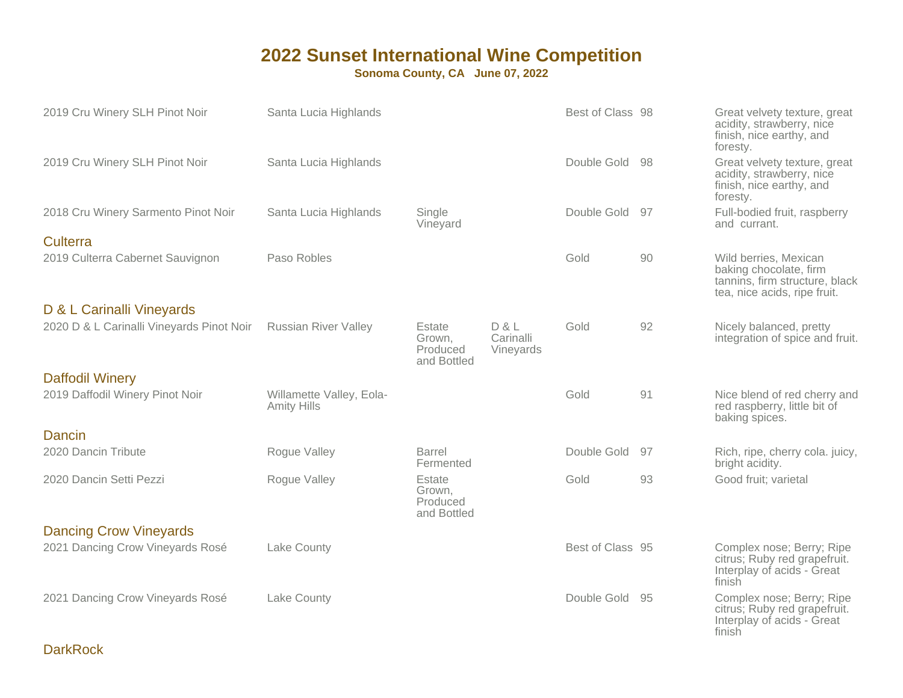| 2019 Cru Winery SLH Pinot Noir            | Santa Lucia Highlands                          |                                             |                                 | Best of Class 98 |    | Great velvety texture, great<br>acidity, strawberry, nice<br>finish, nice earthy, and<br>foresty.                 |
|-------------------------------------------|------------------------------------------------|---------------------------------------------|---------------------------------|------------------|----|-------------------------------------------------------------------------------------------------------------------|
| 2019 Cru Winery SLH Pinot Noir            | Santa Lucia Highlands                          |                                             |                                 | Double Gold 98   |    | Great velvety texture, great<br>acidity, strawberry, nice<br>finish, nice earthy, and<br>foresty.                 |
| 2018 Cru Winery Sarmento Pinot Noir       | Santa Lucia Highlands                          | Single<br>Vineyard                          |                                 | Double Gold 97   |    | Full-bodied fruit, raspberry<br>and currant.                                                                      |
| <b>Culterra</b>                           |                                                |                                             |                                 |                  |    |                                                                                                                   |
| 2019 Culterra Cabernet Sauvignon          | Paso Robles                                    |                                             |                                 | Gold             | 90 | Wild berries, Mexican<br>baking chocolate, firm<br>tannins, firm structure, black<br>tea, nice acids, ripe fruit. |
| D & L Carinalli Vineyards                 |                                                |                                             |                                 |                  |    |                                                                                                                   |
| 2020 D & L Carinalli Vineyards Pinot Noir | <b>Russian River Valley</b>                    | Estate<br>Grown,<br>Produced<br>and Bottled | D & L<br>Carinalli<br>Vineyards | Gold             | 92 | Nicely balanced, pretty<br>integration of spice and fruit.                                                        |
| <b>Daffodil Winery</b>                    |                                                |                                             |                                 |                  |    |                                                                                                                   |
| 2019 Daffodil Winery Pinot Noir           | Willamette Valley, Eola-<br><b>Amity Hills</b> |                                             |                                 | Gold             | 91 | Nice blend of red cherry and<br>red raspberry, little bit of<br>baking spices.                                    |
| Dancin                                    |                                                |                                             |                                 |                  |    |                                                                                                                   |
| 2020 Dancin Tribute                       | Rogue Valley                                   | Barrel<br>Fermented                         |                                 | Double Gold      | 97 | Rich, ripe, cherry cola. juicy,<br>bright acidity.                                                                |
| 2020 Dancin Setti Pezzi                   | Roque Valley                                   | Estate<br>Grown,<br>Produced<br>and Bottled |                                 | Gold             | 93 | Good fruit; varietal                                                                                              |
| <b>Dancing Crow Vineyards</b>             |                                                |                                             |                                 |                  |    |                                                                                                                   |
| 2021 Dancing Crow Vineyards Rosé          | Lake County                                    |                                             |                                 | Best of Class 95 |    | Complex nose; Berry; Ripe<br>citrus; Ruby red grapefruit.<br>Interplay of acids - Great<br>finish                 |
| 2021 Dancing Crow Vineyards Rosé          | Lake County                                    |                                             |                                 | Double Gold 95   |    | Complex nose; Berry; Ripe<br>citrus; Ruby red grapefruit.<br>Interplay of acids - Great<br>finish                 |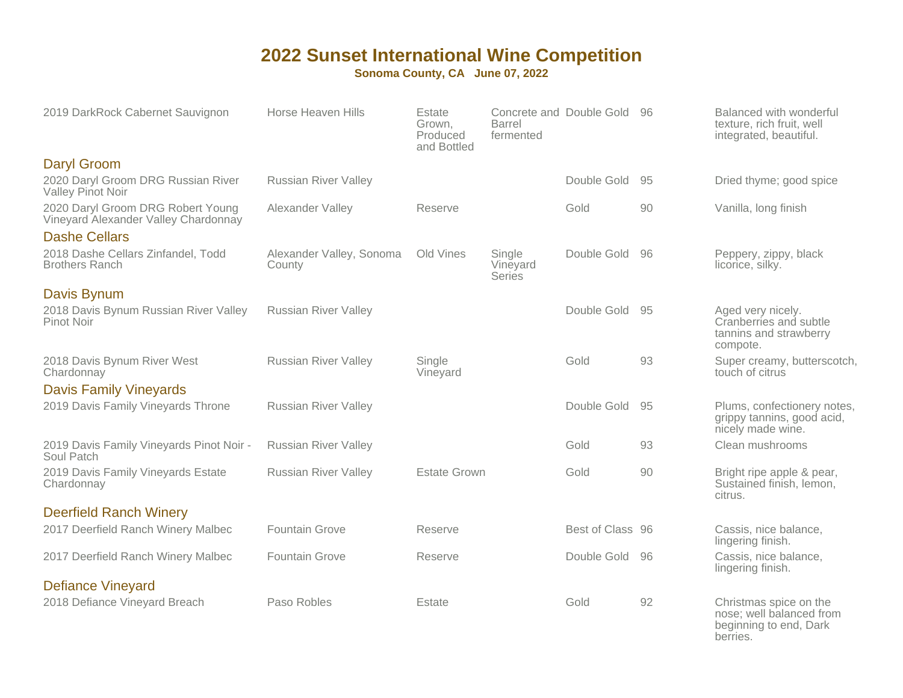| 2019 DarkRock Cabernet Sauvignon                                          | Horse Heaven Hills                 | Estate<br>Grown,<br>Produced<br>and Bottled | <b>Barrel</b><br>fermented   | Concrete and Double Gold 96 |    | Balanced with wonderful<br>texture, rich fruit, well<br>integrated, beautiful.           |
|---------------------------------------------------------------------------|------------------------------------|---------------------------------------------|------------------------------|-----------------------------|----|------------------------------------------------------------------------------------------|
| <b>Daryl Groom</b>                                                        |                                    |                                             |                              |                             |    |                                                                                          |
| 2020 Daryl Groom DRG Russian River<br>Valley Pinot Noir                   | <b>Russian River Valley</b>        |                                             |                              | Double Gold                 | 95 | Dried thyme; good spice                                                                  |
| 2020 Daryl Groom DRG Robert Young<br>Vineyard Alexander Valley Chardonnay | Alexander Valley                   | Reserve                                     |                              | Gold                        | 90 | Vanilla, long finish                                                                     |
| <b>Dashe Cellars</b>                                                      |                                    |                                             |                              |                             |    |                                                                                          |
| 2018 Dashe Cellars Zinfandel, Todd<br><b>Brothers Ranch</b>               | Alexander Valley, Sonoma<br>County | Old Vines                                   | Single<br>Vineyard<br>Series | Double Gold                 | 96 | Peppery, zippy, black<br>licorice, silky.                                                |
| <b>Davis Bynum</b>                                                        |                                    |                                             |                              |                             |    |                                                                                          |
| 2018 Davis Bynum Russian River Valley<br>Pinot Noir                       | <b>Russian River Valley</b>        |                                             |                              | Double Gold                 | 95 | Aged very nicely.<br>Cranberries and subtle<br>tannins and strawberry<br>compote.        |
| 2018 Davis Bynum River West<br>Chardonnay                                 | <b>Russian River Valley</b>        | Single<br>Vineyard                          |                              | Gold                        | 93 | Super creamy, butterscotch,<br>touch of citrus                                           |
| <b>Davis Family Vineyards</b>                                             |                                    |                                             |                              |                             |    |                                                                                          |
| 2019 Davis Family Vineyards Throne                                        | <b>Russian River Valley</b>        |                                             |                              | Double Gold                 | 95 | Plums, confectionery notes,<br>grippy tannins, good acid,<br>nicely made wine.           |
| 2019 Davis Family Vineyards Pinot Noir -<br>Soul Patch                    | <b>Russian River Valley</b>        |                                             |                              | Gold                        | 93 | Clean mushrooms                                                                          |
| 2019 Davis Family Vineyards Estate<br>Chardonnay                          | <b>Russian River Valley</b>        | <b>Estate Grown</b>                         |                              | Gold                        | 90 | Bright ripe apple & pear,<br>Sustained finish, lemon,<br>citrus.                         |
| <b>Deerfield Ranch Winery</b>                                             |                                    |                                             |                              |                             |    |                                                                                          |
| 2017 Deerfield Ranch Winery Malbec                                        | <b>Fountain Grove</b>              | Reserve                                     |                              | Best of Class 96            |    | Cassis, nice balance,<br>lingering finish.                                               |
| 2017 Deerfield Ranch Winery Malbec                                        | <b>Fountain Grove</b>              | Reserve                                     |                              | Double Gold 96              |    | Cassis, nice balance,<br>lingering finish.                                               |
| <b>Defiance Vineyard</b>                                                  |                                    |                                             |                              |                             |    |                                                                                          |
| 2018 Defiance Vineyard Breach                                             | Paso Robles                        | Estate                                      |                              | Gold                        | 92 | Christmas spice on the<br>nose; well balanced from<br>beginning to end, Dark<br>berries. |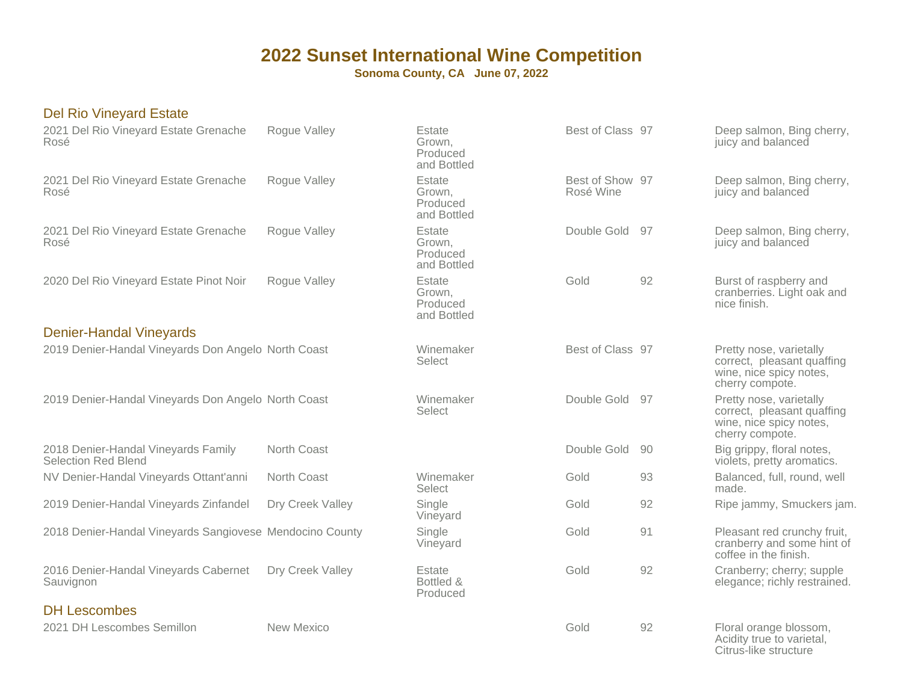**Sonoma County, CA June 07, 2022**

#### Del Rio Vineyard Estate

| 2021 Del Rio Vineyard Estate Grenache<br>Rosé                     | Rogue Valley      | Estate<br>Grown,<br>Produced<br>and Bottled | Best of Class 97             |    | Deep salmon, Bing cherry,<br>juicy and balanced                                                     |
|-------------------------------------------------------------------|-------------------|---------------------------------------------|------------------------------|----|-----------------------------------------------------------------------------------------------------|
| 2021 Del Rio Vineyard Estate Grenache<br>Rosé                     | Rogue Valley      | Estate<br>Grown,<br>Produced<br>and Bottled | Best of Show 97<br>Rosé Wine |    | Deep salmon, Bing cherry,<br>juicy and balanced                                                     |
| 2021 Del Rio Vineyard Estate Grenache<br>Rosé                     | Rogue Valley      | Estate<br>Grown,<br>Produced<br>and Bottled | Double Gold 97               |    | Deep salmon, Bing cherry,<br>juicy and balanced                                                     |
| 2020 Del Rio Vineyard Estate Pinot Noir                           | Rogue Valley      | Estate<br>Grown,<br>Produced<br>and Bottled | Gold                         | 92 | Burst of raspberry and<br>cranberries. Light oak and<br>nice finish.                                |
| <b>Denier-Handal Vineyards</b>                                    |                   |                                             |                              |    |                                                                                                     |
| 2019 Denier-Handal Vineyards Don Angelo North Coast               |                   | Winemaker<br>Select                         | Best of Class 97             |    | Pretty nose, varietally<br>correct, pleasant quaffing<br>wine, nice spicy notes,<br>cherry compote. |
| 2019 Denier-Handal Vineyards Don Angelo North Coast               |                   | Winemaker<br>Select                         | Double Gold                  | 97 | Pretty nose, varietally<br>correct, pleasant quaffing<br>wine, nice spicy notes,<br>cherry compote. |
| 2018 Denier-Handal Vineyards Family<br><b>Selection Red Blend</b> | North Coast       |                                             | Double Gold                  | 90 | Big grippy, floral notes,<br>violets, pretty aromatics.                                             |
| NV Denier-Handal Vineyards Ottant'anni                            | North Coast       | Winemaker<br>Select                         | Gold                         | 93 | Balanced, full, round, well<br>made.                                                                |
| 2019 Denier-Handal Vineyards Zinfandel                            | Dry Creek Valley  | Single<br>Vineyard                          | Gold                         | 92 | Ripe jammy, Smuckers jam.                                                                           |
| 2018 Denier-Handal Vineyards Sangiovese Mendocino County          |                   | Single<br>Vineyard                          | Gold                         | 91 | Pleasant red crunchy fruit,<br>cranberry and some hint of<br>coffee in the finish.                  |
| 2016 Denier-Handal Vineyards Cabernet<br>Sauvignon                | Dry Creek Valley  | Estate<br>Bottled &<br>Produced             | Gold                         | 92 | Cranberry; cherry; supple<br>elegance; richly restrained.                                           |
| <b>DH Lescombes</b>                                               |                   |                                             |                              |    |                                                                                                     |
| 2021 DH Lescombes Semillon                                        | <b>New Mexico</b> |                                             | Gold                         | 92 | Floral orange blossom,<br>Acidity true to varietal,<br>Citrus-like structure                        |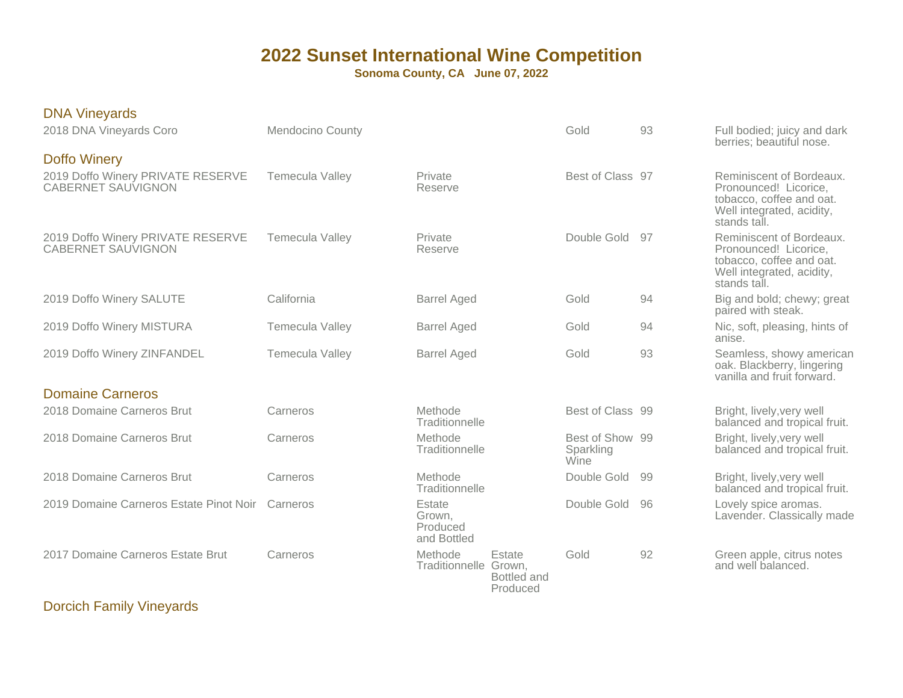**Sonoma County, CA June 07, 2022**

| <b>DNA Vineyards</b><br>2018 DNA Vineyards Coro                                       | <b>Mendocino County</b> |                                             |                                   | Gold                                 | 93 | Full bodied; juicy and dark<br>berries; beautiful nose.                                                                                    |
|---------------------------------------------------------------------------------------|-------------------------|---------------------------------------------|-----------------------------------|--------------------------------------|----|--------------------------------------------------------------------------------------------------------------------------------------------|
| <b>Doffo Winery</b><br>2019 Doffo Winery PRIVATE RESERVE<br><b>CABERNET SAUVIGNON</b> | Temecula Valley         | Private<br>Reserve                          |                                   | Best of Class 97                     |    | Reminiscent of Bordeaux.<br>Pronounced! Licorice,<br>tobacco, coffee and oat.<br>Well integrated, acidity,                                 |
| 2019 Doffo Winery PRIVATE RESERVE<br><b>CABERNET SAUVIGNON</b>                        | Temecula Valley         | Private<br>Reserve                          |                                   | Double Gold 97                       |    | stands tall.<br>Reminiscent of Bordeaux.<br>Pronounced! Licorice,<br>tobacco, coffee and oat.<br>Well integrated, acidity,<br>stands tall. |
| 2019 Doffo Winery SALUTE                                                              | California              | <b>Barrel Aged</b>                          |                                   | Gold                                 | 94 | Big and bold; chewy; great<br>paired with steak.                                                                                           |
| 2019 Doffo Winery MISTURA                                                             | Temecula Valley         | <b>Barrel Aged</b>                          |                                   | Gold                                 | 94 | Nic, soft, pleasing, hints of<br>anise.                                                                                                    |
| 2019 Doffo Winery ZINFANDEL                                                           | <b>Temecula Valley</b>  | <b>Barrel Aged</b>                          |                                   | Gold                                 | 93 | Seamless, showy american<br>oak. Blackberry, lingering<br>vanilla and fruit forward.                                                       |
| <b>Domaine Carneros</b>                                                               |                         |                                             |                                   |                                      |    |                                                                                                                                            |
| 2018 Domaine Carneros Brut                                                            | Carneros                | Methode<br>Traditionnelle                   |                                   | Best of Class 99                     |    | Bright, lively, very well<br>balanced and tropical fruit.                                                                                  |
| 2018 Domaine Carneros Brut                                                            | Carneros                | Methode<br>Traditionnelle                   |                                   | Best of Show 99<br>Sparkling<br>Wine |    | Bright, lively, very well<br>balanced and tropical fruit.                                                                                  |
| 2018 Domaine Carneros Brut                                                            | Carneros                | Methode<br>Traditionnelle                   |                                   | Double Gold                          | 99 | Bright, lively, very well<br>balanced and tropical fruit.                                                                                  |
| 2019 Domaine Carneros Estate Pinot Noir                                               | Carneros                | Estate<br>Grown.<br>Produced<br>and Bottled |                                   | Double Gold                          | 96 | Lovely spice aromas.<br>Lavender. Classically made                                                                                         |
| 2017 Domaine Carneros Estate Brut                                                     | Carneros                | Methode<br>Traditionnelle Grown,            | Estate<br>Bottled and<br>Produced | Gold                                 | 92 | Green apple, citrus notes<br>and well balanced.                                                                                            |
|                                                                                       |                         |                                             |                                   |                                      |    |                                                                                                                                            |

Dorcich Family Vineyards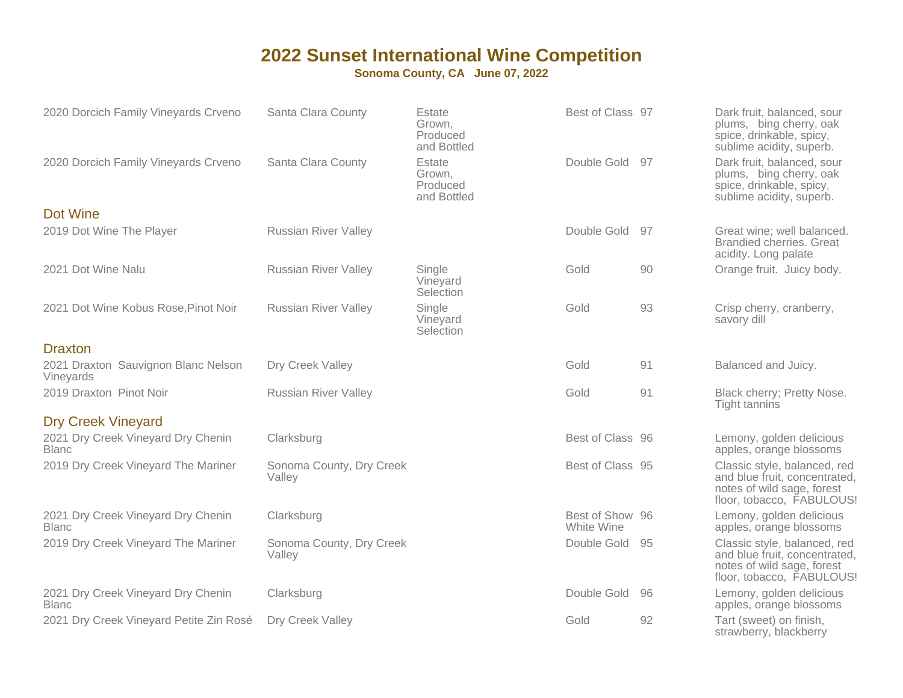| 2020 Dorcich Family Vineyards Crveno               | Santa Clara County                 | Estate<br>Grown,<br>Produced<br>and Bottled | Best of Class 97              |    | Dark fruit, balanced, sour<br>plums, bing cherry, oak<br>spice, drinkable, spicy,<br>sublime acidity, superb.           |
|----------------------------------------------------|------------------------------------|---------------------------------------------|-------------------------------|----|-------------------------------------------------------------------------------------------------------------------------|
| 2020 Dorcich Family Vineyards Crveno               | Santa Clara County                 | Estate<br>Grown,<br>Produced<br>and Bottled | Double Gold 97                |    | Dark fruit, balanced, sour<br>plums, bing cherry, oak<br>spice, drinkable, spicy,<br>sublime acidity, superb.           |
| Dot Wine                                           |                                    |                                             |                               |    |                                                                                                                         |
| 2019 Dot Wine The Player                           | <b>Russian River Valley</b>        |                                             | Double Gold 97                |    | Great wine; well balanced.<br><b>Brandied cherries. Great</b><br>acidity. Long palate                                   |
| 2021 Dot Wine Nalu                                 | <b>Russian River Valley</b>        | Single<br>Vineyard<br>Selection             | Gold                          | 90 | Orange fruit. Juicy body.                                                                                               |
| 2021 Dot Wine Kobus Rose, Pinot Noir               | <b>Russian River Valley</b>        | Single<br>Vineyard<br>Selection             | Gold                          | 93 | Crisp cherry, cranberry,<br>savory dill                                                                                 |
| <b>Draxton</b>                                     |                                    |                                             |                               |    |                                                                                                                         |
| 2021 Draxton Sauvignon Blanc Nelson<br>Vineyards   | Dry Creek Valley                   |                                             | Gold                          | 91 | Balanced and Juicy.                                                                                                     |
| 2019 Draxton Pinot Noir                            | <b>Russian River Valley</b>        |                                             | Gold                          | 91 | Black cherry; Pretty Nose.<br>Tight tannins                                                                             |
| <b>Dry Creek Vineyard</b>                          |                                    |                                             |                               |    |                                                                                                                         |
| 2021 Dry Creek Vineyard Dry Chenin<br><b>Blanc</b> | Clarksburg                         |                                             | Best of Class 96              |    | Lemony, golden delicious<br>apples, orange blossoms                                                                     |
| 2019 Dry Creek Vineyard The Mariner                | Sonoma County, Dry Creek<br>Valley |                                             | Best of Class 95              |    | Classic style, balanced, red<br>and blue fruit, concentrated,<br>notes of wild sage, forest<br>floor, tobacco, FABULOUS |
| 2021 Dry Creek Vineyard Dry Chenin<br><b>Blanc</b> | Clarksburg                         |                                             | Best of Show 96<br>White Wine |    | Lemony, golden delicious<br>apples, orange blossoms                                                                     |
| 2019 Dry Creek Vineyard The Mariner                | Sonoma County, Dry Creek<br>Valley |                                             | Double Gold 95                |    | Classic style, balanced, red<br>and blue fruit, concentrated,<br>notes of wild sage, forest<br>floor, tobacco, FABULOUS |
| 2021 Dry Creek Vineyard Dry Chenin<br><b>Blanc</b> | Clarksburg                         |                                             | Double Gold                   | 96 | Lemony, golden delicious<br>apples, orange blossoms                                                                     |
| 2021 Dry Creek Vineyard Petite Zin Rosé            | Dry Creek Valley                   |                                             | Gold                          | 92 | Tart (sweet) on finish,<br>strawberry, blackberry                                                                       |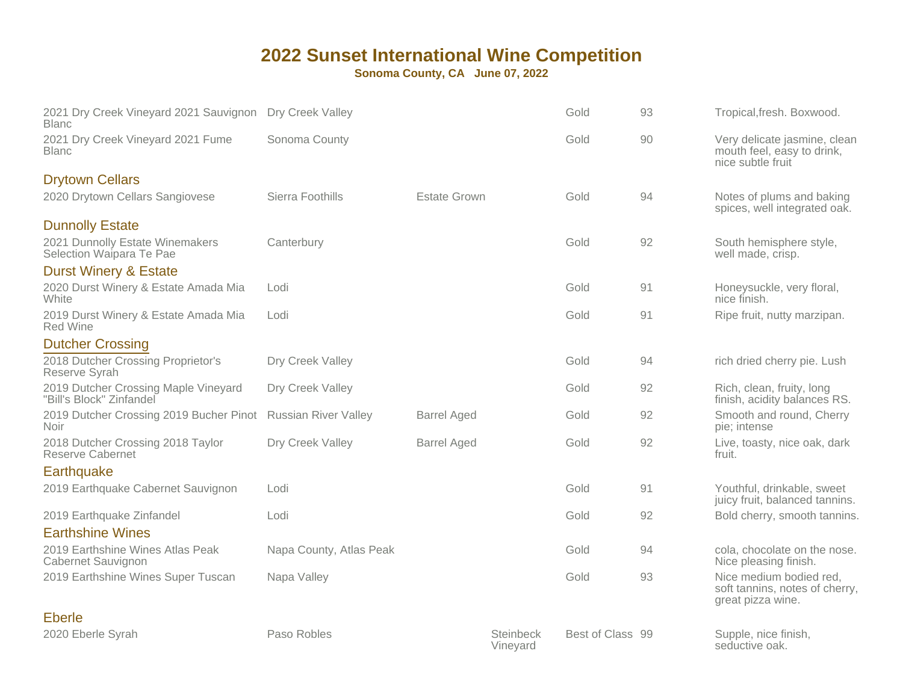| 2021 Dry Creek Vineyard 2021 Sauvignon<br><b>Blanc</b>           | Dry Creek Valley            |                     |                       | Gold             | 93 | Tropical, fresh. Boxwood.                                                       |
|------------------------------------------------------------------|-----------------------------|---------------------|-----------------------|------------------|----|---------------------------------------------------------------------------------|
| 2021 Dry Creek Vineyard 2021 Fume<br><b>Blanc</b>                | Sonoma County               |                     |                       | Gold             | 90 | Very delicate jasmine, clean<br>mouth feel, easy to drink,<br>nice subtle fruit |
| <b>Drytown Cellars</b>                                           |                             |                     |                       |                  |    |                                                                                 |
| 2020 Drytown Cellars Sangiovese                                  | Sierra Foothills            | <b>Estate Grown</b> |                       | Gold             | 94 | Notes of plums and baking<br>spices, well integrated oak.                       |
| <b>Dunnolly Estate</b>                                           |                             |                     |                       |                  |    |                                                                                 |
| 2021 Dunnolly Estate Winemakers<br>Selection Waipara Te Pae      | Canterbury                  |                     |                       | Gold             | 92 | South hemisphere style,<br>well made, crisp.                                    |
| <b>Durst Winery &amp; Estate</b>                                 |                             |                     |                       |                  |    |                                                                                 |
| 2020 Durst Winery & Estate Amada Mia<br>White                    | Lodi                        |                     |                       | Gold             | 91 | Honeysuckle, very floral,<br>nice finish.                                       |
| 2019 Durst Winery & Estate Amada Mia<br><b>Red Wine</b>          | Lodi                        |                     |                       | Gold             | 91 | Ripe fruit, nutty marzipan.                                                     |
| <b>Dutcher Crossing</b>                                          |                             |                     |                       |                  |    |                                                                                 |
| 2018 Dutcher Crossing Proprietor's<br>Reserve Syrah              | Dry Creek Valley            |                     |                       | Gold             | 94 | rich dried cherry pie. Lush                                                     |
| 2019 Dutcher Crossing Maple Vineyard<br>"Bill's Block" Zinfandel | Dry Creek Valley            |                     |                       | Gold             | 92 | Rich, clean, fruity, long<br>finish, acidity balances RS.                       |
| 2019 Dutcher Crossing 2019 Bucher Pinot<br><b>Noir</b>           | <b>Russian River Valley</b> | <b>Barrel Aged</b>  |                       | Gold             | 92 | Smooth and round, Cherry<br>pie; intense                                        |
| 2018 Dutcher Crossing 2018 Taylor<br><b>Reserve Cabernet</b>     | Dry Creek Valley            | <b>Barrel Aged</b>  |                       | Gold             | 92 | Live, toasty, nice oak, dark<br>fruit.                                          |
| Earthquake                                                       |                             |                     |                       |                  |    |                                                                                 |
| 2019 Earthquake Cabernet Sauvignon                               | Lodi                        |                     |                       | Gold             | 91 | Youthful, drinkable, sweet<br>juicy fruit, balanced tannins.                    |
| 2019 Earthquake Zinfandel                                        | Lodi                        |                     |                       | Gold             | 92 | Bold cherry, smooth tannins.                                                    |
| <b>Earthshine Wines</b>                                          |                             |                     |                       |                  |    |                                                                                 |
| 2019 Earthshine Wines Atlas Peak<br>Cabernet Sauvignon           | Napa County, Atlas Peak     |                     |                       | Gold             | 94 | cola, chocolate on the nose.<br>Nice pleasing finish.                           |
| 2019 Earthshine Wines Super Tuscan                               | Napa Valley                 |                     |                       | Gold             | 93 | Nice medium bodied red,<br>soft tannins, notes of cherry,<br>great pizza wine.  |
| <b>Eberle</b>                                                    |                             |                     |                       |                  |    |                                                                                 |
| 2020 Eberle Syrah                                                | Paso Robles                 |                     | Steinbeck<br>Vineyard | Best of Class 99 |    | Supple, nice finish,<br>seductive oak.                                          |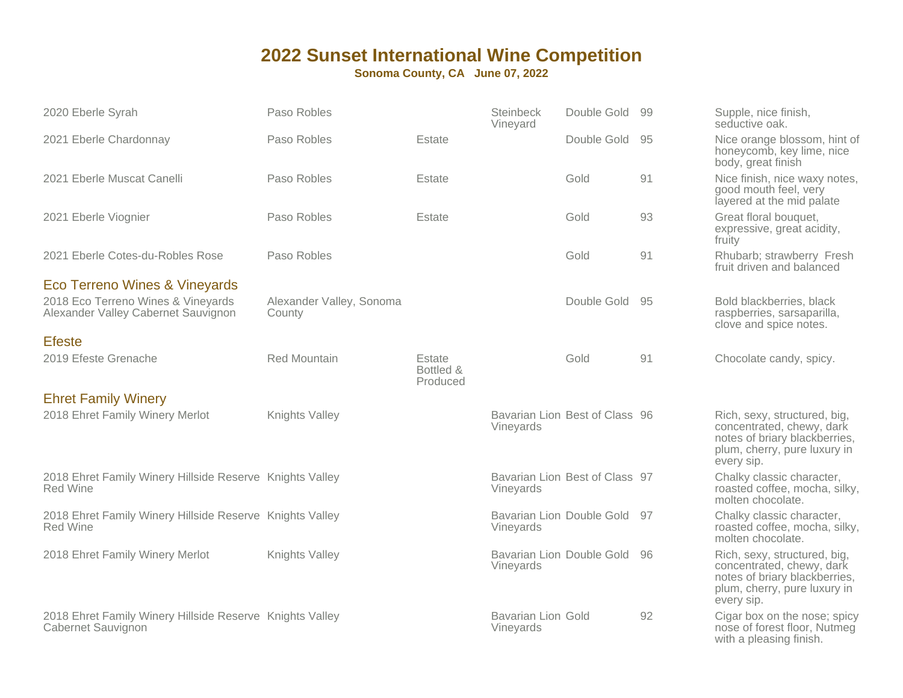| 2020 Eberle Syrah                                                              | Paso Robles                        |                                 | Steinbeck<br>Vineyard                  | Double Gold 99                 |    | Supple, nice finish,<br>seductive oak.                                                                                                   |
|--------------------------------------------------------------------------------|------------------------------------|---------------------------------|----------------------------------------|--------------------------------|----|------------------------------------------------------------------------------------------------------------------------------------------|
| 2021 Eberle Chardonnay                                                         | Paso Robles                        | Estate                          |                                        | Double Gold                    | 95 | Nice orange blossom, hint of<br>honeycomb, key lime, nice<br>body, great finish                                                          |
| 2021 Eberle Muscat Canelli                                                     | Paso Robles                        | Estate                          |                                        | Gold                           | 91 | Nice finish, nice waxy notes,<br>good mouth feel, very<br>layered at the mid palate                                                      |
| 2021 Eberle Viognier                                                           | Paso Robles                        | Estate                          |                                        | Gold                           | 93 | Great floral bouquet,<br>expressive, great acidity,<br>fruity                                                                            |
| 2021 Eberle Cotes-du-Robles Rose                                               | Paso Robles                        |                                 |                                        | Gold                           | 91 | Rhubarb; strawberry Fresh<br>fruit driven and balanced                                                                                   |
| Eco Terreno Wines & Vineyards                                                  |                                    |                                 |                                        |                                |    |                                                                                                                                          |
| 2018 Eco Terreno Wines & Vineyards<br>Alexander Valley Cabernet Sauvignon      | Alexander Valley, Sonoma<br>County |                                 |                                        | Double Gold 95                 |    | Bold blackberries, black<br>raspberries, sarsaparilla,<br>clove and spice notes.                                                         |
| <b>Efeste</b>                                                                  |                                    |                                 |                                        |                                |    |                                                                                                                                          |
| 2019 Efeste Grenache                                                           | <b>Red Mountain</b>                | Estate<br>Bottled &<br>Produced |                                        | Gold                           | 91 | Chocolate candy, spicy.                                                                                                                  |
| <b>Ehret Family Winery</b>                                                     |                                    |                                 |                                        |                                |    |                                                                                                                                          |
| 2018 Ehret Family Winery Merlot                                                | Knights Valley                     |                                 | Vineyards                              | Bavarian Lion Best of Class 96 |    | Rich, sexy, structured, big,<br>concentrated, chewy, dark<br>notes of briary blackberries,<br>plum, cherry, pure luxury in<br>every sip. |
| 2018 Ehret Family Winery Hillside Reserve Knights Valley<br><b>Red Wine</b>    |                                    |                                 | Vineyards                              | Bavarian Lion Best of Class 97 |    | Chalky classic character,<br>roasted coffee, mocha, silky,<br>molten chocolate.                                                          |
| 2018 Ehret Family Winery Hillside Reserve Knights Valley<br><b>Red Wine</b>    |                                    |                                 | Vineyards                              | Bavarian Lion Double Gold 97   |    | Chalky classic character,<br>roasted coffee, mocha, silky,<br>molten chocolate.                                                          |
| 2018 Ehret Family Winery Merlot                                                | Knights Valley                     |                                 | Vineyards                              | Bavarian Lion Double Gold      | 96 | Rich, sexy, structured, big,<br>concentrated, chewy, dark<br>notes of briary blackberries,<br>plum, cherry, pure luxury in<br>every sip. |
| 2018 Ehret Family Winery Hillside Reserve Knights Valley<br>Cabernet Sauvignon |                                    |                                 | <b>Bavarian Lion Gold</b><br>Vineyards |                                | 92 | Cigar box on the nose; spicy<br>nose of forest floor, Nutmeg<br>with a pleasing finish.                                                  |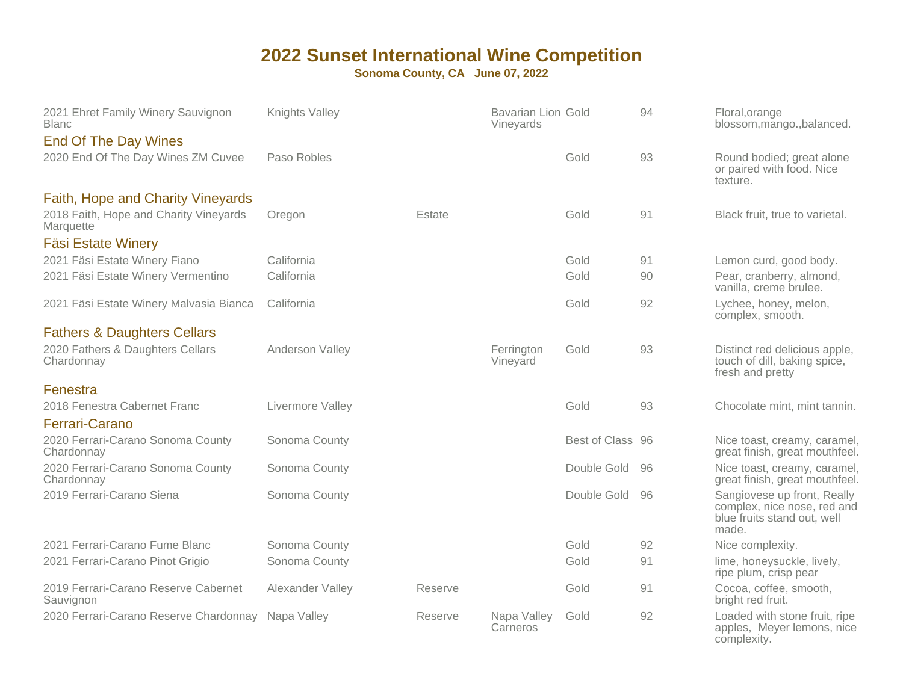| 2021 Ehret Family Winery Sauvignon<br><b>Blanc</b>  | Knights Valley   |         | <b>Bavarian Lion Gold</b><br>Vineyards |                  | 94 | Floral, orange<br>blossom, mango., balanced.                                                       |
|-----------------------------------------------------|------------------|---------|----------------------------------------|------------------|----|----------------------------------------------------------------------------------------------------|
| <b>End Of The Day Wines</b>                         |                  |         |                                        |                  |    |                                                                                                    |
| 2020 End Of The Day Wines ZM Cuvee                  | Paso Robles      |         |                                        | Gold             | 93 | Round bodied; great alone<br>or paired with food. Nice<br>texture.                                 |
| Faith, Hope and Charity Vineyards                   |                  |         |                                        |                  |    |                                                                                                    |
| 2018 Faith, Hope and Charity Vineyards<br>Marquette | Oregon           | Estate  |                                        | Gold             | 91 | Black fruit, true to varietal.                                                                     |
| <b>Fäsi Estate Winery</b>                           |                  |         |                                        |                  |    |                                                                                                    |
| 2021 Fäsi Estate Winery Fiano                       | California       |         |                                        | Gold             | 91 | Lemon curd, good body.                                                                             |
| 2021 Fäsi Estate Winery Vermentino                  | California       |         |                                        | Gold             | 90 | Pear, cranberry, almond,<br>vanilla, creme brulee.                                                 |
| 2021 Fäsi Estate Winery Malvasia Bianca             | California       |         |                                        | Gold             | 92 | Lychee, honey, melon,<br>complex, smooth.                                                          |
| <b>Fathers &amp; Daughters Cellars</b>              |                  |         |                                        |                  |    |                                                                                                    |
| 2020 Fathers & Daughters Cellars<br>Chardonnay      | Anderson Valley  |         | Ferrington<br>Vineyard                 | Gold             | 93 | Distinct red delicious apple,<br>touch of dill, baking spice,<br>fresh and pretty                  |
| Fenestra                                            |                  |         |                                        |                  |    |                                                                                                    |
| 2018 Fenestra Cabernet Franc                        | Livermore Valley |         |                                        | Gold             | 93 | Chocolate mint, mint tannin.                                                                       |
| Ferrari-Carano                                      |                  |         |                                        |                  |    |                                                                                                    |
| 2020 Ferrari-Carano Sonoma County<br>Chardonnay     | Sonoma County    |         |                                        | Best of Class 96 |    | Nice toast, creamy, caramel,<br>great finish, great mouthfeel.                                     |
| 2020 Ferrari-Carano Sonoma County<br>Chardonnay     | Sonoma County    |         |                                        | Double Gold      | 96 | Nice toast, creamy, caramel<br>great finish, great mouthfeel.                                      |
| 2019 Ferrari-Carano Siena                           | Sonoma County    |         |                                        | Double Gold      | 96 | Sangiovese up front, Really<br>complex, nice nose, red and<br>blue fruits stand out, well<br>made. |
| 2021 Ferrari-Carano Fume Blanc                      | Sonoma County    |         |                                        | Gold             | 92 | Nice complexity.                                                                                   |
| 2021 Ferrari-Carano Pinot Grigio                    | Sonoma County    |         |                                        | Gold             | 91 | lime, honeysuckle, lively,<br>ripe plum, crisp pear                                                |
| 2019 Ferrari-Carano Reserve Cabernet<br>Sauvignon   | Alexander Valley | Reserve |                                        | Gold             | 91 | Cocoa, coffee, smooth,<br>bright red fruit.                                                        |
| 2020 Ferrari-Carano Reserve Chardonnay Napa Valley  |                  | Reserve | Napa Valley<br>Carneros                | Gold             | 92 | Loaded with stone fruit, ripe<br>apples, Meyer lemons, nice<br>complexity.                         |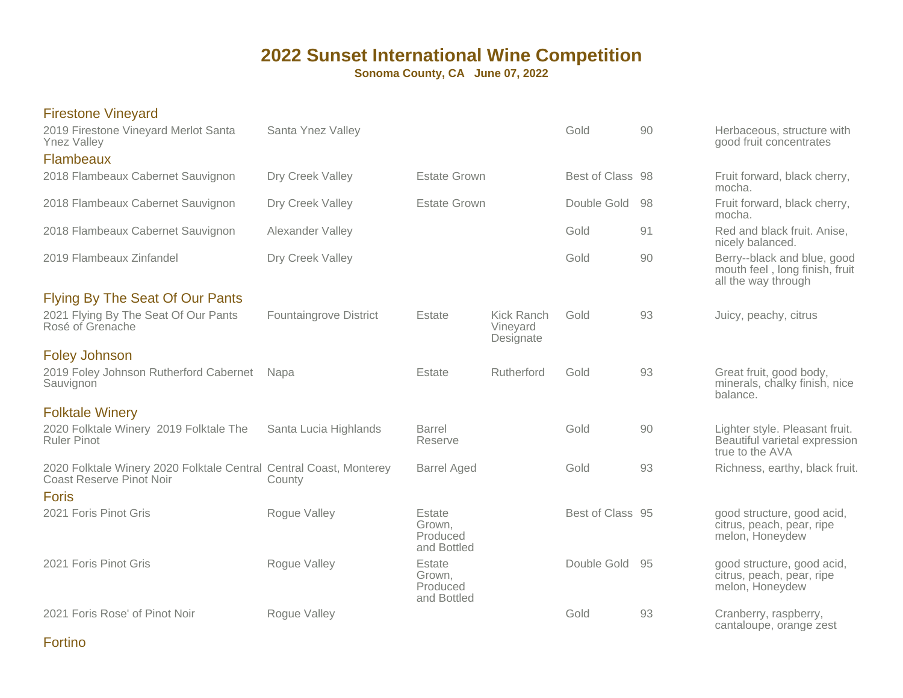**Sonoma County, CA June 07, 2022**

| <b>Firestone Vineyard</b><br>2019 Firestone Vineyard Merlot Santa<br><b>Ynez Valley</b>               | Santa Ynez Valley             |                                             |                                            | Gold             | 90  | Herbaceous, structure with<br>good fruit concentrates                                |
|-------------------------------------------------------------------------------------------------------|-------------------------------|---------------------------------------------|--------------------------------------------|------------------|-----|--------------------------------------------------------------------------------------|
| Flambeaux<br>2018 Flambeaux Cabernet Sauvignon                                                        | Dry Creek Valley              | <b>Estate Grown</b>                         |                                            | Best of Class 98 |     | Fruit forward, black cherry,<br>mocha.                                               |
| 2018 Flambeaux Cabernet Sauvignon                                                                     | Dry Creek Valley              | <b>Estate Grown</b>                         |                                            | Double Gold      | -98 | Fruit forward, black cherry,<br>mocha.                                               |
| 2018 Flambeaux Cabernet Sauvignon                                                                     | Alexander Valley              |                                             |                                            | Gold             | 91  | Red and black fruit. Anise,<br>nicely balanced.                                      |
| 2019 Flambeaux Zinfandel                                                                              | Dry Creek Valley              |                                             |                                            | Gold             | 90  | Berry--black and blue, good<br>mouth feel, long finish, fruit<br>all the way through |
| <b>Flying By The Seat Of Our Pants</b><br>2021 Flying By The Seat Of Our Pants<br>Rosé of Grenache    | <b>Fountaingrove District</b> | Estate                                      | <b>Kick Ranch</b><br>Vineyard<br>Designate | Gold             | 93  | Juicy, peachy, citrus                                                                |
| <b>Foley Johnson</b><br>2019 Foley Johnson Rutherford Cabernet<br>Sauvignon                           | Napa                          | Estate                                      | Rutherford                                 | Gold             | 93  | Great fruit, good body,<br>minerals, chalky finish, nice<br>balance.                 |
| <b>Folktale Winery</b><br>2020 Folktale Winery 2019 Folktale The<br><b>Ruler Pinot</b>                | Santa Lucia Highlands         | <b>Barrel</b><br>Reserve                    |                                            | Gold             | 90  | Lighter style. Pleasant fruit.<br>Beautiful varietal expression                      |
|                                                                                                       |                               |                                             |                                            |                  |     | true to the AVA                                                                      |
| 2020 Folktale Winery 2020 Folktale Central Central Coast, Monterey<br><b>Coast Reserve Pinot Noir</b> | County                        | <b>Barrel Aged</b>                          |                                            | Gold             | 93  | Richness, earthy, black fruit.                                                       |
| <b>Foris</b><br>2021 Foris Pinot Gris                                                                 | Rogue Valley                  | Estate<br>Grown,<br>Produced<br>and Bottled |                                            | Best of Class 95 |     | good structure, good acid,<br>citrus, peach, pear, ripe<br>melon, Honeydew           |
| 2021 Foris Pinot Gris                                                                                 | Rogue Valley                  | Estate<br>Grown,<br>Produced<br>and Bottled |                                            | Double Gold 95   |     | good structure, good acid,<br>citrus, peach, pear, ripe<br>melon, Honeydew           |
| 2021 Foris Rose' of Pinot Noir                                                                        | Rogue Valley                  |                                             |                                            | Gold             | 93  | Cranberry, raspberry,<br>cantaloupe, orange zest                                     |

Fortino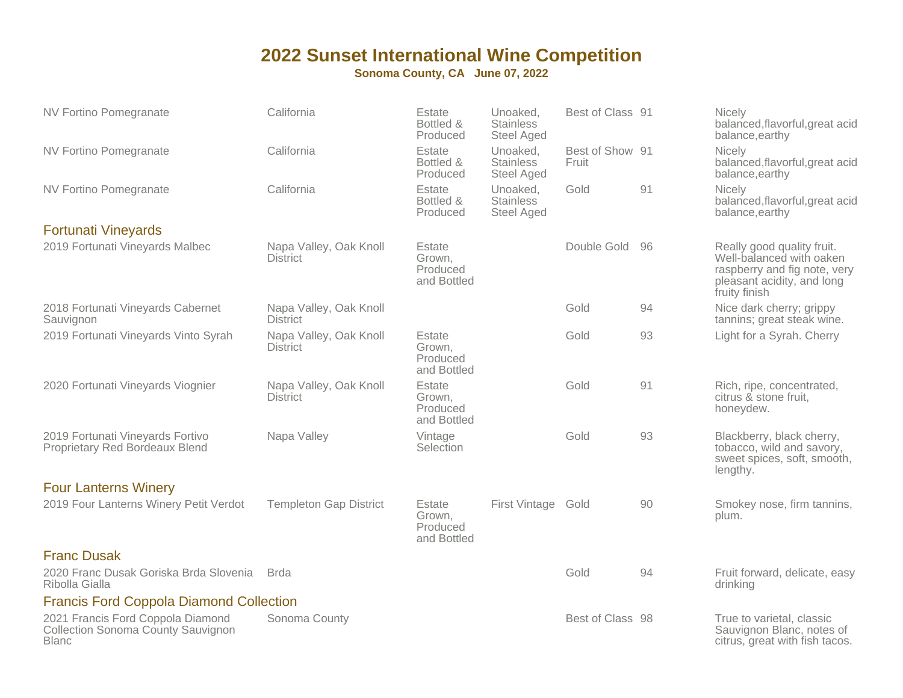| NV Fortino Pomegranate                                                                  | California                                | Estate<br>Bottled &<br>Produced             | Unoaked,<br><b>Stainless</b><br>Steel Aged        | Best of Class 91         |     | Nicely<br>balanced, flavorful, great acid<br>balance, earthy                                                                          |
|-----------------------------------------------------------------------------------------|-------------------------------------------|---------------------------------------------|---------------------------------------------------|--------------------------|-----|---------------------------------------------------------------------------------------------------------------------------------------|
| <b>NV Fortino Pomegranate</b>                                                           | California                                | Estate<br>Bottled &<br>Produced             | Unoaked,<br><b>Stainless</b><br>Steel Aged        | Best of Show 91<br>Fruit |     | <b>Nicely</b><br>balanced, flavorful, great acid<br>balance, earthy                                                                   |
| <b>NV Fortino Pomegranate</b>                                                           | California                                | Estate<br>Bottled &<br>Produced             | Unoaked,<br><b>Stainless</b><br><b>Steel Aged</b> | Gold                     | 91  | <b>Nicely</b><br>balanced, flavorful, great acid<br>balance, earthy                                                                   |
| <b>Fortunati Vineyards</b>                                                              |                                           |                                             |                                                   |                          |     |                                                                                                                                       |
| 2019 Fortunati Vineyards Malbec                                                         | Napa Valley, Oak Knoll<br><b>District</b> | Estate<br>Grown,<br>Produced<br>and Bottled |                                                   | Double Gold              | -96 | Really good quality fruit.<br>Well-balanced with oaken<br>raspberry and fig note, very<br>pleasant acidity, and long<br>fruity finish |
| 2018 Fortunati Vineyards Cabernet<br>Sauvignon                                          | Napa Valley, Oak Knoll<br><b>District</b> |                                             |                                                   | Gold                     | 94  | Nice dark cherry; grippy<br>tannins; great steak wine.                                                                                |
| 2019 Fortunati Vineyards Vinto Syrah                                                    | Napa Valley, Oak Knoll<br><b>District</b> | Estate<br>Grown,<br>Produced<br>and Bottled |                                                   | Gold                     | 93  | Light for a Syrah. Cherry                                                                                                             |
| 2020 Fortunati Vineyards Viognier                                                       | Napa Valley, Oak Knoll<br><b>District</b> | Estate<br>Grown,<br>Produced<br>and Bottled |                                                   | Gold                     | 91  | Rich, ripe, concentrated,<br>citrus & stone fruit,<br>honeydew.                                                                       |
| 2019 Fortunati Vineyards Fortivo<br>Proprietary Red Bordeaux Blend                      | Napa Valley                               | Vintage<br>Selection                        |                                                   | Gold                     | 93  | Blackberry, black cherry,<br>tobacco, wild and savory,<br>sweet spices, soft, smooth,<br>lengthy.                                     |
| <b>Four Lanterns Winery</b>                                                             |                                           |                                             |                                                   |                          |     |                                                                                                                                       |
| 2019 Four Lanterns Winery Petit Verdot                                                  | <b>Templeton Gap District</b>             | Estate<br>Grown,<br>Produced<br>and Bottled | First Vintage Gold                                |                          | 90  | Smokey nose, firm tannins,<br>plum.                                                                                                   |
| <b>Franc Dusak</b>                                                                      |                                           |                                             |                                                   |                          |     |                                                                                                                                       |
| 2020 Franc Dusak Goriska Brda Slovenia<br>Ribolla Gialla                                | <b>Brda</b>                               |                                             |                                                   | Gold                     | 94  | Fruit forward, delicate, easy<br>drinking                                                                                             |
| <b>Francis Ford Coppola Diamond Collection</b>                                          |                                           |                                             |                                                   |                          |     |                                                                                                                                       |
| 2021 Francis Ford Coppola Diamond<br>Collection Sonoma County Sauvignon<br><b>Blanc</b> | Sonoma County                             |                                             |                                                   | Best of Class 98         |     | True to varietal, classic<br>Sauvignon Blanc, notes of<br>citrus, great with fish tacos.                                              |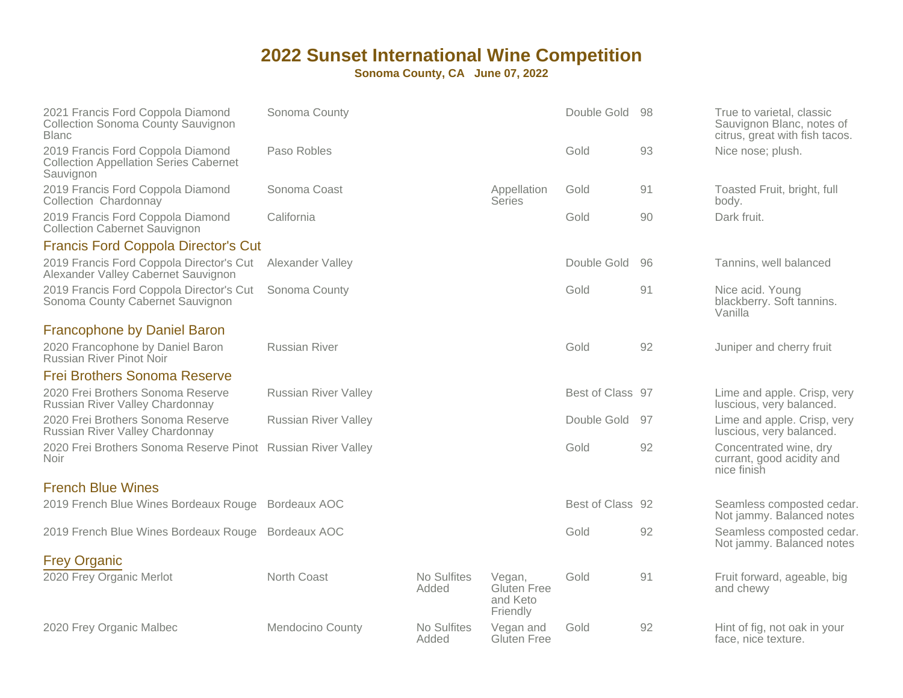| 2021 Francis Ford Coppola Diamond<br><b>Collection Sonoma County Sauvignon</b><br><b>Blanc</b>  | Sonoma County               |                      |                                               | Double Gold      | 98 | True to varietal, classic<br>Sauvignon Blanc, notes of<br>citrus, great with fish tacos. |
|-------------------------------------------------------------------------------------------------|-----------------------------|----------------------|-----------------------------------------------|------------------|----|------------------------------------------------------------------------------------------|
| 2019 Francis Ford Coppola Diamond<br><b>Collection Appellation Series Cabernet</b><br>Sauvignon | Paso Robles                 |                      |                                               | Gold             | 93 | Nice nose; plush.                                                                        |
| 2019 Francis Ford Coppola Diamond<br>Collection Chardonnay                                      | Sonoma Coast                |                      | Appellation<br><b>Series</b>                  | Gold             | 91 | Toasted Fruit, bright, full<br>body.                                                     |
| 2019 Francis Ford Coppola Diamond<br><b>Collection Cabernet Sauvignon</b>                       | California                  |                      |                                               | Gold             | 90 | Dark fruit.                                                                              |
| <b>Francis Ford Coppola Director's Cut</b>                                                      |                             |                      |                                               |                  |    |                                                                                          |
| 2019 Francis Ford Coppola Director's Cut<br>Alexander Valley Cabernet Sauvignon                 | Alexander Valley            |                      |                                               | Double Gold      | 96 | Tannins, well balanced                                                                   |
| 2019 Francis Ford Coppola Director's Cut<br>Sonoma County Cabernet Sauvignon                    | Sonoma County               |                      |                                               | Gold             | 91 | Nice acid. Young<br>blackberry. Soft tannins.<br>Vanilla                                 |
| <b>Francophone by Daniel Baron</b>                                                              |                             |                      |                                               |                  |    |                                                                                          |
| 2020 Francophone by Daniel Baron<br><b>Russian River Pinot Noir</b>                             | <b>Russian River</b>        |                      |                                               | Gold             | 92 | Juniper and cherry fruit                                                                 |
| <b>Frei Brothers Sonoma Reserve</b>                                                             |                             |                      |                                               |                  |    |                                                                                          |
| 2020 Frei Brothers Sonoma Reserve<br>Russian River Valley Chardonnay                            | <b>Russian River Valley</b> |                      |                                               | Best of Class 97 |    | Lime and apple. Crisp, very<br>luscious, very balanced.                                  |
| 2020 Frei Brothers Sonoma Reserve<br>Russian River Valley Chardonnay                            | <b>Russian River Valley</b> |                      |                                               | Double Gold      | 97 | Lime and apple. Crisp, very<br>luscious, very balanced.                                  |
| 2020 Frei Brothers Sonoma Reserve Pinot Russian River Valley<br>Noir                            |                             |                      |                                               | Gold             | 92 | Concentrated wine, dry<br>currant, good acidity and<br>nice finish                       |
| <b>French Blue Wines</b>                                                                        |                             |                      |                                               |                  |    |                                                                                          |
| 2019 French Blue Wines Bordeaux Rouge                                                           | Bordeaux AOC                |                      |                                               | Best of Class 92 |    | Seamless composted cedar.<br>Not jammy. Balanced notes                                   |
| 2019 French Blue Wines Bordeaux Rouge                                                           | Bordeaux AOC                |                      |                                               | Gold             | 92 | Seamless composted cedar.<br>Not jammy. Balanced notes                                   |
| <b>Frey Organic</b>                                                                             |                             |                      |                                               |                  |    |                                                                                          |
| 2020 Frey Organic Merlot                                                                        | North Coast                 | No Sulfites<br>Added | Vegan,<br>Gluten Free<br>and Keto<br>Friendly | Gold             | 91 | Fruit forward, ageable, big<br>and chewy                                                 |
| 2020 Frey Organic Malbec                                                                        | Mendocino County            | No Sulfites<br>Added | Vegan and<br>Gluten Free                      | Gold             | 92 | Hint of fig, not oak in your<br>face, nice texture.                                      |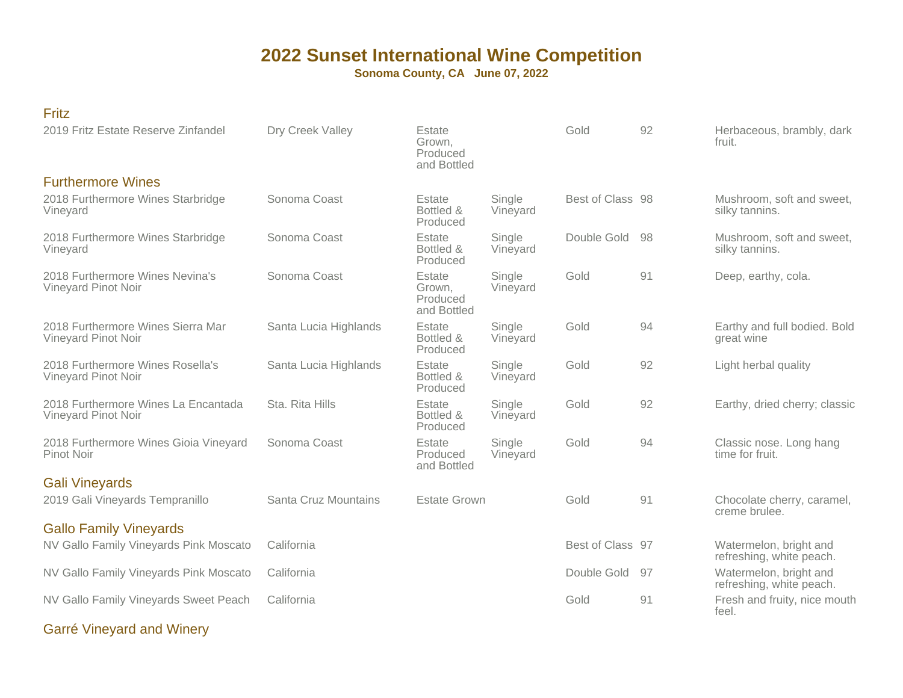**Sonoma County, CA June 07, 2022**

| v         |  |
|-----------|--|
| . .<br>__ |  |

| 2019 Fritz Estate Reserve Zinfandel                        | Dry Creek Valley      | Estate<br>Grown,<br>Produced<br>and Bottled |                    | Gold             | 92 | Herbaceous, brambly, dark<br>fruit.                |
|------------------------------------------------------------|-----------------------|---------------------------------------------|--------------------|------------------|----|----------------------------------------------------|
| <b>Furthermore Wines</b>                                   |                       |                                             |                    |                  |    |                                                    |
| 2018 Furthermore Wines Starbridge<br>Vineyard              | Sonoma Coast          | Estate<br>Bottled &<br>Produced             | Single<br>Vineyard | Best of Class 98 |    | Mushroom, soft and sweet,<br>silky tannins.        |
| 2018 Furthermore Wines Starbridge<br>Vineyard              | Sonoma Coast          | Estate<br>Bottled &<br>Produced             | Single<br>Vineyard | Double Gold      | 98 | Mushroom, soft and sweet,<br>silky tannins.        |
| 2018 Furthermore Wines Nevina's<br>Vineyard Pinot Noir     | Sonoma Coast          | Estate<br>Grown.<br>Produced<br>and Bottled | Single<br>Vineyard | Gold             | 91 | Deep, earthy, cola.                                |
| 2018 Furthermore Wines Sierra Mar<br>Vineyard Pinot Noir   | Santa Lucia Highlands | Estate<br>Bottled &<br>Produced             | Single<br>Vineyard | Gold             | 94 | Earthy and full bodied. Bold<br>great wine         |
| 2018 Furthermore Wines Rosella's<br>Vineyard Pinot Noir    | Santa Lucia Highlands | Estate<br>Bottled &<br>Produced             | Single<br>Vineyard | Gold             | 92 | Light herbal quality                               |
| 2018 Furthermore Wines La Encantada<br>Vineyard Pinot Noir | Sta. Rita Hills       | Estate<br>Bottled &<br>Produced             | Single<br>Vineyard | Gold             | 92 | Earthy, dried cherry; classic                      |
| 2018 Furthermore Wines Gioia Vineyard<br><b>Pinot Noir</b> | Sonoma Coast          | Estate<br>Produced<br>and Bottled           | Single<br>Vineyard | Gold             | 94 | Classic nose. Long hang<br>time for fruit.         |
| <b>Gali Vineyards</b>                                      |                       |                                             |                    |                  |    |                                                    |
| 2019 Gali Vineyards Tempranillo                            | Santa Cruz Mountains  | <b>Estate Grown</b>                         |                    | Gold             | 91 | Chocolate cherry, caramel,<br>creme brulee.        |
| <b>Gallo Family Vineyards</b>                              |                       |                                             |                    |                  |    |                                                    |
| NV Gallo Family Vineyards Pink Moscato                     | California            |                                             |                    | Best of Class 97 |    | Watermelon, bright and<br>refreshing, white peach. |
| NV Gallo Family Vineyards Pink Moscato                     | California            |                                             |                    | Double Gold      | 97 | Watermelon, bright and<br>refreshing, white peach. |
| NV Gallo Family Vineyards Sweet Peach                      | California            |                                             |                    | Gold             | 91 | Fresh and fruity, nice mouth<br>feel.              |

Garré Vineyard and Winery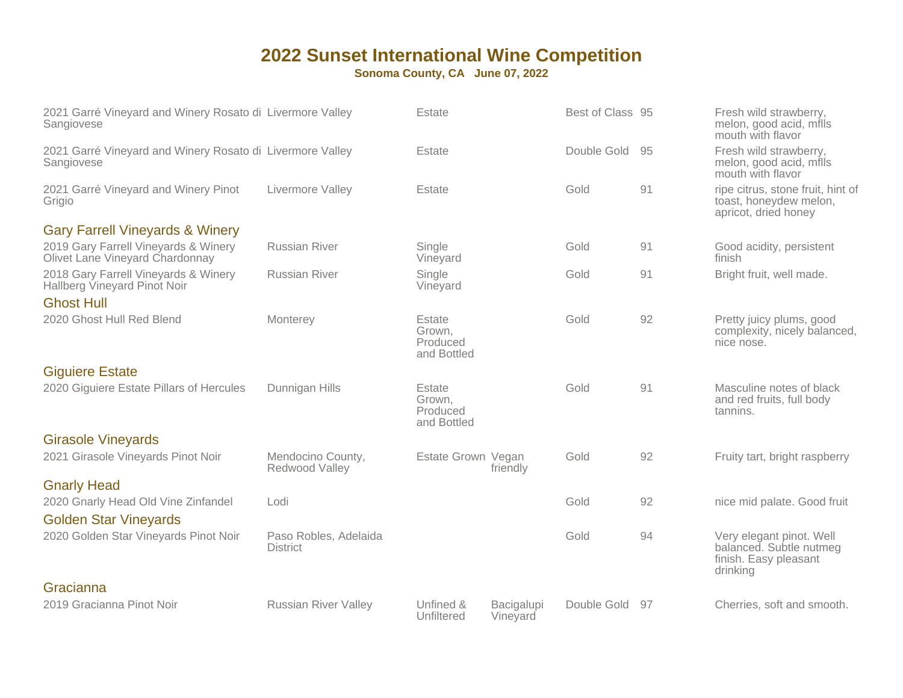| 2021 Garré Vineyard and Winery Rosato di Livermore Valley<br>Sangiovese |                                          | Estate                                      |                        | Best of Class 95 |    | Fresh wild strawberry,<br>melon, good acid, mills<br>mouth with flavor                   |
|-------------------------------------------------------------------------|------------------------------------------|---------------------------------------------|------------------------|------------------|----|------------------------------------------------------------------------------------------|
| 2021 Garré Vineyard and Winery Rosato di Livermore Valley<br>Sangiovese |                                          | Estate                                      |                        | Double Gold      | 95 | Fresh wild strawberry,<br>melon, good acid, mills<br>mouth with flavor                   |
| 2021 Garré Vineyard and Winery Pinot<br>Grigio                          | Livermore Valley                         | Estate                                      |                        | Gold             | 91 | ripe citrus, stone fruit, hint of<br>toast, honeydew melon,<br>apricot, dried honey      |
| <b>Gary Farrell Vineyards &amp; Winery</b>                              |                                          |                                             |                        |                  |    |                                                                                          |
| 2019 Gary Farrell Vineyards & Winery<br>Olivet Lane Vineyard Chardonnay | <b>Russian River</b>                     | Single<br>Vineyard                          |                        | Gold             | 91 | Good acidity, persistent<br>finish                                                       |
| 2018 Gary Farrell Vineyards & Winery<br>Hallberg Vineyard Pinot Noir    | <b>Russian River</b>                     | Single<br>Vineyard                          |                        | Gold             | 91 | Bright fruit, well made.                                                                 |
| <b>Ghost Hull</b>                                                       |                                          |                                             |                        |                  |    |                                                                                          |
| 2020 Ghost Hull Red Blend                                               | Monterey                                 | Estate<br>Grown,<br>Produced<br>and Bottled |                        | Gold             | 92 | Pretty juicy plums, good<br>complexity, nicely balanced,<br>nice nose.                   |
| <b>Giguiere Estate</b>                                                  |                                          |                                             |                        |                  |    |                                                                                          |
| 2020 Giguiere Estate Pillars of Hercules                                | Dunnigan Hills                           | Estate<br>Grown,<br>Produced<br>and Bottled |                        | Gold             | 91 | Masculine notes of black<br>and red fruits, full body<br>tannins.                        |
| <b>Girasole Vineyards</b>                                               |                                          |                                             |                        |                  |    |                                                                                          |
| 2021 Girasole Vineyards Pinot Noir                                      | Mendocino County,<br>Redwood Valley      | Estate Grown Vegan                          | friendly               | Gold             | 92 | Fruity tart, bright raspberry                                                            |
| <b>Gnarly Head</b>                                                      |                                          |                                             |                        |                  |    |                                                                                          |
| 2020 Gnarly Head Old Vine Zinfandel                                     | Lodi                                     |                                             |                        | Gold             | 92 | nice mid palate. Good fruit                                                              |
| <b>Golden Star Vineyards</b>                                            |                                          |                                             |                        |                  |    |                                                                                          |
| 2020 Golden Star Vineyards Pinot Noir                                   | Paso Robles, Adelaida<br><b>District</b> |                                             |                        | Gold             | 94 | Very elegant pinot. Well<br>balanced. Subtle nutmeg<br>finish. Easy pleasant<br>drinking |
| Gracianna                                                               |                                          |                                             |                        |                  |    |                                                                                          |
| 2019 Gracianna Pinot Noir                                               | <b>Russian River Valley</b>              | Unfined &<br>Unfiltered                     | Bacigalupi<br>Vineyard | Double Gold      | 97 | Cherries, soft and smooth.                                                               |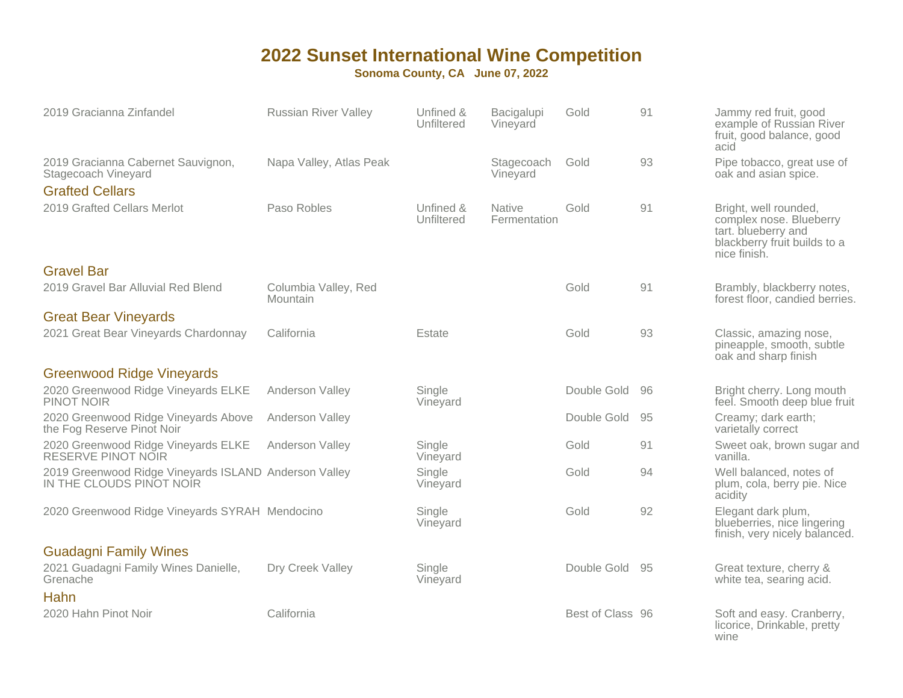| 2019 Gracianna Zinfandel                                                            | <b>Russian River Valley</b>      | Unfined &<br>Unfiltered | Bacigalupi<br>Vineyard        | Gold             | 91 | Jammy red fruit, good<br>example of Russian River<br>fruit, good balance, good<br>acid                                  |
|-------------------------------------------------------------------------------------|----------------------------------|-------------------------|-------------------------------|------------------|----|-------------------------------------------------------------------------------------------------------------------------|
| 2019 Gracianna Cabernet Sauvignon,<br>Stagecoach Vineyard<br><b>Grafted Cellars</b> | Napa Valley, Atlas Peak          |                         | Stagecoach<br>Vineyard        | Gold             | 93 | Pipe tobacco, great use of<br>oak and asian spice.                                                                      |
| 2019 Grafted Cellars Merlot                                                         | Paso Robles                      | Unfined &<br>Unfiltered | <b>Native</b><br>Fermentation | Gold             | 91 | Bright, well rounded,<br>complex nose. Blueberry<br>tart. blueberry and<br>blackberry fruit builds to a<br>nice finish. |
| <b>Gravel Bar</b>                                                                   |                                  |                         |                               |                  |    |                                                                                                                         |
| 2019 Gravel Bar Alluvial Red Blend                                                  | Columbia Valley, Red<br>Mountain |                         |                               | Gold             | 91 | Brambly, blackberry notes,<br>forest floor, candied berries.                                                            |
| <b>Great Bear Vineyards</b>                                                         |                                  |                         |                               |                  |    |                                                                                                                         |
| 2021 Great Bear Vineyards Chardonnay                                                | California                       | Estate                  |                               | Gold             | 93 | Classic, amazing nose,<br>pineapple, smooth, subtle<br>oak and sharp finish                                             |
| <b>Greenwood Ridge Vineyards</b>                                                    |                                  |                         |                               |                  |    |                                                                                                                         |
| 2020 Greenwood Ridge Vineyards ELKE<br><b>PINOT NOIR</b>                            | Anderson Valley                  | Single<br>Vineyard      |                               | Double Gold      | 96 | Bright cherry. Long mouth<br>feel. Smooth deep blue fruit                                                               |
| 2020 Greenwood Ridge Vineyards Above<br>the Fog Reserve Pinot Noir                  | Anderson Valley                  |                         |                               | Double Gold      | 95 | Creamy; dark earth;<br>varietally correct                                                                               |
| 2020 Greenwood Ridge Vineyards ELKE<br>RESERVE PINOT NOIR                           | Anderson Valley                  | Single<br>Vineyard      |                               | Gold             | 91 | Sweet oak, brown sugar and<br>vanilla.                                                                                  |
| 2019 Greenwood Ridge Vineyards ISLAND Anderson Valley<br>IN THE CLOUDS PINOT NOIR   |                                  | Single<br>Vineyard      |                               | Gold             | 94 | Well balanced, notes of<br>plum, cola, berry pie. Nice<br>acidity                                                       |
| 2020 Greenwood Ridge Vineyards SYRAH Mendocino                                      |                                  | Single<br>Vineyard      |                               | Gold             | 92 | Elegant dark plum,<br>blueberries, nice lingering<br>finish, very nicely balanced.                                      |
| <b>Guadagni Family Wines</b>                                                        |                                  |                         |                               |                  |    |                                                                                                                         |
| 2021 Guadagni Family Wines Danielle,<br>Grenache                                    | Dry Creek Valley                 | Single<br>Vineyard      |                               | Double Gold      | 95 | Great texture, cherry &<br>white tea, searing acid.                                                                     |
| Hahn                                                                                |                                  |                         |                               |                  |    |                                                                                                                         |
| 2020 Hahn Pinot Noir                                                                | California                       |                         |                               | Best of Class 96 |    | Soft and easy. Cranberry,<br>licorice, Drinkable, pretty<br>wine                                                        |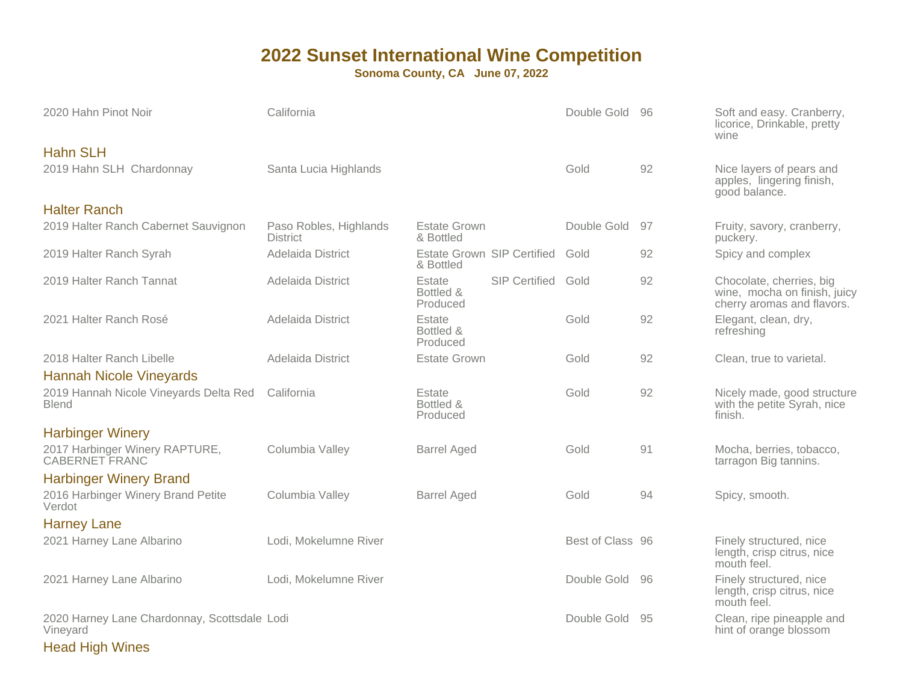**Sonoma County, CA June 07, 2022**

| 2020 Hahn Pinot Noir                                     | California                                |                                  |                                 | Double Gold      | -96 | Soft and easy. Cranberry,<br>licorice, Drinkable, pretty<br>wine                       |
|----------------------------------------------------------|-------------------------------------------|----------------------------------|---------------------------------|------------------|-----|----------------------------------------------------------------------------------------|
| <b>Hahn SLH</b><br>2019 Hahn SLH Chardonnay              | Santa Lucia Highlands                     |                                  |                                 | Gold             | 92  | Nice layers of pears and<br>apples, lingering finish,<br>good balance.                 |
| <b>Halter Ranch</b>                                      |                                           |                                  |                                 |                  |     |                                                                                        |
| 2019 Halter Ranch Cabernet Sauvignon                     | Paso Robles, Highlands<br><b>District</b> | <b>Estate Grown</b><br>& Bottled |                                 | Double Gold      | 97  | Fruity, savory, cranberry,<br>puckery.                                                 |
| 2019 Halter Ranch Syrah                                  | Adelaida District                         | & Bottled                        | Estate Grown SIP Certified Gold |                  | 92  | Spicy and complex                                                                      |
| 2019 Halter Ranch Tannat                                 | Adelaida District                         | Estate<br>Bottled &<br>Produced  | SIP Certified Gold              |                  | 92  | Chocolate, cherries, big<br>wine, mocha on finish, juicy<br>cherry aromas and flavors. |
| 2021 Halter Ranch Rosé                                   | Adelaida District                         | Estate<br>Bottled &<br>Produced  |                                 | Gold             | 92  | Elegant, clean, dry,<br>refreshing                                                     |
| 2018 Halter Ranch Libelle                                | Adelaida District                         | <b>Estate Grown</b>              |                                 | Gold             | 92  | Clean, true to varietal.                                                               |
| <b>Hannah Nicole Vineyards</b>                           |                                           |                                  |                                 |                  |     |                                                                                        |
| 2019 Hannah Nicole Vineyards Delta Red<br><b>Blend</b>   | California                                | Estate<br>Bottled &<br>Produced  |                                 | Gold             | 92  | Nicely made, good structure<br>with the petite Syrah, nice<br>finish.                  |
| <b>Harbinger Winery</b>                                  |                                           |                                  |                                 |                  |     |                                                                                        |
| 2017 Harbinger Winery RAPTURE,<br>CABERNET FRANC         | Columbia Valley                           | <b>Barrel Aged</b>               |                                 | Gold             | 91  | Mocha, berries, tobacco,<br>tarragon Big tannins.                                      |
| <b>Harbinger Winery Brand</b>                            |                                           |                                  |                                 |                  |     |                                                                                        |
| 2016 Harbinger Winery Brand Petite<br>Verdot             | Columbia Valley                           | <b>Barrel Aged</b>               |                                 | Gold             | 94  | Spicy, smooth.                                                                         |
| <b>Harney Lane</b>                                       |                                           |                                  |                                 |                  |     |                                                                                        |
| 2021 Harney Lane Albarino                                | Lodi, Mokelumne River                     |                                  |                                 | Best of Class 96 |     | Finely structured, nice<br>length, crisp citrus, nice<br>mouth feel.                   |
| 2021 Harney Lane Albarino                                | Lodi, Mokelumne River                     |                                  |                                 | Double Gold      | 96  | Finely structured, nice<br>length, crisp citrus, nice<br>mouth feel.                   |
| 2020 Harney Lane Chardonnay, Scottsdale Lodi<br>Vineyard |                                           |                                  |                                 | Double Gold      | 95  | Clean, ripe pineapple and<br>hint of orange blossom                                    |

Head High Wines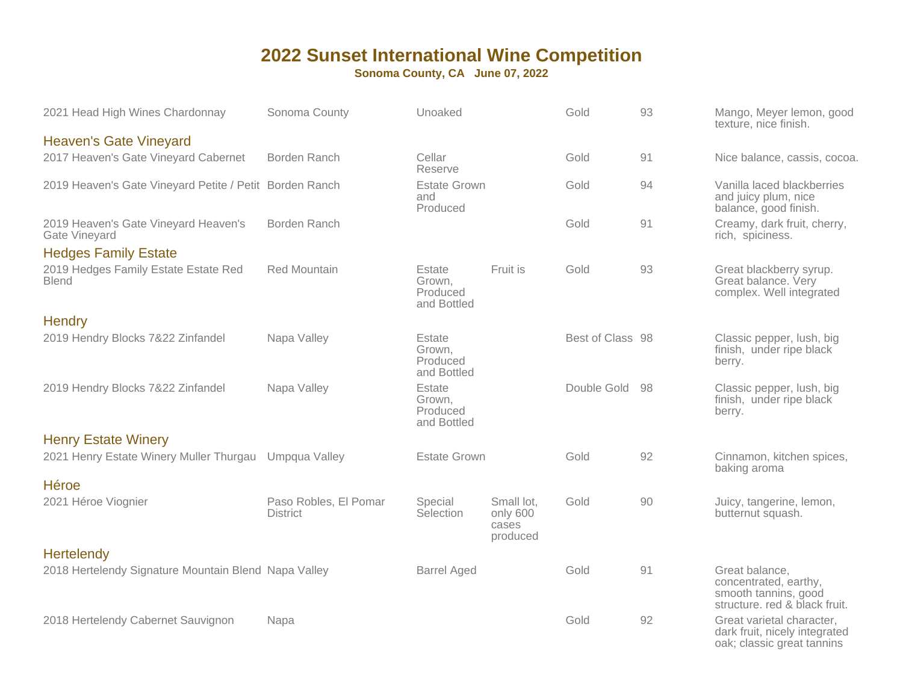| 2021 Head High Wines Chardonnay                         | Sonoma County                            | Unoaked                                     |                                             | Gold             | 93  | Mango, Meyer lemon, good<br>texture, nice finish.                                                |
|---------------------------------------------------------|------------------------------------------|---------------------------------------------|---------------------------------------------|------------------|-----|--------------------------------------------------------------------------------------------------|
| <b>Heaven's Gate Vineyard</b>                           |                                          |                                             |                                             |                  |     |                                                                                                  |
| 2017 Heaven's Gate Vineyard Cabernet                    | Borden Ranch                             | Cellar<br>Reserve                           |                                             | Gold             | 91  | Nice balance, cassis, cocoa.                                                                     |
| 2019 Heaven's Gate Vineyard Petite / Petit Borden Ranch |                                          | <b>Estate Grown</b><br>and<br>Produced      |                                             | Gold             | 94  | Vanilla laced blackberries<br>and juicy plum, nice<br>balance, good finish.                      |
| 2019 Heaven's Gate Vineyard Heaven's<br>Gate Vineyard   | Borden Ranch                             |                                             |                                             | Gold             | 91  | Creamy, dark fruit, cherry,<br>rich, spiciness.                                                  |
| <b>Hedges Family Estate</b>                             |                                          |                                             |                                             |                  |     |                                                                                                  |
| 2019 Hedges Family Estate Estate Red<br><b>Blend</b>    | <b>Red Mountain</b>                      | Estate<br>Grown,<br>Produced<br>and Bottled | Fruit is                                    | Gold             | 93  | Great blackberry syrup.<br>Great balance. Very<br>complex. Well integrated                       |
| Hendry                                                  |                                          |                                             |                                             |                  |     |                                                                                                  |
| 2019 Hendry Blocks 7&22 Zinfandel                       | Napa Valley                              | Estate<br>Grown,<br>Produced<br>and Bottled |                                             | Best of Class 98 |     | Classic pepper, lush, big<br>finish, under ripe black<br>berry.                                  |
| 2019 Hendry Blocks 7&22 Zinfandel                       | Napa Valley                              | Estate<br>Grown,<br>Produced<br>and Bottled |                                             | Double Gold      | -98 | Classic pepper, lush, big<br>finish, under ripe black<br>berry.                                  |
| <b>Henry Estate Winery</b>                              |                                          |                                             |                                             |                  |     |                                                                                                  |
| 2021 Henry Estate Winery Muller Thurgau                 | Umpqua Valley                            | <b>Estate Grown</b>                         |                                             | Gold             | 92  | Cinnamon, kitchen spices,<br>baking aroma                                                        |
| <b>Héroe</b>                                            |                                          |                                             |                                             |                  |     |                                                                                                  |
| 2021 Héroe Viognier                                     | Paso Robles, El Pomar<br><b>District</b> | Special<br>Selection                        | Small lot,<br>only 600<br>cases<br>produced | Gold             | 90  | Juicy, tangerine, lemon,<br>butternut squash.                                                    |
| <b>Hertelendy</b>                                       |                                          |                                             |                                             |                  |     |                                                                                                  |
| 2018 Hertelendy Signature Mountain Blend Napa Valley    |                                          | <b>Barrel Aged</b>                          |                                             | Gold             | 91  | Great balance,<br>concentrated, earthy,<br>smooth tannins, good<br>structure. red & black fruit. |
| 2018 Hertelendy Cabernet Sauvignon                      | Napa                                     |                                             |                                             | Gold             | 92  | Great varietal character,<br>dark fruit, nicely integrated<br>oak; classic great tannins         |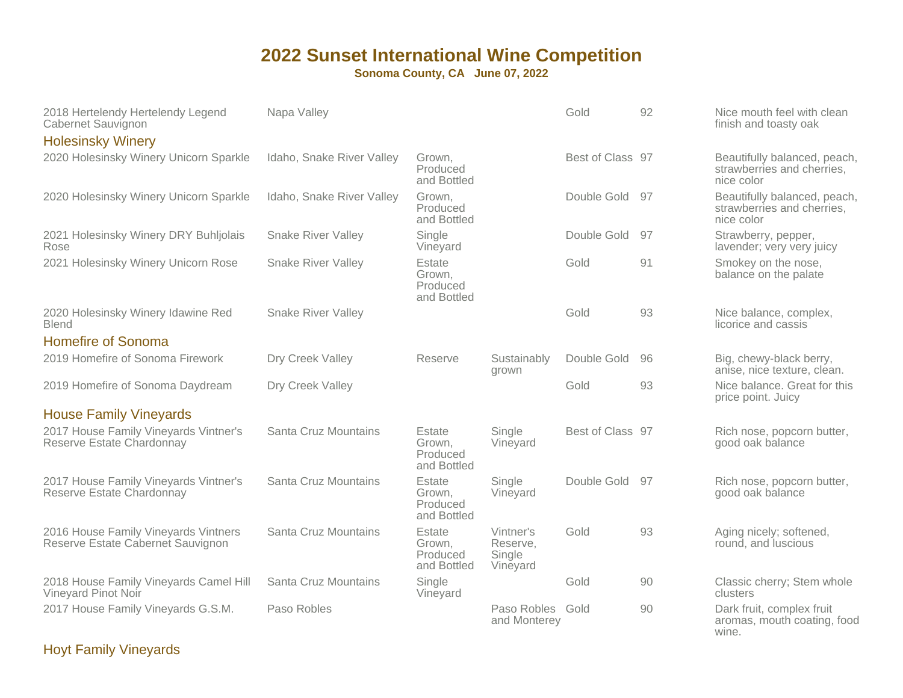**Sonoma County, CA June 07, 2022**

| 2018 Hertelendy Hertelendy Legend<br>Cabernet Sauvignon                   | Napa Valley               |                                             |                                             | Gold             | 92  | Nice mouth feel with clean<br>finish and toasty oak                      |
|---------------------------------------------------------------------------|---------------------------|---------------------------------------------|---------------------------------------------|------------------|-----|--------------------------------------------------------------------------|
| <b>Holesinsky Winery</b>                                                  |                           |                                             |                                             |                  |     |                                                                          |
| 2020 Holesinsky Winery Unicorn Sparkle                                    | Idaho, Snake River Valley | Grown.<br>Produced<br>and Bottled           |                                             | Best of Class 97 |     | Beautifully balanced, peach,<br>strawberries and cherries,<br>nice color |
| 2020 Holesinsky Winery Unicorn Sparkle                                    | Idaho, Snake River Valley | Grown.<br>Produced<br>and Bottled           |                                             | Double Gold      | 97  | Beautifully balanced, peach,<br>strawberries and cherries,<br>nice color |
| 2021 Holesinsky Winery DRY Buhljolais<br>Rose                             | <b>Snake River Valley</b> | Single<br>Vineyard                          |                                             | Double Gold      | 97  | Strawberry, pepper,<br>lavender; very very juicy                         |
| 2021 Holesinsky Winery Unicorn Rose                                       | <b>Snake River Valley</b> | Estate<br>Grown,<br>Produced<br>and Bottled |                                             | Gold             | 91  | Smokey on the nose,<br>balance on the palate                             |
| 2020 Holesinsky Winery Idawine Red<br><b>Blend</b>                        | <b>Snake River Valley</b> |                                             |                                             | Gold             | 93  | Nice balance, complex,<br>licorice and cassis                            |
| <b>Homefire of Sonoma</b>                                                 |                           |                                             |                                             |                  |     |                                                                          |
| 2019 Homefire of Sonoma Firework                                          | Dry Creek Valley          | Reserve                                     | Sustainably<br>grown                        | Double Gold      | 96  | Big, chewy-black berry,<br>anise, nice texture, clean.                   |
| 2019 Homefire of Sonoma Daydream                                          | Dry Creek Valley          |                                             |                                             | Gold             | 93  | Nice balance. Great for this<br>price point. Juicy                       |
| <b>House Family Vineyards</b>                                             |                           |                                             |                                             |                  |     |                                                                          |
| 2017 House Family Vineyards Vintner's<br>Reserve Estate Chardonnay        | Santa Cruz Mountains      | Estate<br>Grown,<br>Produced<br>and Bottled | Single<br>Vineyard                          | Best of Class 97 |     | Rich nose, popcorn butter,<br>good oak balance                           |
| 2017 House Family Vineyards Vintner's<br>Reserve Estate Chardonnay        | Santa Cruz Mountains      | Estate<br>Grown,<br>Produced<br>and Bottled | Single<br>Vineyard                          | Double Gold      | .97 | Rich nose, popcorn butter,<br>good oak balance                           |
| 2016 House Family Vineyards Vintners<br>Reserve Estate Cabernet Sauvignon | Santa Cruz Mountains      | Estate<br>Grown,<br>Produced<br>and Bottled | Vintner's<br>Reserve,<br>Single<br>Vineyard | Gold             | 93  | Aging nicely; softened,<br>round, and luscious                           |
| 2018 House Family Vineyards Camel Hill<br>Vineyard Pinot Noir             | Santa Cruz Mountains      | Single<br>Vineyard                          |                                             | Gold             | 90  | Classic cherry; Stem whole<br>clusters                                   |
| 2017 House Family Vineyards G.S.M.                                        | Paso Robles               |                                             | Paso Robles<br>and Monterey                 | Gold             | 90  | Dark fruit, complex fruit<br>aromas, mouth coating, food<br>wine.        |

Hoyt Family Vineyards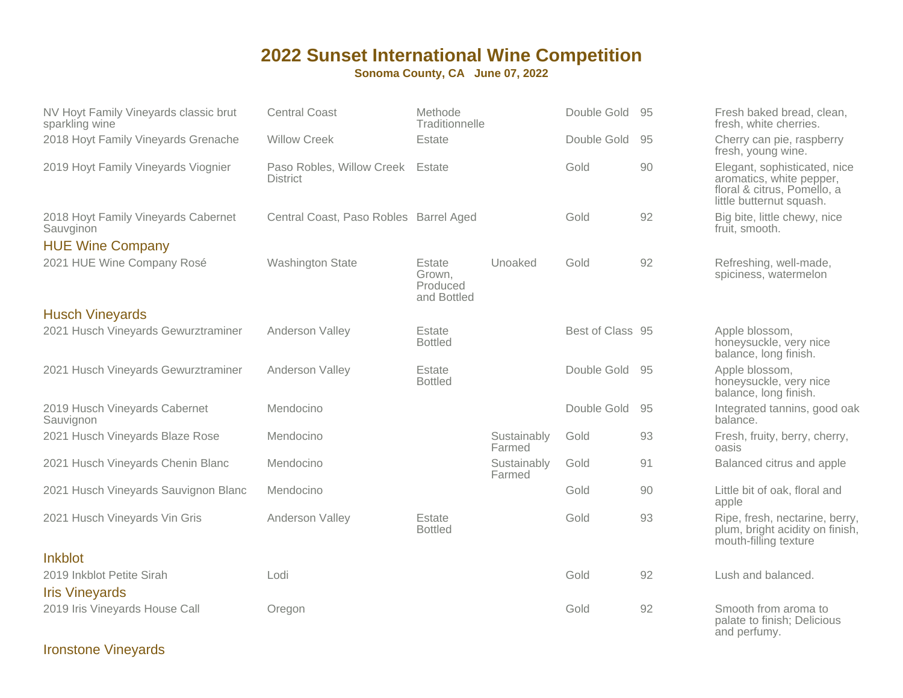#### **Sonoma County, CA June 07, 2022**

| NV Hoyt Family Vineyards classic brut<br>sparkling wine | <b>Central Coast</b>                                | Methode<br>Traditionnelle                   |                       | Double Gold 95   |    | Fresh baked bread, clean,<br>fresh, white cherries.                                                                 |
|---------------------------------------------------------|-----------------------------------------------------|---------------------------------------------|-----------------------|------------------|----|---------------------------------------------------------------------------------------------------------------------|
| 2018 Hoyt Family Vineyards Grenache                     | <b>Willow Creek</b>                                 | Estate                                      |                       | Double Gold      | 95 | Cherry can pie, raspberry<br>fresh, young wine.                                                                     |
| 2019 Hoyt Family Vineyards Viognier                     | Paso Robles, Willow Creek Estate<br><b>District</b> |                                             |                       | Gold             | 90 | Elegant, sophisticated, nice<br>aromatics, white pepper,<br>floral & citrus, Pomello, a<br>little butternut squash. |
| 2018 Hoyt Family Vineyards Cabernet<br>Sauvginon        | Central Coast, Paso Robles Barrel Aged              |                                             |                       | Gold             | 92 | Big bite, little chewy, nice<br>fruit, smooth.                                                                      |
| <b>HUE Wine Company</b>                                 |                                                     |                                             |                       |                  |    |                                                                                                                     |
| 2021 HUE Wine Company Rosé                              | <b>Washington State</b>                             | Estate<br>Grown,<br>Produced<br>and Bottled | Unoaked               | Gold             | 92 | Refreshing, well-made,<br>spiciness, watermelon                                                                     |
| <b>Husch Vineyards</b>                                  |                                                     |                                             |                       |                  |    |                                                                                                                     |
| 2021 Husch Vineyards Gewurztraminer                     | Anderson Valley                                     | Estate<br><b>Bottled</b>                    |                       | Best of Class 95 |    | Apple blossom,<br>honeysuckle, very nice<br>balance, long finish.                                                   |
| 2021 Husch Vineyards Gewurztraminer                     | Anderson Valley                                     | Estate<br><b>Bottled</b>                    |                       | Double Gold      | 95 | Apple blossom,<br>honeysuckle, very nice<br>balance, long finish.                                                   |
| 2019 Husch Vineyards Cabernet<br>Sauvignon              | Mendocino                                           |                                             |                       | Double Gold      | 95 | Integrated tannins, good oak<br>balance.                                                                            |
| 2021 Husch Vineyards Blaze Rose                         | Mendocino                                           |                                             | Sustainably<br>Farmed | Gold             | 93 | Fresh, fruity, berry, cherry,<br>oasis                                                                              |
| 2021 Husch Vineyards Chenin Blanc                       | Mendocino                                           |                                             | Sustainably<br>Farmed | Gold             | 91 | Balanced citrus and apple                                                                                           |
| 2021 Husch Vineyards Sauvignon Blanc                    | Mendocino                                           |                                             |                       | Gold             | 90 | Little bit of oak, floral and<br>apple                                                                              |
| 2021 Husch Vineyards Vin Gris                           | Anderson Valley                                     | Estate<br><b>Bottled</b>                    |                       | Gold             | 93 | Ripe, fresh, nectarine, berry,<br>plum, bright acidity on finish,<br>mouth-filling texture                          |
| <b>Inkblot</b>                                          |                                                     |                                             |                       |                  |    |                                                                                                                     |
| 2019 Inkblot Petite Sirah<br><b>Iris Vineyards</b>      | Lodi                                                |                                             |                       | Gold             | 92 | Lush and balanced.                                                                                                  |
| 2019 Iris Vineyards House Call                          | Oregon                                              |                                             |                       | Gold             | 92 | Smooth from aroma to<br>palate to finish; Delicious<br>and perfumy.                                                 |

Ironstone Vineyards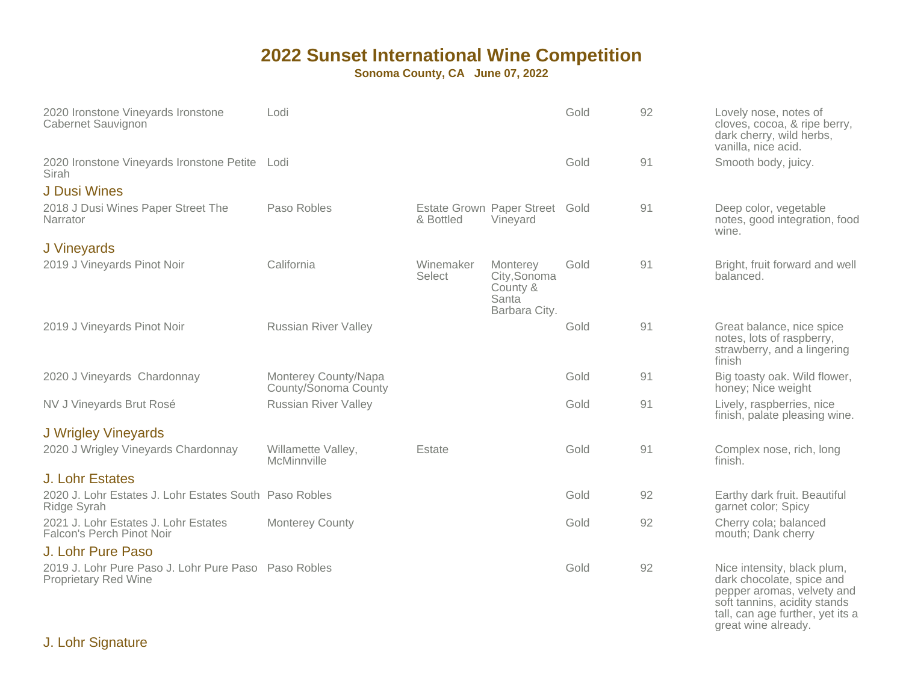| 2020 Ironstone Vineyards Ironstone<br>Cabernet Sauvignon                            | Lodi                                         |                     |                                                                             | Gold | 92 | Lovely nose, notes of<br>cloves, cocoa, & ripe berry,<br>dark cherry, wild herbs,<br>vanilla, nice acid.                                                                          |
|-------------------------------------------------------------------------------------|----------------------------------------------|---------------------|-----------------------------------------------------------------------------|------|----|-----------------------------------------------------------------------------------------------------------------------------------------------------------------------------------|
| 2020 Ironstone Vineyards Ironstone Petite Lodi<br>Sirah                             |                                              |                     |                                                                             | Gold | 91 | Smooth body, juicy.                                                                                                                                                               |
| <b>J Dusi Wines</b>                                                                 |                                              |                     |                                                                             |      |    |                                                                                                                                                                                   |
| 2018 J Dusi Wines Paper Street The<br>Narrator                                      | Paso Robles                                  | & Bottled           | Estate Grown Paper Street Gold<br>Vineyard                                  |      | 91 | Deep color, vegetable<br>notes, good integration, food<br>wine.                                                                                                                   |
| J Vineyards                                                                         |                                              |                     |                                                                             |      |    |                                                                                                                                                                                   |
| 2019 J Vineyards Pinot Noir                                                         | California                                   | Winemaker<br>Select | Monterey<br>City, Sonoma<br>County &<br>Santa <sup>®</sup><br>Barbara City. | Gold | 91 | Bright, fruit forward and well<br>balanced.                                                                                                                                       |
| 2019 J Vineyards Pinot Noir                                                         | <b>Russian River Valley</b>                  |                     |                                                                             | Gold | 91 | Great balance, nice spice<br>notes, lots of raspberry,<br>strawberry, and a lingering<br>finish                                                                                   |
| 2020 J Vineyards Chardonnay                                                         | Monterey County/Napa<br>County/Sonoma County |                     |                                                                             | Gold | 91 | Big toasty oak. Wild flower,<br>honey; Nice weight                                                                                                                                |
| NV J Vineyards Brut Rosé                                                            | <b>Russian River Valley</b>                  |                     |                                                                             | Gold | 91 | Lively, raspberries, nice<br>finish, palate pleasing wine.                                                                                                                        |
| <b>J</b> Wrigley Vineyards                                                          |                                              |                     |                                                                             |      |    |                                                                                                                                                                                   |
| 2020 J Wrigley Vineyards Chardonnay                                                 | Willamette Valley,<br>McMinnville            | Estate              |                                                                             | Gold | 91 | Complex nose, rich, long<br>finish.                                                                                                                                               |
| J. Lohr Estates                                                                     |                                              |                     |                                                                             |      |    |                                                                                                                                                                                   |
| 2020 J. Lohr Estates J. Lohr Estates South Paso Robles<br>Ridge Syrah               |                                              |                     |                                                                             | Gold | 92 | Earthy dark fruit. Beautiful<br>garnet color; Spicy                                                                                                                               |
| 2021 J. Lohr Estates J. Lohr Estates<br>Falcon's Perch Pinot Noir                   | <b>Monterey County</b>                       |                     |                                                                             | Gold | 92 | Cherry cola; balanced<br>mouth; Dank cherry                                                                                                                                       |
| J. Lohr Pure Paso                                                                   |                                              |                     |                                                                             |      |    |                                                                                                                                                                                   |
| 2019 J. Lohr Pure Paso J. Lohr Pure Paso Paso Robles<br><b>Proprietary Red Wine</b> |                                              |                     |                                                                             | Gold | 92 | Nice intensity, black plum,<br>dark chocolate, spice and<br>pepper aromas, velvety and<br>soft tannins, acidity stands<br>tall, can age further, yet its a<br>great wine already. |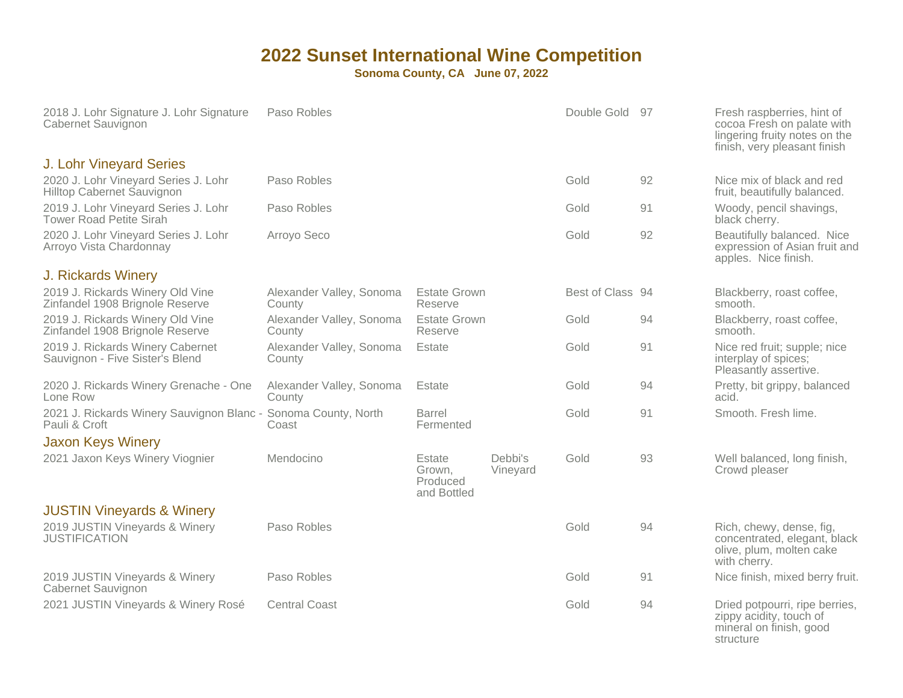| 2018 J. Lohr Signature J. Lohr Signature<br>Cabernet Sauvignon         | Paso Robles                        |                                             |                     | Double Gold 97   |    | Fresh raspberries, hint of<br>cocoa Fresh on palate with<br>lingering fruity notes on the<br>finish, very pleasant finish |
|------------------------------------------------------------------------|------------------------------------|---------------------------------------------|---------------------|------------------|----|---------------------------------------------------------------------------------------------------------------------------|
| <b>J. Lohr Vineyard Series</b>                                         |                                    |                                             |                     |                  |    |                                                                                                                           |
| 2020 J. Lohr Vineyard Series J. Lohr<br>Hilltop Cabernet Sauvignon     | Paso Robles                        |                                             |                     | Gold             | 92 | Nice mix of black and red<br>fruit, beautifully balanced.                                                                 |
| 2019 J. Lohr Vineyard Series J. Lohr<br><b>Tower Road Petite Sirah</b> | Paso Robles                        |                                             |                     | Gold             | 91 | Woody, pencil shavings,<br>black cherry.                                                                                  |
| 2020 J. Lohr Vineyard Series J. Lohr<br>Arroyo Vista Chardonnay        | Arroyo Seco                        |                                             |                     | Gold             | 92 | Beautifully balanced. Nice<br>expression of Asian fruit and<br>apples. Nice finish.                                       |
| J. Rickards Winery                                                     |                                    |                                             |                     |                  |    |                                                                                                                           |
| 2019 J. Rickards Winery Old Vine<br>Zinfandel 1908 Brignole Reserve    | Alexander Valley, Sonoma<br>County | <b>Estate Grown</b><br>Reserve              |                     | Best of Class 94 |    | Blackberry, roast coffee,<br>smooth.                                                                                      |
| 2019 J. Rickards Winery Old Vine<br>Zinfandel 1908 Brignole Reserve    | Alexander Valley, Sonoma<br>County | <b>Estate Grown</b><br>Reserve              |                     | Gold             | 94 | Blackberry, roast coffee,<br>smooth.                                                                                      |
| 2019 J. Rickards Winery Cabernet<br>Sauvignon - Five Sister's Blend    | Alexander Valley, Sonoma<br>County | Estate                                      |                     | Gold             | 91 | Nice red fruit; supple; nice<br>interplay of spices;<br>Pleasantly assertive.                                             |
| 2020 J. Rickards Winery Grenache - One<br>Lone Row                     | Alexander Valley, Sonoma<br>County | Estate                                      |                     | Gold             | 94 | Pretty, bit grippy, balanced<br>acid.                                                                                     |
| 2021 J. Rickards Winery Sauvignon Blanc -<br>Pauli & Croft             | Sonoma County, North<br>Coast      | Barrel<br>Fermented                         |                     | Gold             | 91 | Smooth. Fresh lime.                                                                                                       |
| <b>Jaxon Keys Winery</b>                                               |                                    |                                             |                     |                  |    |                                                                                                                           |
| 2021 Jaxon Keys Winery Viognier                                        | Mendocino                          | Estate<br>Grown,<br>Produced<br>and Bottled | Debbi's<br>Vineyard | Gold             | 93 | Well balanced, long finish,<br>Crowd pleaser                                                                              |
| <b>JUSTIN Vineyards &amp; Winery</b>                                   |                                    |                                             |                     |                  |    |                                                                                                                           |
| 2019 JUSTIN Vineyards & Winery<br><b>JUSTIFICATION</b>                 | Paso Robles                        |                                             |                     | Gold             | 94 | Rich, chewy, dense, fig,<br>concentrated, elegant, black<br>olive, plum, molten cake<br>with cherry.                      |
| 2019 JUSTIN Vineyards & Winery<br>Cabernet Sauvignon                   | Paso Robles                        |                                             |                     | Gold             | 91 | Nice finish, mixed berry fruit.                                                                                           |
| 2021 JUSTIN Vineyards & Winery Rosé                                    | <b>Central Coast</b>               |                                             |                     | Gold             | 94 | Dried potpourri, ripe berries,<br>zippy acidity, touch of<br>mineral on finish, good<br>structure                         |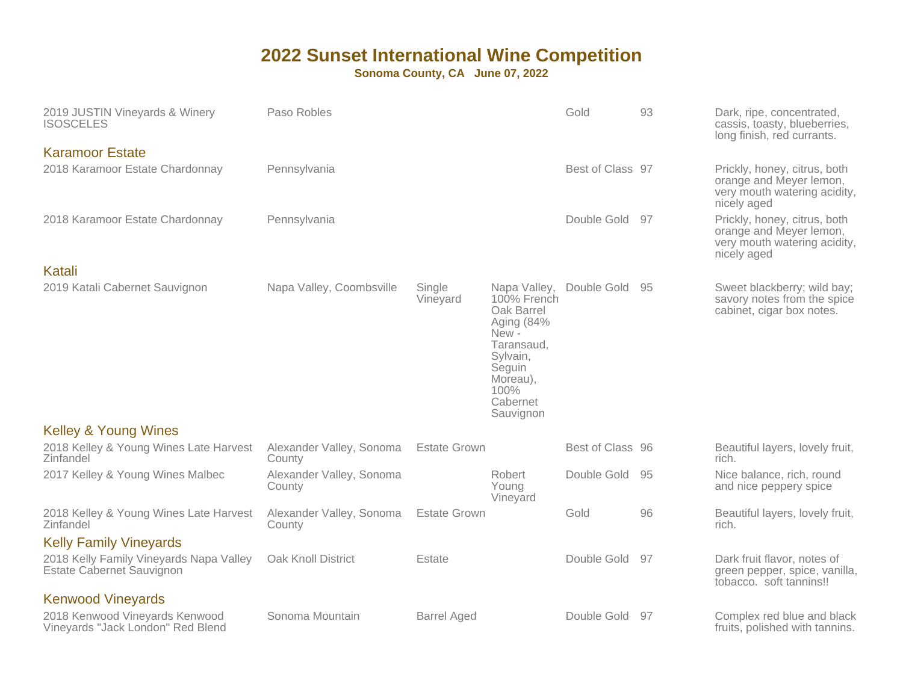| 2019 JUSTIN Vineyards & Winery<br><b>ISOSCELES</b>                   | Paso Robles                        |                     |                                                                                                                                                   | Gold             | 93  | Dark, ripe, concentrated,<br>cassis, toasty, blueberries,<br>long finish, red currants.                |
|----------------------------------------------------------------------|------------------------------------|---------------------|---------------------------------------------------------------------------------------------------------------------------------------------------|------------------|-----|--------------------------------------------------------------------------------------------------------|
| <b>Karamoor Estate</b><br>2018 Karamoor Estate Chardonnay            | Pennsylvania                       |                     |                                                                                                                                                   | Best of Class 97 |     | Prickly, honey, citrus, both<br>orange and Meyer lemon,<br>very mouth watering acidity,<br>nicely aged |
| 2018 Karamoor Estate Chardonnay                                      | Pennsylvania                       |                     |                                                                                                                                                   | Double Gold      | 97  | Prickly, honey, citrus, both<br>orange and Meyer lemon,<br>very mouth watering acidity,<br>nicely aged |
| Katali                                                               |                                    |                     |                                                                                                                                                   |                  |     |                                                                                                        |
| 2019 Katali Cabernet Sauvignon                                       | Napa Valley, Coombsville           | Single<br>Vineyard  | Napa Valley,<br>100% French<br>Oak Barrel<br>Aging (84%<br>New -<br>Taransaud.<br>Sylvain,<br>Seguin<br>Moreau),<br>100%<br>Cabernet<br>Sauvignon | Double Gold      | -95 | Sweet blackberry; wild bay;<br>savory notes from the spice<br>cabinet, cigar box notes.                |
| <b>Kelley &amp; Young Wines</b>                                      |                                    |                     |                                                                                                                                                   |                  |     |                                                                                                        |
| 2018 Kelley & Young Wines Late Harvest<br>Zinfandel                  | Alexander Valley, Sonoma<br>County | <b>Estate Grown</b> |                                                                                                                                                   | Best of Class 96 |     | Beautiful layers, lovely fruit,<br>rich.                                                               |
| 2017 Kelley & Young Wines Malbec                                     | Alexander Valley, Sonoma<br>County |                     | Robert<br>Young<br>Vineyard                                                                                                                       | Double Gold      | 95  | Nice balance, rich, round<br>and nice peppery spice                                                    |
| 2018 Kelley & Young Wines Late Harvest<br>Zinfandel                  | Alexander Valley, Sonoma<br>County | <b>Estate Grown</b> |                                                                                                                                                   | Gold             | 96  | Beautiful layers, lovely fruit,<br>rich.                                                               |
| <b>Kelly Family Vineyards</b>                                        |                                    |                     |                                                                                                                                                   |                  |     |                                                                                                        |
| 2018 Kelly Family Vineyards Napa Valley<br>Estate Cabernet Sauvignon | Oak Knoll District                 | Estate              |                                                                                                                                                   | Double Gold      | 97  | Dark fruit flavor, notes of<br>green pepper, spice, vanilla,<br>tobacco. soft tannins!!                |
| <b>Kenwood Vineyards</b>                                             |                                    |                     |                                                                                                                                                   |                  |     |                                                                                                        |
| 2018 Kenwood Vineyards Kenwood<br>Vineyards "Jack London" Red Blend  | Sonoma Mountain                    | <b>Barrel Aged</b>  |                                                                                                                                                   | Double Gold      | -97 | Complex red blue and black<br>fruits, polished with tannins.                                           |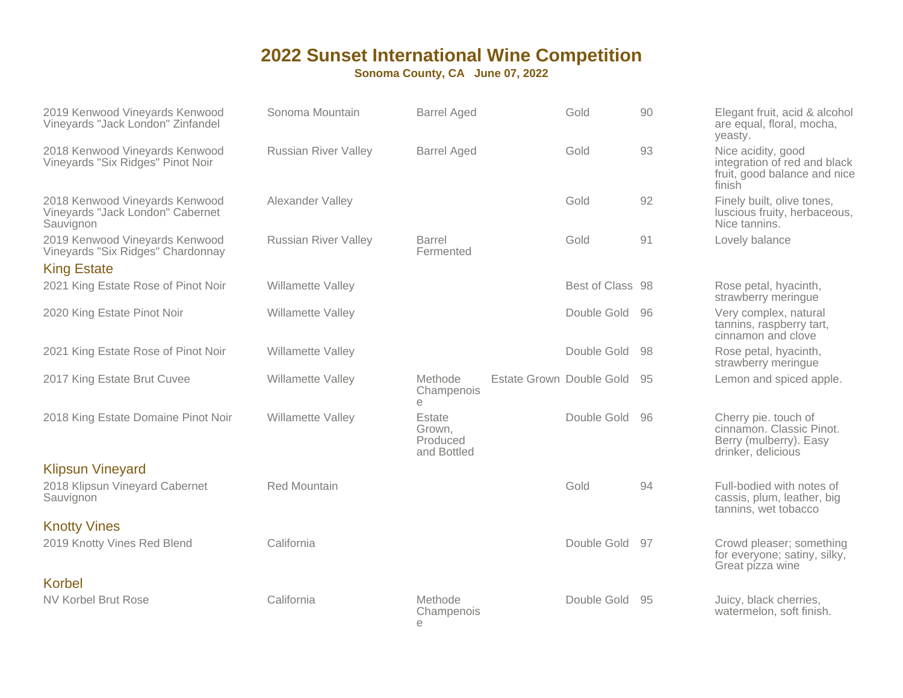| 2019 Kenwood Vineyards Kenwood<br>Vineyards "Jack London" Zinfandel             | Sonoma Mountain             | <b>Barrel Aged</b>                          | Gold                        | 90   | Elegant fruit, acid & alcohol<br>are equal, floral, mocha,<br>yeasty.                            |
|---------------------------------------------------------------------------------|-----------------------------|---------------------------------------------|-----------------------------|------|--------------------------------------------------------------------------------------------------|
| 2018 Kenwood Vineyards Kenwood<br>Vineyards "Six Ridges" Pinot Noir             | <b>Russian River Valley</b> | <b>Barrel Aged</b>                          | Gold                        | 93   | Nice acidity, good<br>integration of red and black<br>fruit, good balance and nice<br>finish     |
| 2018 Kenwood Vineyards Kenwood<br>Vineyards "Jack London" Cabernet<br>Sauvignon | Alexander Valley            |                                             | Gold                        | 92   | Finely built, olive tones,<br>luscious fruity, herbaceous,<br>Nice tannins.                      |
| 2019 Kenwood Vineyards Kenwood<br>Vineyards "Six Ridges" Chardonnay             | <b>Russian River Valley</b> | Barrel<br>Fermented                         | Gold                        | 91   | Lovely balance                                                                                   |
| <b>King Estate</b>                                                              |                             |                                             |                             |      |                                                                                                  |
| 2021 King Estate Rose of Pinot Noir                                             | Willamette Valley           |                                             | Best of Class 98            |      | Rose petal, hyacinth,<br>strawberry meringue                                                     |
| 2020 King Estate Pinot Noir                                                     | Willamette Valley           |                                             | Double Gold                 | -96  | Very complex, natural<br>tannins, raspberry tart,<br>cinnamon and clove                          |
| 2021 King Estate Rose of Pinot Noir                                             | Willamette Valley           |                                             | Double Gold                 | - 98 | Rose petal, hyacinth,<br>strawberry meringue                                                     |
| 2017 King Estate Brut Cuvee                                                     | Willamette Valley           | Methode<br>Champenois<br>$\Theta$           | Estate Grown Double Gold 95 |      | Lemon and spiced apple.                                                                          |
| 2018 King Estate Domaine Pinot Noir                                             | Willamette Valley           | Estate<br>Grown,<br>Produced<br>and Bottled | Double Gold                 | -96  | Cherry pie. touch of<br>cinnamon. Classic Pinot.<br>Berry (mulberry). Easy<br>drinker, delicious |
| <b>Klipsun Vineyard</b>                                                         |                             |                                             |                             |      |                                                                                                  |
| 2018 Klipsun Vineyard Cabernet<br>Sauvignon                                     | <b>Red Mountain</b>         |                                             | Gold                        | 94   | Full-bodied with notes of<br>cassis, plum, leather, big<br>tannins, wet tobacco                  |
| <b>Knotty Vines</b>                                                             |                             |                                             |                             |      |                                                                                                  |
| 2019 Knotty Vines Red Blend                                                     | California                  |                                             | Double Gold                 | 97   | Crowd pleaser; something<br>for everyone; satiny, silky,<br>Great pizza wine                     |
| <b>Korbel</b>                                                                   |                             |                                             |                             |      |                                                                                                  |
| NV Korbel Brut Rose                                                             | California                  | Methode                                     | Double Gold 95              |      |                                                                                                  |
|                                                                                 |                             | Champenois<br>e                             |                             |      | Juicy, black cherries,<br>watermelon, soft finish.                                               |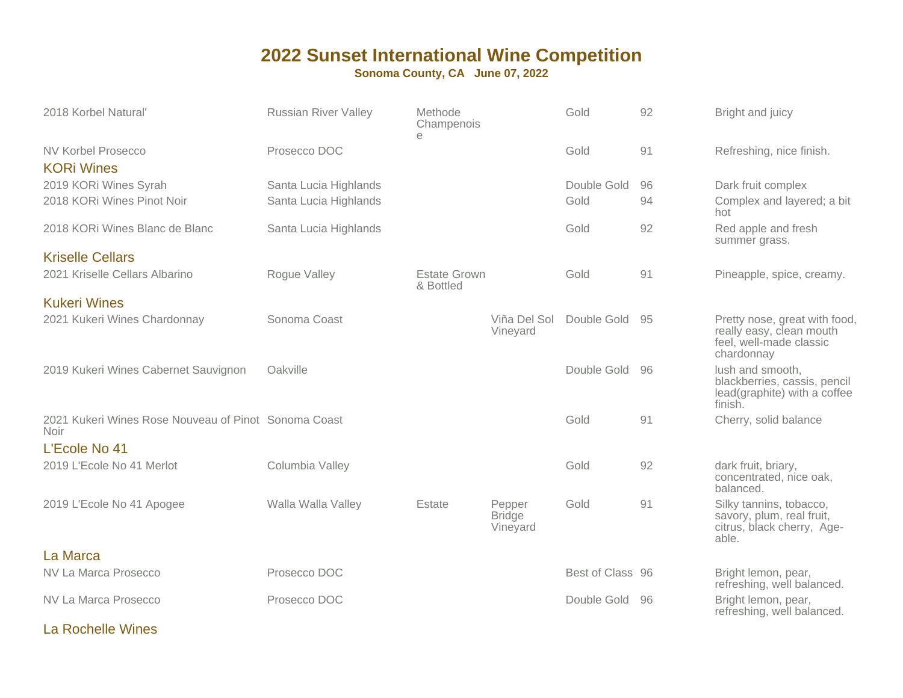**Sonoma County, CA June 07, 2022**

| 2018 Korbel Natural'                                                | <b>Russian River Valley</b> | Methode<br>Champenois<br>e       |                                     | Gold             | 92 | Bright and juicy                                                                                   |
|---------------------------------------------------------------------|-----------------------------|----------------------------------|-------------------------------------|------------------|----|----------------------------------------------------------------------------------------------------|
| <b>NV Korbel Prosecco</b><br><b>KORi Wines</b>                      | Prosecco DOC                |                                  |                                     | Gold             | 91 | Refreshing, nice finish.                                                                           |
| 2019 KORi Wines Syrah                                               | Santa Lucia Highlands       |                                  |                                     | Double Gold      | 96 | Dark fruit complex                                                                                 |
| 2018 KORI Wines Pinot Noir                                          | Santa Lucia Highlands       |                                  |                                     | Gold             | 94 | Complex and layered; a bit<br>hot                                                                  |
| 2018 KORi Wines Blanc de Blanc                                      | Santa Lucia Highlands       |                                  |                                     | Gold             | 92 | Red apple and fresh<br>summer grass.                                                               |
| <b>Kriselle Cellars</b>                                             |                             |                                  |                                     |                  |    |                                                                                                    |
| 2021 Kriselle Cellars Albarino                                      | Rogue Valley                | <b>Estate Grown</b><br>& Bottled |                                     | Gold             | 91 | Pineapple, spice, creamy.                                                                          |
| <b>Kukeri Wines</b>                                                 |                             |                                  |                                     |                  |    |                                                                                                    |
| 2021 Kukeri Wines Chardonnay                                        | Sonoma Coast                |                                  | Viña Del Sol<br>Vineyard            | Double Gold 95   |    | Pretty nose, great with food,<br>really easy, clean mouth<br>feel, well-made classic<br>chardonnay |
| 2019 Kukeri Wines Cabernet Sauvignon                                | Oakville                    |                                  |                                     | Double Gold      | 96 | lush and smooth,<br>blackberries, cassis, pencil<br>lead(graphite) with a coffee<br>finish.        |
| 2021 Kukeri Wines Rose Nouveau of Pinot Sonoma Coast<br><b>Noir</b> |                             |                                  |                                     | Gold             | 91 | Cherry, solid balance                                                                              |
| L'Ecole No 41                                                       |                             |                                  |                                     |                  |    |                                                                                                    |
| 2019 L'Ecole No 41 Merlot                                           | Columbia Valley             |                                  |                                     | Gold             | 92 | dark fruit, briary,<br>concentrated, nice oak,<br>balanced.                                        |
| 2019 L'Ecole No 41 Apogee                                           | Walla Walla Valley          | Estate                           | Pepper<br><b>Bridge</b><br>Vineyard | Gold             | 91 | Silky tannins, tobacco,<br>savory, plum, real fruit,<br>citrus, black cherry, Age-<br>able.        |
| La Marca                                                            |                             |                                  |                                     |                  |    |                                                                                                    |
| NV La Marca Prosecco                                                | Prosecco DOC                |                                  |                                     | Best of Class 96 |    | Bright lemon, pear,<br>refreshing, well balanced.                                                  |
| NV La Marca Prosecco                                                | Prosecco DOC                |                                  |                                     | Double Gold      | 96 | Bright lemon, pear,<br>refreshing, well balanced.                                                  |

La Rochelle Wines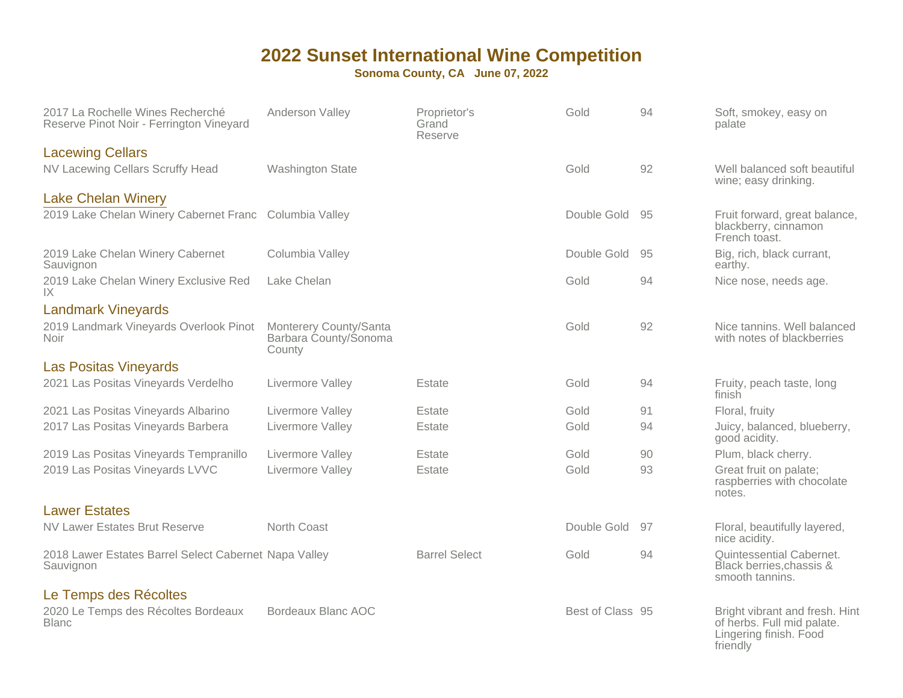| 2017 La Rochelle Wines Recherché<br>Reserve Pinot Noir - Ferrington Vineyard | Anderson Valley                                           | Proprietor's<br>Grand<br>Reserve | Gold             | 94 | Soft, smokey, easy on<br>palate                                                                    |
|------------------------------------------------------------------------------|-----------------------------------------------------------|----------------------------------|------------------|----|----------------------------------------------------------------------------------------------------|
| <b>Lacewing Cellars</b>                                                      |                                                           |                                  |                  |    |                                                                                                    |
| NV Lacewing Cellars Scruffy Head                                             | <b>Washington State</b>                                   |                                  | Gold             | 92 | Well balanced soft beautiful<br>wine; easy drinking.                                               |
| <b>Lake Chelan Winery</b>                                                    |                                                           |                                  |                  |    |                                                                                                    |
| 2019 Lake Chelan Winery Cabernet Franc Columbia Valley                       |                                                           |                                  | Double Gold      | 95 | Fruit forward, great balance,<br>blackberry, cinnamon<br>French toast.                             |
| 2019 Lake Chelan Winery Cabernet<br>Sauvignon                                | Columbia Valley                                           |                                  | Double Gold      | 95 | Big, rich, black currant,<br>earthy.                                                               |
| 2019 Lake Chelan Winery Exclusive Red<br>IX                                  | Lake Chelan                                               |                                  | Gold             | 94 | Nice nose, needs age.                                                                              |
| <b>Landmark Vineyards</b>                                                    |                                                           |                                  |                  |    |                                                                                                    |
| 2019 Landmark Vineyards Overlook Pinot<br><b>Noir</b>                        | Monterery County/Santa<br>Barbara County/Sonoma<br>County |                                  | Gold             | 92 | Nice tannins. Well balanced<br>with notes of blackberries                                          |
| <b>Las Positas Vineyards</b>                                                 |                                                           |                                  |                  |    |                                                                                                    |
| 2021 Las Positas Vineyards Verdelho                                          | Livermore Valley                                          | Estate                           | Gold             | 94 | Fruity, peach taste, long<br>finish                                                                |
| 2021 Las Positas Vineyards Albarino                                          | Livermore Valley                                          | Estate                           | Gold             | 91 | Floral, fruity                                                                                     |
| 2017 Las Positas Vineyards Barbera                                           | Livermore Valley                                          | Estate                           | Gold             | 94 | Juicy, balanced, blueberry,<br>good acidity.                                                       |
| 2019 Las Positas Vineyards Tempranillo                                       | Livermore Valley                                          | Estate                           | Gold             | 90 | Plum, black cherry.                                                                                |
| 2019 Las Positas Vineyards LVVC                                              | Livermore Valley                                          | Estate                           | Gold             | 93 | Great fruit on palate;<br>raspberries with chocolate<br>notes.                                     |
| <b>Lawer Estates</b>                                                         |                                                           |                                  |                  |    |                                                                                                    |
| <b>NV Lawer Estates Brut Reserve</b>                                         | North Coast                                               |                                  | Double Gold      | 97 | Floral, beautifully layered,<br>nice acidity.                                                      |
| 2018 Lawer Estates Barrel Select Cabernet Napa Valley<br>Sauvignon           |                                                           | <b>Barrel Select</b>             | Gold             | 94 | Quintessential Cabernet.<br>Black berries, chassis &<br>smooth tannins.                            |
| Le Temps des Récoltes                                                        |                                                           |                                  |                  |    |                                                                                                    |
| 2020 Le Temps des Récoltes Bordeaux<br><b>Blanc</b>                          | Bordeaux Blanc AOC                                        |                                  | Best of Class 95 |    | Bright vibrant and fresh. Hint<br>of herbs. Full mid palate.<br>Lingering finish. Food<br>friendly |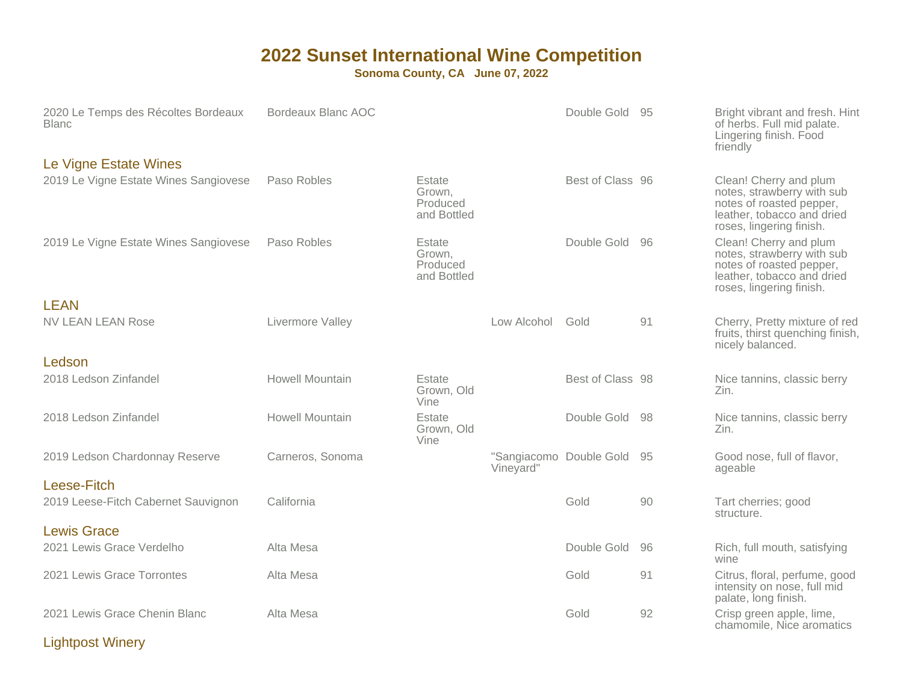**Sonoma County, CA June 07, 2022**

| 2020 Le Temps des Récoltes Bordeaux<br><b>Blanc</b> | Bordeaux Blanc AOC     |                                             |             | Double Gold 95          |     | Bright vibrant and fresh. Hint<br>of herbs. Full mid palate.<br>Lingering finish. Food<br>friendly                                         |
|-----------------------------------------------------|------------------------|---------------------------------------------|-------------|-------------------------|-----|--------------------------------------------------------------------------------------------------------------------------------------------|
| Le Vigne Estate Wines                               |                        |                                             |             |                         |     |                                                                                                                                            |
| 2019 Le Vigne Estate Wines Sangiovese               | Paso Robles            | Estate<br>Grown,<br>Produced<br>and Bottled |             | Best of Class 96        |     | Clean! Cherry and plum<br>notes, strawberry with sub<br>notes of roasted pepper,<br>leather, tobacco and dried<br>roses, lingering finish. |
| 2019 Le Vigne Estate Wines Sangiovese               | Paso Robles            | Estate<br>Grown,<br>Produced<br>and Bottled |             | Double Gold 96          |     | Clean! Cherry and plum<br>notes, strawberry with sub<br>notes of roasted pepper,<br>leather, tobacco and dried<br>roses, lingering finish. |
| <b>LEAN</b>                                         |                        |                                             |             |                         |     |                                                                                                                                            |
| <b>NV LEAN LEAN Rose</b>                            | Livermore Valley       |                                             | Low Alcohol | Gold                    | 91  | Cherry, Pretty mixture of red<br>fruits, thirst quenching finish,<br>nicely balanced.                                                      |
| Ledson                                              |                        |                                             |             |                         |     |                                                                                                                                            |
| 2018 Ledson Zinfandel                               | <b>Howell Mountain</b> | Estate<br>Grown, Old<br>Vine                |             | Best of Class 98        |     | Nice tannins, classic berry<br>Zin.                                                                                                        |
| 2018 Ledson Zinfandel                               | <b>Howell Mountain</b> | Estate<br>Grown, Old<br>Vine                |             | Double Gold             | -98 | Nice tannins, classic berry<br>Zin.                                                                                                        |
| 2019 Ledson Chardonnay Reserve                      | Carneros, Sonoma       |                                             | Vineyard"   | "Sangiacomo Double Gold | -95 | Good nose, full of flavor,<br>ageable                                                                                                      |
| Leese-Fitch<br>2019 Leese-Fitch Cabernet Sauvignon  | California             |                                             |             | Gold                    | 90  | Tart cherries; good<br>structure.                                                                                                          |
| <b>Lewis Grace</b>                                  |                        |                                             |             |                         |     |                                                                                                                                            |
| 2021 Lewis Grace Verdelho                           | Alta Mesa              |                                             |             | Double Gold             | 96  | Rich, full mouth, satisfying<br>wine                                                                                                       |
| 2021 Lewis Grace Torrontes                          | Alta Mesa              |                                             |             | Gold                    | 91  | Citrus, floral, perfume, good<br>intensity on nose, full mid<br>palate, long finish.                                                       |
| 2021 Lewis Grace Chenin Blanc                       | Alta Mesa              |                                             |             | Gold                    | 92  | Crisp green apple, lime,<br>chamomile, Nice aromatics                                                                                      |

Lightpost Winery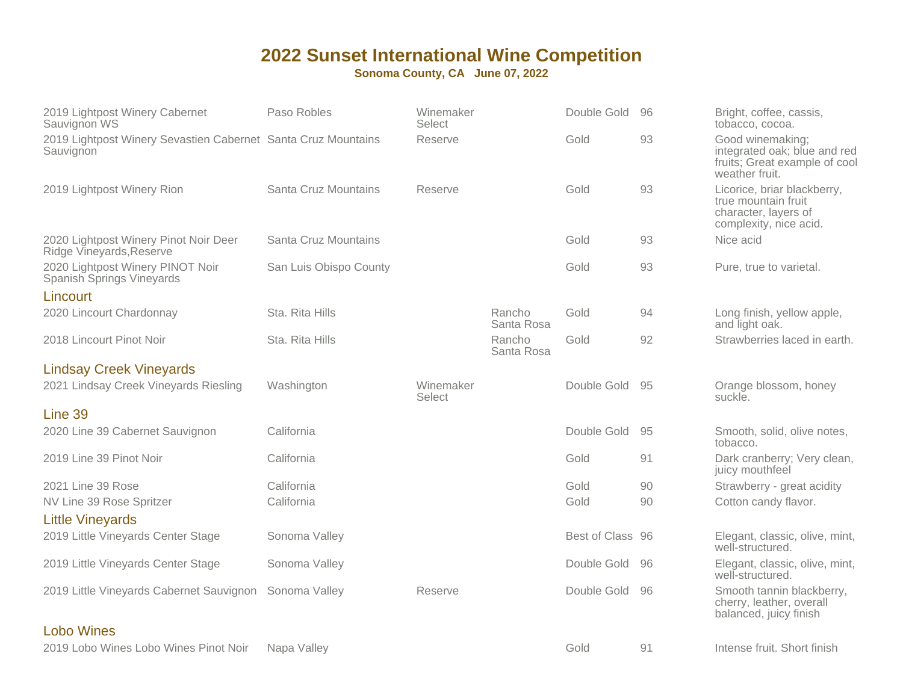| 2019 Lightpost Winery Cabernet<br>Sauvignon WS                             | Paso Robles            | Winemaker<br>Select |                      | Double Gold      | 96 | Bright, coffee, cassis,<br>tobacco, cocoa.                                                           |
|----------------------------------------------------------------------------|------------------------|---------------------|----------------------|------------------|----|------------------------------------------------------------------------------------------------------|
| 2019 Lightpost Winery Sevastien Cabernet Santa Cruz Mountains<br>Sauvignon |                        | Reserve             |                      | Gold             | 93 | Good winemaking;<br>integrated oak; blue and red<br>fruits; Great example of cool<br>weather fruit.  |
| 2019 Lightpost Winery Rion                                                 | Santa Cruz Mountains   | Reserve             |                      | Gold             | 93 | Licorice, briar blackberry,<br>true mountain fruit<br>character, layers of<br>complexity, nice acid. |
| 2020 Lightpost Winery Pinot Noir Deer<br>Ridge Vineyards, Reserve          | Santa Cruz Mountains   |                     |                      | Gold             | 93 | Nice acid                                                                                            |
| 2020 Lightpost Winery PINOT Noir<br>Spanish Springs Vineyards              | San Luis Obispo County |                     |                      | Gold             | 93 | Pure, true to varietal.                                                                              |
| Lincourt                                                                   |                        |                     |                      |                  |    |                                                                                                      |
| 2020 Lincourt Chardonnay                                                   | Sta. Rita Hills        |                     | Rancho<br>Santa Rosa | Gold             | 94 | Long finish, yellow apple,<br>and light oak.                                                         |
| 2018 Lincourt Pinot Noir                                                   | Sta. Rita Hills        |                     | Rancho<br>Santa Rosa | Gold             | 92 | Strawberries laced in earth.                                                                         |
| <b>Lindsay Creek Vineyards</b>                                             |                        |                     |                      |                  |    |                                                                                                      |
| 2021 Lindsay Creek Vineyards Riesling                                      | Washington             | Winemaker<br>Select |                      | Double Gold      | 95 | Orange blossom, honey<br>suckle.                                                                     |
| Line 39                                                                    |                        |                     |                      |                  |    |                                                                                                      |
| 2020 Line 39 Cabernet Sauvignon                                            | California             |                     |                      | Double Gold      | 95 | Smooth, solid, olive notes,<br>tobacco.                                                              |
| 2019 Line 39 Pinot Noir                                                    | California             |                     |                      | Gold             | 91 | Dark cranberry; Very clean,<br>juicy mouthfeel                                                       |
| 2021 Line 39 Rose                                                          | California             |                     |                      | Gold             | 90 | Strawberry - great acidity                                                                           |
| NV Line 39 Rose Spritzer<br><b>Little Vineyards</b>                        | California             |                     |                      | Gold             | 90 | Cotton candy flavor.                                                                                 |
| 2019 Little Vineyards Center Stage                                         | Sonoma Valley          |                     |                      | Best of Class 96 |    | Elegant, classic, olive, mint,<br>well-structured.                                                   |
| 2019 Little Vineyards Center Stage                                         | Sonoma Valley          |                     |                      | Double Gold      | 96 | Elegant, classic, olive, mint,<br>well-structured.                                                   |
| 2019 Little Vineyards Cabernet Sauvignon                                   | Sonoma Valley          | Reserve             |                      | Double Gold      | 96 | Smooth tannin blackberry,<br>cherry, leather, overall<br>balanced, juicy finish                      |
| <b>Lobo Wines</b>                                                          |                        |                     |                      |                  |    |                                                                                                      |
| 2019 Lobo Wines Lobo Wines Pinot Noir                                      | Napa Valley            |                     |                      | Gold             | 91 | Intense fruit. Short finish                                                                          |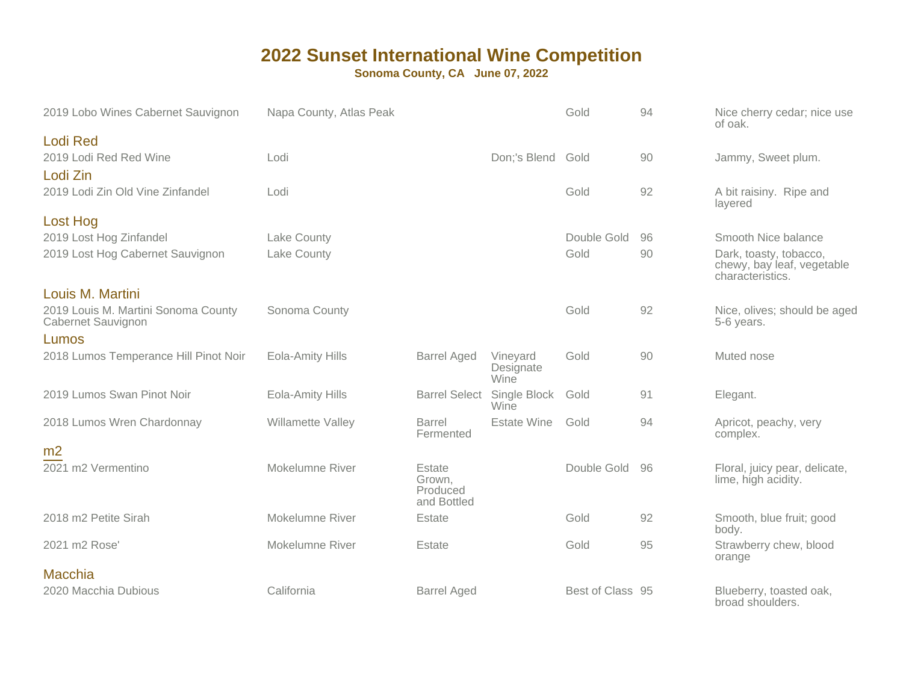| 2019 Lobo Wines Cabernet Sauvignon                                            | Napa County, Atlas Peak |                                             |                               | Gold             | 94 | Nice cherry cedar; nice use<br>of oak.                                   |
|-------------------------------------------------------------------------------|-------------------------|---------------------------------------------|-------------------------------|------------------|----|--------------------------------------------------------------------------|
| <b>Lodi Red</b><br>2019 Lodi Red Red Wine<br>Lodi Zin                         | Lodi                    |                                             | Don;'s Blend Gold             |                  | 90 | Jammy, Sweet plum.                                                       |
| 2019 Lodi Zin Old Vine Zinfandel                                              | Lodi                    |                                             |                               | Gold             | 92 | A bit raisiny. Ripe and<br>layered                                       |
| <b>Lost Hog</b><br>2019 Lost Hog Zinfandel                                    | Lake County             |                                             |                               | Double Gold      | 96 | Smooth Nice balance                                                      |
| 2019 Lost Hog Cabernet Sauvignon                                              | Lake County             |                                             |                               | Gold             | 90 | Dark, toasty, tobacco,<br>chewy, bay leaf, vegetable<br>characteristics. |
| Louis M. Martini<br>2019 Louis M. Martini Sonoma County<br>Cabernet Sauvignon | Sonoma County           |                                             |                               | Gold             | 92 | Nice, olives; should be aged<br>5-6 years.                               |
| Lumos<br>2018 Lumos Temperance Hill Pinot Noir                                | <b>Eola-Amity Hills</b> | <b>Barrel Aged</b>                          | Vineyard<br>Designate<br>Wine | Gold             | 90 | Muted nose                                                               |
| 2019 Lumos Swan Pinot Noir                                                    | Eola-Amity Hills        | <b>Barrel Select</b>                        | Single Block<br>Wine          | Gold             | 91 | Elegant.                                                                 |
| 2018 Lumos Wren Chardonnay                                                    | Willamette Valley       | Barrel<br>Fermented                         | <b>Estate Wine</b>            | Gold             | 94 | Apricot, peachy, very<br>complex.                                        |
| m <sub>2</sub>                                                                |                         |                                             |                               |                  |    |                                                                          |
| 2021 m2 Vermentino                                                            | <b>Mokelumne River</b>  | Estate<br>Grown,<br>Produced<br>and Bottled |                               | Double Gold      | 96 | Floral, juicy pear, delicate,<br>lime, high acidity.                     |
| 2018 m2 Petite Sirah                                                          | Mokelumne River         | Estate                                      |                               | Gold             | 92 | Smooth, blue fruit; good<br>body.                                        |
| 2021 m2 Rose'                                                                 | Mokelumne River         | Estate                                      |                               | Gold             | 95 | Strawberry chew, blood<br>orange                                         |
| <b>Macchia</b>                                                                |                         |                                             |                               |                  |    |                                                                          |
| 2020 Macchia Dubious                                                          | California              | <b>Barrel Aged</b>                          |                               | Best of Class 95 |    | Blueberry, toasted oak,<br>broad shoulders.                              |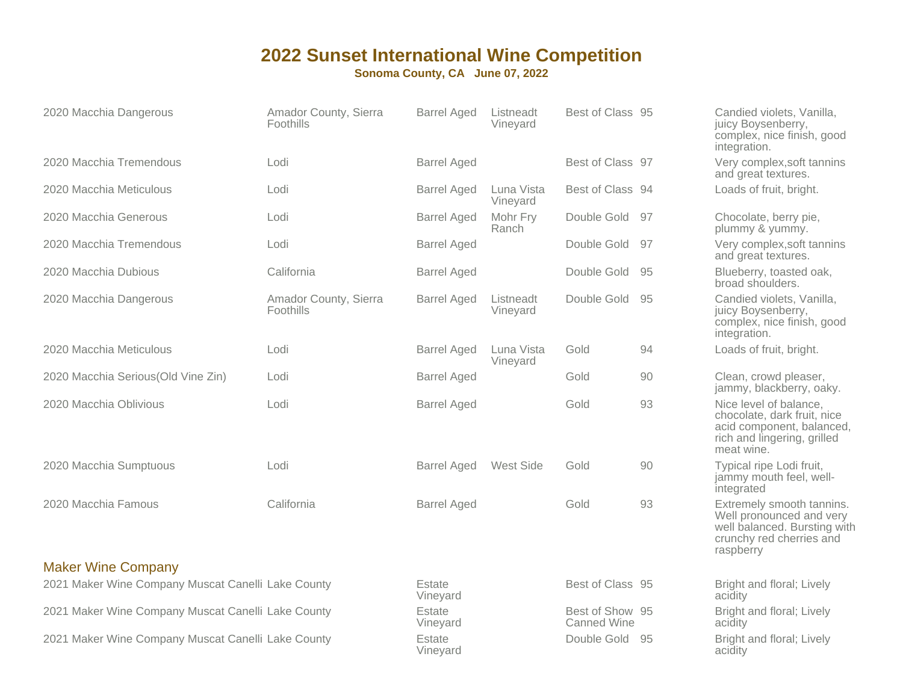| 2020 Macchia Dangerous                             | Amador County, Sierra<br>Foothills | <b>Barrel Aged</b> | Listneadt<br>Vineyard  | Best of Class 95                      |     | Candied violets, Vanilla,<br>juicy Boysenberry,<br>complex, nice finish, good<br>integration.                                   |
|----------------------------------------------------|------------------------------------|--------------------|------------------------|---------------------------------------|-----|---------------------------------------------------------------------------------------------------------------------------------|
| 2020 Macchia Tremendous                            | Lodi                               | <b>Barrel Aged</b> |                        | Best of Class 97                      |     | Very complex, soft tannins<br>and great textures.                                                                               |
| 2020 Macchia Meticulous                            | Lodi                               | <b>Barrel Aged</b> | Luna Vista<br>Vineyard | Best of Class 94                      |     | Loads of fruit, bright.                                                                                                         |
| 2020 Macchia Generous                              | Lodi                               | <b>Barrel Aged</b> | Mohr Fry<br>Ranch      | Double Gold 97                        |     | Chocolate, berry pie,<br>plummy & yummy.                                                                                        |
| 2020 Macchia Tremendous                            | Lodi                               | <b>Barrel Aged</b> |                        | Double Gold 97                        |     | Very complex, soft tannins<br>and great textures.                                                                               |
| 2020 Macchia Dubious                               | California                         | <b>Barrel Aged</b> |                        | Double Gold                           | -95 | Blueberry, toasted oak,<br>broad shoulders.                                                                                     |
| 2020 Macchia Dangerous                             | Amador County, Sierra<br>Foothills | <b>Barrel Aged</b> | Listneadt<br>Vineyard  | Double Gold                           | 95  | Candied violets, Vanilla,<br>juicy Boysenberry,<br>complex, nice finish, good<br>integration.                                   |
| 2020 Macchia Meticulous                            | Lodi                               | <b>Barrel Aged</b> | Luna Vista<br>Vineyard | Gold                                  | 94  | Loads of fruit, bright.                                                                                                         |
| 2020 Macchia Serious(Old Vine Zin)                 | Lodi                               | <b>Barrel Aged</b> |                        | Gold                                  | 90  | Clean, crowd pleaser,<br>jammy, blackberry, oaky.                                                                               |
| 2020 Macchia Oblivious                             | Lodi                               | <b>Barrel Aged</b> |                        | Gold                                  | 93  | Nice level of balance,<br>chocolate, dark fruit, nice<br>acid component, balanced,<br>rich and lingering, grilled<br>meat wine. |
| 2020 Macchia Sumptuous                             | Lodi                               | <b>Barrel Aged</b> | West Side              | Gold                                  | 90  | Typical ripe Lodi fruit,<br>jammy mouth feel, well-<br>integrated                                                               |
| 2020 Macchia Famous                                | California                         | <b>Barrel Aged</b> |                        | Gold                                  | 93  | Extremely smooth tannins.<br>Well pronounced and very<br>well balanced. Bursting with<br>crunchy red cherries and<br>raspberry  |
| <b>Maker Wine Company</b>                          |                                    |                    |                        |                                       |     |                                                                                                                                 |
| 2021 Maker Wine Company Muscat Canelli Lake County |                                    | Estate<br>Vineyard |                        | Best of Class 95                      |     | Bright and floral; Lively<br>acidity                                                                                            |
| 2021 Maker Wine Company Muscat Canelli Lake County |                                    | Estate<br>Vineyard |                        | Best of Show 95<br><b>Canned Wine</b> |     | Bright and floral; Lively<br>acidity                                                                                            |
| 2021 Maker Wine Company Muscat Canelli Lake County |                                    | Estate<br>Vinevard |                        | Double Gold 95                        |     | Bright and floral; Lively<br>acidity                                                                                            |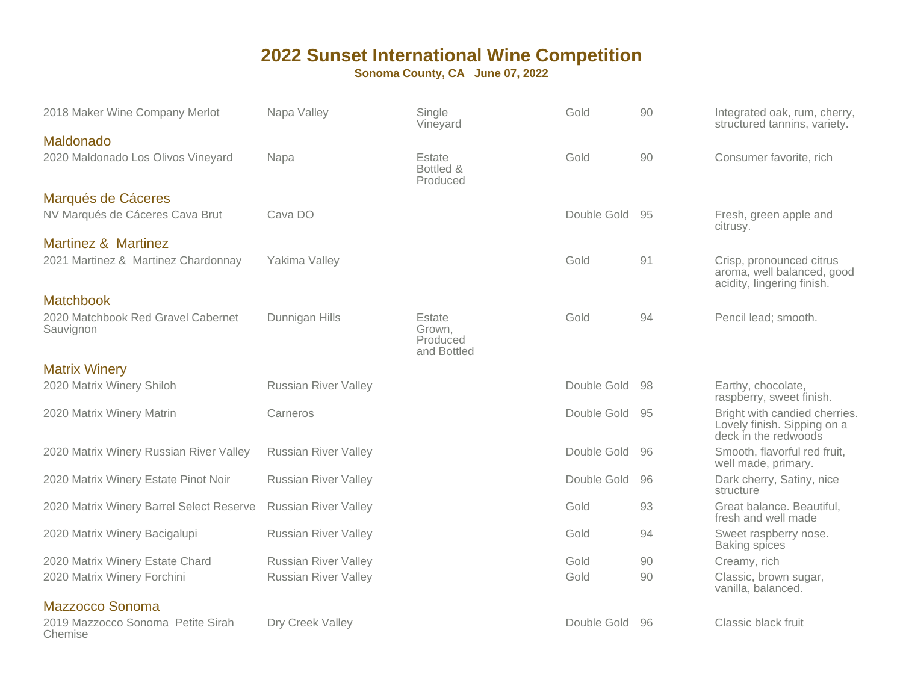| 2018 Maker Wine Company Merlot                                        | Napa Valley                 | Single<br>Vineyard              | Gold           | 90 | Integrated oak, rum, cherry,<br>structured tannins, variety.                         |
|-----------------------------------------------------------------------|-----------------------------|---------------------------------|----------------|----|--------------------------------------------------------------------------------------|
| Maldonado<br>2020 Maldonado Los Olivos Vineyard                       | Napa                        | Estate<br>Bottled &<br>Produced | Gold           | 90 | Consumer favorite, rich                                                              |
| Marqués de Cáceres<br>NV Marqués de Cáceres Cava Brut                 | Cava DO                     |                                 | Double Gold    | 95 | Fresh, green apple and<br>citrusy.                                                   |
| <b>Martinez &amp; Martinez</b><br>2021 Martinez & Martinez Chardonnay | Yakima Valley               |                                 | Gold           | 91 | Crisp, pronounced citrus<br>aroma, well balanced, good                               |
| <b>Matchbook</b><br>2020 Matchbook Red Gravel Cabernet<br>Sauvignon   | Dunnigan Hills              | Estate<br>Grown,<br>Produced    | Gold           | 94 | acidity, lingering finish.<br>Pencil lead; smooth.                                   |
| <b>Matrix Winery</b>                                                  |                             | and Bottled                     |                |    |                                                                                      |
| 2020 Matrix Winery Shiloh                                             | <b>Russian River Valley</b> |                                 | Double Gold    | 98 | Earthy, chocolate,<br>raspberry, sweet finish.                                       |
| 2020 Matrix Winery Matrin                                             | Carneros                    |                                 | Double Gold 95 |    | Bright with candied cherries.<br>Lovely finish. Sipping on a<br>deck in the redwoods |
| 2020 Matrix Winery Russian River Valley                               | <b>Russian River Valley</b> |                                 | Double Gold    | 96 | Smooth, flavorful red fruit,<br>well made, primary.                                  |
| 2020 Matrix Winery Estate Pinot Noir                                  | <b>Russian River Valley</b> |                                 | Double Gold    | 96 | Dark cherry, Satiny, nice<br>structure                                               |
| 2020 Matrix Winery Barrel Select Reserve                              | <b>Russian River Valley</b> |                                 | Gold           | 93 | Great balance. Beautiful,<br>fresh and well made                                     |
| 2020 Matrix Winery Bacigalupi                                         | <b>Russian River Valley</b> |                                 | Gold           | 94 | Sweet raspberry nose.<br><b>Baking spices</b>                                        |
| 2020 Matrix Winery Estate Chard                                       | <b>Russian River Valley</b> |                                 | Gold           | 90 | Creamy, rich                                                                         |
| 2020 Matrix Winery Forchini                                           | <b>Russian River Valley</b> |                                 | Gold           | 90 | Classic, brown sugar,<br>vanilla, balanced.                                          |
| Mazzocco Sonoma                                                       |                             |                                 |                |    |                                                                                      |
| 2019 Mazzocco Sonoma Petite Sirah<br>Chemise                          | Dry Creek Valley            |                                 | Double Gold    | 96 | Classic black fruit                                                                  |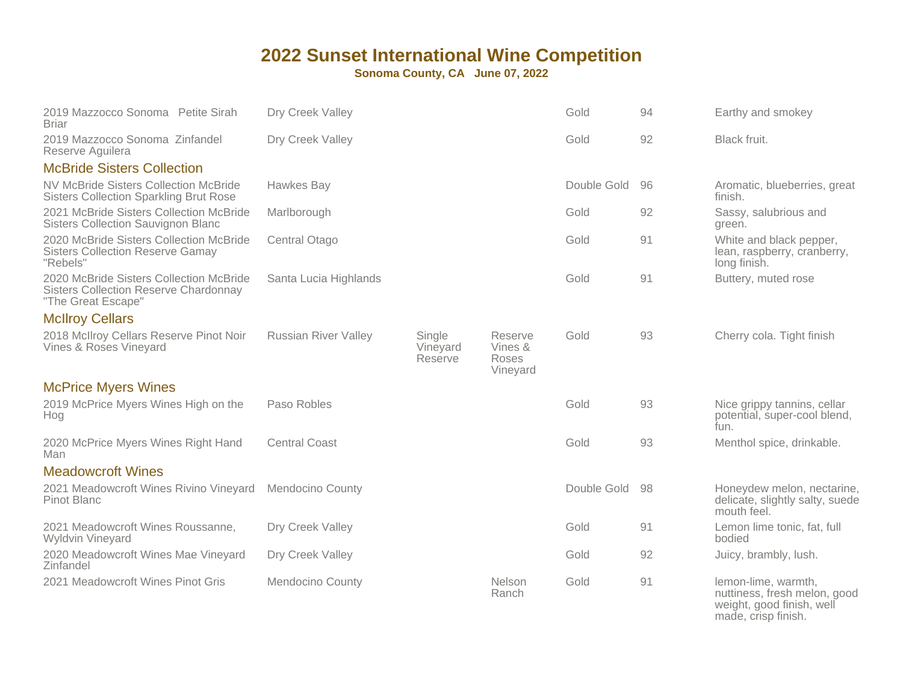| 2019 Mazzocco Sonoma Petite Sirah<br><b>Briar</b>                                                             | Dry Creek Valley            |                               |                                         | Gold        | 94 | Earthy and smokey                                                                                       |
|---------------------------------------------------------------------------------------------------------------|-----------------------------|-------------------------------|-----------------------------------------|-------------|----|---------------------------------------------------------------------------------------------------------|
| 2019 Mazzocco Sonoma Zinfandel<br>Reserve Aquilera                                                            | Dry Creek Valley            |                               |                                         | Gold        | 92 | Black fruit.                                                                                            |
| <b>McBride Sisters Collection</b>                                                                             |                             |                               |                                         |             |    |                                                                                                         |
| <b>NV McBride Sisters Collection McBride</b><br><b>Sisters Collection Sparkling Brut Rose</b>                 | Hawkes Bay                  |                               |                                         | Double Gold | 96 | Aromatic, blueberries, great<br>finish.                                                                 |
| 2021 McBride Sisters Collection McBride<br><b>Sisters Collection Sauvignon Blanc</b>                          | Marlborough                 |                               |                                         | Gold        | 92 | Sassy, salubrious and<br>green.                                                                         |
| 2020 McBride Sisters Collection McBride<br><b>Sisters Collection Reserve Gamay</b><br>"Rebels"                | Central Otago               |                               |                                         | Gold        | 91 | White and black pepper,<br>lean, raspberry, cranberry,<br>long finish.                                  |
| 2020 McBride Sisters Collection McBride<br><b>Sisters Collection Reserve Chardonnay</b><br>"The Great Escape" | Santa Lucia Highlands       |                               |                                         | Gold        | 91 | Buttery, muted rose                                                                                     |
| <b>McIlroy Cellars</b>                                                                                        |                             |                               |                                         |             |    |                                                                                                         |
| 2018 McIlroy Cellars Reserve Pinot Noir<br>Vines & Roses Vineyard                                             | <b>Russian River Valley</b> | Single<br>Vineyard<br>Reserve | Reserve<br>Vines &<br>Roses<br>Vineyard | Gold        | 93 | Cherry cola. Tight finish                                                                               |
| <b>McPrice Myers Wines</b>                                                                                    |                             |                               |                                         |             |    |                                                                                                         |
| 2019 McPrice Myers Wines High on the<br>Hog                                                                   | Paso Robles                 |                               |                                         | Gold        | 93 | Nice grippy tannins, cellar<br>potential, super-cool blend,<br>fun.                                     |
| 2020 McPrice Myers Wines Right Hand<br>Man                                                                    | <b>Central Coast</b>        |                               |                                         | Gold        | 93 | Menthol spice, drinkable.                                                                               |
| <b>Meadowcroft Wines</b>                                                                                      |                             |                               |                                         |             |    |                                                                                                         |
| 2021 Meadowcroft Wines Rivino Vineyard<br>Pinot Blanc                                                         | <b>Mendocino County</b>     |                               |                                         | Double Gold | 98 | Honeydew melon, nectarine,<br>delicate, slightly salty, suede<br>mouth feel.                            |
| 2021 Meadowcroft Wines Roussanne,<br>Wyldvin Vineyard                                                         | Dry Creek Valley            |                               |                                         | Gold        | 91 | Lemon lime tonic, fat, full<br>bodied                                                                   |
| 2020 Meadowcroft Wines Mae Vineyard<br>Zinfandel                                                              | Dry Creek Valley            |                               |                                         | Gold        | 92 | Juicy, brambly, lush.                                                                                   |
| 2021 Meadowcroft Wines Pinot Gris                                                                             | <b>Mendocino County</b>     |                               | Nelson<br>Ranch                         | Gold        | 91 | lemon-lime, warmth,<br>nuttiness, fresh melon, good<br>weight, good finish, well<br>made, crisp finish. |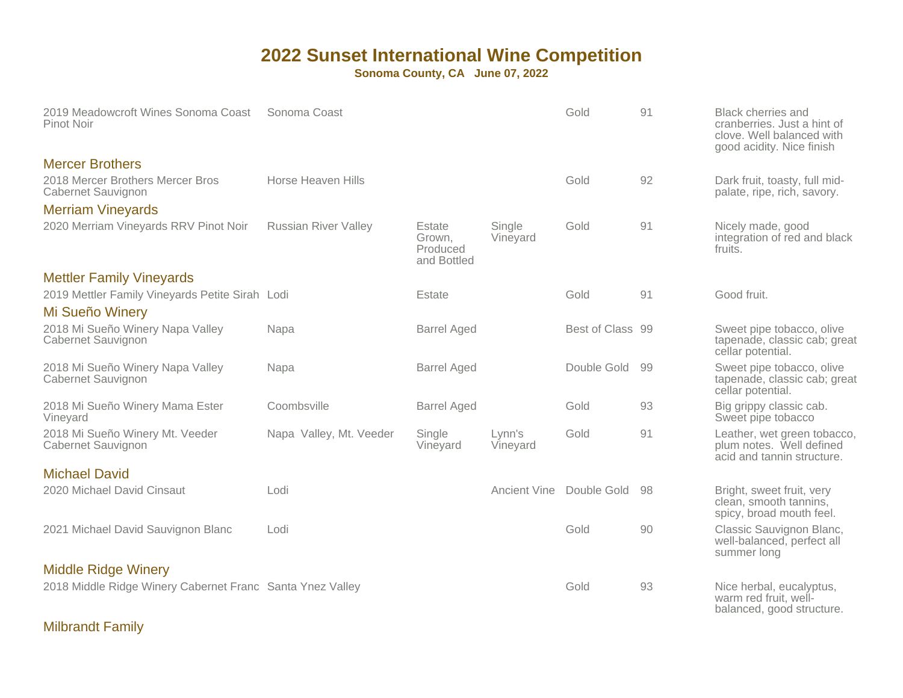**Sonoma County, CA June 07, 2022**

| 2019 Meadowcroft Wines Sonoma Coast<br>Pinot Noir                  | Sonoma Coast                |                                             |                     | Gold             | 91 | <b>Black cherries and</b><br>cranberries. Just a hint of<br>clove. Well balanced with<br>good acidity. Nice finish |
|--------------------------------------------------------------------|-----------------------------|---------------------------------------------|---------------------|------------------|----|--------------------------------------------------------------------------------------------------------------------|
| <b>Mercer Brothers</b>                                             |                             |                                             |                     |                  |    |                                                                                                                    |
| 2018 Mercer Brothers Mercer Bros<br>Cabernet Sauvignon             | Horse Heaven Hills          |                                             |                     | Gold             | 92 | Dark fruit, toasty, full mid-<br>palate, ripe, rich, savory.                                                       |
| <b>Merriam Vineyards</b>                                           |                             |                                             |                     |                  |    |                                                                                                                    |
| 2020 Merriam Vineyards RRV Pinot Noir                              | <b>Russian River Valley</b> | Estate<br>Grown,<br>Produced<br>and Bottled | Single<br>Vineyard  | Gold             | 91 | Nicely made, good<br>integration of red and black<br>fruits.                                                       |
| <b>Mettler Family Vineyards</b>                                    |                             |                                             |                     |                  |    |                                                                                                                    |
| 2019 Mettler Family Vineyards Petite Sirah Lodi<br>Mi Sueño Winery |                             | Estate                                      |                     | Gold             | 91 | Good fruit.                                                                                                        |
| 2018 Mi Sueño Winery Napa Valley<br>Cabernet Sauvignon             | Napa                        | <b>Barrel Aged</b>                          |                     | Best of Class 99 |    | Sweet pipe tobacco, olive<br>tapenade, classic cab; great<br>cellar potential.                                     |
| 2018 Mi Sueño Winery Napa Valley<br>Cabernet Sauvignon             | Napa                        | <b>Barrel Aged</b>                          |                     | Double Gold      | 99 | Sweet pipe tobacco, olive<br>tapenade, classic cab; great<br>cellar potential.                                     |
| 2018 Mi Sueño Winery Mama Ester<br>Vineyard                        | Coombsville                 | <b>Barrel Aged</b>                          |                     | Gold             | 93 | Big grippy classic cab.<br>Sweet pipe tobacco                                                                      |
| 2018 Mi Sueño Winery Mt. Veeder<br>Cabernet Sauvignon              | Napa Valley, Mt. Veeder     | Single<br>Vineyard                          | Lynn's<br>Vineyard  | Gold             | 91 | Leather, wet green tobacco,<br>plum notes. Well defined<br>acid and tannin structure.                              |
| <b>Michael David</b>                                               |                             |                                             |                     |                  |    |                                                                                                                    |
| 2020 Michael David Cinsaut                                         | Lodi                        |                                             | <b>Ancient Vine</b> | Double Gold      | 98 | Bright, sweet fruit, very<br>clean, smooth tannins,<br>spicy, broad mouth feel.                                    |
| 2021 Michael David Sauvignon Blanc                                 | Lodi                        |                                             |                     | Gold             | 90 | Classic Sauvignon Blanc,<br>well-balanced, perfect all<br>summer long                                              |
| <b>Middle Ridge Winery</b>                                         |                             |                                             |                     |                  |    |                                                                                                                    |
| 2018 Middle Ridge Winery Cabernet Franc Santa Ynez Valley          |                             |                                             |                     | Gold             | 93 | Nice herbal, eucalyptus,<br>warm red fruit, well-<br>balanced, good structure.                                     |

#### Milbrandt Family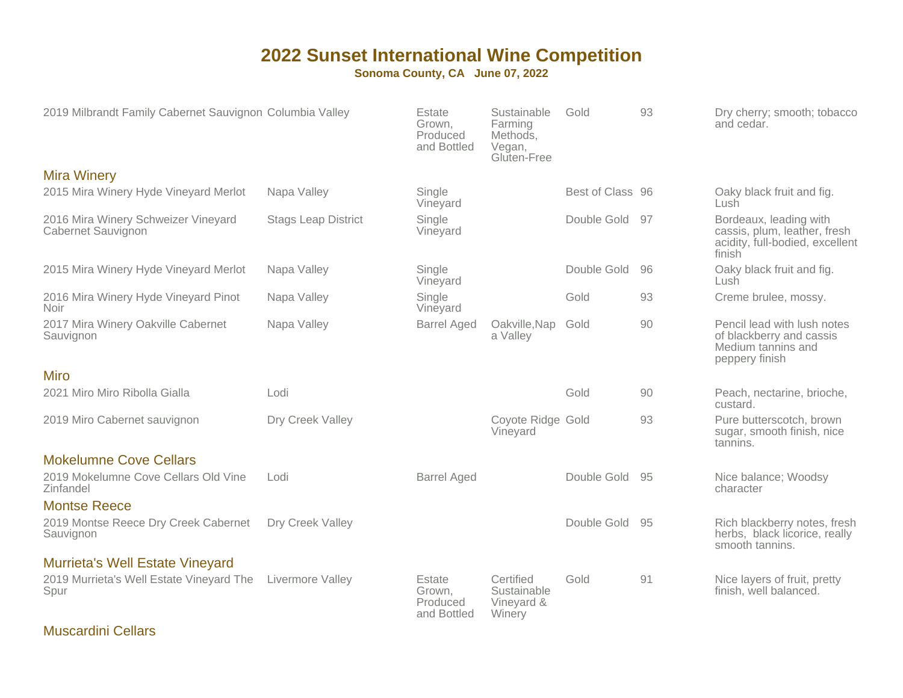#### **Sonoma County, CA June 07, 2022**

| 2019 Milbrandt Family Cabernet Sauvignon Columbia Valley  |                            | Estate<br>Grown,<br>Produced<br>and Bottled | Sustainable<br>Farming<br>Methods,<br>Vegan,<br>Gluten-Free | Gold             | 93  | Dry cherry; smooth; tobacco<br>and cedar.                                                           |
|-----------------------------------------------------------|----------------------------|---------------------------------------------|-------------------------------------------------------------|------------------|-----|-----------------------------------------------------------------------------------------------------|
| <b>Mira Winery</b>                                        |                            |                                             |                                                             |                  |     |                                                                                                     |
| 2015 Mira Winery Hyde Vineyard Merlot                     | Napa Valley                | Single<br>Vineyard                          |                                                             | Best of Class 96 |     | Oaky black fruit and fig.<br>Lush                                                                   |
| 2016 Mira Winery Schweizer Vineyard<br>Cabernet Sauvignon | <b>Stags Leap District</b> | Single<br>Vineyard                          |                                                             | Double Gold      | 97  | Bordeaux, leading with<br>cassis, plum, leather, fresh<br>acidity, full-bodied, excellent<br>finish |
| 2015 Mira Winery Hyde Vineyard Merlot                     | Napa Valley                | Single<br>Vineyard                          |                                                             | Double Gold      | 96  | Oaky black fruit and fig.<br>Lush                                                                   |
| 2016 Mira Winery Hyde Vineyard Pinot<br><b>Noir</b>       | Napa Valley                | Single<br>Vineyard                          |                                                             | Gold             | 93  | Creme brulee, mossy.                                                                                |
| 2017 Mira Winery Oakville Cabernet<br>Sauvignon           | Napa Valley                | <b>Barrel Aged</b>                          | Oakville, Nap<br>a Valley                                   | Gold             | 90  | Pencil lead with lush notes<br>of blackberry and cassis<br>Medium tannins and<br>peppery finish     |
| <b>Miro</b>                                               |                            |                                             |                                                             |                  |     |                                                                                                     |
| 2021 Miro Miro Ribolla Gialla                             | Lodi                       |                                             |                                                             | Gold             | 90  | Peach, nectarine, brioche,<br>custard.                                                              |
| 2019 Miro Cabernet sauvignon                              | Dry Creek Valley           |                                             | Coyote Ridge Gold<br>Vineyard                               |                  | 93  | Pure butterscotch, brown<br>sugar, smooth finish, nice<br>tannins.                                  |
| <b>Mokelumne Cove Cellars</b>                             |                            |                                             |                                                             |                  |     |                                                                                                     |
| 2019 Mokelumne Cove Cellars Old Vine<br>Zinfandel         | Lodi                       | <b>Barrel Aged</b>                          |                                                             | Double Gold      | 95  | Nice balance; Woodsy<br>character                                                                   |
| <b>Montse Reece</b>                                       |                            |                                             |                                                             |                  |     |                                                                                                     |
| 2019 Montse Reece Dry Creek Cabernet<br>Sauvignon         | Dry Creek Valley           |                                             |                                                             | Double Gold      | -95 | Rich blackberry notes, fresh<br>herbs, black licorice, really<br>smooth tannins.                    |
| <b>Murrieta's Well Estate Vineyard</b>                    |                            |                                             |                                                             |                  |     |                                                                                                     |
| 2019 Murrieta's Well Estate Vineyard The<br>Spur          | Livermore Valley           | Estate<br>Grown.<br>Produced<br>and Bottled | Certified<br>Sustainable<br>Vineyard &<br>Winery            | Gold             | 91  | Nice layers of fruit, pretty<br>finish, well balanced.                                              |

Muscardini Cellars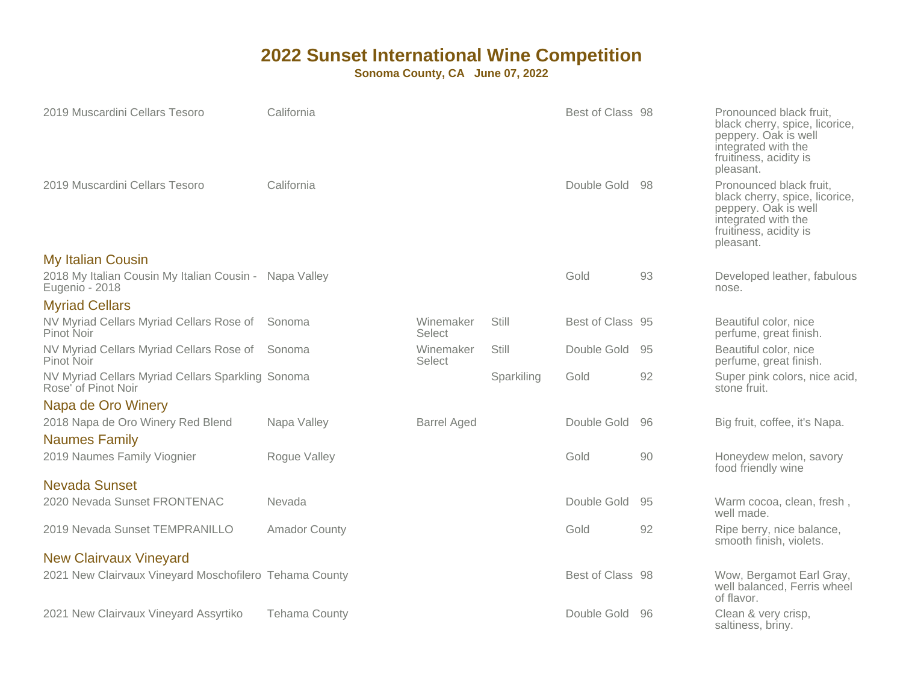| 2019 Muscardini Cellars Tesoro                                           | California           |                     |            | Best of Class 98 |      | Pronounced black fruit,<br>black cherry, spice, licorice,<br>peppery. Oak is well<br>integrated with the<br>fruitiness, acidity is<br>pleasant. |
|--------------------------------------------------------------------------|----------------------|---------------------|------------|------------------|------|-------------------------------------------------------------------------------------------------------------------------------------------------|
| 2019 Muscardini Cellars Tesoro                                           | California           |                     |            | Double Gold      | - 98 | Pronounced black fruit,<br>black cherry, spice, licorice,<br>peppery. Oak is well<br>integrated with the<br>fruitiness, acidity is<br>pleasant. |
| <b>My Italian Cousin</b>                                                 |                      |                     |            |                  |      |                                                                                                                                                 |
| 2018 My Italian Cousin My Italian Cousin - Napa Valley<br>Eugenio - 2018 |                      |                     |            | Gold             | 93   | Developed leather, fabulous<br>nose.                                                                                                            |
| <b>Myriad Cellars</b>                                                    |                      |                     |            |                  |      |                                                                                                                                                 |
| NV Myriad Cellars Myriad Cellars Rose of<br>Pinot Noir                   | Sonoma               | Winemaker<br>Select | Still      | Best of Class 95 |      | Beautiful color, nice<br>perfume, great finish.                                                                                                 |
| NV Myriad Cellars Myriad Cellars Rose of<br>Pinot Noir                   | Sonoma               | Winemaker<br>Select | Still      | Double Gold      | 95   | Beautiful color, nice<br>perfume, great finish.                                                                                                 |
| NV Myriad Cellars Myriad Cellars Sparkling Sonoma<br>Rose' of Pinot Noir |                      |                     | Sparkiling | Gold             | 92   | Super pink colors, nice acid,<br>stone fruit.                                                                                                   |
| Napa de Oro Winery                                                       |                      |                     |            |                  |      |                                                                                                                                                 |
| 2018 Napa de Oro Winery Red Blend                                        | Napa Valley          | <b>Barrel Aged</b>  |            | Double Gold      | 96   | Big fruit, coffee, it's Napa.                                                                                                                   |
| <b>Naumes Family</b>                                                     |                      |                     |            |                  |      |                                                                                                                                                 |
| 2019 Naumes Family Viognier                                              | Rogue Valley         |                     |            | Gold             | 90   | Honeydew melon, savory<br>food friendly wine                                                                                                    |
| <b>Nevada Sunset</b>                                                     |                      |                     |            |                  |      |                                                                                                                                                 |
| 2020 Nevada Sunset FRONTENAC                                             | Nevada               |                     |            | Double Gold      | 95   | Warm cocoa, clean, fresh,<br>well made.                                                                                                         |
| 2019 Nevada Sunset TEMPRANILLO                                           | <b>Amador County</b> |                     |            | Gold             | 92   | Ripe berry, nice balance,<br>smooth finish, violets.                                                                                            |
| <b>New Clairvaux Vineyard</b>                                            |                      |                     |            |                  |      |                                                                                                                                                 |
| 2021 New Clairvaux Vineyard Moschofilero Tehama County                   |                      |                     |            | Best of Class 98 |      | Wow, Bergamot Earl Gray,<br>well balanced, Ferris wheel<br>of flavor.                                                                           |
| 2021 New Clairvaux Vineyard Assyrtiko                                    | <b>Tehama County</b> |                     |            | Double Gold      | -96  | Clean & very crisp,<br>saltiness, briny.                                                                                                        |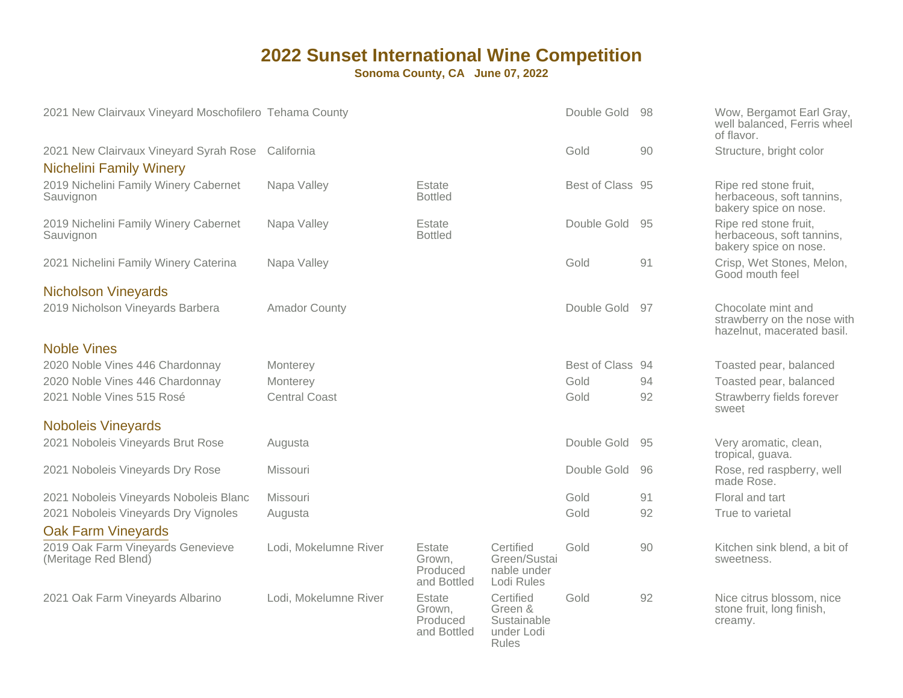| 2021 New Clairvaux Vineyard Moschofilero Tehama County                   |                       |                                             |                                                                   | Double Gold      | -98  | Wow, Bergamot Earl Gray,<br>well balanced, Ferris wheel<br>of flavor.           |
|--------------------------------------------------------------------------|-----------------------|---------------------------------------------|-------------------------------------------------------------------|------------------|------|---------------------------------------------------------------------------------|
| 2021 New Clairvaux Vineyard Syrah Rose<br><b>Nichelini Family Winery</b> | California            |                                             |                                                                   | Gold             | 90   | Structure, bright color                                                         |
| 2019 Nichelini Family Winery Cabernet<br>Sauvignon                       | Napa Valley           | Estate<br><b>Bottled</b>                    |                                                                   | Best of Class 95 |      | Ripe red stone fruit,<br>herbaceous, soft tannins,<br>bakery spice on nose.     |
| 2019 Nichelini Family Winery Cabernet<br>Sauvignon                       | Napa Valley           | Estate<br><b>Bottled</b>                    |                                                                   | Double Gold      | 95   | Ripe red stone fruit,<br>herbaceous, soft tannins,<br>bakery spice on nose.     |
| 2021 Nichelini Family Winery Caterina                                    | Napa Valley           |                                             |                                                                   | Gold             | 91   | Crisp, Wet Stones, Melon,<br>Good mouth feel                                    |
| <b>Nicholson Vineyards</b>                                               |                       |                                             |                                                                   |                  |      |                                                                                 |
| 2019 Nicholson Vineyards Barbera                                         | <b>Amador County</b>  |                                             |                                                                   | Double Gold      | 97   | Chocolate mint and<br>strawberry on the nose with<br>hazelnut, macerated basil. |
| <b>Noble Vines</b>                                                       |                       |                                             |                                                                   |                  |      |                                                                                 |
| 2020 Noble Vines 446 Chardonnay                                          | Monterey              |                                             |                                                                   | Best of Class    | - 94 | Toasted pear, balanced                                                          |
| 2020 Noble Vines 446 Chardonnay                                          | Monterey              |                                             |                                                                   | Gold             | 94   | Toasted pear, balanced                                                          |
| 2021 Noble Vines 515 Rosé                                                | <b>Central Coast</b>  |                                             |                                                                   | Gold             | 92   | Strawberry fields forever<br>sweet                                              |
| <b>Noboleis Vineyards</b>                                                |                       |                                             |                                                                   |                  |      |                                                                                 |
| 2021 Noboleis Vineyards Brut Rose                                        | Augusta               |                                             |                                                                   | Double Gold      | 95   | Very aromatic, clean,<br>tropical, guava.                                       |
| 2021 Noboleis Vineyards Dry Rose                                         | Missouri              |                                             |                                                                   | Double Gold      | 96   | Rose, red raspberry, well<br>made Rose.                                         |
| 2021 Noboleis Vineyards Noboleis Blanc                                   | Missouri              |                                             |                                                                   | Gold             | 91   | Floral and tart                                                                 |
| 2021 Noboleis Vineyards Dry Vignoles                                     | Augusta               |                                             |                                                                   | Gold             | 92   | True to varietal                                                                |
| <b>Oak Farm Vineyards</b>                                                |                       |                                             |                                                                   |                  |      |                                                                                 |
| 2019 Oak Farm Vineyards Genevieve<br>(Meritage Red Blend)                | Lodi, Mokelumne River | Estate<br>Grown.<br>Produced<br>and Bottled | Certified<br>Green/Sustai<br>nable under<br>Lodi Rules            | Gold             | 90   | Kitchen sink blend, a bit of<br>sweetness.                                      |
| 2021 Oak Farm Vineyards Albarino                                         | Lodi, Mokelumne River | Estate<br>Grown,<br>Produced<br>and Bottled | Certified<br>Green &<br>Sustainable<br>under Lodi<br><b>Rules</b> | Gold             | 92   | Nice citrus blossom, nice<br>stone fruit, long finish,<br>creamy.               |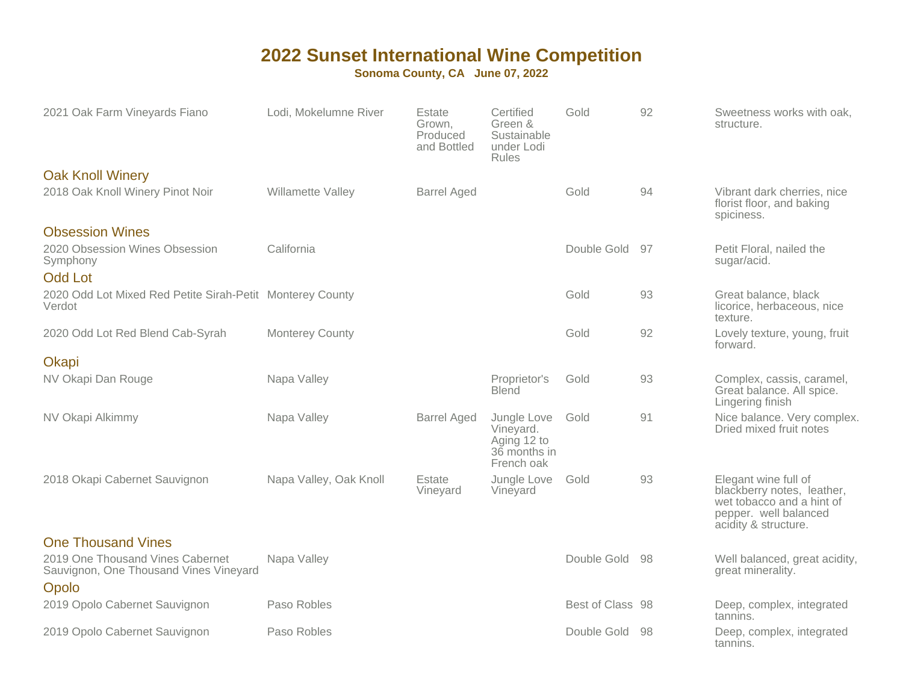| 2021 Oak Farm Vineyards Fiano                                                       | Lodi, Mokelumne River  | Estate<br>Grown,<br>Produced<br>and Bottled | Certified<br>Green &<br>Sustainable<br>under Lodi<br><b>Rules</b>     | Gold             | 92  | Sweetness works with oak.<br>structure.                                                                                          |
|-------------------------------------------------------------------------------------|------------------------|---------------------------------------------|-----------------------------------------------------------------------|------------------|-----|----------------------------------------------------------------------------------------------------------------------------------|
| <b>Oak Knoll Winery</b>                                                             |                        |                                             |                                                                       |                  |     |                                                                                                                                  |
| 2018 Oak Knoll Winery Pinot Noir                                                    | Willamette Valley      | <b>Barrel Aged</b>                          |                                                                       | Gold             | 94  | Vibrant dark cherries, nice<br>florist floor, and baking<br>spiciness.                                                           |
| <b>Obsession Wines</b>                                                              |                        |                                             |                                                                       |                  |     |                                                                                                                                  |
| 2020 Obsession Wines Obsession<br>Symphony<br><b>Odd Lot</b>                        | California             |                                             |                                                                       | Double Gold      | -97 | Petit Floral, nailed the<br>sugar/acid.                                                                                          |
| 2020 Odd Lot Mixed Red Petite Sirah-Petit Monterey County<br>Verdot                 |                        |                                             |                                                                       | Gold             | 93  | Great balance, black<br>licorice, herbaceous, nice<br>texture.                                                                   |
| 2020 Odd Lot Red Blend Cab-Syrah                                                    | <b>Monterey County</b> |                                             |                                                                       | Gold             | 92  | Lovely texture, young, fruit<br>forward.                                                                                         |
| Okapi                                                                               |                        |                                             |                                                                       |                  |     |                                                                                                                                  |
| NV Okapi Dan Rouge                                                                  | Napa Valley            |                                             | Proprietor's<br><b>Blend</b>                                          | Gold             | 93  | Complex, cassis, caramel,<br>Great balance. All spice.<br>Lingering finish                                                       |
| NV Okapi Alkimmy                                                                    | Napa Valley            | <b>Barrel Aged</b>                          | Jungle Love<br>Vineyard.<br>Aging 12 to<br>36 months in<br>French oak | Gold             | 91  | Nice balance. Very complex.<br>Dried mixed fruit notes                                                                           |
| 2018 Okapi Cabernet Sauvignon                                                       | Napa Valley, Oak Knoll | Estate<br>Vineyard                          | Jungle Love<br>Vineyard                                               | Gold             | 93  | Elegant wine full of<br>blackberry notes, leather,<br>wet tobacco and a hint of<br>pepper. well balanced<br>acidity & structure. |
| <b>One Thousand Vines</b>                                                           |                        |                                             |                                                                       |                  |     |                                                                                                                                  |
| 2019 One Thousand Vines Cabernet<br>Sauvignon, One Thousand Vines Vineyard<br>Opolo | Napa Valley            |                                             |                                                                       | Double Gold      | 98  | Well balanced, great acidity,<br>great minerality.                                                                               |
| 2019 Opolo Cabernet Sauvignon                                                       | Paso Robles            |                                             |                                                                       | Best of Class 98 |     | Deep, complex, integrated<br>tannins.                                                                                            |
| 2019 Opolo Cabernet Sauvignon                                                       | Paso Robles            |                                             |                                                                       | Double Gold      | -98 | Deep, complex, integrated<br>tannins.                                                                                            |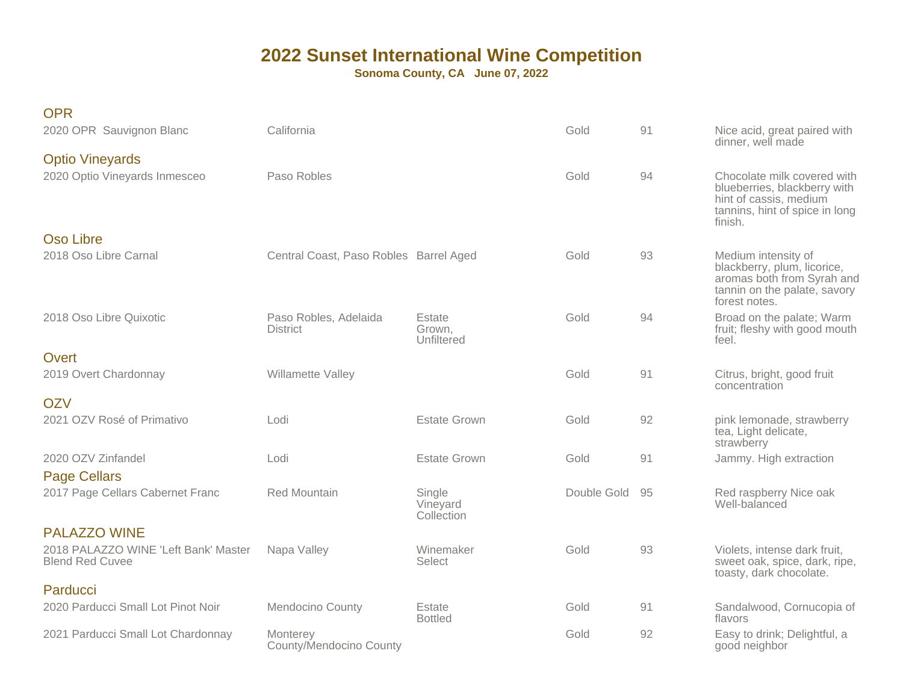| <b>OPR</b><br>2020 OPR Sauvignon Blanc                                                | California                               |                                  | Gold        | 91 | Nice acid, great paired with<br>dinner, well made                                                                                  |
|---------------------------------------------------------------------------------------|------------------------------------------|----------------------------------|-------------|----|------------------------------------------------------------------------------------------------------------------------------------|
| <b>Optio Vineyards</b><br>2020 Optio Vineyards Inmesceo                               | Paso Robles                              |                                  | Gold        | 94 | Chocolate milk covered with<br>blueberries, blackberry with<br>hint of cassis, medium<br>tannins, hint of spice in long<br>finish. |
| Oso Libre<br>2018 Oso Libre Carnal                                                    | Central Coast, Paso Robles Barrel Aged   |                                  | Gold        | 93 | Medium intensity of<br>blackberry, plum, licorice,<br>aromas both from Syrah and<br>tannin on the palate, savory<br>forest notes.  |
| 2018 Oso Libre Quixotic                                                               | Paso Robles, Adelaida<br><b>District</b> | Estate<br>Grown,<br>Unfiltered   | Gold        | 94 | Broad on the palate; Warm<br>fruit; fleshy with good mouth<br>feel.                                                                |
| Overt<br>2019 Overt Chardonnay                                                        | Willamette Valley                        |                                  | Gold        | 91 | Citrus, bright, good fruit<br>concentration                                                                                        |
| <b>OZV</b><br>2021 OZV Rosé of Primativo                                              | Lodi                                     | Estate Grown                     | Gold        | 92 | pink lemonade, strawberry<br>tea, Light delicate,<br>strawberry                                                                    |
| 2020 OZV Zinfandel<br><b>Page Cellars</b>                                             | Lodi                                     | <b>Estate Grown</b>              | Gold        | 91 | Jammy. High extraction                                                                                                             |
| 2017 Page Cellars Cabernet Franc                                                      | <b>Red Mountain</b>                      | Single<br>Vineyard<br>Collection | Double Gold | 95 | Red raspberry Nice oak<br>Well-balanced                                                                                            |
| <b>PALAZZO WINE</b><br>2018 PALAZZO WINE 'Left Bank' Master<br><b>Blend Red Cuvee</b> | Napa Valley                              | Winemaker<br>Select              | Gold        | 93 | Violets, intense dark fruit,<br>sweet oak, spice, dark, ripe,<br>toasty, dark chocolate.                                           |
| Parducci<br>2020 Parducci Small Lot Pinot Noir                                        | <b>Mendocino County</b>                  | Estate<br><b>Bottled</b>         | Gold        | 91 | Sandalwood, Cornucopia of<br>flavors                                                                                               |
| 2021 Parducci Small Lot Chardonnay                                                    | Monterey<br>County/Mendocino County      |                                  | Gold        | 92 | Easy to drink; Delightful, a<br>good neighbor                                                                                      |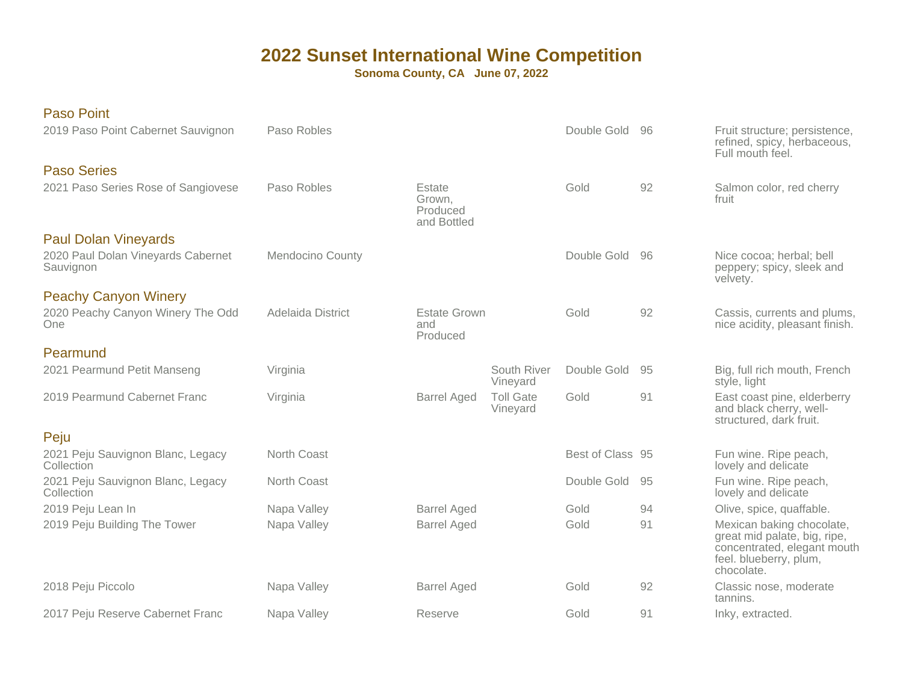| <b>Paso Point</b>                               |                         |                                             |                              |                  |    |                                                                                                                                  |
|-------------------------------------------------|-------------------------|---------------------------------------------|------------------------------|------------------|----|----------------------------------------------------------------------------------------------------------------------------------|
| 2019 Paso Point Cabernet Sauvignon              | Paso Robles             |                                             |                              | Double Gold      | 96 | Fruit structure; persistence,<br>refined, spicy, herbaceous,<br>Full mouth feel.                                                 |
| <b>Paso Series</b>                              |                         |                                             |                              |                  |    |                                                                                                                                  |
| 2021 Paso Series Rose of Sangiovese             | Paso Robles             | Estate<br>Grown.<br>Produced<br>and Bottled |                              | Gold             | 92 | Salmon color, red cherry<br>fruit                                                                                                |
| <b>Paul Dolan Vineyards</b>                     |                         |                                             |                              |                  |    |                                                                                                                                  |
| 2020 Paul Dolan Vineyards Cabernet<br>Sauvignon | <b>Mendocino County</b> |                                             |                              | Double Gold      | 96 | Nice cocoa; herbal; bell<br>peppery; spicy, sleek and<br>velvety.                                                                |
| <b>Peachy Canyon Winery</b>                     |                         |                                             |                              |                  |    |                                                                                                                                  |
| 2020 Peachy Canyon Winery The Odd<br>One        | Adelaida District       | <b>Estate Grown</b><br>and<br>Produced      |                              | Gold             | 92 | Cassis, currents and plums,<br>nice acidity, pleasant finish.                                                                    |
| Pearmund                                        |                         |                                             |                              |                  |    |                                                                                                                                  |
| 2021 Pearmund Petit Manseng                     | Virginia                |                                             | South River<br>Vineyard      | Double Gold      | 95 | Big, full rich mouth, French<br>style, light                                                                                     |
| 2019 Pearmund Cabernet Franc                    | Virginia                | <b>Barrel Aged</b>                          | <b>Toll Gate</b><br>Vineyard | Gold             | 91 | East coast pine, elderberry<br>and black cherry, well-<br>structured, dark fruit.                                                |
| Peju                                            |                         |                                             |                              |                  |    |                                                                                                                                  |
| 2021 Peju Sauvignon Blanc, Legacy<br>Collection | North Coast             |                                             |                              | Best of Class 95 |    | Fun wine. Ripe peach,<br>lovely and delicate                                                                                     |
| 2021 Peju Sauvignon Blanc, Legacy<br>Collection | North Coast             |                                             |                              | Double Gold      | 95 | Fun wine. Ripe peach,<br>lovely and delicate                                                                                     |
| 2019 Peju Lean In                               | Napa Valley             | <b>Barrel Aged</b>                          |                              | Gold             | 94 | Olive, spice, quaffable.                                                                                                         |
| 2019 Peju Building The Tower                    | Napa Valley             | <b>Barrel Aged</b>                          |                              | Gold             | 91 | Mexican baking chocolate,<br>great mid palate, big, ripe,<br>concentrated, elegant mouth<br>feel. blueberry, plum,<br>chocolate. |
| 2018 Peju Piccolo                               | Napa Valley             | <b>Barrel Aged</b>                          |                              | Gold             | 92 | Classic nose, moderate<br>tannins.                                                                                               |
| 2017 Peju Reserve Cabernet Franc                | Napa Valley             | Reserve                                     |                              | Gold             | 91 | Inky, extracted.                                                                                                                 |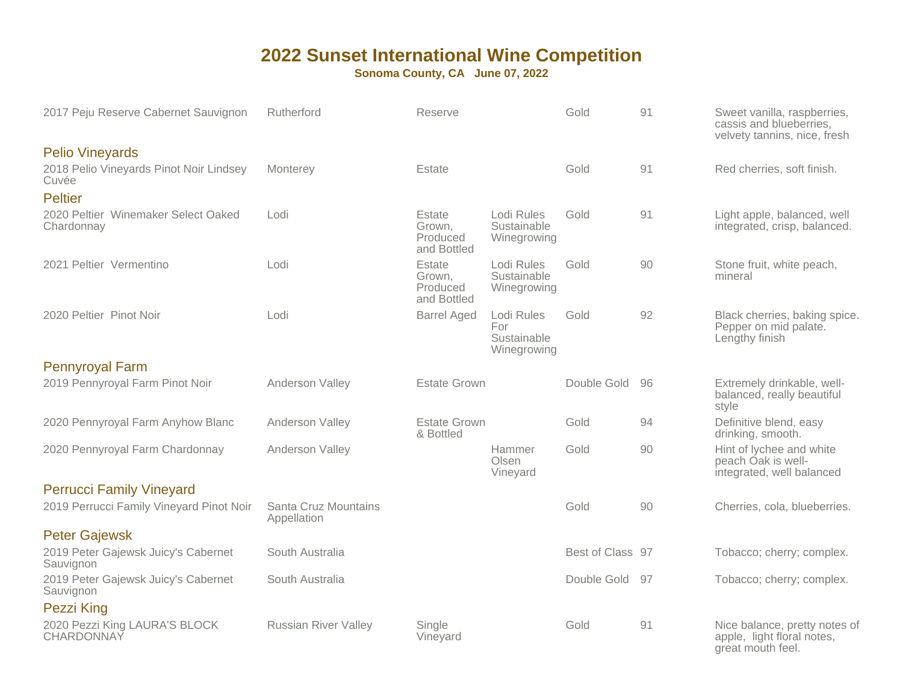| 2017 Peju Reserve Cabernet Sauvignon              | Rutherford                          | Reserve                                     |                                                 | Gold             | 91 | Sweet vanilla, raspberries,<br>cassis and blueberries,<br>velvety tannins, nice, fresh |
|---------------------------------------------------|-------------------------------------|---------------------------------------------|-------------------------------------------------|------------------|----|----------------------------------------------------------------------------------------|
| <b>Pelio Vineyards</b>                            |                                     |                                             |                                                 |                  |    |                                                                                        |
| 2018 Pelio Vineyards Pinot Noir Lindsey<br>Cuvée  | Monterey                            | Estate                                      |                                                 | Gold             | 91 | Red cherries, soft finish.                                                             |
| <b>Peltier</b>                                    |                                     |                                             |                                                 |                  |    |                                                                                        |
| 2020 Peltier Winemaker Select Oaked<br>Chardonnay | Lodi                                | Estate<br>Grown.<br>Produced<br>and Bottled | Lodi Rules<br>Sustainable<br>Winegrowing        | Gold             | 91 | Light apple, balanced, well<br>integrated, crisp, balanced.                            |
| 2021 Peltier Vermentino                           | Lodi                                | Estate<br>Grown.<br>Produced<br>and Bottled | Lodi Rules<br>Sustainable<br>Winegrowing        | Gold             | 90 | Stone fruit, white peach,<br>mineral                                                   |
| 2020 Peltier Pinot Noir                           | Lodi                                | <b>Barrel Aged</b>                          | Lodi Rules<br>For<br>Sustainable<br>Winegrowing | Gold             | 92 | Black cherries, baking spice.<br>Pepper on mid palate.<br>Lengthy finish               |
| <b>Pennyroyal Farm</b>                            |                                     |                                             |                                                 |                  |    |                                                                                        |
| 2019 Pennyroyal Farm Pinot Noir                   | Anderson Valley                     | <b>Estate Grown</b>                         |                                                 | Double Gold      | 96 | Extremely drinkable, well-<br>balanced, really beautiful<br>style                      |
| 2020 Pennyroyal Farm Anyhow Blanc                 | Anderson Valley                     | <b>Estate Grown</b><br>& Bottled            |                                                 | Gold             | 94 | Definitive blend, easy<br>drinking, smooth.                                            |
| 2020 Pennyroyal Farm Chardonnay                   | Anderson Valley                     |                                             | Hammer<br>Olsen<br>Vineyard                     | Gold             | 90 | Hint of lychee and white<br>peach Oak is well-<br>integrated, well balanced            |
| <b>Perrucci Family Vineyard</b>                   |                                     |                                             |                                                 |                  |    |                                                                                        |
| 2019 Perrucci Family Vineyard Pinot Noir          | Santa Cruz Mountains<br>Appellation |                                             |                                                 | Gold             | 90 | Cherries, cola, blueberries.                                                           |
| <b>Peter Gajewsk</b>                              |                                     |                                             |                                                 |                  |    |                                                                                        |
| 2019 Peter Gajewsk Juicy's Cabernet<br>Sauvignon  | South Australia                     |                                             |                                                 | Best of Class 97 |    | Tobacco; cherry; complex.                                                              |
| 2019 Peter Gajewsk Juicy's Cabernet<br>Sauvignon  | South Australia                     |                                             |                                                 | Double Gold      | 97 | Tobacco; cherry; complex.                                                              |
| <b>Pezzi King</b>                                 |                                     |                                             |                                                 |                  |    |                                                                                        |
| 2020 Pezzi King LAURA'S BLOCK<br>CHARDONNAY       | <b>Russian River Valley</b>         | Single<br>Vineyard                          |                                                 | Gold             | 91 | Nice balance, pretty notes of<br>apple, light floral notes,<br>great mouth feel.       |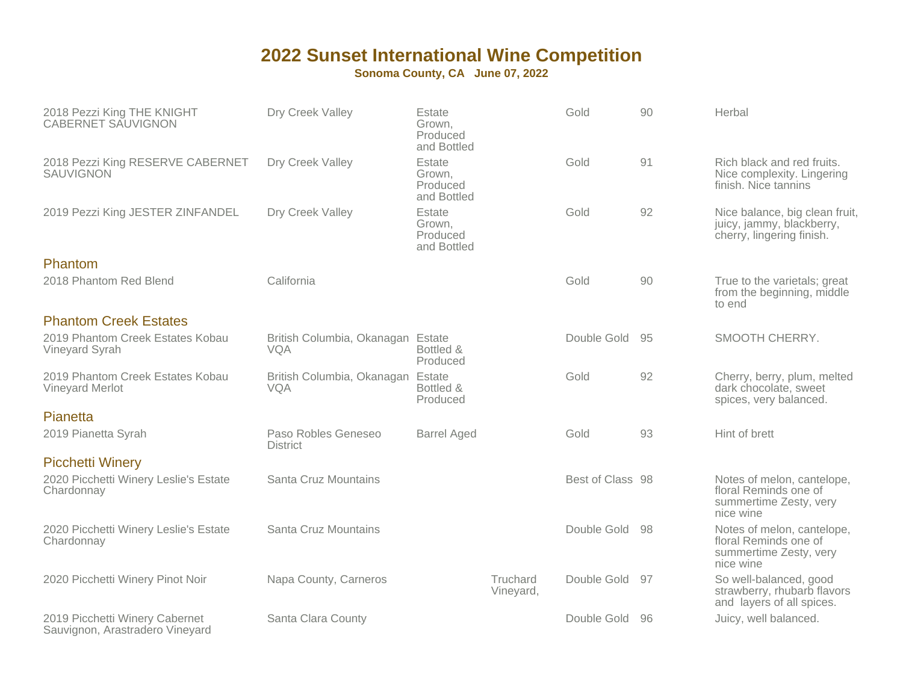| 2018 Pezzi King THE KNIGHT<br><b>CABERNET SAUVIGNON</b>           | Dry Creek Valley                         | Estate<br>Grown,<br>Produced<br>and Bottled |                       | Gold             | 90  | Herbal                                                                                     |
|-------------------------------------------------------------------|------------------------------------------|---------------------------------------------|-----------------------|------------------|-----|--------------------------------------------------------------------------------------------|
| 2018 Pezzi King RESERVE CABERNET<br><b>SAUVIGNON</b>              | Dry Creek Valley                         | Estate<br>Grown,<br>Produced<br>and Bottled |                       | Gold             | 91  | Rich black and red fruits.<br>Nice complexity. Lingering<br>finish. Nice tannins           |
| 2019 Pezzi King JESTER ZINFANDEL                                  | Dry Creek Valley                         | Estate<br>Grown,<br>Produced<br>and Bottled |                       | Gold             | 92  | Nice balance, big clean fruit,<br>juicy, jammy, blackberry,<br>cherry, lingering finish.   |
| Phantom                                                           |                                          |                                             |                       |                  |     |                                                                                            |
| 2018 Phantom Red Blend                                            | California                               |                                             |                       | Gold             | 90  | True to the varietals; great<br>from the beginning, middle<br>to end                       |
| <b>Phantom Creek Estates</b>                                      |                                          |                                             |                       |                  |     |                                                                                            |
| 2019 Phantom Creek Estates Kobau<br>Vineyard Syrah                | British Columbia, Okanagan Estate<br>VQA | Bottled &<br>Produced                       |                       | Double Gold      | 95  | SMOOTH CHERRY.                                                                             |
| 2019 Phantom Creek Estates Kobau<br>Vineyard Merlot               | British Columbia, Okanagan<br>VQA        | Estate<br>Bottled &<br>Produced             |                       | Gold             | 92  | Cherry, berry, plum, melted<br>dark chocolate, sweet<br>spices, very balanced.             |
| Pianetta                                                          |                                          |                                             |                       |                  |     |                                                                                            |
| 2019 Pianetta Syrah                                               | Paso Robles Geneseo<br><b>District</b>   | <b>Barrel Aged</b>                          |                       | Gold             | 93  | Hint of brett                                                                              |
| <b>Picchetti Winery</b>                                           |                                          |                                             |                       |                  |     |                                                                                            |
| 2020 Picchetti Winery Leslie's Estate<br>Chardonnay               | Santa Cruz Mountains                     |                                             |                       | Best of Class 98 |     | Notes of melon, cantelope,<br>floral Reminds one of<br>summertime Zesty, very<br>nice wine |
| 2020 Picchetti Winery Leslie's Estate<br>Chardonnay               | Santa Cruz Mountains                     |                                             |                       | Double Gold      | -98 | Notes of melon, cantelope,<br>floral Reminds one of<br>summertime Zesty, very<br>nice wine |
| 2020 Picchetti Winery Pinot Noir                                  | Napa County, Carneros                    |                                             | Truchard<br>Vineyard, | Double Gold      | 97  | So well-balanced, good<br>strawberry, rhubarb flavors<br>and layers of all spices.         |
| 2019 Picchetti Winery Cabernet<br>Sauvignon, Arastradero Vineyard | Santa Clara County                       |                                             |                       | Double Gold      | -96 | Juicy, well balanced.                                                                      |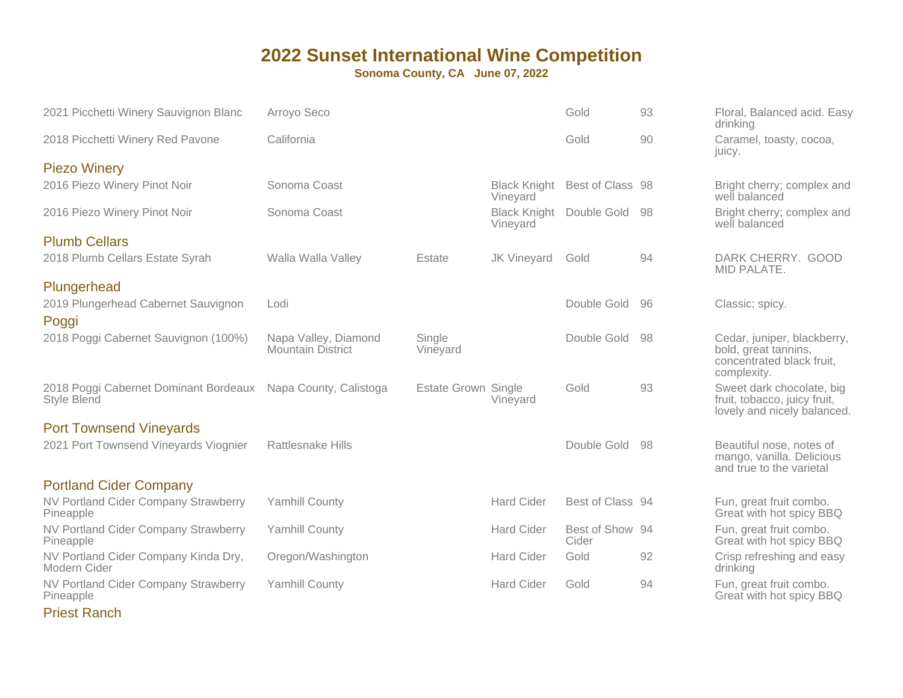**Sonoma County, CA June 07, 2022**

| 2021 Picchetti Winery Sauvignon Blanc                       | Arroyo Seco                                      |                            |                                 | Gold                     | 93  | Floral, Balanced acid. Easy<br>drinking                                                         |
|-------------------------------------------------------------|--------------------------------------------------|----------------------------|---------------------------------|--------------------------|-----|-------------------------------------------------------------------------------------------------|
| 2018 Picchetti Winery Red Pavone                            | California                                       |                            |                                 | Gold                     | 90  | Caramel, toasty, cocoa,<br>juicy.                                                               |
| <b>Piezo Winery</b>                                         |                                                  |                            |                                 |                          |     |                                                                                                 |
| 2016 Piezo Winery Pinot Noir                                | Sonoma Coast                                     |                            | <b>Black Knight</b><br>Vineyard | Best of Class 98         |     | Bright cherry; complex and<br>well balanced                                                     |
| 2016 Piezo Winery Pinot Noir                                | Sonoma Coast                                     |                            | <b>Black Knight</b><br>Vineyard | Double Gold 98           |     | Bright cherry; complex and<br>well balanced                                                     |
| <b>Plumb Cellars</b>                                        |                                                  |                            |                                 |                          |     |                                                                                                 |
| 2018 Plumb Cellars Estate Syrah                             | Walla Walla Valley                               | Estate                     | <b>JK Vineyard</b>              | Gold                     | 94  | DARK CHERRY. GOOD<br>MID PALATE.                                                                |
| Plungerhead                                                 |                                                  |                            |                                 |                          |     |                                                                                                 |
| 2019 Plungerhead Cabernet Sauvignon<br>Poggi                | Lodi                                             |                            |                                 | Double Gold              | -96 | Classic; spicy.                                                                                 |
| 2018 Poggi Cabernet Sauvignon (100%)                        | Napa Valley, Diamond<br><b>Mountain District</b> | Single<br>Vineyard         |                                 | Double Gold              | 98  | Cedar, juniper, blackberry,<br>bold, great tannins,<br>concentrated black fruit,<br>complexity. |
| 2018 Poggi Cabernet Dominant Bordeaux<br><b>Style Blend</b> | Napa County, Calistoga                           | <b>Estate Grown Single</b> | Vineyard                        | Gold                     | 93  | Sweet dark chocolate, big<br>fruit, tobacco, juicy fruit,<br>lovely and nicely balanced.        |
| <b>Port Townsend Vineyards</b>                              |                                                  |                            |                                 |                          |     |                                                                                                 |
| 2021 Port Townsend Vineyards Viognier                       | <b>Rattlesnake Hills</b>                         |                            |                                 | Double Gold 98           |     | Beautiful nose, notes of<br>mango, vanilla. Delicious<br>and true to the varietal               |
| <b>Portland Cider Company</b>                               |                                                  |                            |                                 |                          |     |                                                                                                 |
| NV Portland Cider Company Strawberry<br>Pineapple           | <b>Yamhill County</b>                            |                            | <b>Hard Cider</b>               | Best of Class 94         |     | Fun, great fruit combo.<br>Great with hot spicy BBQ                                             |
| NV Portland Cider Company Strawberry<br>Pineapple           | <b>Yamhill County</b>                            |                            | <b>Hard Cider</b>               | Best of Show 94<br>Cider |     | Fun, great fruit combo.<br>Great with hot spicy BBQ                                             |
| NV Portland Cider Company Kinda Dry,<br>Modern Cider        | Oregon/Washington                                |                            | <b>Hard Cider</b>               | Gold                     | 92  | Crisp refreshing and easy<br>drinking                                                           |
| <b>NV Portland Cider Company Strawberry</b><br>Pineapple    | <b>Yamhill County</b>                            |                            | <b>Hard Cider</b>               | Gold                     | 94  | Fun, great fruit combo.<br>Great with hot spicy BBQ                                             |

Priest Ranch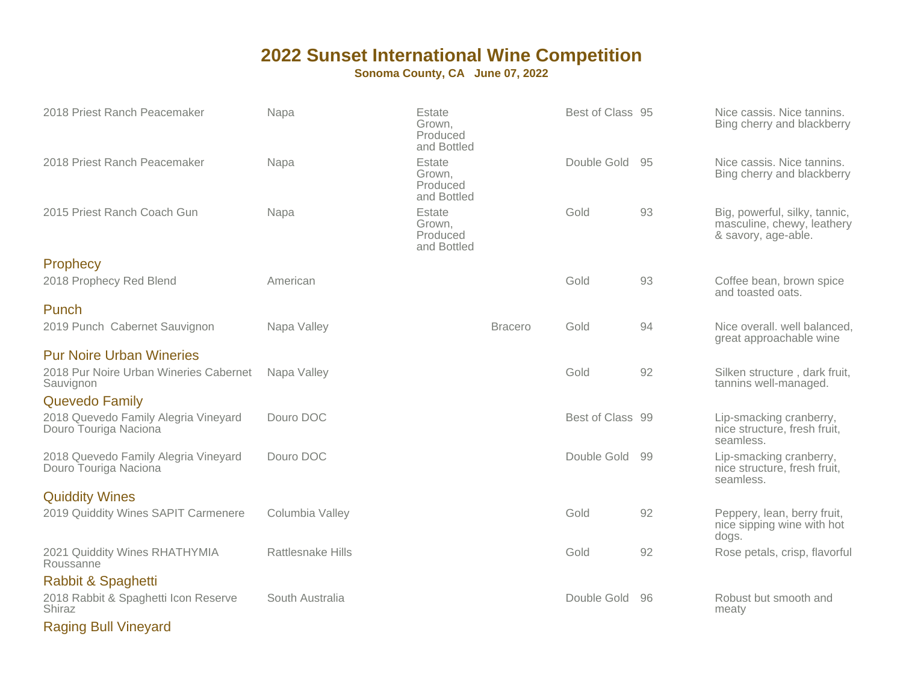| 2018 Priest Ranch Peacemaker                                  | Napa                     | Estate<br>Grown,<br>Produced<br>and Bottled |                | Best of Class 95 |     | Nice cassis. Nice tannins.<br>Bing cherry and blackberry                           |
|---------------------------------------------------------------|--------------------------|---------------------------------------------|----------------|------------------|-----|------------------------------------------------------------------------------------|
| 2018 Priest Ranch Peacemaker                                  | Napa                     | Estate<br>Grown,<br>Produced<br>and Bottled |                | Double Gold 95   |     | Nice cassis. Nice tannins.<br>Bing cherry and blackberry                           |
| 2015 Priest Ranch Coach Gun                                   | Napa                     | Estate<br>Grown,<br>Produced<br>and Bottled |                | Gold             | 93  | Big, powerful, silky, tannic,<br>masculine, chewy, leathery<br>& savory, age-able. |
| <b>Prophecy</b>                                               |                          |                                             |                |                  |     |                                                                                    |
| 2018 Prophecy Red Blend                                       | American                 |                                             |                | Gold             | 93  | Coffee bean, brown spice<br>and toasted oats.                                      |
| Punch                                                         |                          |                                             |                |                  |     |                                                                                    |
| 2019 Punch Cabernet Sauvignon                                 | Napa Valley              |                                             | <b>Bracero</b> | Gold             | 94  | Nice overall. well balanced,<br>great approachable wine                            |
| <b>Pur Noire Urban Wineries</b>                               |                          |                                             |                |                  |     |                                                                                    |
| 2018 Pur Noire Urban Wineries Cabernet<br>Sauvignon           | Napa Valley              |                                             |                | Gold             | 92  | Silken structure, dark fruit,<br>tannins well-managed.                             |
| <b>Quevedo Family</b>                                         |                          |                                             |                |                  |     |                                                                                    |
| 2018 Quevedo Family Alegria Vineyard<br>Douro Touriga Naciona | Douro DOC                |                                             |                | Best of Class 99 |     | Lip-smacking cranberry,<br>nice structure, fresh fruit,<br>seamless.               |
| 2018 Quevedo Family Alegria Vineyard<br>Douro Touriga Naciona | Douro DOC                |                                             |                | Double Gold      | -99 | Lip-smacking cranberry,<br>nice structure, fresh fruit,<br>seamless.               |
| <b>Quiddity Wines</b>                                         |                          |                                             |                |                  |     |                                                                                    |
| 2019 Quiddity Wines SAPIT Carmenere                           | Columbia Valley          |                                             |                | Gold             | 92  | Peppery, lean, berry fruit,<br>nice sipping wine with hot<br>dogs.                 |
| 2021 Quiddity Wines RHATHYMIA<br>Roussanne                    | <b>Rattlesnake Hills</b> |                                             |                | Gold             | 92  | Rose petals, crisp, flavorful                                                      |
| Rabbit & Spaghetti                                            |                          |                                             |                |                  |     |                                                                                    |
| 2018 Rabbit & Spaghetti Icon Reserve<br>Shiraz                | South Australia          |                                             |                | Double Gold      | -96 | Robust but smooth and<br>meaty                                                     |
| <b>Raging Bull Vineyard</b>                                   |                          |                                             |                |                  |     |                                                                                    |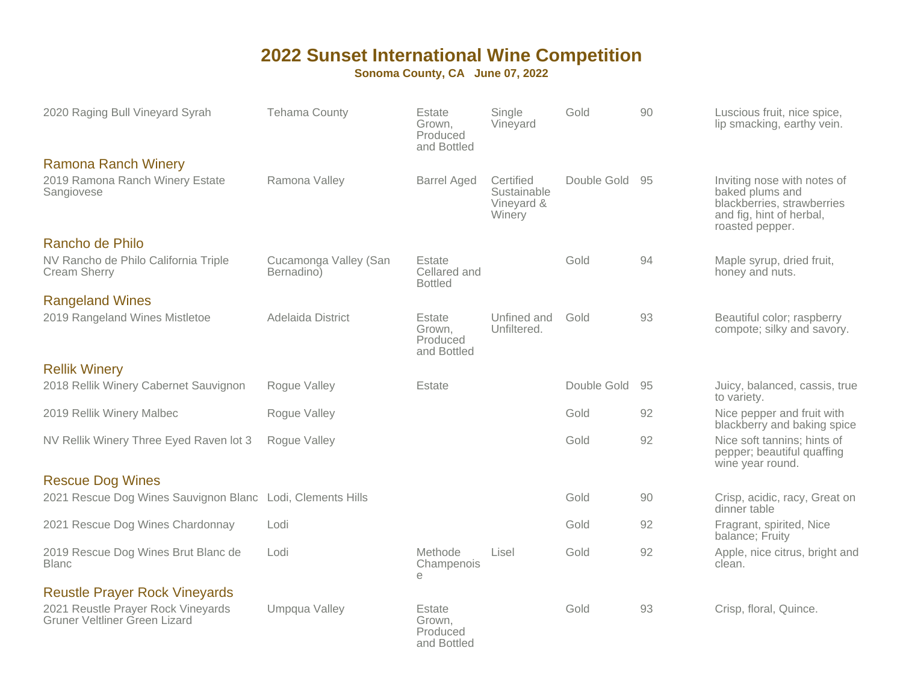| 2020 Raging Bull Vineyard Syrah                                     | <b>Tehama County</b>                | Estate<br>Grown,<br>Produced<br>and Bottled | Single<br>Vineyard                               | Gold        | 90 | Luscious fruit, nice spice,<br>lip smacking, earthy vein.                                                                   |
|---------------------------------------------------------------------|-------------------------------------|---------------------------------------------|--------------------------------------------------|-------------|----|-----------------------------------------------------------------------------------------------------------------------------|
| <b>Ramona Ranch Winery</b>                                          |                                     |                                             |                                                  |             |    |                                                                                                                             |
| 2019 Ramona Ranch Winery Estate<br>Sangiovese                       | Ramona Valley                       | <b>Barrel Aged</b>                          | Certified<br>Sustainable<br>Vineyard &<br>Winery | Double Gold | 95 | Inviting nose with notes of<br>baked plums and<br>blackberries, strawberries<br>and fig, hint of herbal,<br>roasted pepper. |
| Rancho de Philo                                                     |                                     |                                             |                                                  |             |    |                                                                                                                             |
| NV Rancho de Philo California Triple<br><b>Cream Sherry</b>         | Cucamonga Valley (San<br>Bernadino) | Estate<br>Cellared and<br><b>Bottled</b>    |                                                  | Gold        | 94 | Maple syrup, dried fruit,<br>honey and nuts.                                                                                |
| <b>Rangeland Wines</b>                                              |                                     |                                             |                                                  |             |    |                                                                                                                             |
| 2019 Rangeland Wines Mistletoe                                      | Adelaida District                   | Estate<br>Grown,<br>Produced<br>and Bottled | Unfined and<br>Unfiltered.                       | Gold        | 93 | Beautiful color; raspberry<br>compote; silky and savory.                                                                    |
| <b>Rellik Winery</b>                                                |                                     |                                             |                                                  |             |    |                                                                                                                             |
| 2018 Rellik Winery Cabernet Sauvignon                               | Rogue Valley                        | Estate                                      |                                                  | Double Gold | 95 | Juicy, balanced, cassis, true<br>to variety.                                                                                |
| 2019 Rellik Winery Malbec                                           | Rogue Valley                        |                                             |                                                  | Gold        | 92 | Nice pepper and fruit with<br>blackberry and baking spice                                                                   |
| NV Rellik Winery Three Eyed Raven lot 3                             | Rogue Valley                        |                                             |                                                  | Gold        | 92 | Nice soft tannins; hints of<br>pepper; beautiful quaffing<br>wine year round.                                               |
| <b>Rescue Dog Wines</b>                                             |                                     |                                             |                                                  |             |    |                                                                                                                             |
| 2021 Rescue Dog Wines Sauvignon Blanc Lodi, Clements Hills          |                                     |                                             |                                                  | Gold        | 90 | Crisp, acidic, racy, Great on<br>dinner table                                                                               |
| 2021 Rescue Dog Wines Chardonnay                                    | Lodi                                |                                             |                                                  | Gold        | 92 | Fragrant, spirited, Nice<br>balance; Fruity                                                                                 |
| 2019 Rescue Dog Wines Brut Blanc de<br><b>Blanc</b>                 | Lodi                                | Methode<br>Champenois<br>e                  | Lisel                                            | Gold        | 92 | Apple, nice citrus, bright and<br>clean.                                                                                    |
| <b>Reustle Prayer Rock Vineyards</b>                                |                                     |                                             |                                                  |             |    |                                                                                                                             |
| 2021 Reustle Prayer Rock Vineyards<br>Gruner Veltliner Green Lizard | Umpqua Valley                       | Estate<br>Grown,<br>Produced<br>and Bottled |                                                  | Gold        | 93 | Crisp, floral, Quince.                                                                                                      |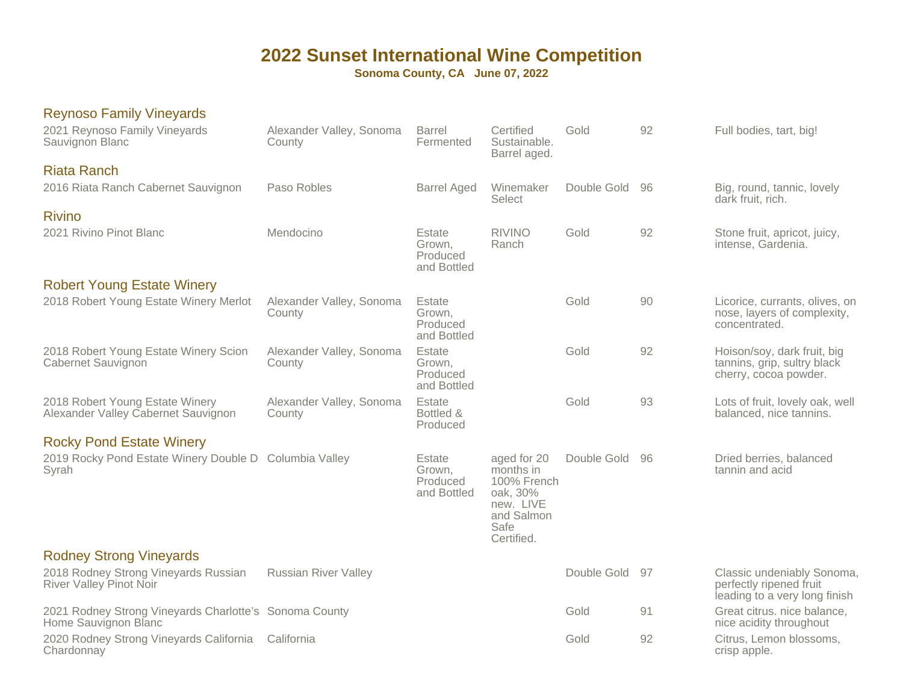| <b>Reynoso Family Vineyards</b><br>2021 Reynoso Family Vineyards<br>Sauvignon Blanc | Alexander Valley, Sonoma<br>County | <b>Barrel</b><br>Fermented                  | Certified<br>Sustainable.<br>Barrel aged.                                                            | Gold           | 92  | Full bodies, tart, big!                                                                |
|-------------------------------------------------------------------------------------|------------------------------------|---------------------------------------------|------------------------------------------------------------------------------------------------------|----------------|-----|----------------------------------------------------------------------------------------|
| <b>Riata Ranch</b><br>2016 Riata Ranch Cabernet Sauvignon                           | Paso Robles                        | <b>Barrel Aged</b>                          | Winemaker<br>Select                                                                                  | Double Gold 96 |     | Big, round, tannic, lovely<br>dark fruit, rich.                                        |
| <b>Rivino</b><br>2021 Rivino Pinot Blanc                                            | Mendocino                          | Estate<br>Grown,<br>Produced<br>and Bottled | <b>RIVINO</b><br>Ranch                                                                               | Gold           | 92  | Stone fruit, apricot, juicy,<br>intense, Gardenia.                                     |
| <b>Robert Young Estate Winery</b>                                                   |                                    |                                             |                                                                                                      |                |     |                                                                                        |
| 2018 Robert Young Estate Winery Merlot                                              | Alexander Valley, Sonoma<br>County | Estate<br>Grown.<br>Produced<br>and Bottled |                                                                                                      | Gold           | 90  | Licorice, currants, olives, on<br>nose, layers of complexity,<br>concentrated.         |
| 2018 Robert Young Estate Winery Scion<br>Cabernet Sauvignon                         | Alexander Valley, Sonoma<br>County | Estate<br>Grown.<br>Produced<br>and Bottled |                                                                                                      | Gold           | 92  | Hoison/soy, dark fruit, big<br>tannins, grip, sultry black<br>cherry, cocoa powder.    |
| 2018 Robert Young Estate Winery<br>Alexander Valley Cabernet Sauvignon              | Alexander Valley, Sonoma<br>County | Estate<br>Bottled &<br>Produced             |                                                                                                      | Gold           | 93  | Lots of fruit, lovely oak, well<br>balanced, nice tannins.                             |
| <b>Rocky Pond Estate Winery</b>                                                     |                                    |                                             |                                                                                                      |                |     |                                                                                        |
| 2019 Rocky Pond Estate Winery Double D Columbia Valley<br>Syrah                     |                                    | Estate<br>Grown,<br>Produced<br>and Bottled | aged for 20<br>months in<br>100% French<br>oak, 30%<br>new. LIVE<br>and Salmon<br>Safe<br>Certified. | Double Gold    | -96 | Dried berries, balanced<br>tannin and acid                                             |
| <b>Rodney Strong Vineyards</b>                                                      |                                    |                                             |                                                                                                      |                |     |                                                                                        |
| 2018 Rodney Strong Vineyards Russian<br>River Valley Pinot Noir                     | <b>Russian River Valley</b>        |                                             |                                                                                                      | Double Gold 97 |     | Classic undeniably Sonoma,<br>perfectly ripened fruit<br>leading to a very long finish |
| 2021 Rodney Strong Vineyards Charlotte's Sonoma County<br>Home Sauvignon Blanc      |                                    |                                             |                                                                                                      | Gold           | 91  | Great citrus. nice balance,<br>nice acidity throughout                                 |
| 2020 Rodney Strong Vineyards California<br>Chardonnay                               | California                         |                                             |                                                                                                      | Gold           | 92  | Citrus, Lemon blossoms,<br>crisp apple.                                                |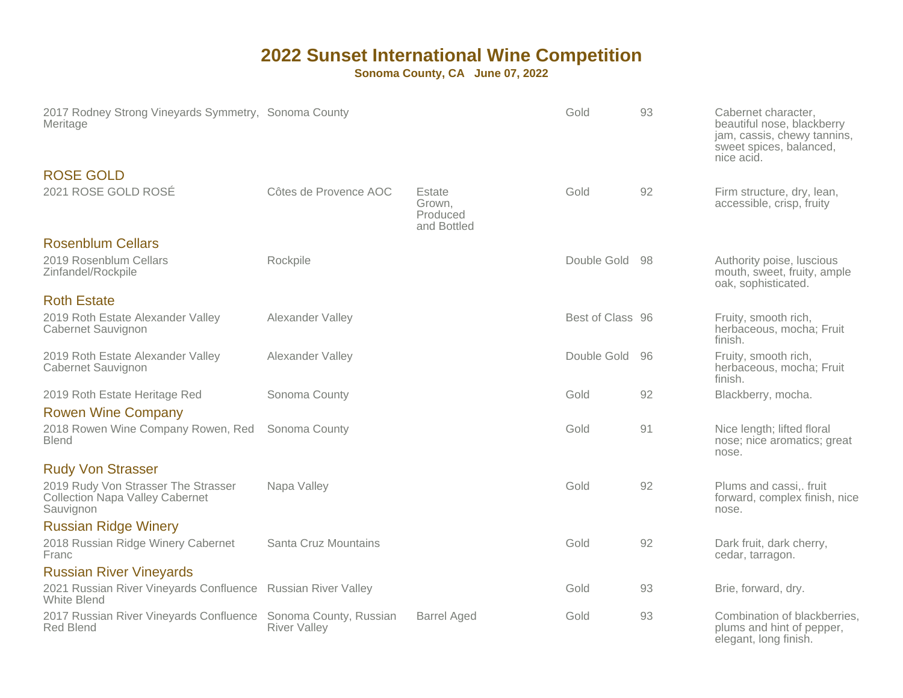| 2017 Rodney Strong Vineyards Symmetry, Sonoma County<br>Meritage                           |                                               |                                             | Gold             | 93 | Cabernet character,<br>beautiful nose, blackberry<br>jam, cassis, chewy tannins,<br>sweet spices, balanced,<br>nice acid. |
|--------------------------------------------------------------------------------------------|-----------------------------------------------|---------------------------------------------|------------------|----|---------------------------------------------------------------------------------------------------------------------------|
| <b>ROSE GOLD</b><br>2021 ROSE GOLD ROSÉ                                                    | Côtes de Provence AOC                         | Estate<br>Grown,<br>Produced<br>and Bottled | Gold             | 92 | Firm structure, dry, lean,<br>accessible, crisp, fruity                                                                   |
| <b>Rosenblum Cellars</b><br>2019 Rosenblum Cellars<br>Zinfandel/Rockpile                   | Rockpile                                      |                                             | Double Gold 98   |    | Authority poise, luscious<br>mouth, sweet, fruity, ample<br>oak, sophisticated.                                           |
| <b>Roth Estate</b><br>2019 Roth Estate Alexander Valley<br>Cabernet Sauvignon              | Alexander Valley                              |                                             | Best of Class 96 |    | Fruity, smooth rich,<br>herbaceous, mocha; Fruit<br>finish.                                                               |
| 2019 Roth Estate Alexander Valley<br>Cabernet Sauvignon                                    | Alexander Valley                              |                                             | Double Gold      | 96 | Fruity, smooth rich,<br>herbaceous, mocha; Fruit<br>finish.                                                               |
| 2019 Roth Estate Heritage Red                                                              | Sonoma County                                 |                                             | Gold             | 92 | Blackberry, mocha.                                                                                                        |
| <b>Rowen Wine Company</b><br>2018 Rowen Wine Company Rowen, Red<br><b>Blend</b>            | Sonoma County                                 |                                             | Gold             | 91 | Nice length; lifted floral<br>nose; nice aromatics; great<br>nose.                                                        |
| <b>Rudy Von Strasser</b>                                                                   |                                               |                                             |                  |    |                                                                                                                           |
| 2019 Rudy Von Strasser The Strasser<br><b>Collection Napa Valley Cabernet</b><br>Sauvignon | Napa Valley                                   |                                             | Gold             | 92 | Plums and cassi,. fruit<br>forward, complex finish, nice<br>nose.                                                         |
| <b>Russian Ridge Winery</b><br>2018 Russian Ridge Winery Cabernet<br>Franc                 | Santa Cruz Mountains                          |                                             | Gold             | 92 | Dark fruit, dark cherry,<br>cedar, tarragon.                                                                              |
| <b>Russian River Vineyards</b>                                                             |                                               |                                             |                  |    |                                                                                                                           |
| 2021 Russian River Vineyards Confluence Russian River Valley<br>White Blend                |                                               |                                             | Gold             | 93 | Brie, forward, dry.                                                                                                       |
| 2017 Russian River Vineyards Confluence<br><b>Red Blend</b>                                | Sonoma County, Russian<br><b>River Valley</b> | <b>Barrel Aged</b>                          | Gold             | 93 | Combination of blackberries,<br>plums and hint of pepper,<br>elegant, long finish.                                        |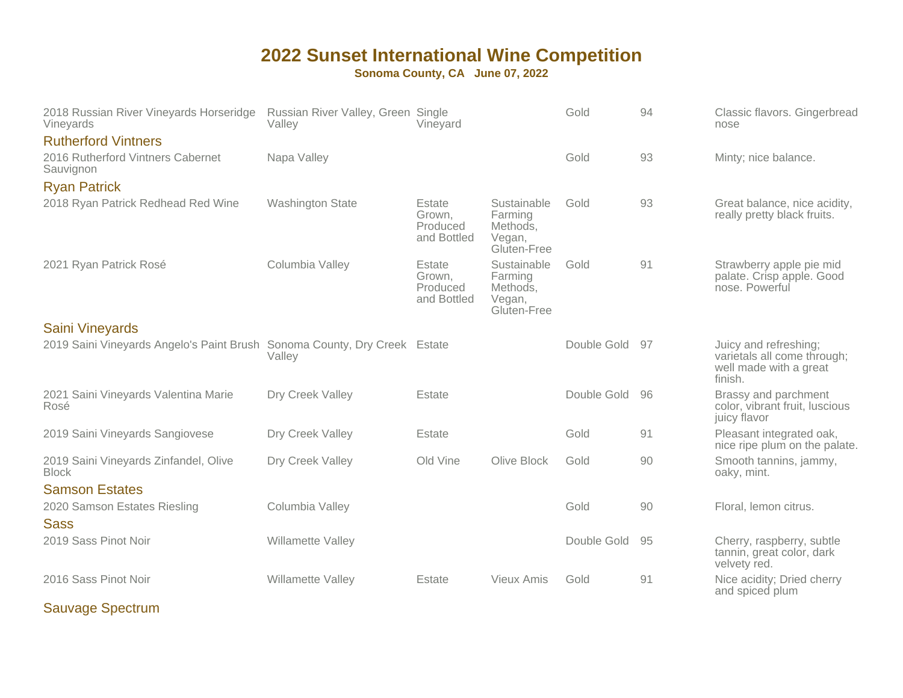**Sonoma County, CA June 07, 2022**

| 2018 Russian River Vineyards Horseridge<br>Vineyards                      | Russian River Valley, Green Single<br>Vallev | Vinevard                                    |                                                             | Gold        | 94 | Classic flavors. Gingerbread<br>nose                                                      |
|---------------------------------------------------------------------------|----------------------------------------------|---------------------------------------------|-------------------------------------------------------------|-------------|----|-------------------------------------------------------------------------------------------|
| <b>Rutherford Vintners</b>                                                |                                              |                                             |                                                             |             |    |                                                                                           |
| 2016 Rutherford Vintners Cabernet<br>Sauvignon                            | Napa Valley                                  |                                             |                                                             | Gold        | 93 | Minty; nice balance.                                                                      |
| <b>Ryan Patrick</b>                                                       |                                              |                                             |                                                             |             |    |                                                                                           |
| 2018 Ryan Patrick Redhead Red Wine                                        | <b>Washington State</b>                      | Estate<br>Grown,<br>Produced<br>and Bottled | Sustainable<br>Farming<br>Methods,<br>Vegan,<br>Gluten-Free | Gold        | 93 | Great balance, nice acidity,<br>really pretty black fruits.                               |
| 2021 Ryan Patrick Rosé                                                    | Columbia Valley                              | Estate<br>Grown.<br>Produced<br>and Bottled | Sustainable<br>Farming<br>Methods,<br>Vegan,<br>Gluten-Free | Gold        | 91 | Strawberry apple pie mid<br>palate. Crisp apple. Good<br>nose. Powerful                   |
| <b>Saini Vineyards</b>                                                    |                                              |                                             |                                                             |             |    |                                                                                           |
| 2019 Saini Vineyards Angelo's Paint Brush Sonoma County, Dry Creek Estate | Valley                                       |                                             |                                                             | Double Gold | 97 | Juicy and refreshing;<br>varietals all come through;<br>well made with a great<br>finish. |
| 2021 Saini Vineyards Valentina Marie<br>Rosé                              | Dry Creek Valley                             | Estate                                      |                                                             | Double Gold | 96 | Brassy and parchment<br>color, vibrant fruit, luscious<br>juicy flavor                    |
| 2019 Saini Vineyards Sangiovese                                           | Dry Creek Valley                             | Estate                                      |                                                             | Gold        | 91 | Pleasant integrated oak,<br>nice ripe plum on the palate.                                 |
| 2019 Saini Vineyards Zinfandel, Olive<br><b>Block</b>                     | Dry Creek Valley                             | Old Vine                                    | Olive Block                                                 | Gold        | 90 | Smooth tannins, jammy,<br>oaky, mint.                                                     |
| <b>Samson Estates</b>                                                     |                                              |                                             |                                                             |             |    |                                                                                           |
| 2020 Samson Estates Riesling<br><b>Sass</b>                               | Columbia Valley                              |                                             |                                                             | Gold        | 90 | Floral, lemon citrus.                                                                     |
| 2019 Sass Pinot Noir                                                      | Willamette Valley                            |                                             |                                                             | Double Gold | 95 | Cherry, raspberry, subtle<br>tannin, great color, dark<br>velvety red.                    |
| 2016 Sass Pinot Noir                                                      | Willamette Valley                            | Estate                                      | <b>Vieux Amis</b>                                           | Gold        | 91 | Nice acidity; Dried cherry<br>and spiced plum                                             |

Sauvage Spectrum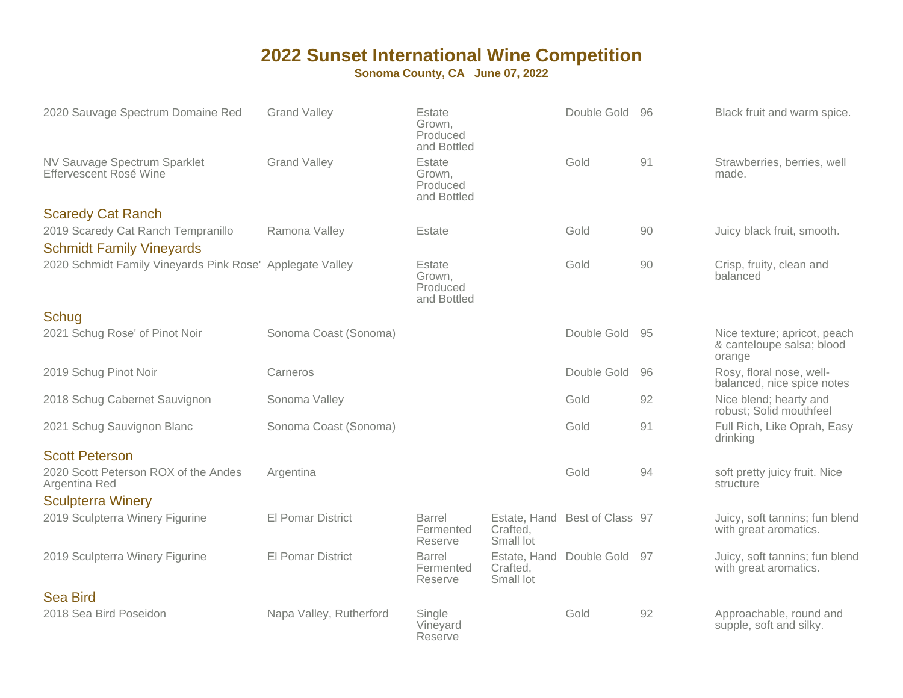| 2020 Sauvage Spectrum Domaine Red                         | <b>Grand Valley</b>      | Estate<br>Grown,<br>Produced<br>and Bottled |                       | Double Gold                   | -96 | Black fruit and warm spice.                                         |
|-----------------------------------------------------------|--------------------------|---------------------------------------------|-----------------------|-------------------------------|-----|---------------------------------------------------------------------|
| NV Sauvage Spectrum Sparklet<br>Effervescent Rosé Wine    | <b>Grand Valley</b>      | Estate<br>Grown,<br>Produced<br>and Bottled |                       | Gold                          | 91  | Strawberries, berries, well<br>made.                                |
| <b>Scaredy Cat Ranch</b>                                  |                          |                                             |                       |                               |     |                                                                     |
| 2019 Scaredy Cat Ranch Tempranillo                        | Ramona Valley            | Estate                                      |                       | Gold                          | 90  | Juicy black fruit, smooth.                                          |
| <b>Schmidt Family Vineyards</b>                           |                          |                                             |                       |                               |     |                                                                     |
| 2020 Schmidt Family Vineyards Pink Rose' Applegate Valley |                          | Estate<br>Grown,<br>Produced<br>and Bottled |                       | Gold                          | 90  | Crisp, fruity, clean and<br>balanced                                |
| Schug                                                     |                          |                                             |                       |                               |     |                                                                     |
| 2021 Schug Rose' of Pinot Noir                            | Sonoma Coast (Sonoma)    |                                             |                       | Double Gold                   | -95 | Nice texture; apricot, peach<br>& canteloupe salsa; blood<br>orange |
| 2019 Schug Pinot Noir                                     | Carneros                 |                                             |                       | Double Gold                   | 96  | Rosy, floral nose, well-<br>balanced, nice spice notes              |
| 2018 Schug Cabernet Sauvignon                             | Sonoma Valley            |                                             |                       | Gold                          | 92  | Nice blend; hearty and<br>robust; Solid mouthfeel                   |
| 2021 Schug Sauvignon Blanc                                | Sonoma Coast (Sonoma)    |                                             |                       | Gold                          | 91  | Full Rich, Like Oprah, Easy<br>drinking                             |
| <b>Scott Peterson</b>                                     |                          |                                             |                       |                               |     |                                                                     |
| 2020 Scott Peterson ROX of the Andes<br>Argentina Red     | Argentina                |                                             |                       | Gold                          | 94  | soft pretty juicy fruit. Nice<br>structure                          |
| <b>Sculpterra Winery</b>                                  |                          |                                             |                       |                               |     |                                                                     |
| 2019 Sculpterra Winery Figurine                           | <b>El Pomar District</b> | <b>Barrel</b><br>Fermented<br>Reserve       | Crafted,<br>Small lot | Estate, Hand Best of Class 97 |     | Juicy, soft tannins; fun blend<br>with great aromatics.             |
| 2019 Sculpterra Winery Figurine                           | <b>El Pomar District</b> | <b>Barrel</b><br>Fermented<br>Reserve       | Crafted,<br>Small lot | Estate, Hand Double Gold 97   |     | Juicy, soft tannins; fun blend<br>with great aromatics.             |
| <b>Sea Bird</b>                                           |                          |                                             |                       |                               |     |                                                                     |
| 2018 Sea Bird Poseidon                                    | Napa Valley, Rutherford  | Single<br>Vineyard<br>Reserve               |                       | Gold                          | 92  | Approachable, round and<br>supple, soft and silky.                  |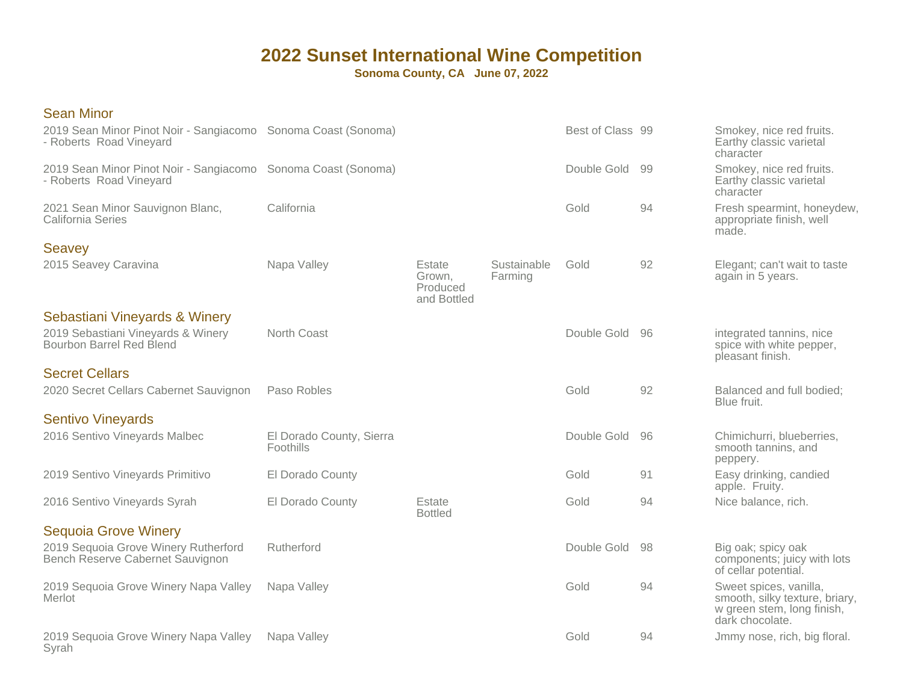| <b>Sean Minor</b>                                                                               |                                       |                                             |                        |                  |    |                                                                                                           |
|-------------------------------------------------------------------------------------------------|---------------------------------------|---------------------------------------------|------------------------|------------------|----|-----------------------------------------------------------------------------------------------------------|
| 2019 Sean Minor Pinot Noir - Sangiacomo Sonoma Coast (Sonoma)<br>- Roberts Road Vineyard        |                                       |                                             |                        | Best of Class 99 |    | Smokey, nice red fruits.<br>Earthy classic varietal<br>character                                          |
| 2019 Sean Minor Pinot Noir - Sangiacomo Sonoma Coast (Sonoma)<br>- Roberts Road Vineyard        |                                       |                                             |                        | Double Gold      | 99 | Smokey, nice red fruits.<br>Earthy classic varietal<br>character                                          |
| 2021 Sean Minor Sauvignon Blanc,<br><b>California Series</b>                                    | California                            |                                             |                        | Gold             | 94 | Fresh spearmint, honeydew,<br>appropriate finish, well<br>made.                                           |
| <b>Seavey</b>                                                                                   |                                       |                                             |                        |                  |    |                                                                                                           |
| 2015 Seavey Caravina                                                                            | Napa Valley                           | Estate<br>Grown,<br>Produced<br>and Bottled | Sustainable<br>Farming | Gold             | 92 | Elegant; can't wait to taste<br>again in 5 years.                                                         |
| Sebastiani Vineyards & Winery<br>2019 Sebastiani Vineyards & Winery<br>Bourbon Barrel Red Blend | North Coast                           |                                             |                        | Double Gold      | 96 | integrated tannins, nice<br>spice with white pepper,<br>pleasant finish.                                  |
| <b>Secret Cellars</b>                                                                           |                                       |                                             |                        |                  |    |                                                                                                           |
| 2020 Secret Cellars Cabernet Sauvignon                                                          | Paso Robles                           |                                             |                        | Gold             | 92 | Balanced and full bodied;<br>Blue fruit.                                                                  |
| <b>Sentivo Vineyards</b>                                                                        |                                       |                                             |                        |                  |    |                                                                                                           |
| 2016 Sentivo Vineyards Malbec                                                                   | El Dorado County, Sierra<br>Foothills |                                             |                        | Double Gold      | 96 | Chimichurri, blueberries,<br>smooth tannins, and<br>peppery.                                              |
| 2019 Sentivo Vineyards Primitivo                                                                | El Dorado County                      |                                             |                        | Gold             | 91 | Easy drinking, candied<br>apple. Fruity.                                                                  |
| 2016 Sentivo Vineyards Syrah                                                                    | El Dorado County                      | Estate<br><b>Bottled</b>                    |                        | Gold             | 94 | Nice balance, rich.                                                                                       |
| <b>Sequoia Grove Winery</b>                                                                     |                                       |                                             |                        |                  |    |                                                                                                           |
| 2019 Sequoia Grove Winery Rutherford<br>Bench Reserve Cabernet Sauvignon                        | Rutherford                            |                                             |                        | Double Gold      | 98 | Big oak; spicy oak<br>components; juicy with lots<br>of cellar potential.                                 |
| 2019 Sequoia Grove Winery Napa Valley<br>Merlot                                                 | Napa Valley                           |                                             |                        | Gold             | 94 | Sweet spices, vanilla,<br>smooth, silky texture, briary,<br>w green stem, long finish,<br>dark chocolate. |
| 2019 Sequoia Grove Winery Napa Valley<br>Syrah                                                  | Napa Valley                           |                                             |                        | Gold             | 94 | Jmmy nose, rich, big floral.                                                                              |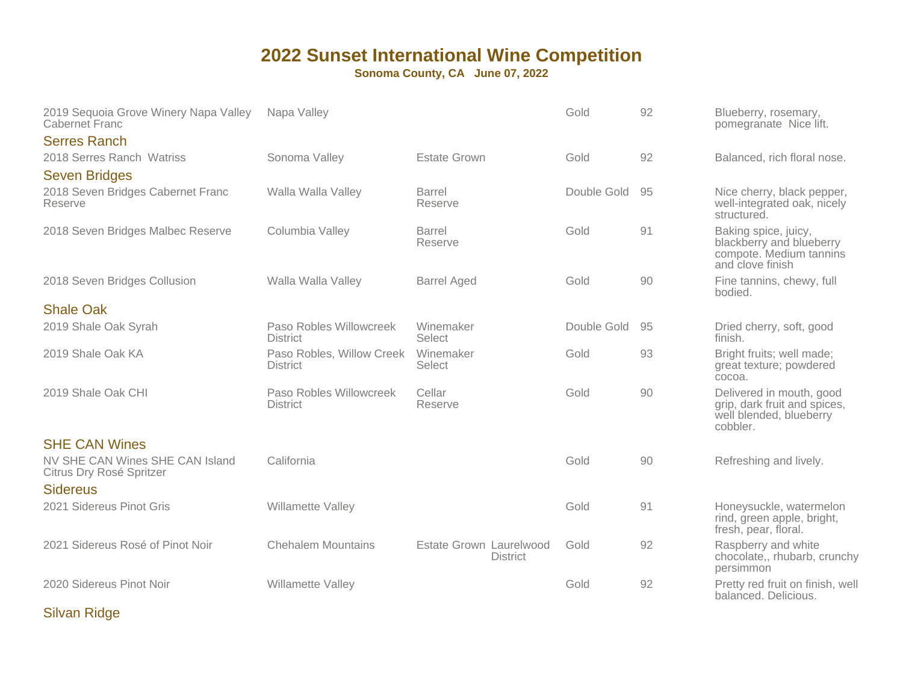**Sonoma County, CA June 07, 2022**

| 2019 Sequoia Grove Winery Napa Valley<br>Cabernet Franc     | Napa Valley                                  |                                            | Gold        | 92 | Blueberry, rosemary,<br>pomegranate Nice lift.                                                  |
|-------------------------------------------------------------|----------------------------------------------|--------------------------------------------|-------------|----|-------------------------------------------------------------------------------------------------|
| <b>Serres Ranch</b>                                         |                                              |                                            |             |    |                                                                                                 |
| 2018 Serres Ranch Watriss                                   | Sonoma Valley                                | <b>Estate Grown</b>                        | Gold        | 92 | Balanced, rich floral nose.                                                                     |
| <b>Seven Bridges</b>                                        |                                              |                                            |             |    |                                                                                                 |
| 2018 Seven Bridges Cabernet Franc<br>Reserve                | Walla Walla Valley                           | Barrel<br>Reserve                          | Double Gold | 95 | Nice cherry, black pepper,<br>well-integrated oak, nicely<br>structured.                        |
| 2018 Seven Bridges Malbec Reserve                           | Columbia Valley                              | <b>Barrel</b><br>Reserve                   | Gold        | 91 | Baking spice, juicy,<br>blackberry and blueberry<br>compote. Medium tannins<br>and clove finish |
| 2018 Seven Bridges Collusion                                | Walla Walla Valley                           | <b>Barrel Aged</b>                         | Gold        | 90 | Fine tannins, chewy, full<br>bodied.                                                            |
| <b>Shale Oak</b>                                            |                                              |                                            |             |    |                                                                                                 |
| 2019 Shale Oak Syrah                                        | Paso Robles Willowcreek<br><b>District</b>   | Winemaker<br>Select                        | Double Gold | 95 | Dried cherry, soft, good<br>finish.                                                             |
| 2019 Shale Oak KA                                           | Paso Robles, Willow Creek<br><b>District</b> | Winemaker<br>Select                        | Gold        | 93 | Bright fruits; well made;<br>great texture; powdered<br>cocoa.                                  |
| 2019 Shale Oak CHI                                          | Paso Robles Willowcreek<br><b>District</b>   | Cellar<br>Reserve                          | Gold        | 90 | Delivered in mouth, good<br>grip, dark fruit and spices,<br>well blended, blueberry<br>cobbler. |
| <b>SHE CAN Wines</b>                                        |                                              |                                            |             |    |                                                                                                 |
| NV SHE CAN Wines SHE CAN Island<br>Citrus Dry Rosé Spritzer | California                                   |                                            | Gold        | 90 | Refreshing and lively.                                                                          |
| <b>Sidereus</b>                                             |                                              |                                            |             |    |                                                                                                 |
| 2021 Sidereus Pinot Gris                                    | Willamette Valley                            |                                            | Gold        | 91 | Honeysuckle, watermelon<br>rind, green apple, bright,<br>fresh, pear, floral.                   |
| 2021 Sidereus Rosé of Pinot Noir                            | <b>Chehalem Mountains</b>                    | Estate Grown Laurelwood<br><b>District</b> | Gold        | 92 | Raspberry and white<br>chocolate,, rhubarb, crunchy<br>persimmon                                |
| 2020 Sidereus Pinot Noir                                    | Willamette Valley                            |                                            | Gold        | 92 | Pretty red fruit on finish, well<br>balanced. Delicious.                                        |

Silvan Ridge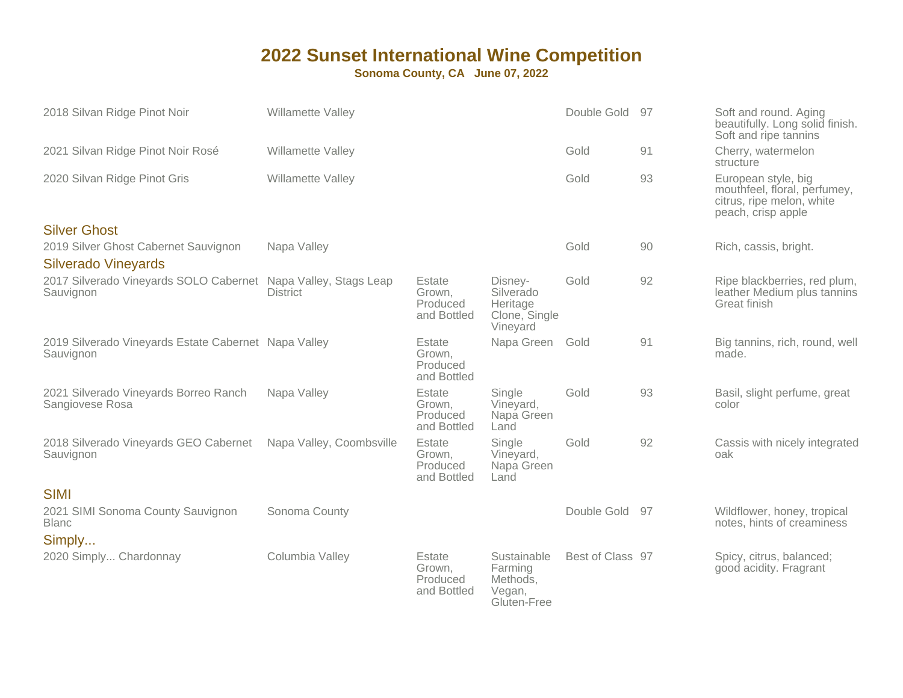| 2018 Silvan Ridge Pinot Noir                                                | Willamette Valley        |                                             |                                                               | Double Gold 97   |    | Soft and round. Aging<br>beautifully. Long solid finish.<br>Soft and ripe tannins                      |
|-----------------------------------------------------------------------------|--------------------------|---------------------------------------------|---------------------------------------------------------------|------------------|----|--------------------------------------------------------------------------------------------------------|
| 2021 Silvan Ridge Pinot Noir Rosé                                           | Willamette Valley        |                                             |                                                               | Gold             | 91 | Cherry, watermelon<br>structure                                                                        |
| 2020 Silvan Ridge Pinot Gris                                                | Willamette Valley        |                                             |                                                               | Gold             | 93 | European style, big<br>mouthfeel, floral, perfumey,<br>citrus, ripe melon, white<br>peach, crisp apple |
| <b>Silver Ghost</b>                                                         |                          |                                             |                                                               |                  |    |                                                                                                        |
| 2019 Silver Ghost Cabernet Sauvignon                                        | Napa Valley              |                                             |                                                               | Gold             | 90 | Rich, cassis, bright.                                                                                  |
| <b>Silverado Vineyards</b>                                                  |                          |                                             |                                                               |                  |    |                                                                                                        |
| 2017 Silverado Vineyards SOLO Cabernet Napa Valley, Stags Leap<br>Sauvignon | <b>District</b>          | Estate<br>Grown.<br>Produced<br>and Bottled | Disney-<br>Silverado<br>Heritage<br>Clone, Single<br>Vineyard | Gold             | 92 | Ripe blackberries, red plum,<br>leather Medium plus tannins<br>Great finish                            |
| 2019 Silverado Vineyards Estate Cabernet Napa Valley<br>Sauvignon           |                          | Estate<br>Grown.<br>Produced<br>and Bottled | Napa Green                                                    | Gold             | 91 | Big tannins, rich, round, well<br>made.                                                                |
| 2021 Silverado Vineyards Borreo Ranch<br>Sangiovese Rosa                    | Napa Valley              | Estate<br>Grown,<br>Produced<br>and Bottled | Single<br>Vineyard,<br>Napa Green<br>Land                     | Gold             | 93 | Basil, slight perfume, great<br>color                                                                  |
| 2018 Silverado Vineyards GEO Cabernet<br>Sauvignon                          | Napa Valley, Coombsville | Estate<br>Grown,<br>Produced<br>and Bottled | Single<br>Vineyard,<br>Napa Green<br>Land                     | Gold             | 92 | Cassis with nicely integrated<br>oak                                                                   |
| <b>SIMI</b>                                                                 |                          |                                             |                                                               |                  |    |                                                                                                        |
| 2021 SIMI Sonoma County Sauvignon<br><b>Blanc</b>                           | Sonoma County            |                                             |                                                               | Double Gold      | 97 | Wildflower, honey, tropical<br>notes, hints of creaminess                                              |
| Simply                                                                      |                          |                                             |                                                               |                  |    |                                                                                                        |
| 2020 Simply Chardonnay                                                      | Columbia Valley          | Estate<br>Grown,<br>Produced<br>and Bottled | Sustainable<br>Farming<br>Methods,<br>Vegan,<br>Gluten-Free   | Best of Class 97 |    | Spicy, citrus, balanced;<br>good acidity. Fragrant                                                     |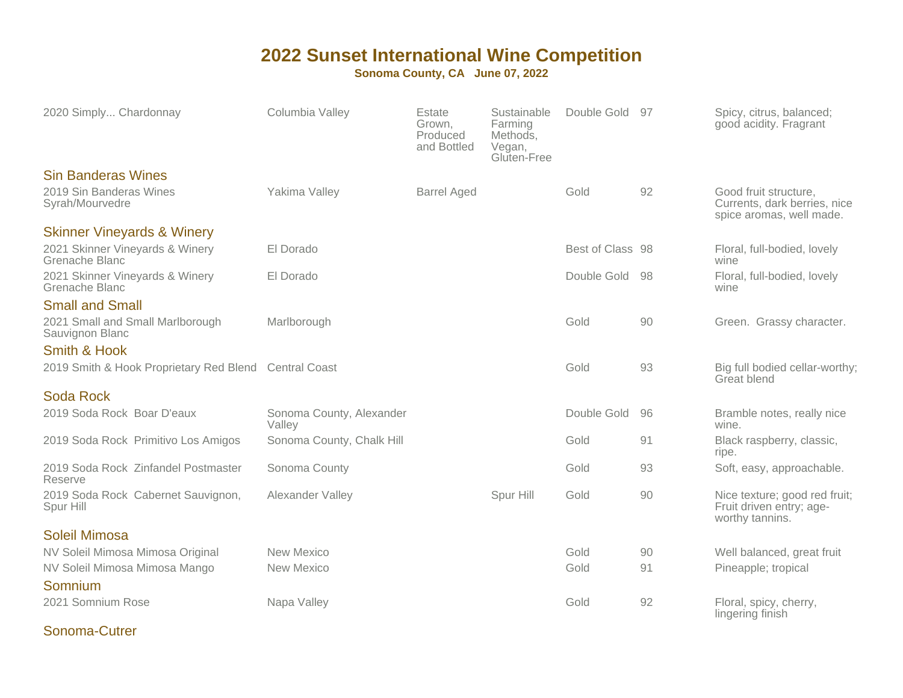#### **Sonoma County, CA June 07, 2022**

| 2020 Simply Chardonnay                                | Columbia Valley                    | Estate<br>Grown,<br>Produced<br>and Bottled | Sustainable<br>Farming<br>Methods,<br>Vegan,<br>Gluten-Free | Double Gold      | .97 | Spicy, citrus, balanced;<br>good acidity. Fragrant                                |
|-------------------------------------------------------|------------------------------------|---------------------------------------------|-------------------------------------------------------------|------------------|-----|-----------------------------------------------------------------------------------|
| <b>Sin Banderas Wines</b>                             |                                    |                                             |                                                             |                  |     |                                                                                   |
| 2019 Sin Banderas Wines<br>Syrah/Mourvedre            | Yakima Valley                      | <b>Barrel Aged</b>                          |                                                             | Gold             | 92  | Good fruit structure.<br>Currents, dark berries, nice<br>spice aromas, well made. |
| <b>Skinner Vineyards &amp; Winery</b>                 |                                    |                                             |                                                             |                  |     |                                                                                   |
| 2021 Skinner Vineyards & Winery<br>Grenache Blanc     | El Dorado                          |                                             |                                                             | Best of Class 98 |     | Floral, full-bodied, lovely<br>wine                                               |
| 2021 Skinner Vineyards & Winery<br>Grenache Blanc     | El Dorado                          |                                             |                                                             | Double Gold      | -98 | Floral, full-bodied, lovely<br>wine                                               |
| <b>Small and Small</b>                                |                                    |                                             |                                                             |                  |     |                                                                                   |
| 2021 Small and Small Marlborough<br>Sauvignon Blanc   | Marlborough                        |                                             |                                                             | Gold             | 90  | Green. Grassy character.                                                          |
| Smith & Hook                                          |                                    |                                             |                                                             |                  |     |                                                                                   |
| 2019 Smith & Hook Proprietary Red Blend Central Coast |                                    |                                             |                                                             | Gold             | 93  | Big full bodied cellar-worthy;<br>Great blend                                     |
| Soda Rock                                             |                                    |                                             |                                                             |                  |     |                                                                                   |
| 2019 Soda Rock Boar D'eaux                            | Sonoma County, Alexander<br>Valley |                                             |                                                             | Double Gold      | 96  | Bramble notes, really nice<br>wine.                                               |
| 2019 Soda Rock Primitivo Los Amigos                   | Sonoma County, Chalk Hill          |                                             |                                                             | Gold             | 91  | Black raspberry, classic,<br>ripe.                                                |
| 2019 Soda Rock Zinfandel Postmaster<br>Reserve        | Sonoma County                      |                                             |                                                             | Gold             | 93  | Soft, easy, approachable.                                                         |
| 2019 Soda Rock Cabernet Sauvignon,<br>Spur Hill       | Alexander Valley                   |                                             | Spur Hill                                                   | Gold             | 90  | Nice texture; good red fruit;<br>Fruit driven entry; age-<br>worthy tannins.      |
| Soleil Mimosa                                         |                                    |                                             |                                                             |                  |     |                                                                                   |
| NV Soleil Mimosa Mimosa Original                      | New Mexico                         |                                             |                                                             | Gold             | 90  | Well balanced, great fruit                                                        |
| NV Soleil Mimosa Mimosa Mango<br>Somnium              | New Mexico                         |                                             |                                                             | Gold             | 91  | Pineapple; tropical                                                               |
| 2021 Somnium Rose                                     | Napa Valley                        |                                             |                                                             | Gold             | 92  | Floral, spicy, cherry,<br>lingering finish                                        |

#### Sonoma-Cutrer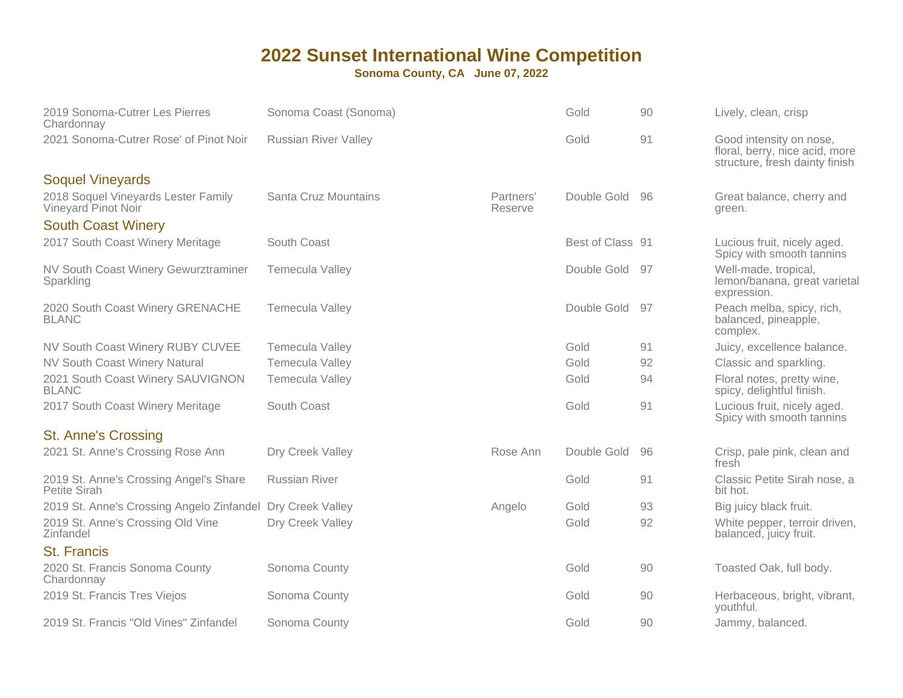| 2019 Sonoma-Cutrer Les Pierres<br>Chardonnay               | Sonoma Coast (Sonoma)       |                      | Gold             | 90   | Lively, clean, crisp                                                                        |
|------------------------------------------------------------|-----------------------------|----------------------|------------------|------|---------------------------------------------------------------------------------------------|
| 2021 Sonoma-Cutrer Rose' of Pinot Noir                     | <b>Russian River Valley</b> |                      | Gold             | 91   | Good intensity on nose,<br>floral, berry, nice acid, more<br>structure, fresh dainty finish |
| <b>Soquel Vineyards</b>                                    |                             |                      |                  |      |                                                                                             |
| 2018 Soquel Vineyards Lester Family<br>Vineyard Pinot Noir | Santa Cruz Mountains        | Partners'<br>Reserve | Double Gold 96   |      | Great balance, cherry and<br>green.                                                         |
| <b>South Coast Winery</b>                                  |                             |                      |                  |      |                                                                                             |
| 2017 South Coast Winery Meritage                           | South Coast                 |                      | Best of Class 91 |      | Lucious fruit, nicely aged.<br>Spicy with smooth tannins                                    |
| NV South Coast Winery Gewurztraminer<br>Sparkling          | <b>Temecula Valley</b>      |                      | Double Gold      | - 97 | Well-made, tropical,<br>lemon/banana, great varietal<br>expression.                         |
| 2020 South Coast Winery GRENACHE<br><b>BLANC</b>           | <b>Temecula Valley</b>      |                      | Double Gold 97   |      | Peach melba, spicy, rich,<br>balanced, pineapple,<br>complex.                               |
| NV South Coast Winery RUBY CUVEE                           | Temecula Valley             |                      | Gold             | 91   | Juicy, excellence balance.                                                                  |
| <b>NV South Coast Winery Natural</b>                       | <b>Temecula Valley</b>      |                      | Gold             | 92   | Classic and sparkling.                                                                      |
| 2021 South Coast Winery SAUVIGNON<br><b>BLANC</b>          | Temecula Valley             |                      | Gold             | 94   | Floral notes, pretty wine,<br>spicy, delightful finish.                                     |
| 2017 South Coast Winery Meritage                           | South Coast                 |                      | Gold             | 91   | Lucious fruit, nicely aged.<br>Spicy with smooth tannins                                    |
| <b>St. Anne's Crossing</b>                                 |                             |                      |                  |      |                                                                                             |
| 2021 St. Anne's Crossing Rose Ann                          | Dry Creek Valley            | Rose Ann             | Double Gold      | 96   | Crisp, pale pink, clean and<br>fresh                                                        |
| 2019 St. Anne's Crossing Angel's Share<br>Petite Sirah     | <b>Russian River</b>        |                      | Gold             | 91   | Classic Petite Sirah nose, a<br>bit hot.                                                    |
| 2019 St. Anne's Crossing Angelo Zinfandel                  | Dry Creek Valley            | Angelo               | Gold             | 93   | Big juicy black fruit.                                                                      |
| 2019 St. Anne's Crossing Old Vine<br>Zinfandel             | Dry Creek Valley            |                      | Gold             | 92   | White pepper, terroir driven,<br>balanced, juicy fruit.                                     |
| <b>St. Francis</b>                                         |                             |                      |                  |      |                                                                                             |
| 2020 St. Francis Sonoma County<br>Chardonnay               | Sonoma County               |                      | Gold             | 90   | Toasted Oak, full body.                                                                     |
| 2019 St. Francis Tres Viejos                               | Sonoma County               |                      | Gold             | 90   | Herbaceous, bright, vibrant,<br>youthful.                                                   |
| 2019 St. Francis "Old Vines" Zinfandel                     | Sonoma County               |                      | Gold             | 90   | Jammy, balanced.                                                                            |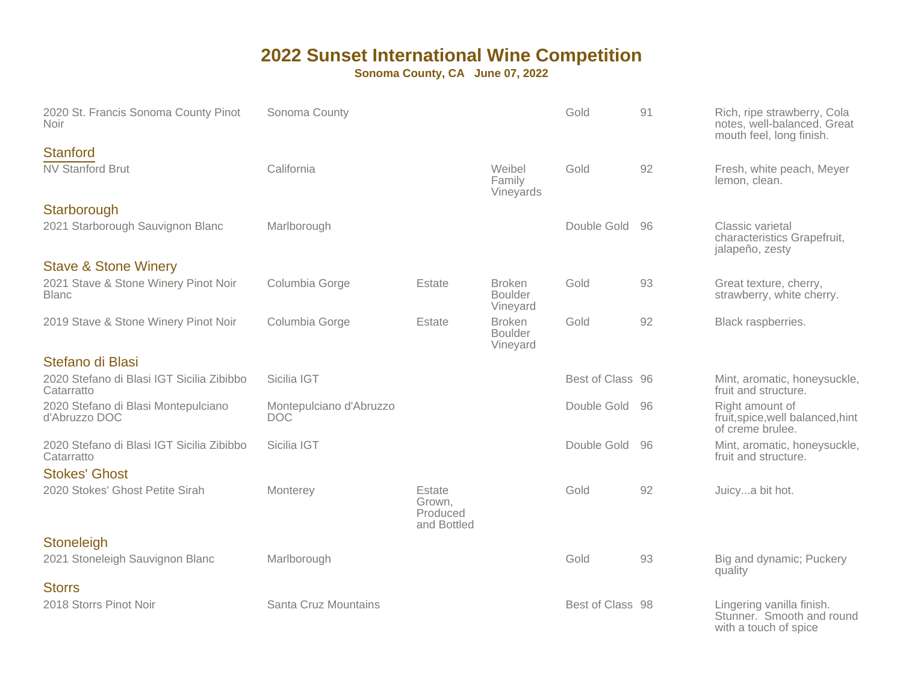| 2020 St. Francis Sonoma County Pinot<br><b>Noir</b>                                     | Sonoma County                         |                                             |                                             | Gold             | 91 | Rich, ripe strawberry, Cola<br>notes, well-balanced. Great<br>mouth feel, long finish. |
|-----------------------------------------------------------------------------------------|---------------------------------------|---------------------------------------------|---------------------------------------------|------------------|----|----------------------------------------------------------------------------------------|
| <b>Stanford</b><br><b>NV Stanford Brut</b>                                              | California                            |                                             | Weibel<br>Family<br>Vineyards               | Gold             | 92 | Fresh, white peach, Meyer<br>lemon, clean.                                             |
| Starborough<br>2021 Starborough Sauvignon Blanc                                         | Marlborough                           |                                             |                                             | Double Gold      | 96 | Classic varietal<br>characteristics Grapefruit,<br>jalapeño, zesty                     |
| <b>Stave &amp; Stone Winery</b><br>2021 Stave & Stone Winery Pinot Noir<br><b>Blanc</b> | Columbia Gorge                        | Estate                                      | <b>Broken</b><br><b>Boulder</b><br>Vineyard | Gold             | 93 | Great texture, cherry,<br>strawberry, white cherry.                                    |
| 2019 Stave & Stone Winery Pinot Noir                                                    | Columbia Gorge                        | Estate                                      | <b>Broken</b><br><b>Boulder</b><br>Vineyard | Gold             | 92 | Black raspberries.                                                                     |
| Stefano di Blasi                                                                        |                                       |                                             |                                             |                  |    |                                                                                        |
| 2020 Stefano di Blasi IGT Sicilia Zibibbo<br>Catarratto                                 | Sicilia IGT                           |                                             |                                             | Best of Class 96 |    | Mint, aromatic, honeysuckle,<br>fruit and structure.                                   |
| 2020 Stefano di Blasi Montepulciano<br>d'Abruzzo DOC                                    | Montepulciano d'Abruzzo<br><b>DOC</b> |                                             |                                             | Double Gold      | 96 | Right amount of<br>fruit, spice, well balanced, hint<br>of creme brulee.               |
| 2020 Stefano di Blasi IGT Sicilia Zibibbo<br>Catarratto                                 | Sicilia IGT                           |                                             |                                             | Double Gold      | 96 | Mint, aromatic, honeysuckle,<br>fruit and structure.                                   |
| <b>Stokes' Ghost</b><br>2020 Stokes' Ghost Petite Sirah                                 | Monterey                              | Estate<br>Grown,<br>Produced<br>and Bottled |                                             | Gold             | 92 | Juicya bit hot.                                                                        |
| Stoneleigh<br>2021 Stoneleigh Sauvignon Blanc                                           | Marlborough                           |                                             |                                             | Gold             | 93 | Big and dynamic; Puckery<br>quality                                                    |
| <b>Storrs</b><br>2018 Storrs Pinot Noir                                                 | Santa Cruz Mountains                  |                                             |                                             | Best of Class 98 |    | Lingering vanilla finish.<br>Stunner. Smooth and round<br>with a touch of spice        |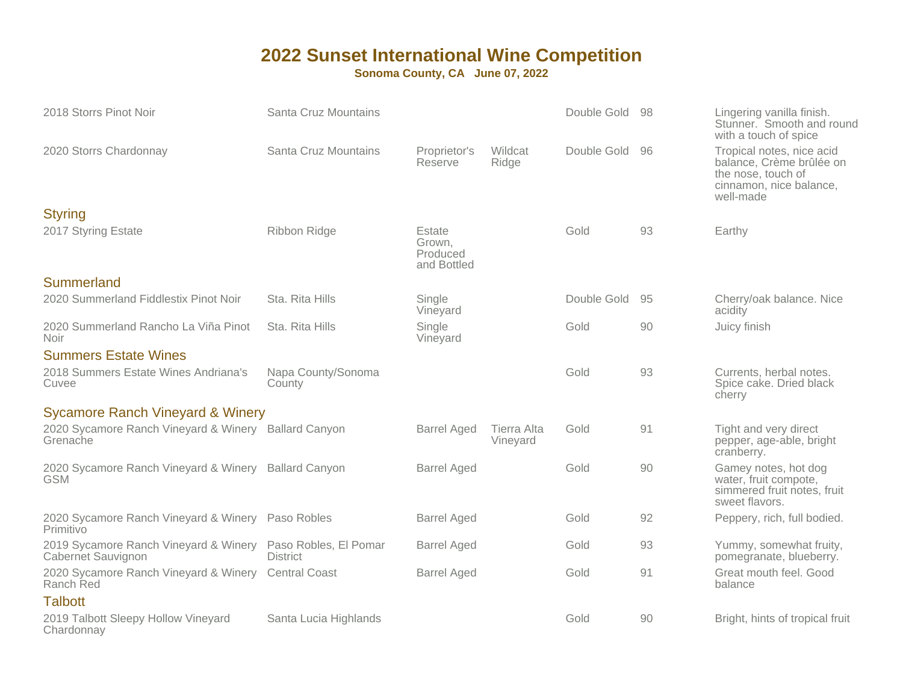| 2018 Storrs Pinot Noir                                                            | Santa Cruz Mountains         |                                             |                         | Double Gold 98 |    | Lingering vanilla finish.<br>Stunner. Smooth and round<br>with a touch of spice                                     |
|-----------------------------------------------------------------------------------|------------------------------|---------------------------------------------|-------------------------|----------------|----|---------------------------------------------------------------------------------------------------------------------|
| 2020 Storrs Chardonnay                                                            | Santa Cruz Mountains         | Proprietor's<br>Reserve                     | Wildcat<br>Ridge        | Double Gold    | 96 | Tropical notes, nice acid<br>balance, Crème brûlée on<br>the nose, touch of<br>cinnamon, nice balance,<br>well-made |
| <b>Styring</b>                                                                    |                              |                                             |                         |                |    |                                                                                                                     |
| 2017 Styring Estate                                                               | Ribbon Ridge                 | Estate<br>Grown,<br>Produced<br>and Bottled |                         | Gold           | 93 | Earthy                                                                                                              |
| Summerland                                                                        |                              |                                             |                         |                |    |                                                                                                                     |
| 2020 Summerland Fiddlestix Pinot Noir                                             | Sta. Rita Hills              | Single<br>Vineyard                          |                         | Double Gold    | 95 | Cherry/oak balance. Nice<br>acidity                                                                                 |
| 2020 Summerland Rancho La Viña Pinot<br><b>Noir</b>                               | Sta. Rita Hills              | Single<br>Vineyard                          |                         | Gold           | 90 | Juicy finish                                                                                                        |
| <b>Summers Estate Wines</b>                                                       |                              |                                             |                         |                |    |                                                                                                                     |
| 2018 Summers Estate Wines Andriana's<br>Cuvee                                     | Napa County/Sonoma<br>County |                                             |                         | Gold           | 93 | Currents, herbal notes.<br>Spice cake. Dried black<br>cherry                                                        |
| <b>Sycamore Ranch Vineyard &amp; Winery</b>                                       |                              |                                             |                         |                |    |                                                                                                                     |
| 2020 Sycamore Ranch Vineyard & Winery Ballard Canyon<br>Grenache                  |                              | <b>Barrel Aged</b>                          | Tierra Alta<br>Vineyard | Gold           | 91 | Tight and very direct<br>pepper, age-able, bright<br>cranberry.                                                     |
| 2020 Sycamore Ranch Vineyard & Winery Ballard Canyon<br><b>GSM</b>                |                              | <b>Barrel Aged</b>                          |                         | Gold           | 90 | Gamey notes, hot dog<br>water, fruit compote,<br>simmered fruit notes, fruit<br>sweet flavors.                      |
| 2020 Sycamore Ranch Vineyard & Winery Paso Robles<br>Primitivo                    |                              | <b>Barrel Aged</b>                          |                         | Gold           | 92 | Peppery, rich, full bodied.                                                                                         |
| 2019 Sycamore Ranch Vineyard & Winery Paso Robles, El Pomar<br>Cabernet Sauvignon | <b>District</b>              | <b>Barrel Aged</b>                          |                         | Gold           | 93 | Yummy, somewhat fruity,<br>pomegranate, blueberry.                                                                  |
| 2020 Sycamore Ranch Vineyard & Winery Central Coast<br>Ranch Red                  |                              | <b>Barrel Aged</b>                          |                         | Gold           | 91 | Great mouth feel. Good<br>balance                                                                                   |
| <b>Talbott</b>                                                                    |                              |                                             |                         |                |    |                                                                                                                     |
| 2019 Talbott Sleepy Hollow Vineyard<br>Chardonnay                                 | Santa Lucia Highlands        |                                             |                         | Gold           | 90 | Bright, hints of tropical fruit                                                                                     |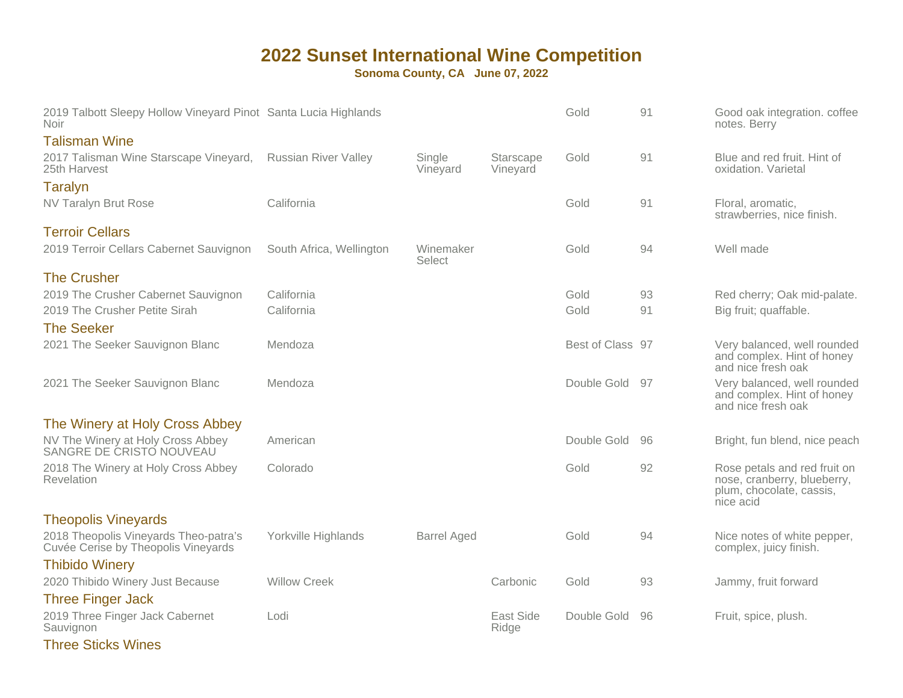| 2019 Talbott Sleepy Hollow Vineyard Pinot Santa Lucia Highlands<br><b>Noir</b> |                             |                     |                       | Gold             | 91 | Good oak integration. coffee<br>notes. Berry                                                         |
|--------------------------------------------------------------------------------|-----------------------------|---------------------|-----------------------|------------------|----|------------------------------------------------------------------------------------------------------|
| <b>Talisman Wine</b>                                                           |                             |                     |                       |                  |    |                                                                                                      |
| 2017 Talisman Wine Starscape Vineyard,<br>25th Harvest                         | <b>Russian River Valley</b> | Single<br>Vineyard  | Starscape<br>Vineyard | Gold             | 91 | Blue and red fruit. Hint of<br>oxidation. Varietal                                                   |
| <b>Taralyn</b>                                                                 |                             |                     |                       |                  |    |                                                                                                      |
| NV Taralyn Brut Rose                                                           | California                  |                     |                       | Gold             | 91 | Floral, aromatic,<br>strawberries, nice finish.                                                      |
| <b>Terroir Cellars</b>                                                         |                             |                     |                       |                  |    |                                                                                                      |
| 2019 Terroir Cellars Cabernet Sauvignon                                        | South Africa, Wellington    | Winemaker<br>Select |                       | Gold             | 94 | Well made                                                                                            |
| <b>The Crusher</b>                                                             |                             |                     |                       |                  |    |                                                                                                      |
| 2019 The Crusher Cabernet Sauvignon                                            | California                  |                     |                       | Gold             | 93 | Red cherry; Oak mid-palate.                                                                          |
| 2019 The Crusher Petite Sirah                                                  | California                  |                     |                       | Gold             | 91 | Big fruit; quaffable.                                                                                |
| <b>The Seeker</b>                                                              |                             |                     |                       |                  |    |                                                                                                      |
| 2021 The Seeker Sauvignon Blanc                                                | Mendoza                     |                     |                       | Best of Class 97 |    | Very balanced, well rounded<br>and complex. Hint of honey<br>and nice fresh oak                      |
| 2021 The Seeker Sauvignon Blanc                                                | Mendoza                     |                     |                       | Double Gold      | 97 | Very balanced, well rounded<br>and complex. Hint of honey<br>and nice fresh oak                      |
| The Winery at Holy Cross Abbey                                                 |                             |                     |                       |                  |    |                                                                                                      |
| NV The Winery at Holy Cross Abbey<br>SANGRE DE CRISTO NOUVEAU                  | American                    |                     |                       | Double Gold      | 96 | Bright, fun blend, nice peach                                                                        |
| 2018 The Winery at Holy Cross Abbey<br>Revelation                              | Colorado                    |                     |                       | Gold             | 92 | Rose petals and red fruit on<br>nose, cranberry, blueberry,<br>plum, chocolate, cassis,<br>nice acid |
| <b>Theopolis Vineyards</b>                                                     |                             |                     |                       |                  |    |                                                                                                      |
| 2018 Theopolis Vineyards Theo-patra's<br>Cuvée Cerise by Theopolis Vineyards   | Yorkville Highlands         | <b>Barrel Aged</b>  |                       | Gold             | 94 | Nice notes of white pepper,<br>complex, juicy finish.                                                |
| <b>Thibido Winery</b>                                                          |                             |                     |                       |                  |    |                                                                                                      |
| 2020 Thibido Winery Just Because                                               | <b>Willow Creek</b>         |                     | Carbonic              | Gold             | 93 | Jammy, fruit forward                                                                                 |
| <b>Three Finger Jack</b>                                                       |                             |                     |                       |                  |    |                                                                                                      |
| 2019 Three Finger Jack Cabernet<br>Sauvignon                                   | Lodi                        |                     | East Side<br>Ridge    | Double Gold      | 96 | Fruit, spice, plush.                                                                                 |
| <b>Three Sticks Wines</b>                                                      |                             |                     |                       |                  |    |                                                                                                      |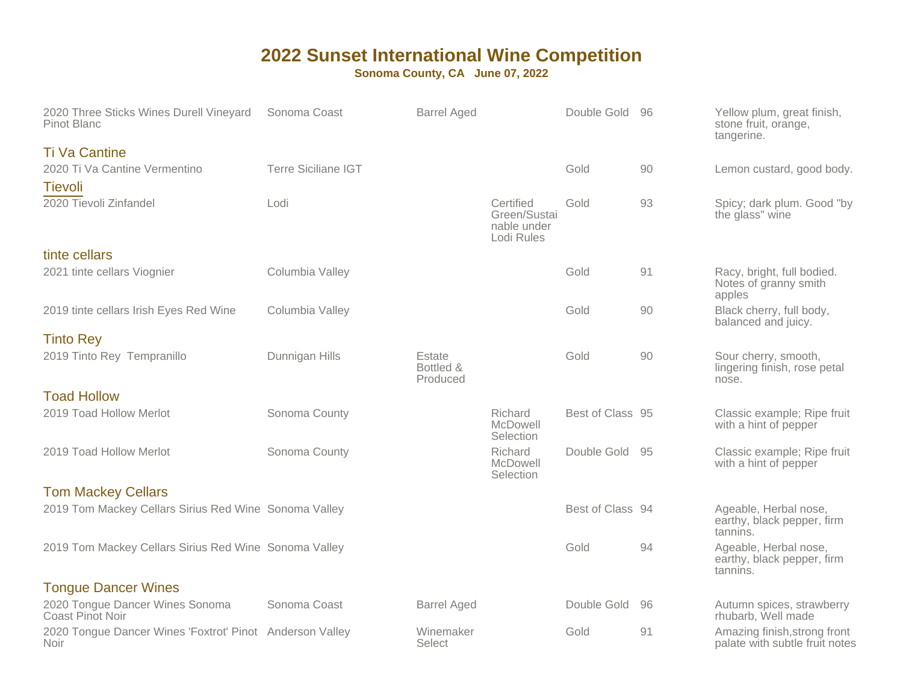| 2020 Three Sticks Wines Durell Vineyard<br><b>Pinot Blanc</b>           | Sonoma Coast               | <b>Barrel Aged</b>              |                                                        | Double Gold 96   |    | Yellow plum, great finish,<br>stone fruit, orange,<br>tangerine. |
|-------------------------------------------------------------------------|----------------------------|---------------------------------|--------------------------------------------------------|------------------|----|------------------------------------------------------------------|
| <b>Ti Va Cantine</b>                                                    |                            |                                 |                                                        |                  |    |                                                                  |
| 2020 Ti Va Cantine Vermentino                                           | <b>Terre Siciliane IGT</b> |                                 |                                                        | Gold             | 90 | Lemon custard, good body.                                        |
| <b>Tievoli</b>                                                          |                            |                                 |                                                        |                  |    |                                                                  |
| 2020 Tievoli Zinfandel                                                  | Lodi                       |                                 | Certified<br>Green/Sustai<br>nable under<br>Lodi Rules | Gold             | 93 | Spicy; dark plum. Good "by<br>the glass" wine                    |
| tinte cellars                                                           |                            |                                 |                                                        |                  |    |                                                                  |
| 2021 tinte cellars Viognier                                             | Columbia Valley            |                                 |                                                        | Gold             | 91 | Racy, bright, full bodied.<br>Notes of granny smith<br>apples    |
| 2019 tinte cellars Irish Eyes Red Wine                                  | Columbia Valley            |                                 |                                                        | Gold             | 90 | Black cherry, full body,<br>balanced and juicy.                  |
| <b>Tinto Rey</b>                                                        |                            |                                 |                                                        |                  |    |                                                                  |
| 2019 Tinto Rey Tempranillo                                              | Dunnigan Hills             | Estate<br>Bottled &<br>Produced |                                                        | Gold             | 90 | Sour cherry, smooth,<br>lingering finish, rose petal<br>nose.    |
| <b>Toad Hollow</b>                                                      |                            |                                 |                                                        |                  |    |                                                                  |
| 2019 Toad Hollow Merlot                                                 | Sonoma County              |                                 | Richard<br>McDowell<br>Selection                       | Best of Class 95 |    | Classic example; Ripe fruit<br>with a hint of pepper             |
| 2019 Toad Hollow Merlot                                                 | Sonoma County              |                                 | Richard<br>McDowell<br>Selection                       | Double Gold 95   |    | Classic example; Ripe fruit<br>with a hint of pepper             |
| <b>Tom Mackey Cellars</b>                                               |                            |                                 |                                                        |                  |    |                                                                  |
| 2019 Tom Mackey Cellars Sirius Red Wine Sonoma Valley                   |                            |                                 |                                                        | Best of Class 94 |    | Ageable, Herbal nose,<br>earthy, black pepper, firm<br>tannins.  |
| 2019 Tom Mackey Cellars Sirius Red Wine Sonoma Valley                   |                            |                                 |                                                        | Gold             | 94 | Ageable, Herbal nose,<br>earthy, black pepper, firm<br>tannins.  |
| <b>Tongue Dancer Wines</b>                                              |                            |                                 |                                                        |                  |    |                                                                  |
| 2020 Tongue Dancer Wines Sonoma<br>Coast Pinot Noir                     | Sonoma Coast               | <b>Barrel Aged</b>              |                                                        | Double Gold      | 96 | Autumn spices, strawberry<br>rhubarb, Well made                  |
| 2020 Tongue Dancer Wines 'Foxtrot' Pinot Anderson Valley<br><b>Noir</b> |                            | Winemaker<br>Select             |                                                        | Gold             | 91 | Amazing finish, strong front<br>palate with subtle fruit notes   |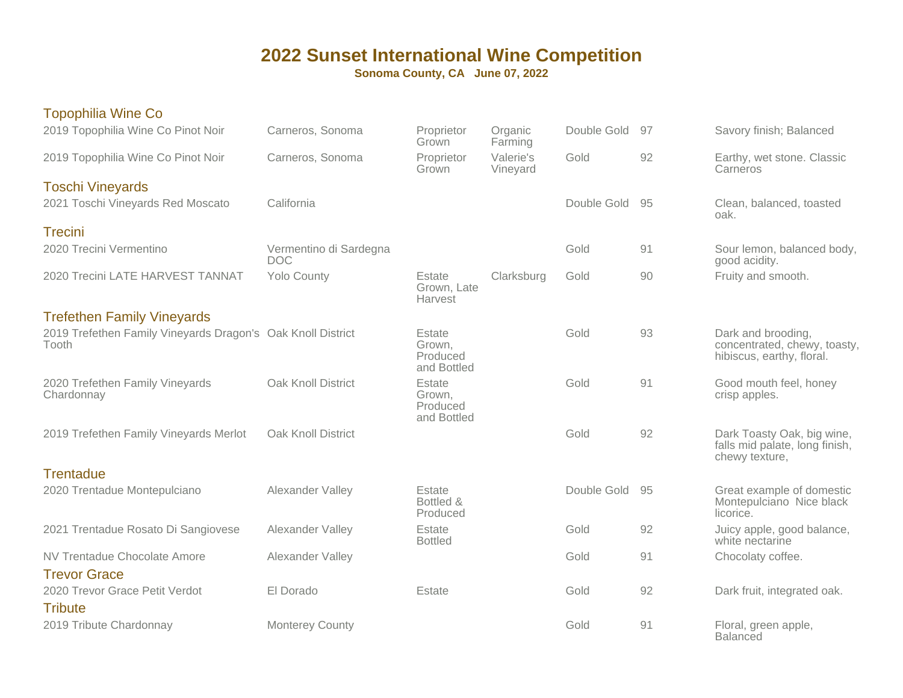| Topophilia Wine Co                                                   |                                      |                                             |                       |             |     |                                                                                 |
|----------------------------------------------------------------------|--------------------------------------|---------------------------------------------|-----------------------|-------------|-----|---------------------------------------------------------------------------------|
| 2019 Topophilia Wine Co Pinot Noir                                   | Carneros, Sonoma                     | Proprietor<br>Grown                         | Organic<br>Farming    | Double Gold | 97  | Savory finish; Balanced                                                         |
| 2019 Topophilia Wine Co Pinot Noir                                   | Carneros, Sonoma                     | Proprietor<br>Grown                         | Valerie's<br>Vineyard | Gold        | 92  | Earthy, wet stone. Classic<br>Carneros                                          |
| <b>Toschi Vineyards</b>                                              |                                      |                                             |                       |             |     |                                                                                 |
| 2021 Toschi Vineyards Red Moscato                                    | California                           |                                             |                       | Double Gold | -95 | Clean, balanced, toasted<br>oak.                                                |
| <b>Trecini</b>                                                       |                                      |                                             |                       |             |     |                                                                                 |
| 2020 Trecini Vermentino                                              | Vermentino di Sardegna<br><b>DOC</b> |                                             |                       | Gold        | 91  | Sour lemon, balanced body,<br>good acidity.                                     |
| 2020 Trecini LATE HARVEST TANNAT                                     | <b>Yolo County</b>                   | Estate<br>Grown, Late<br>Harvest            | Clarksburg            | Gold        | 90  | Fruity and smooth.                                                              |
| <b>Trefethen Family Vineyards</b>                                    |                                      |                                             |                       |             |     |                                                                                 |
| 2019 Trefethen Family Vineyards Dragon's Oak Knoll District<br>Tooth |                                      | Estate<br>Grown,<br>Produced<br>and Bottled |                       | Gold        | 93  | Dark and brooding,<br>concentrated, chewy, toasty,<br>hibiscus, earthy, floral. |
| 2020 Trefethen Family Vineyards<br>Chardonnay                        | Oak Knoll District                   | Estate<br>Grown,<br>Produced<br>and Bottled |                       | Gold        | 91  | Good mouth feel, honey<br>crisp apples.                                         |
| 2019 Trefethen Family Vineyards Merlot                               | Oak Knoll District                   |                                             |                       | Gold        | 92  | Dark Toasty Oak, big wine,<br>falls mid palate, long finish,<br>chewy texture,  |
| <b>Trentadue</b>                                                     |                                      |                                             |                       |             |     |                                                                                 |
| 2020 Trentadue Montepulciano                                         | Alexander Valley                     | Estate<br>Bottled &<br>Produced             |                       | Double Gold | -95 | Great example of domestic<br>Montepulciano Nice black<br>licorice.              |
| 2021 Trentadue Rosato Di Sangiovese                                  | Alexander Valley                     | Estate<br><b>Bottled</b>                    |                       | Gold        | 92  | Juicy apple, good balance,<br>white nectarine                                   |
| <b>NV Trentadue Chocolate Amore</b><br><b>Trevor Grace</b>           | Alexander Valley                     |                                             |                       | Gold        | 91  | Chocolaty coffee.                                                               |
| 2020 Trevor Grace Petit Verdot                                       | El Dorado                            | Estate                                      |                       | Gold        | 92  | Dark fruit, integrated oak.                                                     |
| <b>Tribute</b>                                                       |                                      |                                             |                       |             |     |                                                                                 |
| 2019 Tribute Chardonnay                                              | <b>Monterey County</b>               |                                             |                       | Gold        | 91  | Floral, green apple,<br><b>Balanced</b>                                         |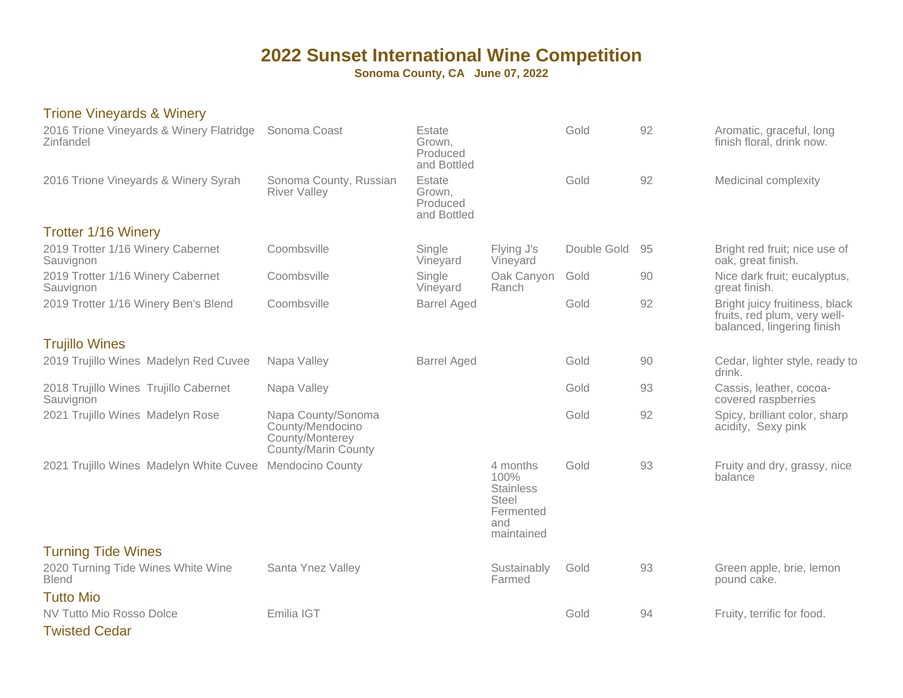**Sonoma County, CA June 07, 2022**

#### Trione Vineyards & Winery

| 2016 Trione Vineyards & Winery Flatridge<br>Zinfandel | Sonoma Coast                                                                     | Estate<br>Grown.<br>Produced<br>and Bottled |                                                                                        | Gold        | 92 | Aromatic, graceful, long<br>finish floral, drink now.                                        |
|-------------------------------------------------------|----------------------------------------------------------------------------------|---------------------------------------------|----------------------------------------------------------------------------------------|-------------|----|----------------------------------------------------------------------------------------------|
| 2016 Trione Vineyards & Winery Syrah                  | Sonoma County, Russian<br><b>River Valley</b>                                    | Estate<br>Grown,<br>Produced<br>and Bottled |                                                                                        | Gold        | 92 | Medicinal complexity                                                                         |
| <b>Trotter 1/16 Winery</b>                            |                                                                                  |                                             |                                                                                        |             |    |                                                                                              |
| 2019 Trotter 1/16 Winery Cabernet<br>Sauvignon        | Coombsville                                                                      | Single<br>Vineyard                          | Flying J's<br>Vineyard                                                                 | Double Gold | 95 | Bright red fruit; nice use of<br>oak, great finish.                                          |
| 2019 Trotter 1/16 Winery Cabernet<br>Sauvignon        | Coombsville                                                                      | Single<br>Vineyard                          | Oak Canyon<br>Ranch                                                                    | Gold        | 90 | Nice dark fruit; eucalyptus,<br>great finish.                                                |
| 2019 Trotter 1/16 Winery Ben's Blend                  | Coombsville                                                                      | <b>Barrel Aged</b>                          |                                                                                        | Gold        | 92 | Bright juicy fruitiness, black<br>fruits, red plum, very well-<br>balanced, lingering finish |
| <b>Trujillo Wines</b>                                 |                                                                                  |                                             |                                                                                        |             |    |                                                                                              |
| 2019 Trujillo Wines Madelyn Red Cuvee                 | Napa Valley                                                                      | <b>Barrel Aged</b>                          |                                                                                        | Gold        | 90 | Cedar, lighter style, ready to<br>drink.                                                     |
| 2018 Trujillo Wines Trujillo Cabernet<br>Sauvignon    | Napa Valley                                                                      |                                             |                                                                                        | Gold        | 93 | Cassis, leather, cocoa-<br>covered raspberries                                               |
| 2021 Trujillo Wines Madelyn Rose                      | Napa County/Sonoma<br>County/Mendocino<br>County/Monterey<br>County/Marin County |                                             |                                                                                        | Gold        | 92 | Spicy, brilliant color, sharp<br>acidity, Sexy pink                                          |
| 2021 Trujillo Wines Madelyn White Cuvee               | <b>Mendocino County</b>                                                          |                                             | 4 months<br>100%<br><b>Stainless</b><br><b>Steel</b><br>Fermented<br>and<br>maintained | Gold        | 93 | Fruity and dry, grassy, nice<br>balance                                                      |
| <b>Turning Tide Wines</b>                             |                                                                                  |                                             |                                                                                        |             |    |                                                                                              |
| 2020 Turning Tide Wines White Wine<br><b>Blend</b>    | Santa Ynez Valley                                                                |                                             | Sustainably<br>Farmed                                                                  | Gold        | 93 | Green apple, brie, lemon<br>pound cake.                                                      |
| <b>Tutto Mio</b>                                      |                                                                                  |                                             |                                                                                        |             |    |                                                                                              |
| NV Tutto Mio Rosso Dolce                              | Emilia IGT                                                                       |                                             |                                                                                        | Gold        | 94 | Fruity, terrific for food.                                                                   |
| <b>Twisted Cedar</b>                                  |                                                                                  |                                             |                                                                                        |             |    |                                                                                              |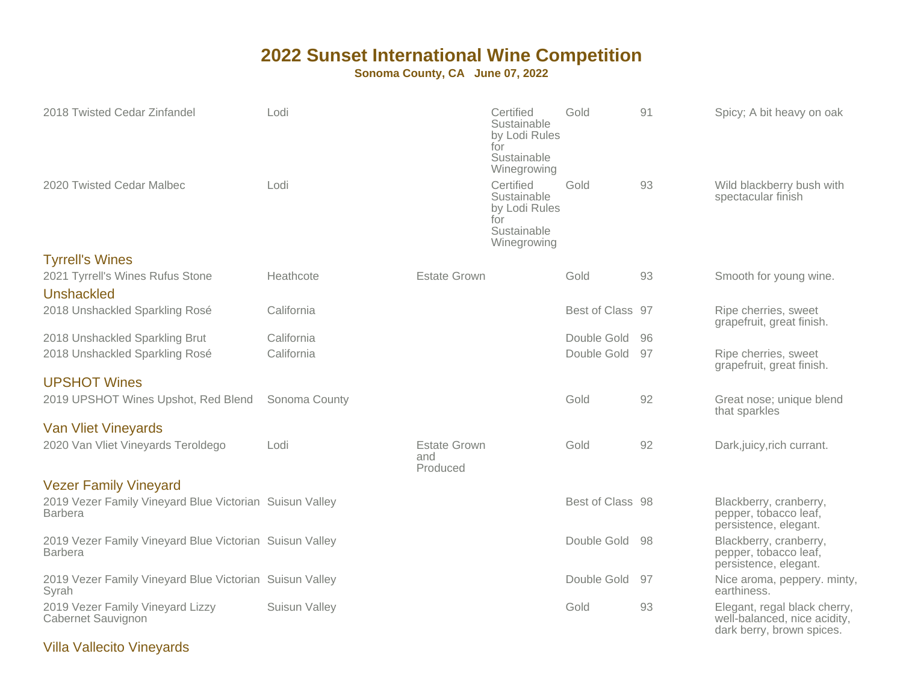### **Sonoma County, CA June 07, 2022**

| 2018 Twisted Cedar Zinfandel                                              | Lodi          |                                        | Certified<br>Sustainable<br>by Lodi Rules<br>for<br>Sustainable<br>Winegrowing | Gold             | 91 | Spicy; A bit heavy on oak                                                                 |
|---------------------------------------------------------------------------|---------------|----------------------------------------|--------------------------------------------------------------------------------|------------------|----|-------------------------------------------------------------------------------------------|
| 2020 Twisted Cedar Malbec                                                 | Lodi          |                                        | Certified<br>Sustainable<br>by Lodi Rules<br>for<br>Sustainable<br>Winegrowing | Gold             | 93 | Wild blackberry bush with<br>spectacular finish                                           |
| <b>Tyrrell's Wines</b>                                                    |               |                                        |                                                                                |                  |    |                                                                                           |
| 2021 Tyrrell's Wines Rufus Stone<br>Unshackled                            | Heathcote     | <b>Estate Grown</b>                    |                                                                                | Gold             | 93 | Smooth for young wine.                                                                    |
| 2018 Unshackled Sparkling Rosé                                            | California    |                                        |                                                                                | Best of Class 97 |    | Ripe cherries, sweet<br>grapefruit, great finish.                                         |
| 2018 Unshackled Sparkling Brut                                            | California    |                                        |                                                                                | Double Gold      | 96 |                                                                                           |
| 2018 Unshackled Sparkling Rosé                                            | California    |                                        |                                                                                | Double Gold      | 97 | Ripe cherries, sweet<br>grapefruit, great finish.                                         |
| <b>UPSHOT Wines</b>                                                       |               |                                        |                                                                                |                  |    |                                                                                           |
| 2019 UPSHOT Wines Upshot, Red Blend                                       | Sonoma County |                                        |                                                                                | Gold             | 92 | Great nose; unique blend<br>that sparkles                                                 |
| <b>Van Vliet Vineyards</b>                                                |               |                                        |                                                                                |                  |    |                                                                                           |
| 2020 Van Vliet Vineyards Teroldego                                        | Lodi          | <b>Estate Grown</b><br>and<br>Produced |                                                                                | Gold             | 92 | Dark, juicy, rich currant.                                                                |
| <b>Vezer Family Vineyard</b>                                              |               |                                        |                                                                                |                  |    |                                                                                           |
| 2019 Vezer Family Vineyard Blue Victorian Suisun Valley<br><b>Barbera</b> |               |                                        |                                                                                | Best of Class 98 |    | Blackberry, cranberry,<br>pepper, tobacco leaf,<br>persistence, elegant.                  |
| 2019 Vezer Family Vineyard Blue Victorian Suisun Valley<br><b>Barbera</b> |               |                                        |                                                                                | Double Gold 98   |    | Blackberry, cranberry,<br>pepper, tobacco leaf,<br>persistence, elegant.                  |
| 2019 Vezer Family Vineyard Blue Victorian Suisun Valley<br>Syrah          |               |                                        |                                                                                | Double Gold      | 97 | Nice aroma, peppery. minty,<br>earthiness.                                                |
| 2019 Vezer Family Vineyard Lizzy<br><b>Cabernet Sauvignon</b>             | Suisun Valley |                                        |                                                                                | Gold             | 93 | Elegant, regal black cherry,<br>well-balanced, nice acidity,<br>dark berry, brown spices. |

### Villa Vallecito Vineyards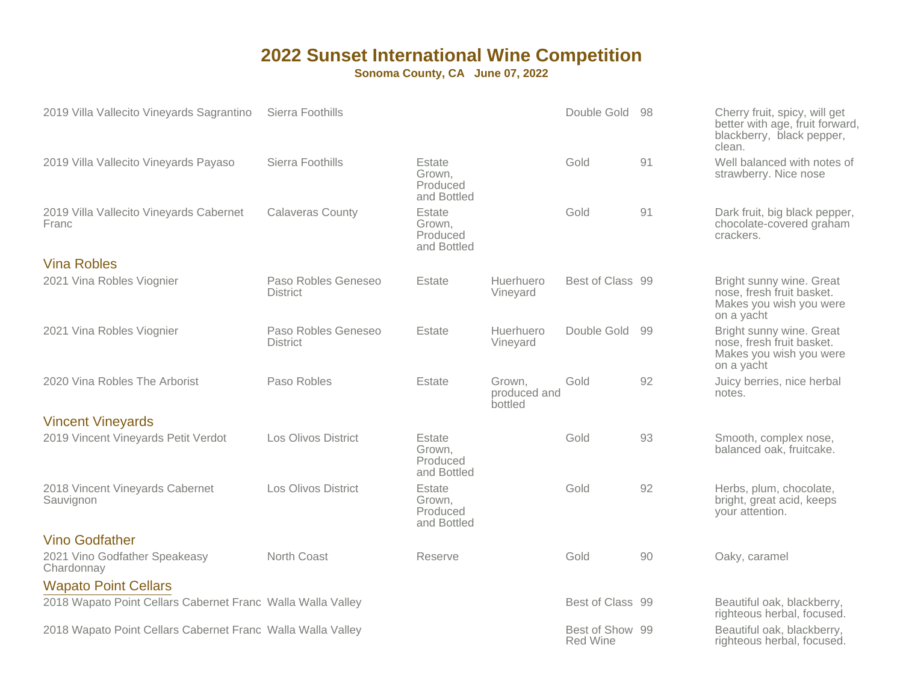| 2019 Villa Vallecito Vineyards Sagrantino                   | Sierra Foothills                       |                                             |                                   | Double Gold                        | -98 | Cherry fruit, spicy, will get<br>better with age, fruit forward,<br>blackberry, black pepper,<br>clean. |
|-------------------------------------------------------------|----------------------------------------|---------------------------------------------|-----------------------------------|------------------------------------|-----|---------------------------------------------------------------------------------------------------------|
| 2019 Villa Vallecito Vineyards Payaso                       | Sierra Foothills                       | Estate<br>Grown,<br>Produced<br>and Bottled |                                   | Gold                               | 91  | Well balanced with notes of<br>strawberry. Nice nose                                                    |
| 2019 Villa Vallecito Vineyards Cabernet<br>Franc            | <b>Calaveras County</b>                | Estate<br>Grown,<br>Produced<br>and Bottled |                                   | Gold                               | 91  | Dark fruit, big black pepper,<br>chocolate-covered graham<br>crackers.                                  |
| <b>Vina Robles</b>                                          |                                        |                                             |                                   |                                    |     |                                                                                                         |
| 2021 Vina Robles Viognier                                   | Paso Robles Geneseo<br><b>District</b> | Estate                                      | Huerhuero<br>Vineyard             | Best of Class 99                   |     | Bright sunny wine. Great<br>nose, fresh fruit basket.<br>Makes you wish you were<br>on a yacht          |
| 2021 Vina Robles Viognier                                   | Paso Robles Geneseo<br><b>District</b> | Estate                                      | Huerhuero<br>Vineyard             | Double Gold                        | 99  | Bright sunny wine. Great<br>nose, fresh fruit basket.<br>Makes you wish you were<br>on a yacht          |
| 2020 Vina Robles The Arborist                               | Paso Robles                            | Estate                                      | Grown,<br>produced and<br>bottled | Gold                               | 92  | Juicy berries, nice herbal<br>notes.                                                                    |
| <b>Vincent Vineyards</b>                                    |                                        |                                             |                                   |                                    |     |                                                                                                         |
| 2019 Vincent Vineyards Petit Verdot                         | <b>Los Olivos District</b>             | Estate<br>Grown,<br>Produced<br>and Bottled |                                   | Gold                               | 93  | Smooth, complex nose,<br>balanced oak, fruitcake.                                                       |
| 2018 Vincent Vineyards Cabernet<br>Sauvignon                | <b>Los Olivos District</b>             | Estate<br>Grown.<br>Produced<br>and Bottled |                                   | Gold                               | 92  | Herbs, plum, chocolate,<br>bright, great acid, keeps<br>your attention.                                 |
| <b>Vino Godfather</b>                                       |                                        |                                             |                                   |                                    |     |                                                                                                         |
| 2021 Vino Godfather Speakeasy<br>Chardonnay                 | North Coast                            | Reserve                                     |                                   | Gold                               | 90  | Oaky, caramel                                                                                           |
| <b>Wapato Point Cellars</b>                                 |                                        |                                             |                                   |                                    |     |                                                                                                         |
| 2018 Wapato Point Cellars Cabernet Franc Walla Walla Valley |                                        |                                             |                                   | Best of Class 99                   |     | Beautiful oak, blackberry,<br>righteous herbal, focused.                                                |
| 2018 Wapato Point Cellars Cabernet Franc Walla Walla Valley |                                        |                                             |                                   | Best of Show 99<br><b>Red Wine</b> |     | Beautiful oak, blackberry,<br>righteous herbal, focused.                                                |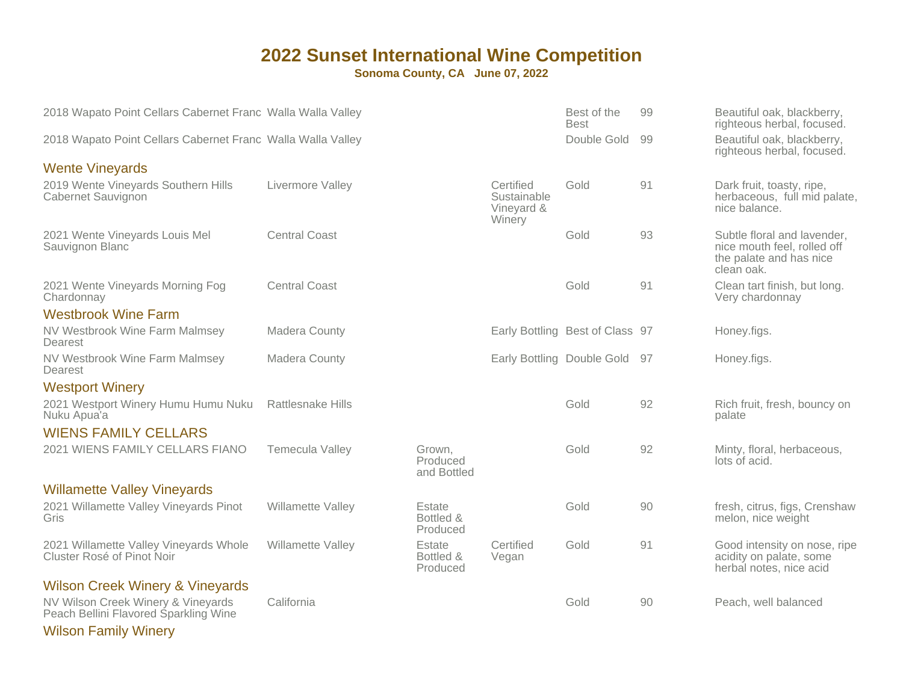**Sonoma County, CA June 07, 2022**

| 2018 Wapato Point Cellars Cabernet Franc Walla Walla Valley                 |                          |                                   |                                                  | Best of the<br><b>Best</b>      | 99 | Beautiful oak, blackberry,<br>righteous herbal, focused.                                            |
|-----------------------------------------------------------------------------|--------------------------|-----------------------------------|--------------------------------------------------|---------------------------------|----|-----------------------------------------------------------------------------------------------------|
| 2018 Wapato Point Cellars Cabernet Franc Walla Walla Valley                 |                          |                                   |                                                  | Double Gold                     | 99 | Beautiful oak, blackberry,<br>righteous herbal, focused.                                            |
| <b>Wente Vineyards</b>                                                      |                          |                                   |                                                  |                                 |    |                                                                                                     |
| 2019 Wente Vineyards Southern Hills<br>Cabernet Sauvignon                   | Livermore Valley         |                                   | Certified<br>Sustainable<br>Vineyard &<br>Winery | Gold                            | 91 | Dark fruit, toasty, ripe,<br>herbaceous, full mid palate,<br>nice balance.                          |
| 2021 Wente Vineyards Louis Mel<br>Sauvignon Blanc                           | <b>Central Coast</b>     |                                   |                                                  | Gold                            | 93 | Subtle floral and lavender,<br>nice mouth feel, rolled off<br>the palate and has nice<br>clean oak. |
| 2021 Wente Vineyards Morning Fog<br>Chardonnay                              | <b>Central Coast</b>     |                                   |                                                  | Gold                            | 91 | Clean tart finish, but long.<br>Very chardonnay                                                     |
| <b>Westbrook Wine Farm</b>                                                  |                          |                                   |                                                  |                                 |    |                                                                                                     |
| NV Westbrook Wine Farm Malmsey<br>Dearest                                   | <b>Madera County</b>     |                                   |                                                  | Early Bottling Best of Class 97 |    | Honey.figs.                                                                                         |
| NV Westbrook Wine Farm Malmsey<br>Dearest                                   | Madera County            |                                   | Early Bottling Double Gold                       |                                 | 97 | Honey.figs.                                                                                         |
| <b>Westport Winery</b>                                                      |                          |                                   |                                                  |                                 |    |                                                                                                     |
| 2021 Westport Winery Humu Humu Nuku<br>Nuku Apua'a                          | <b>Rattlesnake Hills</b> |                                   |                                                  | Gold                            | 92 | Rich fruit, fresh, bouncy on<br>palate                                                              |
| <b>WIENS FAMILY CELLARS</b>                                                 |                          |                                   |                                                  |                                 |    |                                                                                                     |
| 2021 WIENS FAMILY CELLARS FIANO                                             | <b>Temecula Valley</b>   | Grown,<br>Produced<br>and Bottled |                                                  | Gold                            | 92 | Minty, floral, herbaceous,<br>lots of acid.                                                         |
| <b>Willamette Valley Vineyards</b>                                          |                          |                                   |                                                  |                                 |    |                                                                                                     |
| 2021 Willamette Valley Vineyards Pinot<br>Gris                              | Willamette Valley        | Estate<br>Bottled &<br>Produced   |                                                  | Gold                            | 90 | fresh, citrus, figs, Crenshaw<br>melon, nice weight                                                 |
| 2021 Willamette Valley Vineyards Whole<br>Cluster Rosé of Pinot Noir        | Willamette Valley        | Estate<br>Bottled &<br>Produced   | Certified<br>Vegan                               | Gold                            | 91 | Good intensity on nose, ripe<br>acidity on palate, some<br>herbal notes, nice acid                  |
| <b>Wilson Creek Winery &amp; Vineyards</b>                                  |                          |                                   |                                                  |                                 |    |                                                                                                     |
| NV Wilson Creek Winery & Vineyards<br>Peach Bellini Flavored Sparkling Wine | California               |                                   |                                                  | Gold                            | 90 | Peach, well balanced                                                                                |

Wilson Family Winery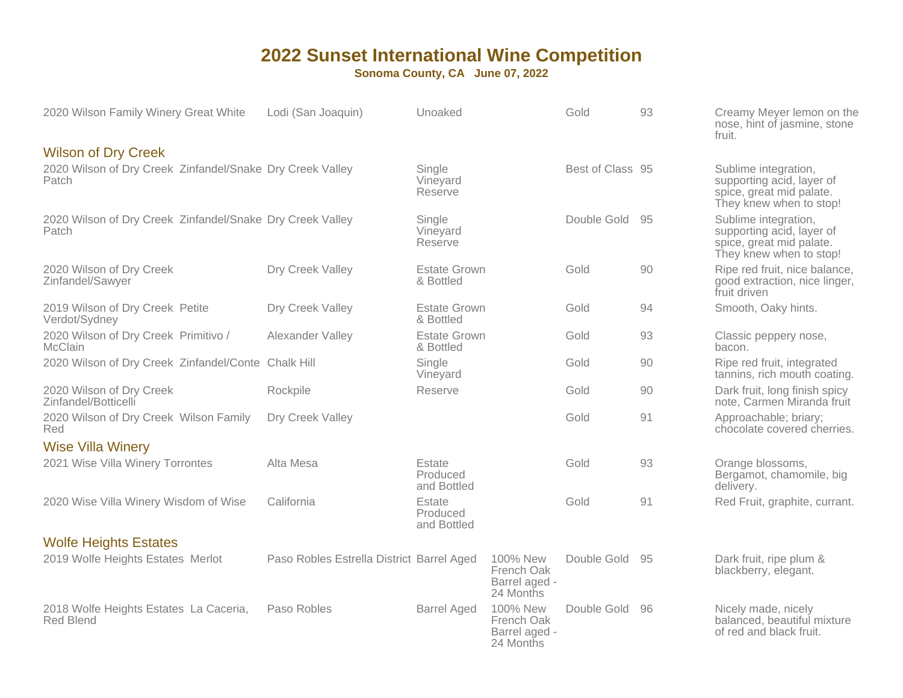| 2020 Wilson Family Winery Great White                              | Lodi (San Joaquin)                        | Unoaked                           |                                                      | Gold             | 93 | Creamy Meyer lemon on the<br>nose, hint of jasmine, stone<br>fruit.                                      |
|--------------------------------------------------------------------|-------------------------------------------|-----------------------------------|------------------------------------------------------|------------------|----|----------------------------------------------------------------------------------------------------------|
| <b>Wilson of Dry Creek</b>                                         |                                           |                                   |                                                      |                  |    |                                                                                                          |
| 2020 Wilson of Dry Creek Zinfandel/Snake Dry Creek Valley<br>Patch |                                           | Single<br>Vineyard<br>Reserve     |                                                      | Best of Class 95 |    | Sublime integration,<br>supporting acid, layer of<br>spice, great mid palate.<br>They knew when to stop! |
| 2020 Wilson of Dry Creek Zinfandel/Snake Dry Creek Valley<br>Patch |                                           | Single<br>Vineyard<br>Reserve     |                                                      | Double Gold      | 95 | Sublime integration,<br>supporting acid, layer of<br>spice, great mid palate.<br>They knew when to stop! |
| 2020 Wilson of Dry Creek<br>Zinfandel/Sawyer                       | Dry Creek Valley                          | <b>Estate Grown</b><br>& Bottled  |                                                      | Gold             | 90 | Ripe red fruit, nice balance,<br>good extraction, nice linger,<br>fruit driven                           |
| 2019 Wilson of Dry Creek Petite<br>Verdot/Sydney                   | Dry Creek Valley                          | <b>Estate Grown</b><br>& Bottled  |                                                      | Gold             | 94 | Smooth, Oaky hints.                                                                                      |
| 2020 Wilson of Dry Creek Primitivo /<br><b>McClain</b>             | Alexander Valley                          | <b>Estate Grown</b><br>& Bottled  |                                                      | Gold             | 93 | Classic peppery nose,<br>bacon.                                                                          |
| 2020 Wilson of Dry Creek Zinfandel/Conte Chalk Hill                |                                           | Single<br>Vineyard                |                                                      | Gold             | 90 | Ripe red fruit, integrated<br>tannins, rich mouth coating.                                               |
| 2020 Wilson of Dry Creek<br>Zinfandel/Botticelli                   | Rockpile                                  | Reserve                           |                                                      | Gold             | 90 | Dark fruit, long finish spicy<br>note, Carmen Miranda fruit                                              |
| 2020 Wilson of Dry Creek Wilson Family<br>Red                      | Dry Creek Valley                          |                                   |                                                      | Gold             | 91 | Approachable; briary;<br>chocolate covered cherries.                                                     |
| <b>Wise Villa Winery</b>                                           |                                           |                                   |                                                      |                  |    |                                                                                                          |
| 2021 Wise Villa Winery Torrontes                                   | Alta Mesa                                 | Estate<br>Produced<br>and Bottled |                                                      | Gold             | 93 | Orange blossoms,<br>Bergamot, chamomile, big<br>delivery.                                                |
| 2020 Wise Villa Winery Wisdom of Wise                              | California                                | Estate<br>Produced<br>and Bottled |                                                      | Gold             | 91 | Red Fruit, graphite, currant.                                                                            |
| <b>Wolfe Heights Estates</b>                                       |                                           |                                   |                                                      |                  |    |                                                                                                          |
| 2019 Wolfe Heights Estates Merlot                                  | Paso Robles Estrella District Barrel Aged |                                   | 100% New<br>French Oak<br>Barrel aged -<br>24 Months | Double Gold      | 95 | Dark fruit, ripe plum &<br>blackberry, elegant.                                                          |
| 2018 Wolfe Heights Estates La Caceria,<br><b>Red Blend</b>         | Paso Robles                               | <b>Barrel Aged</b>                | 100% New<br>French Oak<br>Barrel aged -<br>24 Months | Double Gold 96   |    | Nicely made, nicely<br>balanced, beautiful mixture<br>of red and black fruit.                            |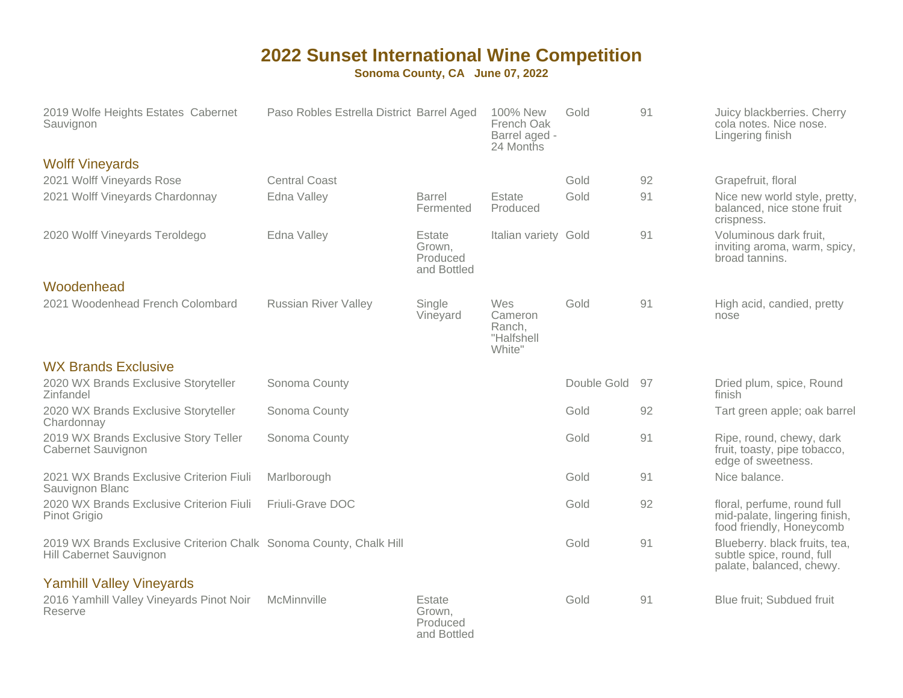| 2019 Wolfe Heights Estates Cabernet<br>Sauvignon                                              | Paso Robles Estrella District Barrel Aged |                                             | 100% New<br>French Oak<br>Barrel aged -<br>24 Months | Gold        | 91 | Juicy blackberries. Cherry<br>cola notes. Nice nose.<br>Lingering finish                 |
|-----------------------------------------------------------------------------------------------|-------------------------------------------|---------------------------------------------|------------------------------------------------------|-------------|----|------------------------------------------------------------------------------------------|
| <b>Wolff Vineyards</b>                                                                        |                                           |                                             |                                                      |             |    |                                                                                          |
| 2021 Wolff Vineyards Rose                                                                     | <b>Central Coast</b>                      |                                             |                                                      | Gold        | 92 | Grapefruit, floral                                                                       |
| 2021 Wolff Vineyards Chardonnay                                                               | Edna Valley                               | Barrel<br>Fermented                         | Estate<br>Produced                                   | Gold        | 91 | Nice new world style, pretty,<br>balanced, nice stone fruit<br>crispness.                |
| 2020 Wolff Vineyards Teroldego                                                                | Edna Valley                               | Estate<br>Grown.<br>Produced<br>and Bottled | Italian variety Gold                                 |             | 91 | Voluminous dark fruit,<br>inviting aroma, warm, spicy,<br>broad tannins.                 |
| Woodenhead                                                                                    |                                           |                                             |                                                      |             |    |                                                                                          |
| 2021 Woodenhead French Colombard                                                              | <b>Russian River Valley</b>               | Single<br>Vineyard                          | Wes<br>Cameron<br>Ranch,<br>"Halfshell<br>White"     | Gold        | 91 | High acid, candied, pretty<br>nose                                                       |
| <b>WX Brands Exclusive</b>                                                                    |                                           |                                             |                                                      |             |    |                                                                                          |
| 2020 WX Brands Exclusive Storyteller<br>Zinfandel                                             | Sonoma County                             |                                             |                                                      | Double Gold | 97 | Dried plum, spice, Round<br>finish                                                       |
| 2020 WX Brands Exclusive Storyteller<br>Chardonnay                                            | Sonoma County                             |                                             |                                                      | Gold        | 92 | Tart green apple; oak barrel                                                             |
| 2019 WX Brands Exclusive Story Teller<br>Cabernet Sauvignon                                   | Sonoma County                             |                                             |                                                      | Gold        | 91 | Ripe, round, chewy, dark<br>fruit, toasty, pipe tobacco,<br>edge of sweetness.           |
| 2021 WX Brands Exclusive Criterion Fiuli<br>Sauvignon Blanc                                   | Marlborough                               |                                             |                                                      | Gold        | 91 | Nice balance.                                                                            |
| 2020 WX Brands Exclusive Criterion Fiuli<br>Pinot Grigio                                      | Friuli-Grave DOC                          |                                             |                                                      | Gold        | 92 | floral, perfume, round full<br>mid-palate, lingering finish,<br>food friendly, Honeycomb |
| 2019 WX Brands Exclusive Criterion Chalk Sonoma County, Chalk Hill<br>Hill Cabernet Sauvignon |                                           |                                             |                                                      | Gold        | 91 | Blueberry. black fruits, tea,<br>subtle spice, round, full<br>palate, balanced, chewy.   |
| <b>Yamhill Valley Vineyards</b><br>2016 Yamhill Valley Vineyards Pinot Noir<br>Reserve        | McMinnville                               | Estate<br>Grown,<br>Produced<br>and Bottled |                                                      | Gold        | 91 | Blue fruit; Subdued fruit                                                                |